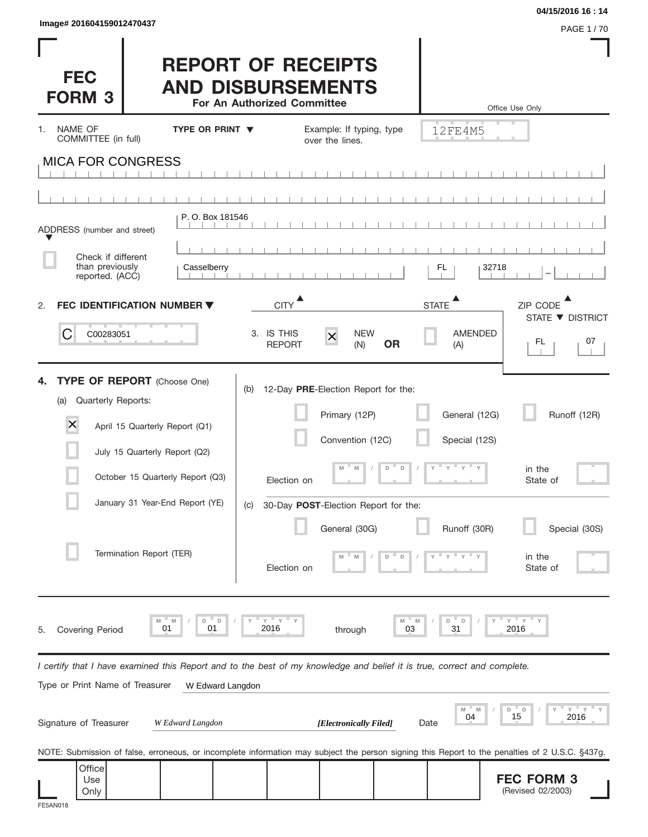| Image# 201604159012470437                                                                                                                                                                                                                                        |                                                                                                                                                                                         | 04/15/2016 16:14                                                                                                                               |
|------------------------------------------------------------------------------------------------------------------------------------------------------------------------------------------------------------------------------------------------------------------|-----------------------------------------------------------------------------------------------------------------------------------------------------------------------------------------|------------------------------------------------------------------------------------------------------------------------------------------------|
| <b>FEC</b><br><b>FORM 3</b>                                                                                                                                                                                                                                      | <b>REPORT OF RECEIPTS</b><br><b>AND DISBURSEMENTS</b><br>For An Authorized Committee                                                                                                    | PAGE 1/70<br>Office Use Only                                                                                                                   |
| NAME OF<br><b>TYPE OR PRINT ▼</b><br>1.<br>COMMITTEE (in full)                                                                                                                                                                                                   | Example: If typing, type<br>over the lines.                                                                                                                                             | 12FE4M5                                                                                                                                        |
| <b>MICA FOR CONGRESS</b>                                                                                                                                                                                                                                         |                                                                                                                                                                                         |                                                                                                                                                |
| P.O. Box 181546<br>ADDRESS (number and street)<br>Check if different<br>than previously<br>Casselberry<br>reported. (ACC)                                                                                                                                        |                                                                                                                                                                                         | 32718<br>FL.                                                                                                                                   |
| <b>FEC IDENTIFICATION NUMBER ▼</b><br>2.                                                                                                                                                                                                                         | <b>CITY</b>                                                                                                                                                                             | <b>STATE</b><br>ZIP CODE                                                                                                                       |
| C<br>C00283051                                                                                                                                                                                                                                                   | <b>NEW</b><br>3. IS THIS<br>$\overline{\mathsf{x}}$<br><b>REPORT</b><br>(N)                                                                                                             | STATE ▼ DISTRICT<br><b>AMENDED</b><br>07<br>FL.<br><b>OR</b><br>(A)                                                                            |
| <b>TYPE OF REPORT</b> (Choose One)<br>Quarterly Reports:<br>(a)<br>$\overline{\mathsf{x}}$<br>April 15 Quarterly Report (Q1)<br>July 15 Quarterly Report (Q2)<br>October 15 Quarterly Report (Q3)<br>January 31 Year-End Report (YE)<br>Termination Report (TER) | 12-Day PRE-Election Report for the:<br>(b)<br>Primary (12P)<br>Convention (12C)<br>M<br>M<br>Election on<br>30-Day POST-Election Report for the:<br>(C)<br>General (30G)<br>Election on | General (12G)<br>Runoff (12R)<br>Special (12S)<br>D<br>D<br>Y<br>in the<br>State of<br>Runoff (30R)<br>Special (30S)<br>in the<br>State of     |
| D<br>D<br>M<br>M<br>01<br>01<br>Covering Period<br>5.                                                                                                                                                                                                            | $Y = Y$<br>2016<br>through                                                                                                                                                              | $Y$ $Y$ $Y$<br>D<br>D<br>2016<br>31<br>03                                                                                                      |
| I certify that I have examined this Report and to the best of my knowledge and belief it is true, correct and complete.<br>Type or Print Name of Treasurer<br>W Edward Langdon                                                                                   |                                                                                                                                                                                         |                                                                                                                                                |
| Signature of Treasurer<br>W Edward Langdon                                                                                                                                                                                                                       | [Electronically Filed]                                                                                                                                                                  | ΞY.<br>Υ<br>M<br>M<br>D<br>D<br>15<br>04<br>2016<br>Date                                                                                       |
|                                                                                                                                                                                                                                                                  |                                                                                                                                                                                         | NOTE: Submission of false, erroneous, or incomplete information may subject the person signing this Report to the penalties of 2 U.S.C. §437g. |
| Office<br>Use<br>Only                                                                                                                                                                                                                                            |                                                                                                                                                                                         | <b>FEC FORM 3</b><br>(Revised 02/2003)                                                                                                         |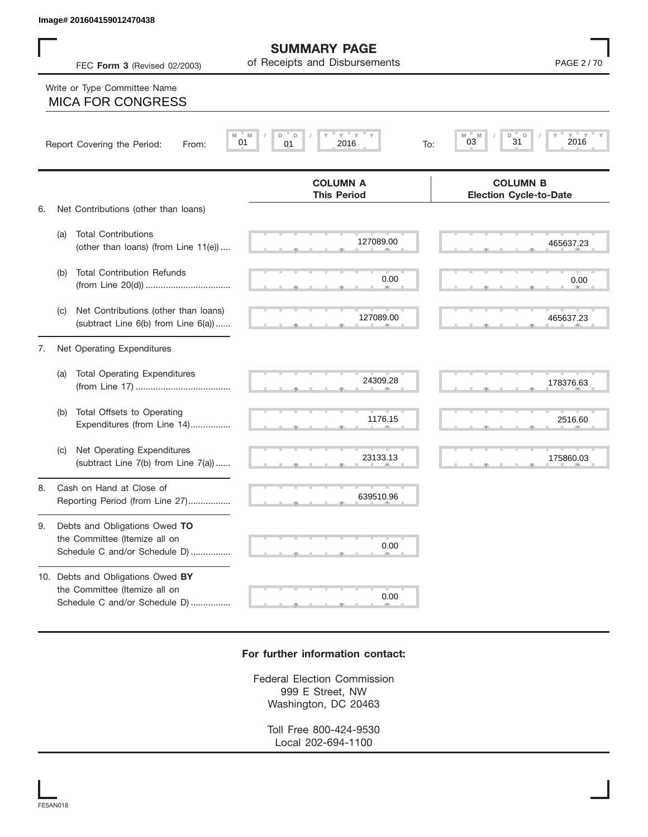**SUMMARY PAGE**

FEC **Form 3** (Revised 02/2003) Page **2** of Receipts and Disbursements

## $\frac{127089.00}{127089.00}$  465637.2 S S S , , . S S S , , . S S S , , . S S S , , . S S S , , . S S S , , . S S S , , . S S S , , . S S S , , . S S S , , . 639510.96  $\begin{array}{|c|c|c|c|c|c|}\n\hline\n\text{S} & \text{S} & \text{S} & \text{S} & \text{S} & \text{S} \\
\hline\n\text{S} & \text{S} & \text{S} & \text{S} & \text{S} & \text{S} & \text{S} & \text{S} \\
\hline\n\text{S} & \text{S} & \text{S} & \text{S} & \text{S} & \text{S} & \text{S} & \text{S} & \text{S} & \text{S} & \text{S} \\
\hline\n\text{S} & \text{S} & \text{S} & \text{S} & \text{S} & \text{S$  S S S , , .  **M M / D D / Y Y Y Y M M / D D / Y Y Y Y COLUMN B Election Cycle-to-Date COLUMN A This Period** 6. Net Contributions (other than loans) (a) Total Contributions (other than loans) (from Line 11(e)) .... (b) Total Contribution Refunds (from Line 20(d)) .................................. (c) Net Contributions (other than loans) (subtract Line 6(b) from Line 6(a)) ...... 7. Net Operating Expenditures (a) Total Operating Expenditures (from Line 17) ...................................... (b) Total Offsets to Operating Expenditures (from Line 14)................ (c) Net Operating Expenditures (subtract Line 7(b) from Line 7(a)) ...... 8. Cash on Hand at Close of Reporting Period (from Line 27)................. 9. Debts and Obligations Owed **TO** the Committee (Itemize all on Schedule C and/or Schedule D) ................ 10. Debts and Obligations Owed **BY** the Committee (Itemize all on Schedule C and/or Schedule D) ................ Report Covering the Period: From: 01 01 2016 To: Write or Type Committee Name 127089.00 24309.28 639510.96 635510.96 635510.96 635510.96 635510.96 635510.96 635510.96 635510.96 635510.96 635510.96 635510.96 635510.96 635510.96 635510.96 635510.96 635510.96 635510.96 635510.96 635510.96 635510.96 635510.96 635510.96 63 **ENDER 201694159013476438**<br>
FOR EVAN SO CONTROL EXCERCISE OF THE SUBMISSION OF THE SUBMISSION OF THE SUBMISSION OF THE PACIFIC SUBMISSION OF THE PACIFIC SUBMISSION OF THE SUBMISSION OF THE SUBMISSION OF THE SUBMISSION OF

## **For further information contact:**

Federal Election Commission 999 E Street, NW Washington, DC 20463

Toll Free 800-424-9530 Local 202-694-1100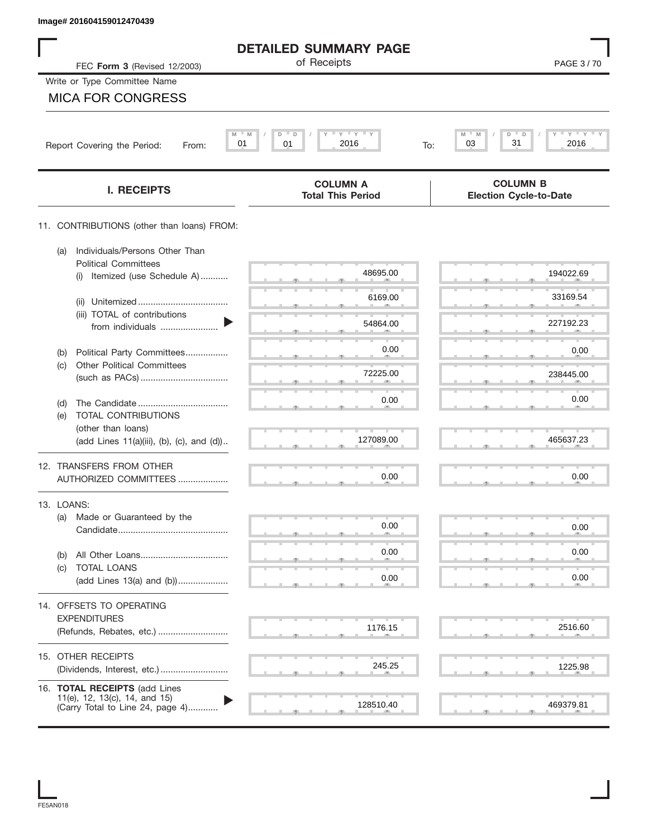| Image# 201604159012470439                                            |                                             |                                                    |
|----------------------------------------------------------------------|---------------------------------------------|----------------------------------------------------|
|                                                                      | <b>DETAILED SUMMARY PAGE</b>                |                                                    |
| FEC Form 3 (Revised 12/2003)                                         | of Receipts                                 | PAGE 3/70                                          |
| Write or Type Committee Name                                         |                                             |                                                    |
| <b>MICA FOR CONGRESS</b>                                             |                                             |                                                    |
|                                                                      | $Y$ $Y$ $Y$                                 |                                                    |
| Report Covering the Period:<br>From:                                 | M<br>D<br>D<br>01<br>2016<br>01<br>To:      | $Y$ $Y$ $Y$ $Y$<br>M<br>D<br>D<br>31<br>03<br>2016 |
| <b>I. RECEIPTS</b>                                                   | <b>COLUMN A</b><br><b>Total This Period</b> | <b>COLUMN B</b><br><b>Election Cycle-to-Date</b>   |
| 11. CONTRIBUTIONS (other than loans) FROM:                           |                                             |                                                    |
| Individuals/Persons Other Than<br>(a)<br><b>Political Committees</b> |                                             |                                                    |
| Itemized (use Schedule A)<br>(i)                                     | 48695.00                                    | 194022.69                                          |
| (ii)                                                                 | 6169.00                                     | 33169.54                                           |
| (iii) TOTAL of contributions<br>from individuals                     | 54864.00                                    | 227192.23                                          |
| Political Party Committees<br>(b)                                    | 0.00                                        | 0.00                                               |
| <b>Other Political Committees</b><br>(c)                             | 72225.00                                    | 238445.00                                          |
|                                                                      |                                             |                                                    |
| (d)<br>TOTAL CONTRIBUTIONS<br>(e)                                    | 0.00                                        | 0.00                                               |
| (other than loans)<br>(add Lines 11(a)(iii), (b), (c), and (d))      | 127089.00                                   | 465637.23                                          |
|                                                                      |                                             |                                                    |
| 12. TRANSFERS FROM OTHER<br>AUTHORIZED COMMITTEES                    | 0.00                                        | 0.00                                               |
| 13. LOANS:                                                           |                                             |                                                    |
| Made or Guaranteed by the<br>(a)                                     | 0.00                                        | 0.00                                               |
|                                                                      |                                             |                                                    |
| (b)<br><b>TOTAL LOANS</b><br>(c)                                     | 0.00                                        | 0.00                                               |
| (add Lines 13(a) and (b))                                            | 0.00                                        | 0.00                                               |
| 14. OFFSETS TO OPERATING                                             |                                             |                                                    |
| <b>EXPENDITURES</b><br>(Refunds, Rebates, etc.)                      | 1176.15                                     | 2516.60                                            |
| 15. OTHER RECEIPTS                                                   |                                             |                                                    |
|                                                                      | 245.25                                      | 1225.98                                            |
| 16. TOTAL RECEIPTS (add Lines<br>11(e), 12, 13(c), 14, and 15)       |                                             |                                                    |
| (Carry Total to Line 24, page 4)                                     | 128510.40                                   | 469379.81                                          |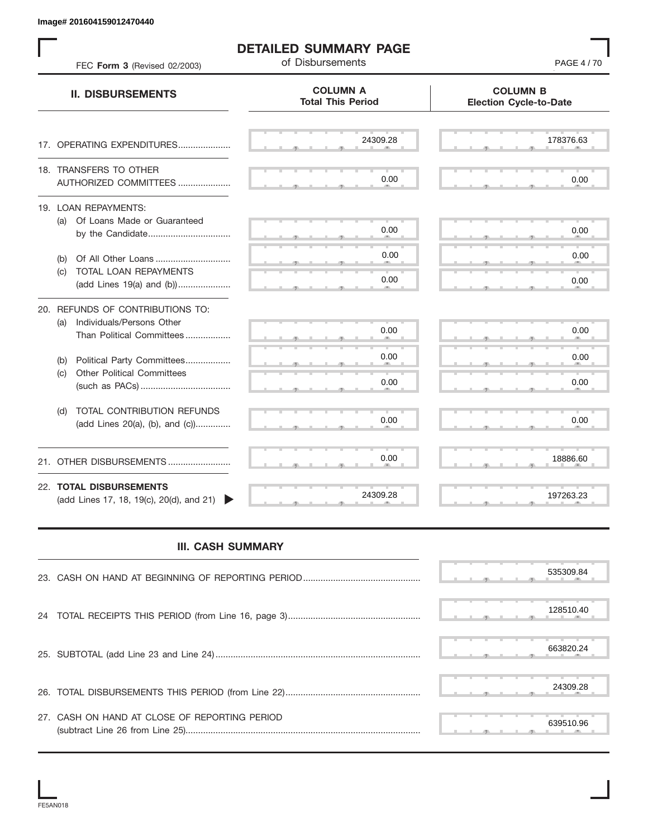| FEC Form 3 (Revised 02/2003)                                                                      | <b>DETAILED SUMMARY PAGE</b><br>of Disbursements | PAGE 4/70                                        |
|---------------------------------------------------------------------------------------------------|--------------------------------------------------|--------------------------------------------------|
| <b>II. DISBURSEMENTS</b>                                                                          | <b>COLUMN A</b><br><b>Total This Period</b>      | <b>COLUMN B</b><br><b>Election Cycle-to-Date</b> |
| 17. OPERATING EXPENDITURES                                                                        | 24309.28                                         | 178376.63                                        |
| 18. TRANSFERS TO OTHER<br>AUTHORIZED COMMITTEES                                                   | 0.00                                             | 0.00                                             |
| 19. LOAN REPAYMENTS:<br>(a) Of Loans Made or Guaranteed                                           | 0.00                                             | 0.00                                             |
| Of All Other Loans<br>(b)                                                                         | 0.00                                             | 0.00                                             |
| TOTAL LOAN REPAYMENTS<br>(c)<br>(add Lines 19(a) and (b))                                         | 0.00                                             | 0.00                                             |
| 20. REFUNDS OF CONTRIBUTIONS TO:<br>Individuals/Persons Other<br>(a)<br>Than Political Committees | 0.00                                             | 0.00                                             |
| Political Party Committees<br>(b)                                                                 | 0.00                                             | 0.00                                             |
| <b>Other Political Committees</b><br>(c)                                                          | 0.00                                             | 0.00                                             |
| TOTAL CONTRIBUTION REFUNDS<br>(d)<br>(add Lines 20(a), (b), and (c))                              | 0.00                                             | 0.00                                             |
| 21. OTHER DISBURSEMENTS                                                                           | 0.00                                             | 18886.60                                         |
| 22. TOTAL DISBURSEMENTS<br>(add Lines 17, 18, 19(c), 20(d), and 21)                               | 24309.28                                         | 197263.23                                        |
| <b>III. CASH SUMMARY</b>                                                                          |                                                  |                                                  |
|                                                                                                   |                                                  | 535309.84                                        |
|                                                                                                   |                                                  | 128510.40                                        |
|                                                                                                   |                                                  | 663820.24                                        |
|                                                                                                   |                                                  | 24309.28                                         |
| 27. CASH ON HAND AT CLOSE OF REPORTING PERIOD                                                     |                                                  | 639510.96                                        |

## **III. CASH SUMMARY**

|                                               | 535309.84 |
|-----------------------------------------------|-----------|
|                                               | 128510.40 |
|                                               | 663820.24 |
|                                               | 24309.28  |
| 27. CASH ON HAND AT CLOSE OF REPORTING PERIOD | 639510.96 |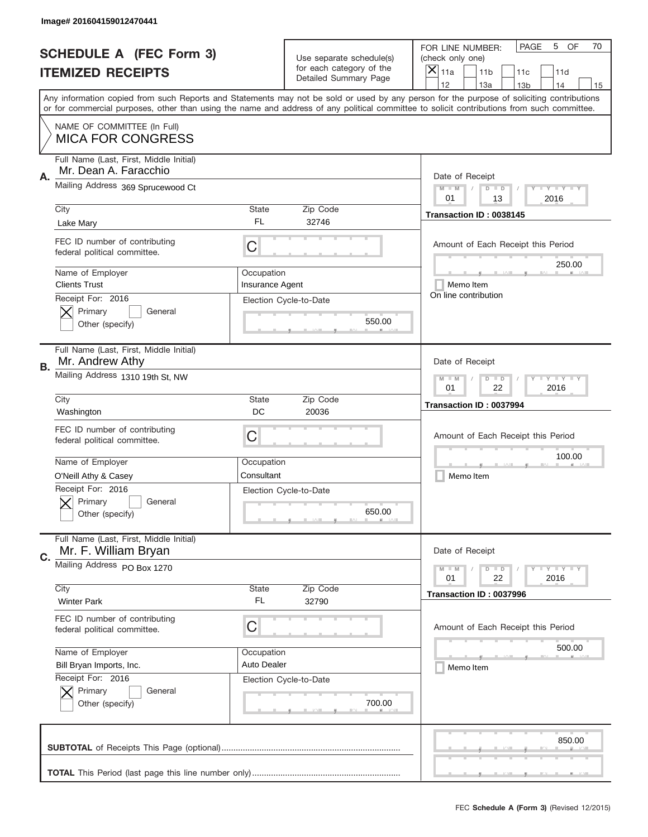|           | Image# 201604159012470441                                        |                                                           |                                  |                                                                                                                                                                                                                                                                                         |
|-----------|------------------------------------------------------------------|-----------------------------------------------------------|----------------------------------|-----------------------------------------------------------------------------------------------------------------------------------------------------------------------------------------------------------------------------------------------------------------------------------------|
|           | <b>SCHEDULE A (FEC Form 3)</b>                                   |                                                           | Use separate schedule(s)         | PAGE<br>OF<br>5<br>70<br>FOR LINE NUMBER:<br>(check only one)                                                                                                                                                                                                                           |
|           | <b>ITEMIZED RECEIPTS</b>                                         |                                                           | for each category of the         | $\boldsymbol{\times}$<br>11a<br>11 <sub>b</sub><br>11c<br>11d                                                                                                                                                                                                                           |
|           |                                                                  |                                                           | Detailed Summary Page            | 12<br>13a<br>14<br>13 <sub>b</sub><br>15                                                                                                                                                                                                                                                |
|           |                                                                  |                                                           |                                  | Any information copied from such Reports and Statements may not be sold or used by any person for the purpose of soliciting contributions<br>or for commercial purposes, other than using the name and address of any political committee to solicit contributions from such committee. |
|           | NAME OF COMMITTEE (In Full)<br><b>MICA FOR CONGRESS</b>          |                                                           |                                  |                                                                                                                                                                                                                                                                                         |
| Α.        | Full Name (Last, First, Middle Initial)<br>Mr. Dean A. Faracchio |                                                           |                                  | Date of Receipt                                                                                                                                                                                                                                                                         |
|           | Mailing Address 369 Sprucewood Ct                                |                                                           |                                  | $M$ $M$<br><b>TEY LY LY</b><br>$D$ $D$<br>01<br>2016<br>13                                                                                                                                                                                                                              |
|           | City                                                             | State                                                     | Zip Code                         | Transaction ID: 0038145                                                                                                                                                                                                                                                                 |
|           | Lake Mary                                                        | FL                                                        | 32746                            |                                                                                                                                                                                                                                                                                         |
|           | FEC ID number of contributing<br>federal political committee.    | C                                                         |                                  | Amount of Each Receipt this Period<br>250.00                                                                                                                                                                                                                                            |
|           | Name of Employer<br><b>Clients Trust</b>                         | Occupation<br><b>Insurance Agent</b>                      |                                  | Memo Item                                                                                                                                                                                                                                                                               |
|           | Receipt For: 2016                                                |                                                           | Election Cycle-to-Date           | On line contribution                                                                                                                                                                                                                                                                    |
|           | Primary<br>General<br>Other (specify)                            |                                                           | 550.00                           |                                                                                                                                                                                                                                                                                         |
| <b>B.</b> | Full Name (Last, First, Middle Initial)<br>Mr. Andrew Athy       |                                                           |                                  | Date of Receipt                                                                                                                                                                                                                                                                         |
|           | Mailing Address 1310 19th St, NW                                 | <b>LY LY LY</b><br>$D$ $D$<br>$M - M$<br>01<br>22<br>2016 |                                  |                                                                                                                                                                                                                                                                                         |
|           | City                                                             | <b>State</b>                                              | Zip Code                         | Transaction ID: 0037994                                                                                                                                                                                                                                                                 |
|           | Washington                                                       | DC                                                        | 20036                            |                                                                                                                                                                                                                                                                                         |
|           | FEC ID number of contributing<br>federal political committee.    | C                                                         |                                  | Amount of Each Receipt this Period                                                                                                                                                                                                                                                      |
|           |                                                                  |                                                           |                                  |                                                                                                                                                                                                                                                                                         |
|           | Name of Employer                                                 | Occupation                                                |                                  | 100.00                                                                                                                                                                                                                                                                                  |
|           | O'Neill Athy & Casey                                             | Consultant                                                |                                  | Memo Item                                                                                                                                                                                                                                                                               |
|           | Receipt For: 2016<br>General<br>Primary<br>Other (specify)       |                                                           | Election Cycle-to-Date<br>650.00 |                                                                                                                                                                                                                                                                                         |
|           | Full Name (Last, First, Middle Initial)<br>Mr. F. William Bryan  |                                                           |                                  | Date of Receipt                                                                                                                                                                                                                                                                         |
| C.        | Mailing Address PO Box 1270                                      |                                                           |                                  | <b>LYLYLY</b><br>$M - M$<br>$D$ $D$<br>01<br>22<br>2016                                                                                                                                                                                                                                 |
|           | City                                                             | <b>State</b>                                              | Zip Code                         | Transaction ID: 0037996                                                                                                                                                                                                                                                                 |
|           | <b>Winter Park</b>                                               | FL                                                        | 32790                            |                                                                                                                                                                                                                                                                                         |
|           | FEC ID number of contributing<br>federal political committee.    | C                                                         |                                  | Amount of Each Receipt this Period                                                                                                                                                                                                                                                      |
|           | Name of Employer                                                 | Occupation                                                |                                  | 500.00                                                                                                                                                                                                                                                                                  |
|           | Bill Bryan Imports, Inc.                                         | Auto Dealer                                               |                                  | Memo Item                                                                                                                                                                                                                                                                               |
|           | Receipt For: 2016<br>Primary<br>General<br>Other (specify)       |                                                           | Election Cycle-to-Date<br>700.00 |                                                                                                                                                                                                                                                                                         |
|           |                                                                  |                                                           |                                  | 850.00                                                                                                                                                                                                                                                                                  |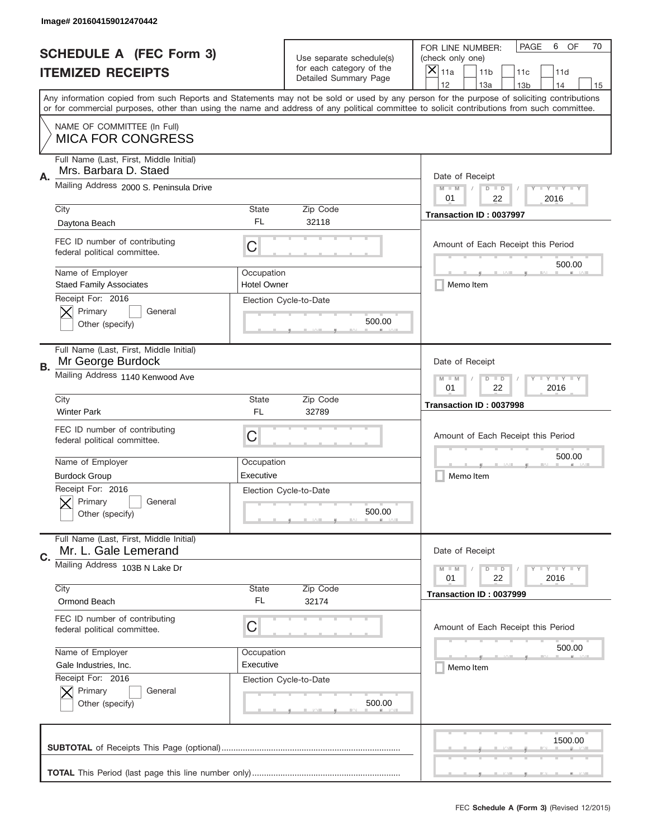|           | Image# 201604159012470442                                        |                                                             |                                                   |                                                                                                                                                                                                                                                                                                                                     |
|-----------|------------------------------------------------------------------|-------------------------------------------------------------|---------------------------------------------------|-------------------------------------------------------------------------------------------------------------------------------------------------------------------------------------------------------------------------------------------------------------------------------------------------------------------------------------|
|           | <b>SCHEDULE A (FEC Form 3)</b>                                   |                                                             | Use separate schedule(s)                          | OF<br>PAGE<br>6<br>70<br>FOR LINE NUMBER:<br>(check only one)                                                                                                                                                                                                                                                                       |
|           | <b>ITEMIZED RECEIPTS</b>                                         |                                                             | for each category of the<br>Detailed Summary Page | ×<br>11a<br>11 <sub>b</sub><br>11c<br>11d                                                                                                                                                                                                                                                                                           |
|           |                                                                  |                                                             |                                                   | 12<br>13a<br>14<br>13 <sub>b</sub><br>15<br>Any information copied from such Reports and Statements may not be sold or used by any person for the purpose of soliciting contributions<br>or for commercial purposes, other than using the name and address of any political committee to solicit contributions from such committee. |
|           | NAME OF COMMITTEE (In Full)<br><b>MICA FOR CONGRESS</b>          |                                                             |                                                   |                                                                                                                                                                                                                                                                                                                                     |
| Α.        | Full Name (Last, First, Middle Initial)<br>Mrs. Barbara D. Staed |                                                             |                                                   | Date of Receipt                                                                                                                                                                                                                                                                                                                     |
|           | Mailing Address 2000 S. Peninsula Drive                          |                                                             |                                                   | $M - M$<br><b>LY LY LY</b><br>$D$ $D$<br>01<br>22<br>2016                                                                                                                                                                                                                                                                           |
|           | City<br>Daytona Beach                                            | State<br>FL                                                 | Zip Code<br>32118                                 | Transaction ID: 0037997                                                                                                                                                                                                                                                                                                             |
|           | FEC ID number of contributing<br>federal political committee.    | C                                                           |                                                   | Amount of Each Receipt this Period<br>500.00                                                                                                                                                                                                                                                                                        |
|           | Name of Employer<br><b>Staed Family Associates</b>               | Occupation<br><b>Hotel Owner</b>                            |                                                   | Memo Item                                                                                                                                                                                                                                                                                                                           |
|           | Receipt For: 2016<br>Primary<br>General<br>Other (specify)       |                                                             | Election Cycle-to-Date<br>500.00                  |                                                                                                                                                                                                                                                                                                                                     |
| <b>B.</b> | Full Name (Last, First, Middle Initial)<br>Mr George Burdock     |                                                             |                                                   | Date of Receipt                                                                                                                                                                                                                                                                                                                     |
|           | Mailing Address 1140 Kenwood Ave                                 | $D$ $D$<br><b>LEYTEY LEY</b><br>$M - M$<br>01<br>22<br>2016 |                                                   |                                                                                                                                                                                                                                                                                                                                     |
|           | City<br><b>Winter Park</b>                                       | State<br>FL                                                 | Zip Code<br>32789                                 | Transaction ID: 0037998                                                                                                                                                                                                                                                                                                             |
|           | FEC ID number of contributing<br>federal political committee.    | C                                                           |                                                   | Amount of Each Receipt this Period                                                                                                                                                                                                                                                                                                  |
|           |                                                                  |                                                             |                                                   | 500.00                                                                                                                                                                                                                                                                                                                              |
|           | Name of Employer                                                 | Occupation                                                  |                                                   |                                                                                                                                                                                                                                                                                                                                     |
|           | <b>Burdock Group</b>                                             | Executive                                                   |                                                   | Memo Item                                                                                                                                                                                                                                                                                                                           |
|           | Receipt For: 2016<br>General<br>Primary<br>Other (specify)       |                                                             | Election Cycle-to-Date<br>500.00                  |                                                                                                                                                                                                                                                                                                                                     |
| C.        | Full Name (Last, First, Middle Initial)<br>Mr. L. Gale Lemerand  |                                                             |                                                   | Date of Receipt                                                                                                                                                                                                                                                                                                                     |
|           | Mailing Address 103B N Lake Dr                                   |                                                             |                                                   | <b>LYLYLY</b><br>$M - M$<br>$D$ $D$<br>22<br>2016<br>01                                                                                                                                                                                                                                                                             |
|           | City<br>Ormond Beach                                             | State<br>FL                                                 | Zip Code<br>32174                                 | Transaction ID: 0037999                                                                                                                                                                                                                                                                                                             |
|           | FEC ID number of contributing<br>federal political committee.    | С                                                           |                                                   | Amount of Each Receipt this Period                                                                                                                                                                                                                                                                                                  |
|           | Name of Employer                                                 | Occupation                                                  |                                                   | 500.00                                                                                                                                                                                                                                                                                                                              |
|           | Gale Industries, Inc.                                            | Executive                                                   |                                                   | Memo Item                                                                                                                                                                                                                                                                                                                           |
|           | Receipt For: 2016<br>Primary<br>General<br>Other (specify)       |                                                             | Election Cycle-to-Date<br>500.00                  |                                                                                                                                                                                                                                                                                                                                     |
|           |                                                                  |                                                             |                                                   | 1500.00                                                                                                                                                                                                                                                                                                                             |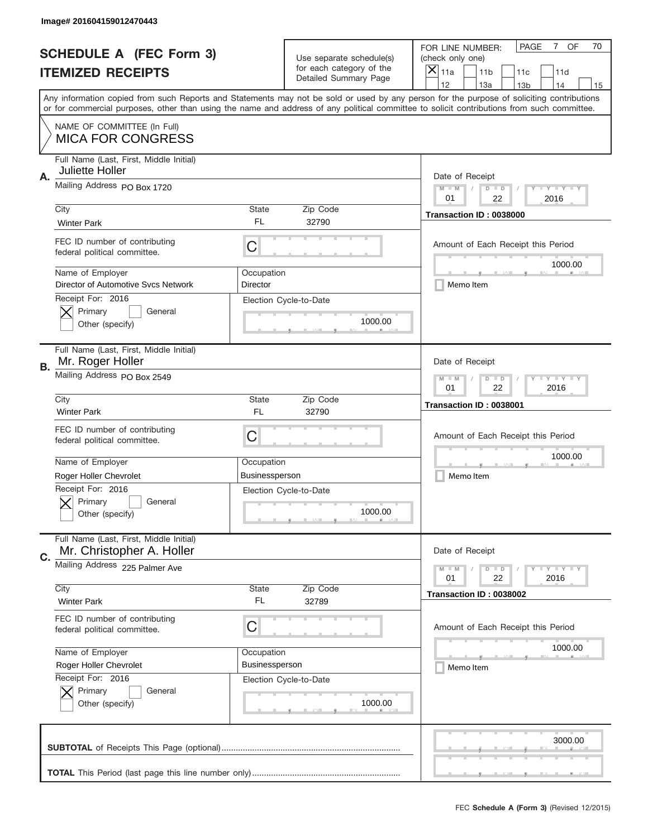|    | Image# 201604159012470443                                            |                                                           |                                                   |                                                                                                                                                                                                                                                                                                                                     |
|----|----------------------------------------------------------------------|-----------------------------------------------------------|---------------------------------------------------|-------------------------------------------------------------------------------------------------------------------------------------------------------------------------------------------------------------------------------------------------------------------------------------------------------------------------------------|
|    | <b>SCHEDULE A (FEC Form 3)</b>                                       |                                                           | Use separate schedule(s)                          | OF<br><b>PAGE</b><br>$7^{\circ}$<br>70<br>FOR LINE NUMBER:<br>(check only one)                                                                                                                                                                                                                                                      |
|    | <b>ITEMIZED RECEIPTS</b>                                             |                                                           | for each category of the<br>Detailed Summary Page | ×<br>11a<br>11 <sub>b</sub><br>11c<br>11d                                                                                                                                                                                                                                                                                           |
|    |                                                                      |                                                           |                                                   | 12<br>13a<br>14<br>13 <sub>b</sub><br>15<br>Any information copied from such Reports and Statements may not be sold or used by any person for the purpose of soliciting contributions<br>or for commercial purposes, other than using the name and address of any political committee to solicit contributions from such committee. |
|    |                                                                      |                                                           |                                                   |                                                                                                                                                                                                                                                                                                                                     |
|    | NAME OF COMMITTEE (In Full)<br><b>MICA FOR CONGRESS</b>              |                                                           |                                                   |                                                                                                                                                                                                                                                                                                                                     |
| Α. | Full Name (Last, First, Middle Initial)<br>Juliette Holler           |                                                           |                                                   | Date of Receipt                                                                                                                                                                                                                                                                                                                     |
|    | Mailing Address PO Box 1720                                          |                                                           |                                                   | $M - M$<br><b>LEY LEY LEY</b><br>$D$ $D$<br>01<br>22<br>2016                                                                                                                                                                                                                                                                        |
|    | City<br><b>Winter Park</b>                                           | State<br>FL                                               | Zip Code<br>32790                                 | Transaction ID: 0038000                                                                                                                                                                                                                                                                                                             |
|    | FEC ID number of contributing<br>federal political committee.        | C                                                         |                                                   | Amount of Each Receipt this Period<br>1000.00                                                                                                                                                                                                                                                                                       |
|    | Name of Employer<br>Director of Automotive Sycs Network              | Occupation<br>Director                                    |                                                   | Memo Item                                                                                                                                                                                                                                                                                                                           |
|    | Receipt For: 2016<br>Primary<br>General<br>Other (specify)           |                                                           | Election Cycle-to-Date<br>1000.00                 |                                                                                                                                                                                                                                                                                                                                     |
|    | Full Name (Last, First, Middle Initial)<br>Mr. Roger Holler          |                                                           |                                                   | Date of Receipt                                                                                                                                                                                                                                                                                                                     |
| В. | Mailing Address PO Box 2549                                          | <b>LY LY LY</b><br>$D$ $D$<br>$M - M$<br>01<br>22<br>2016 |                                                   |                                                                                                                                                                                                                                                                                                                                     |
|    | City<br><b>Winter Park</b>                                           | State<br>FL                                               | Zip Code<br>32790                                 | Transaction ID: 0038001                                                                                                                                                                                                                                                                                                             |
|    | FEC ID number of contributing<br>federal political committee.        | C                                                         |                                                   | Amount of Each Receipt this Period                                                                                                                                                                                                                                                                                                  |
|    | Name of Employer                                                     | Occupation                                                |                                                   | 1000.00                                                                                                                                                                                                                                                                                                                             |
|    | Roger Holler Chevrolet                                               | <b>Businessperson</b>                                     |                                                   | Memo Item                                                                                                                                                                                                                                                                                                                           |
|    | Receipt For: 2016<br>General<br>Primary<br>Other (specify)           |                                                           | Election Cycle-to-Date<br>1000.00                 |                                                                                                                                                                                                                                                                                                                                     |
| C. | Full Name (Last, First, Middle Initial)<br>Mr. Christopher A. Holler |                                                           |                                                   | Date of Receipt                                                                                                                                                                                                                                                                                                                     |
|    | Mailing Address 225 Palmer Ave                                       |                                                           |                                                   | $I - Y - I - Y - I - Y$<br>$M - M$<br>$D$ $D$<br>22<br>2016<br>01                                                                                                                                                                                                                                                                   |
|    | City<br><b>Winter Park</b>                                           | State<br>FL                                               | Zip Code<br>32789                                 | Transaction ID: 0038002                                                                                                                                                                                                                                                                                                             |
|    | FEC ID number of contributing<br>federal political committee.        | C                                                         |                                                   | Amount of Each Receipt this Period                                                                                                                                                                                                                                                                                                  |
|    | Name of Employer                                                     | Occupation                                                |                                                   | 1000.00                                                                                                                                                                                                                                                                                                                             |
|    | Roger Holler Chevrolet                                               | Businessperson                                            |                                                   | Memo Item                                                                                                                                                                                                                                                                                                                           |
|    | Receipt For: 2016<br>Primary<br>General                              |                                                           | Election Cycle-to-Date                            |                                                                                                                                                                                                                                                                                                                                     |
|    | Other (specify)                                                      |                                                           | 1000.00                                           |                                                                                                                                                                                                                                                                                                                                     |
|    |                                                                      |                                                           |                                                   | 3000.00                                                                                                                                                                                                                                                                                                                             |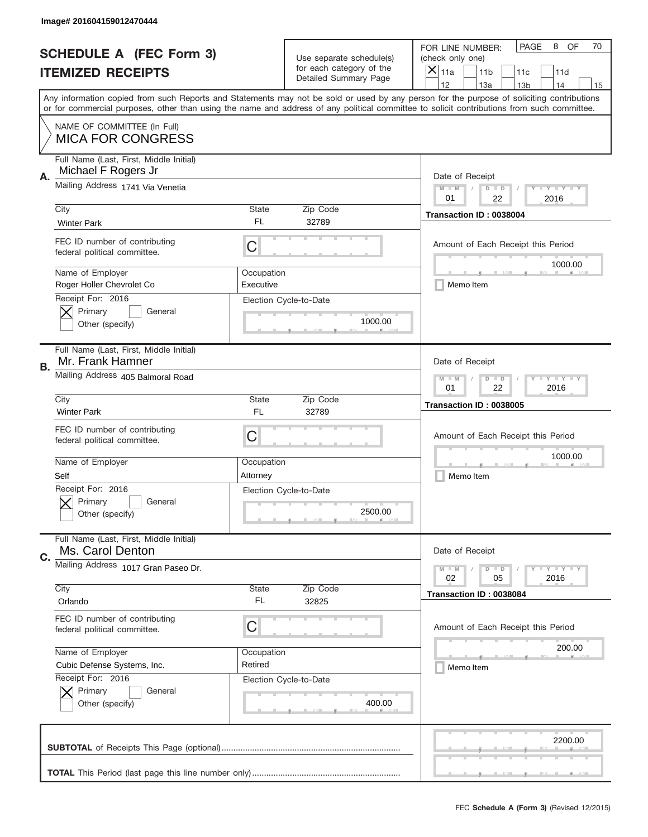|           | Image# 201604159012470444                                      |                                                             |                                                   |                                                                                                                                                                                                                                                                                                                                     |
|-----------|----------------------------------------------------------------|-------------------------------------------------------------|---------------------------------------------------|-------------------------------------------------------------------------------------------------------------------------------------------------------------------------------------------------------------------------------------------------------------------------------------------------------------------------------------|
|           | <b>SCHEDULE A (FEC Form 3)</b>                                 |                                                             | Use separate schedule(s)                          | PAGE<br>OF<br>8<br>70<br>FOR LINE NUMBER:<br>(check only one)                                                                                                                                                                                                                                                                       |
|           | <b>ITEMIZED RECEIPTS</b>                                       |                                                             | for each category of the<br>Detailed Summary Page | ×<br>11a<br>11 <sub>b</sub><br>11c<br>11d                                                                                                                                                                                                                                                                                           |
|           |                                                                |                                                             |                                                   | 12<br>13a<br>14<br>13 <sub>b</sub><br>15<br>Any information copied from such Reports and Statements may not be sold or used by any person for the purpose of soliciting contributions<br>or for commercial purposes, other than using the name and address of any political committee to solicit contributions from such committee. |
|           | NAME OF COMMITTEE (In Full)<br><b>MICA FOR CONGRESS</b>        |                                                             |                                                   |                                                                                                                                                                                                                                                                                                                                     |
| А.        | Full Name (Last, First, Middle Initial)<br>Michael F Rogers Jr |                                                             |                                                   | Date of Receipt                                                                                                                                                                                                                                                                                                                     |
|           | Mailing Address 1741 Via Venetia                               |                                                             |                                                   | $M - M$<br><b>LEY LEY LEY</b><br>$D$ $D$<br>01<br>22<br>2016                                                                                                                                                                                                                                                                        |
|           | City<br><b>Winter Park</b>                                     | State<br><b>FL</b>                                          | Zip Code<br>32789                                 | Transaction ID: 0038004                                                                                                                                                                                                                                                                                                             |
|           | FEC ID number of contributing<br>federal political committee.  | C                                                           |                                                   | Amount of Each Receipt this Period<br>1000.00                                                                                                                                                                                                                                                                                       |
|           | Name of Employer<br>Roger Holler Chevrolet Co                  | Occupation<br>Executive                                     |                                                   | Memo Item                                                                                                                                                                                                                                                                                                                           |
|           | Receipt For: 2016<br>Primary<br>General<br>Other (specify)     |                                                             | Election Cycle-to-Date<br>1000.00                 |                                                                                                                                                                                                                                                                                                                                     |
| <b>B.</b> | Full Name (Last, First, Middle Initial)<br>Mr. Frank Hamner    |                                                             |                                                   | Date of Receipt                                                                                                                                                                                                                                                                                                                     |
|           | Mailing Address 405 Balmoral Road                              | $D$ $D$<br><b>LEYTEY LEY</b><br>$M - M$<br>01<br>22<br>2016 |                                                   |                                                                                                                                                                                                                                                                                                                                     |
|           | City<br><b>Winter Park</b>                                     | State<br>FL                                                 | Zip Code<br>32789                                 | Transaction ID: 0038005                                                                                                                                                                                                                                                                                                             |
|           | FEC ID number of contributing<br>federal political committee.  | C                                                           |                                                   | Amount of Each Receipt this Period                                                                                                                                                                                                                                                                                                  |
|           |                                                                |                                                             |                                                   | 1000.00                                                                                                                                                                                                                                                                                                                             |
|           | Name of Employer<br>Self                                       | Occupation<br>Attorney                                      |                                                   | Memo Item                                                                                                                                                                                                                                                                                                                           |
|           | Receipt For: 2016<br>General<br>Primary<br>Other (specify)     |                                                             | Election Cycle-to-Date<br>2500.00                 |                                                                                                                                                                                                                                                                                                                                     |
| C.        | Full Name (Last, First, Middle Initial)<br>Ms. Carol Denton    |                                                             |                                                   | Date of Receipt                                                                                                                                                                                                                                                                                                                     |
|           | Mailing Address 1017 Gran Paseo Dr.                            |                                                             |                                                   | $I - Y - I - Y - I - Y$<br>$M - M$<br>$D$ $D$<br>02<br>2016<br>05                                                                                                                                                                                                                                                                   |
|           | City<br>Orlando                                                | State<br>FL                                                 | Zip Code<br>32825                                 | Transaction ID: 0038084                                                                                                                                                                                                                                                                                                             |
|           | FEC ID number of contributing<br>federal political committee.  | С                                                           |                                                   | Amount of Each Receipt this Period                                                                                                                                                                                                                                                                                                  |
|           | Name of Employer                                               | Occupation                                                  |                                                   | 200.00                                                                                                                                                                                                                                                                                                                              |
|           | Cubic Defense Systems, Inc.                                    | Retired                                                     |                                                   | Memo Item                                                                                                                                                                                                                                                                                                                           |
|           | Receipt For: 2016<br>Primary<br>General<br>Other (specify)     |                                                             | Election Cycle-to-Date<br>400.00                  |                                                                                                                                                                                                                                                                                                                                     |
|           |                                                                |                                                             |                                                   | 2200.00                                                                                                                                                                                                                                                                                                                             |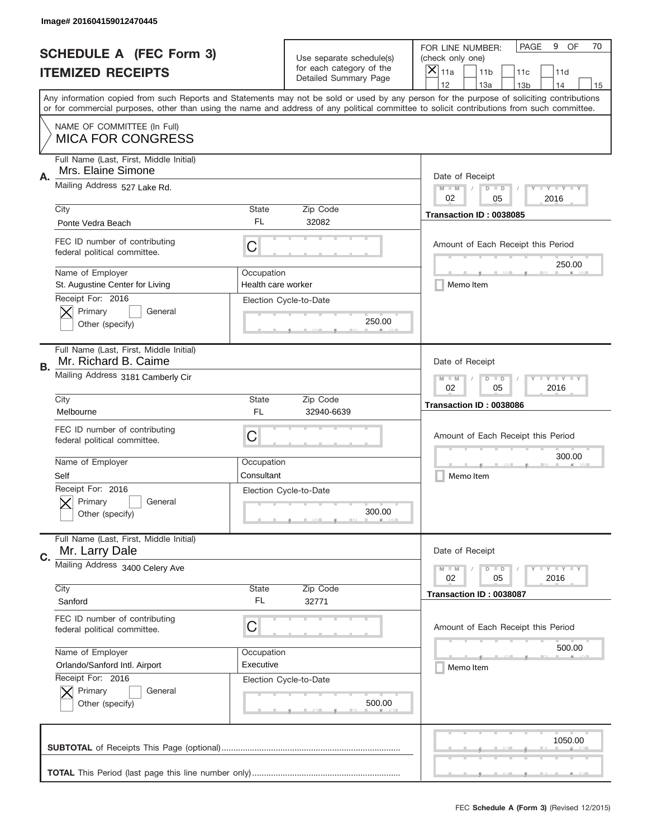|           | Image# 201604159012470445                                                                   |                                                           |                                                   |                                                                                                                                                                                                                                                                                                                                     |
|-----------|---------------------------------------------------------------------------------------------|-----------------------------------------------------------|---------------------------------------------------|-------------------------------------------------------------------------------------------------------------------------------------------------------------------------------------------------------------------------------------------------------------------------------------------------------------------------------------|
|           | <b>SCHEDULE A (FEC Form 3)</b>                                                              |                                                           | Use separate schedule(s)                          | PAGE<br>OF<br>9<br>70<br>FOR LINE NUMBER:<br>(check only one)                                                                                                                                                                                                                                                                       |
|           | <b>ITEMIZED RECEIPTS</b>                                                                    |                                                           | for each category of the<br>Detailed Summary Page | ×<br>11a<br>11 <sub>b</sub><br>11c<br>11d                                                                                                                                                                                                                                                                                           |
|           |                                                                                             |                                                           |                                                   | 12<br>13a<br>14<br>13 <sub>b</sub><br>15<br>Any information copied from such Reports and Statements may not be sold or used by any person for the purpose of soliciting contributions<br>or for commercial purposes, other than using the name and address of any political committee to solicit contributions from such committee. |
|           | NAME OF COMMITTEE (In Full)<br><b>MICA FOR CONGRESS</b>                                     |                                                           |                                                   |                                                                                                                                                                                                                                                                                                                                     |
| Α.        | Full Name (Last, First, Middle Initial)<br>Mrs. Elaine Simone                               |                                                           |                                                   | Date of Receipt                                                                                                                                                                                                                                                                                                                     |
|           | Mailing Address 527 Lake Rd.                                                                |                                                           |                                                   | $M - M$<br><b>LEY LEY LEY</b><br>$D$ $D$<br>02<br>2016<br>05                                                                                                                                                                                                                                                                        |
|           | City<br>Ponte Vedra Beach                                                                   | State<br>FL                                               | Zip Code<br>32082                                 | Transaction ID: 0038085                                                                                                                                                                                                                                                                                                             |
|           | FEC ID number of contributing<br>federal political committee.                               | C                                                         |                                                   | Amount of Each Receipt this Period<br>250.00                                                                                                                                                                                                                                                                                        |
|           | Name of Employer<br>St. Augustine Center for Living                                         | Occupation<br>Health care worker                          |                                                   | Memo Item                                                                                                                                                                                                                                                                                                                           |
|           | Receipt For: 2016<br>Primary<br>General<br>Other (specify)                                  |                                                           | Election Cycle-to-Date<br>250.00                  |                                                                                                                                                                                                                                                                                                                                     |
| <b>B.</b> | Full Name (Last, First, Middle Initial)<br>Mr. Richard B. Caime                             |                                                           |                                                   | Date of Receipt                                                                                                                                                                                                                                                                                                                     |
|           | Mailing Address 3181 Camberly Cir                                                           | <b>LY LY LY</b><br>$M - M$<br>$D$ $D$<br>02<br>05<br>2016 |                                                   |                                                                                                                                                                                                                                                                                                                                     |
|           | City<br>Melbourne                                                                           | State<br>FL                                               | Zip Code<br>32940-6639                            | Transaction ID: 0038086                                                                                                                                                                                                                                                                                                             |
|           | FEC ID number of contributing<br>federal political committee.                               | C                                                         |                                                   | Amount of Each Receipt this Period                                                                                                                                                                                                                                                                                                  |
|           | Name of Employer<br>Self                                                                    | Occupation<br>Consultant                                  |                                                   | 300.00<br>Memo Item                                                                                                                                                                                                                                                                                                                 |
|           | Receipt For: 2016<br>General<br>Primary<br>Other (specify)                                  |                                                           | Election Cycle-to-Date<br>300.00                  |                                                                                                                                                                                                                                                                                                                                     |
| C.        | Full Name (Last, First, Middle Initial)<br>Mr. Larry Dale                                   |                                                           |                                                   | Date of Receipt                                                                                                                                                                                                                                                                                                                     |
|           | Mailing Address 3400 Celery Ave                                                             | $I - Y - I - Y - I - Y$<br>$M - M$<br>$D$ $D$             |                                                   |                                                                                                                                                                                                                                                                                                                                     |
|           |                                                                                             |                                                           |                                                   | 02<br>2016<br>05                                                                                                                                                                                                                                                                                                                    |
|           | City<br>Sanford                                                                             | State<br>FL                                               | Zip Code<br>32771                                 | Transaction ID: 0038087                                                                                                                                                                                                                                                                                                             |
|           | FEC ID number of contributing<br>federal political committee.                               | С                                                         |                                                   | Amount of Each Receipt this Period                                                                                                                                                                                                                                                                                                  |
|           | Name of Employer                                                                            | Occupation                                                |                                                   | 500.00                                                                                                                                                                                                                                                                                                                              |
|           | Orlando/Sanford Intl. Airport<br>Receipt For: 2016<br>Primary<br>General<br>Other (specify) | Executive                                                 | Election Cycle-to-Date<br>500.00                  | Memo Item                                                                                                                                                                                                                                                                                                                           |
|           |                                                                                             |                                                           |                                                   | 1050.00                                                                                                                                                                                                                                                                                                                             |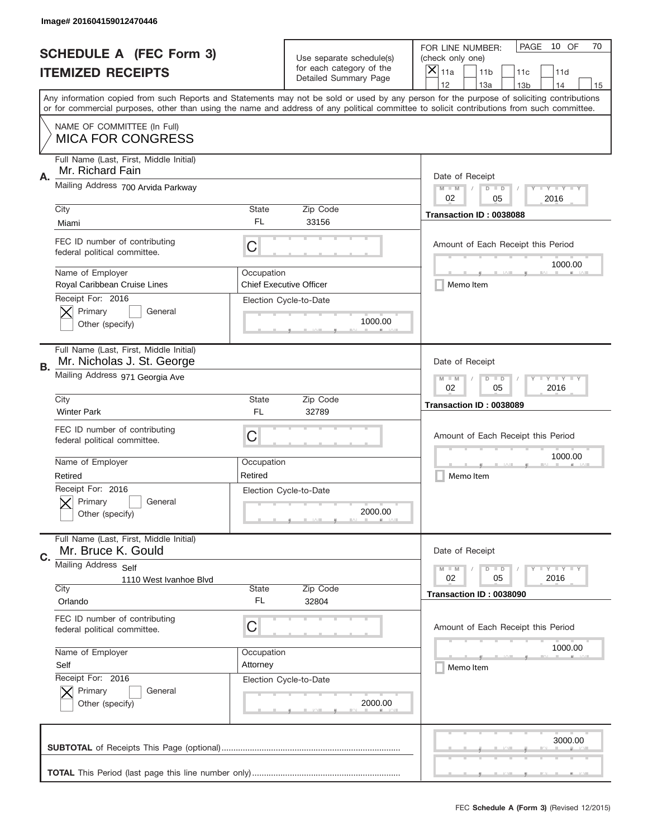|    | Image# 201604159012470446                                             |                                                         |                                                      |                                                                                                                                                                                                                                                                                                                                     |
|----|-----------------------------------------------------------------------|---------------------------------------------------------|------------------------------------------------------|-------------------------------------------------------------------------------------------------------------------------------------------------------------------------------------------------------------------------------------------------------------------------------------------------------------------------------------|
|    | <b>SCHEDULE A (FEC Form 3)</b>                                        |                                                         | Use separate schedule(s)<br>for each category of the | PAGE<br>10 OF<br>70<br>FOR LINE NUMBER:<br>(check only one)                                                                                                                                                                                                                                                                         |
|    | <b>ITEMIZED RECEIPTS</b>                                              |                                                         | Detailed Summary Page                                | ×<br>11a<br>11 <sub>b</sub><br>11c<br>11d                                                                                                                                                                                                                                                                                           |
|    |                                                                       |                                                         |                                                      | 12<br>13a<br>13 <sub>b</sub><br>14<br>15<br>Any information copied from such Reports and Statements may not be sold or used by any person for the purpose of soliciting contributions<br>or for commercial purposes, other than using the name and address of any political committee to solicit contributions from such committee. |
|    | NAME OF COMMITTEE (In Full)<br><b>MICA FOR CONGRESS</b>               |                                                         |                                                      |                                                                                                                                                                                                                                                                                                                                     |
| Α. | Full Name (Last, First, Middle Initial)<br>Mr. Richard Fain           |                                                         |                                                      | Date of Receipt                                                                                                                                                                                                                                                                                                                     |
|    | Mailing Address 700 Arvida Parkway                                    |                                                         |                                                      | $M - M$<br><b>LEY LEY LEY</b><br>$D$ $D$<br>02<br>05<br>2016                                                                                                                                                                                                                                                                        |
|    | City<br>Miami                                                         | State<br>FL.                                            | Zip Code<br>33156                                    | Transaction ID: 0038088                                                                                                                                                                                                                                                                                                             |
|    | FEC ID number of contributing<br>federal political committee.         | C                                                       |                                                      | Amount of Each Receipt this Period<br>1000.00                                                                                                                                                                                                                                                                                       |
|    | Name of Employer<br>Royal Caribbean Cruise Lines                      | Occupation                                              | <b>Chief Executive Officer</b>                       | Memo Item                                                                                                                                                                                                                                                                                                                           |
|    | Receipt For: 2016<br>Primary<br>General<br>Other (specify)            |                                                         | Election Cycle-to-Date<br>1000.00                    |                                                                                                                                                                                                                                                                                                                                     |
| В. | Full Name (Last, First, Middle Initial)<br>Mr. Nicholas J. St. George |                                                         |                                                      | Date of Receipt                                                                                                                                                                                                                                                                                                                     |
|    | Mailing Address 971 Georgia Ave                                       | <b>LY LY LY</b><br>$M$ M<br>$D$ $D$<br>02<br>05<br>2016 |                                                      |                                                                                                                                                                                                                                                                                                                                     |
|    | City<br><b>Winter Park</b>                                            | State<br>FL                                             | Zip Code<br>32789                                    | Transaction ID: 0038089                                                                                                                                                                                                                                                                                                             |
|    | FEC ID number of contributing<br>federal political committee.         | C                                                       |                                                      | Amount of Each Receipt this Period                                                                                                                                                                                                                                                                                                  |
|    |                                                                       |                                                         |                                                      | 1000.00                                                                                                                                                                                                                                                                                                                             |
|    | Name of Employer<br>Retired                                           | Occupation<br>Retired                                   |                                                      | Memo Item                                                                                                                                                                                                                                                                                                                           |
|    | Receipt For: 2016<br>General<br>Primary<br>Other (specify)            |                                                         | Election Cycle-to-Date<br>2000.00                    |                                                                                                                                                                                                                                                                                                                                     |
| C. | Full Name (Last, First, Middle Initial)<br>Mr. Bruce K. Gould         |                                                         |                                                      | Date of Receipt                                                                                                                                                                                                                                                                                                                     |
|    | Mailing Address Self<br>1110 West Ivanhoe Blvd                        |                                                         |                                                      | $I - Y - I - Y - I - Y$<br>$M - M$<br>$D$ $D$<br>02<br>2016<br>05                                                                                                                                                                                                                                                                   |
|    | City<br>Orlando                                                       | <b>State</b><br>FL                                      | Zip Code<br>32804                                    | Transaction ID: 0038090                                                                                                                                                                                                                                                                                                             |
|    | FEC ID number of contributing<br>federal political committee.         | C                                                       |                                                      | Amount of Each Receipt this Period                                                                                                                                                                                                                                                                                                  |
|    | Name of Employer<br>Self                                              | Occupation<br>Attorney                                  |                                                      | 1000.00<br>Memo Item                                                                                                                                                                                                                                                                                                                |
|    | Receipt For: 2016<br>Primary<br>General<br>Other (specify)            |                                                         | Election Cycle-to-Date<br>2000.00                    |                                                                                                                                                                                                                                                                                                                                     |
|    |                                                                       |                                                         |                                                      | 3000.00                                                                                                                                                                                                                                                                                                                             |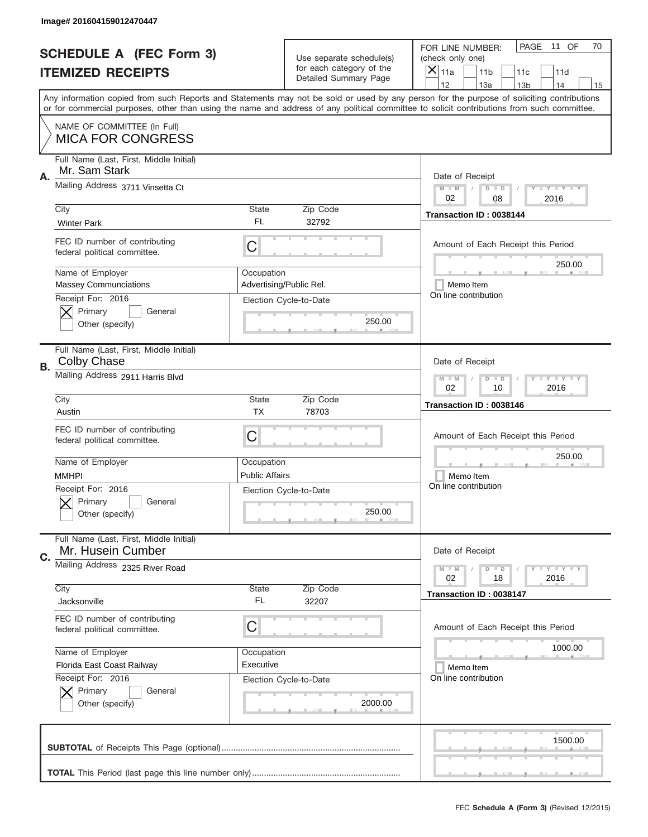|           | Image# 201604159012470447                                     |                                                             |                                                   |                                                                                                                                                                                                                                                                                                                                     |
|-----------|---------------------------------------------------------------|-------------------------------------------------------------|---------------------------------------------------|-------------------------------------------------------------------------------------------------------------------------------------------------------------------------------------------------------------------------------------------------------------------------------------------------------------------------------------|
|           | <b>SCHEDULE A (FEC Form 3)</b>                                |                                                             | Use separate schedule(s)                          | PAGE<br>11 OF<br>70<br>FOR LINE NUMBER:<br>(check only one)                                                                                                                                                                                                                                                                         |
|           | <b>ITEMIZED RECEIPTS</b>                                      |                                                             | for each category of the<br>Detailed Summary Page | ×<br>11a<br>11 <sub>b</sub><br>11c<br>11d                                                                                                                                                                                                                                                                                           |
|           |                                                               |                                                             |                                                   | 12<br>13a<br>14<br>13 <sub>b</sub><br>15<br>Any information copied from such Reports and Statements may not be sold or used by any person for the purpose of soliciting contributions<br>or for commercial purposes, other than using the name and address of any political committee to solicit contributions from such committee. |
|           | NAME OF COMMITTEE (In Full)<br><b>MICA FOR CONGRESS</b>       |                                                             |                                                   |                                                                                                                                                                                                                                                                                                                                     |
| Α.        | Full Name (Last, First, Middle Initial)<br>Mr. Sam Stark      |                                                             |                                                   | Date of Receipt                                                                                                                                                                                                                                                                                                                     |
|           | Mailing Address 3711 Vinsetta Ct                              |                                                             |                                                   | $M - M$<br><b>LEY LEY LEY</b><br>$D$ $D$<br>02<br>08<br>2016                                                                                                                                                                                                                                                                        |
|           | City<br><b>Winter Park</b>                                    | State<br>FL                                                 | Zip Code<br>32792                                 | Transaction ID: 0038144                                                                                                                                                                                                                                                                                                             |
|           | FEC ID number of contributing<br>federal political committee. | C                                                           |                                                   | Amount of Each Receipt this Period<br>250.00                                                                                                                                                                                                                                                                                        |
|           | Name of Employer<br><b>Massey Communciations</b>              | Occupation                                                  | Advertising/Public Rel.                           | Memo Item                                                                                                                                                                                                                                                                                                                           |
|           | Receipt For: 2016<br>Primary<br>General<br>Other (specify)    |                                                             | Election Cycle-to-Date<br>250.00                  | On line contribution                                                                                                                                                                                                                                                                                                                |
| <b>B.</b> | Full Name (Last, First, Middle Initial)<br>Colby Chase        |                                                             |                                                   | Date of Receipt                                                                                                                                                                                                                                                                                                                     |
|           | Mailing Address 2911 Harris Blvd                              | $M - M$<br>$D$ $D$<br><b>LEYTEY LEY</b><br>02<br>10<br>2016 |                                                   |                                                                                                                                                                                                                                                                                                                                     |
|           | City<br>Austin                                                | State<br>ТX                                                 | Zip Code<br>78703                                 | Transaction ID: 0038146                                                                                                                                                                                                                                                                                                             |
|           | FEC ID number of contributing<br>federal political committee. | C                                                           |                                                   | Amount of Each Receipt this Period                                                                                                                                                                                                                                                                                                  |
|           |                                                               |                                                             |                                                   | 250.00                                                                                                                                                                                                                                                                                                                              |
|           | Name of Employer<br><b>MMHPI</b>                              | Occupation<br><b>Public Affairs</b>                         |                                                   | Memo Item                                                                                                                                                                                                                                                                                                                           |
|           | Receipt For: 2016<br>Primary<br>General<br>Other (specify)    |                                                             | Election Cycle-to-Date<br>250.00                  | On line contribution                                                                                                                                                                                                                                                                                                                |
| C.        | Full Name (Last, First, Middle Initial)<br>Mr. Husein Cumber  |                                                             |                                                   | Date of Receipt                                                                                                                                                                                                                                                                                                                     |
|           | Mailing Address 2325 River Road                               |                                                             |                                                   | $I - Y - I - Y - I - Y$<br>$M - M$<br>$D$ $D$<br>02<br>2016<br>18                                                                                                                                                                                                                                                                   |
|           | City<br>Jacksonville                                          | State<br>FL                                                 | Zip Code<br>32207                                 | Transaction ID: 0038147                                                                                                                                                                                                                                                                                                             |
|           | FEC ID number of contributing<br>federal political committee. | С                                                           |                                                   | Amount of Each Receipt this Period                                                                                                                                                                                                                                                                                                  |
|           | Name of Employer                                              | Occupation                                                  |                                                   | 1000.00                                                                                                                                                                                                                                                                                                                             |
|           | Florida East Coast Railway                                    | Executive                                                   |                                                   | Memo Item                                                                                                                                                                                                                                                                                                                           |
|           | Receipt For: 2016<br>Primary<br>General<br>Other (specify)    |                                                             | Election Cycle-to-Date<br>2000.00                 | On line contribution                                                                                                                                                                                                                                                                                                                |
|           |                                                               |                                                             |                                                   | 1500.00                                                                                                                                                                                                                                                                                                                             |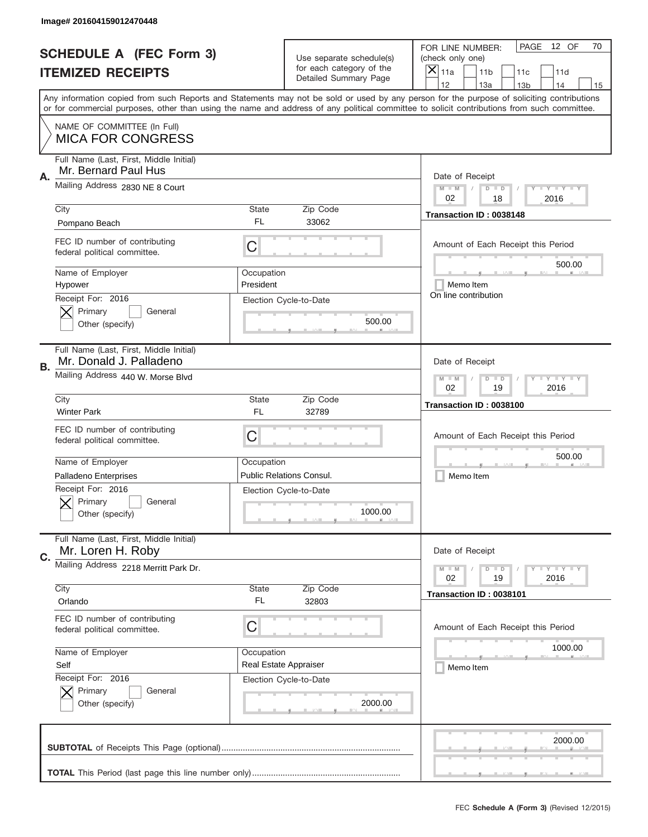|    | Image# 201604159012470448                                          |                                                           |                                                   |                                                                                                                                                                                                                                                                                                                                     |
|----|--------------------------------------------------------------------|-----------------------------------------------------------|---------------------------------------------------|-------------------------------------------------------------------------------------------------------------------------------------------------------------------------------------------------------------------------------------------------------------------------------------------------------------------------------------|
|    | <b>SCHEDULE A (FEC Form 3)</b>                                     |                                                           | Use separate schedule(s)                          | PAGE<br>12 OF<br>70<br>FOR LINE NUMBER:<br>(check only one)                                                                                                                                                                                                                                                                         |
|    | <b>ITEMIZED RECEIPTS</b>                                           |                                                           | for each category of the<br>Detailed Summary Page | ×<br>11a<br>11 <sub>b</sub><br>11c<br>11d                                                                                                                                                                                                                                                                                           |
|    |                                                                    |                                                           |                                                   | 12<br>13a<br>14<br>13 <sub>b</sub><br>15<br>Any information copied from such Reports and Statements may not be sold or used by any person for the purpose of soliciting contributions<br>or for commercial purposes, other than using the name and address of any political committee to solicit contributions from such committee. |
|    | NAME OF COMMITTEE (In Full)<br><b>MICA FOR CONGRESS</b>            |                                                           |                                                   |                                                                                                                                                                                                                                                                                                                                     |
| Α. | Full Name (Last, First, Middle Initial)<br>Mr. Bernard Paul Hus    |                                                           |                                                   | Date of Receipt                                                                                                                                                                                                                                                                                                                     |
|    | Mailing Address 2830 NE 8 Court                                    |                                                           |                                                   | $M$ M<br>$D$ $D$<br>Y FY FY FY<br>02<br>2016<br>18                                                                                                                                                                                                                                                                                  |
|    | City<br>Pompano Beach                                              | State<br>FL.                                              | Zip Code<br>33062                                 | Transaction ID: 0038148                                                                                                                                                                                                                                                                                                             |
|    | FEC ID number of contributing<br>federal political committee.      | C                                                         |                                                   | Amount of Each Receipt this Period<br>500.00                                                                                                                                                                                                                                                                                        |
|    | Name of Employer<br>Hypower                                        | Occupation<br>President                                   |                                                   | Memo Item                                                                                                                                                                                                                                                                                                                           |
|    | Receipt For: 2016<br>Primary<br>General<br>Other (specify)         |                                                           | Election Cycle-to-Date<br>500.00                  | On line contribution                                                                                                                                                                                                                                                                                                                |
| В. | Full Name (Last, First, Middle Initial)<br>Mr. Donald J. Palladeno |                                                           |                                                   | Date of Receipt                                                                                                                                                                                                                                                                                                                     |
|    | Mailing Address 440 W. Morse Blvd                                  | <b>LY LY LY</b><br>$M - M$<br>$D$ $D$<br>02<br>19<br>2016 |                                                   |                                                                                                                                                                                                                                                                                                                                     |
|    | City<br><b>Winter Park</b>                                         | State<br>FL                                               | Zip Code<br>32789                                 | Transaction ID: 0038100                                                                                                                                                                                                                                                                                                             |
|    | FEC ID number of contributing<br>federal political committee.      | C                                                         |                                                   | Amount of Each Receipt this Period                                                                                                                                                                                                                                                                                                  |
|    | Name of Employer                                                   | Occupation                                                |                                                   | 500.00                                                                                                                                                                                                                                                                                                                              |
|    | Palladeno Enterprises                                              |                                                           | <b>Public Relations Consul.</b>                   | Memo Item                                                                                                                                                                                                                                                                                                                           |
|    | Receipt For: 2016<br>General<br>Primary<br>Other (specify)         |                                                           | Election Cycle-to-Date<br>1000.00                 |                                                                                                                                                                                                                                                                                                                                     |
| C. | Full Name (Last, First, Middle Initial)<br>Mr. Loren H. Roby       |                                                           |                                                   | Date of Receipt                                                                                                                                                                                                                                                                                                                     |
|    | Mailing Address 2218 Merritt Park Dr.                              |                                                           |                                                   | $D$ $D$<br><b>LYLYLY</b><br>$M - M$<br>02<br>19<br>2016                                                                                                                                                                                                                                                                             |
|    | City<br>Orlando                                                    | <b>State</b><br>FL                                        | Zip Code<br>32803                                 | Transaction ID: 0038101                                                                                                                                                                                                                                                                                                             |
|    | FEC ID number of contributing<br>federal political committee.      | C                                                         |                                                   | Amount of Each Receipt this Period                                                                                                                                                                                                                                                                                                  |
|    | Name of Employer                                                   | Occupation                                                |                                                   | 1000.00                                                                                                                                                                                                                                                                                                                             |
|    | Self                                                               |                                                           | Real Estate Appraiser                             | Memo Item                                                                                                                                                                                                                                                                                                                           |
|    | Receipt For: 2016<br>Primary<br>General<br>Other (specify)         |                                                           | Election Cycle-to-Date<br>2000.00                 |                                                                                                                                                                                                                                                                                                                                     |
|    |                                                                    |                                                           |                                                   |                                                                                                                                                                                                                                                                                                                                     |
|    |                                                                    |                                                           |                                                   | 2000.00                                                                                                                                                                                                                                                                                                                             |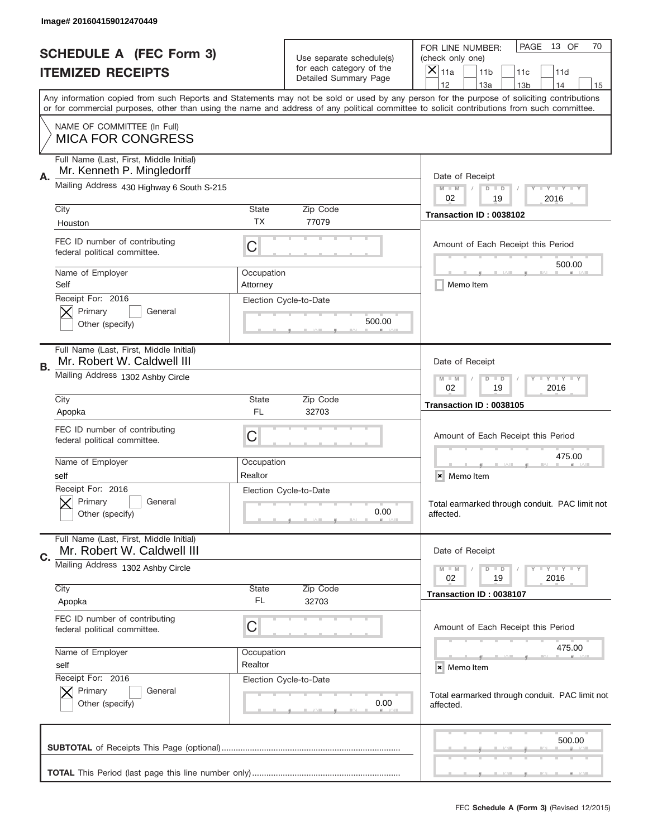|    | Image# 201604159012470449                                             |                           |                                                   |                                                                                                                                                                                       |
|----|-----------------------------------------------------------------------|---------------------------|---------------------------------------------------|---------------------------------------------------------------------------------------------------------------------------------------------------------------------------------------|
|    | <b>SCHEDULE A (FEC Form 3)</b>                                        |                           | Use separate schedule(s)                          | PAGE<br>13 OF<br>70<br>FOR LINE NUMBER:<br>(check only one)                                                                                                                           |
|    | <b>ITEMIZED RECEIPTS</b>                                              |                           | for each category of the<br>Detailed Summary Page | $\times$<br>11a<br>11 <sub>b</sub><br>11c<br>11d                                                                                                                                      |
|    |                                                                       |                           |                                                   | 12<br>13a<br>14<br>13 <sub>b</sub><br>15<br>Any information copied from such Reports and Statements may not be sold or used by any person for the purpose of soliciting contributions |
|    |                                                                       |                           |                                                   | or for commercial purposes, other than using the name and address of any political committee to solicit contributions from such committee.                                            |
|    | NAME OF COMMITTEE (In Full)<br><b>MICA FOR CONGRESS</b>               |                           |                                                   |                                                                                                                                                                                       |
| Α. | Full Name (Last, First, Middle Initial)<br>Mr. Kenneth P. Mingledorff |                           |                                                   | Date of Receipt                                                                                                                                                                       |
|    | Mailing Address 430 Highway 6 South S-215                             |                           |                                                   | <b>LEY LEY LEY</b><br>$M - M$<br>$D$ $D$<br>02<br>19<br>2016                                                                                                                          |
|    | City<br>Houston                                                       | <b>State</b><br><b>TX</b> | Zip Code<br>77079                                 | Transaction ID: 0038102                                                                                                                                                               |
|    | FEC ID number of contributing<br>federal political committee.         | C                         |                                                   | Amount of Each Receipt this Period                                                                                                                                                    |
|    | Name of Employer<br>Self                                              | Occupation<br>Attorney    |                                                   | 500.00<br>Memo Item                                                                                                                                                                   |
|    | Receipt For: 2016<br>Primary<br>General<br>Other (specify)            |                           | Election Cycle-to-Date<br>500.00                  |                                                                                                                                                                                       |
| В. | Full Name (Last, First, Middle Initial)<br>Mr. Robert W. Caldwell III |                           |                                                   | Date of Receipt                                                                                                                                                                       |
|    | Mailing Address 1302 Ashby Circle                                     |                           |                                                   | <b>LY LY LY</b><br>$M - M$<br>$D$ $D$<br>02<br>19<br>2016                                                                                                                             |
|    | City<br>Apopka                                                        | <b>State</b><br>FL.       | Zip Code<br>32703                                 | Transaction ID: 0038105                                                                                                                                                               |
|    | FEC ID number of contributing<br>federal political committee.         | C                         |                                                   | Amount of Each Receipt this Period                                                                                                                                                    |
|    | Name of Employer<br>self                                              | Occupation<br>Realtor     |                                                   | 475.00<br>×<br>Memo Item                                                                                                                                                              |
|    | Receipt For: 2016<br>General<br>Primary<br>Other (specify)            |                           | Election Cycle-to-Date<br>0.00                    | Total earmarked through conduit. PAC limit not<br>affected.                                                                                                                           |
| C. | Full Name (Last, First, Middle Initial)<br>Mr. Robert W. Caldwell III |                           |                                                   | Date of Receipt                                                                                                                                                                       |
|    | Mailing Address 1302 Ashby Circle<br>City                             | State                     | Zip Code                                          | <b>LYLYLY</b><br>$M - M$<br>$D$ $D$<br>19<br>2016<br>02                                                                                                                               |
|    | Apopka                                                                | FL.                       | 32703                                             | Transaction ID: 0038107                                                                                                                                                               |
|    | FEC ID number of contributing<br>federal political committee.         | C                         |                                                   | Amount of Each Receipt this Period                                                                                                                                                    |
|    | Name of Employer                                                      | Occupation                |                                                   | 475.00                                                                                                                                                                                |
|    | self<br>Receipt For: 2016                                             | Realtor                   | Election Cycle-to-Date                            | × Memo Item                                                                                                                                                                           |
|    | Primary<br>General<br>Other (specify)                                 |                           | 0.00                                              | Total earmarked through conduit. PAC limit not<br>affected.                                                                                                                           |
|    |                                                                       |                           |                                                   | 500.00                                                                                                                                                                                |
|    |                                                                       |                           |                                                   | __                                                                                                                                                                                    |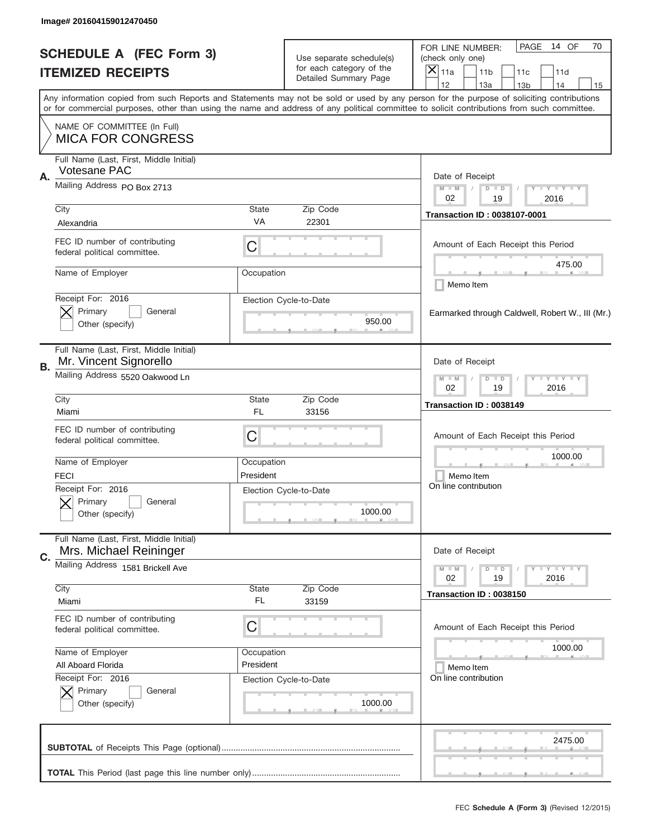|    | Image# 201604159012470450                                         |                         |                                                      |                                                                                                                                                                                                                                                                                                                                     |
|----|-------------------------------------------------------------------|-------------------------|------------------------------------------------------|-------------------------------------------------------------------------------------------------------------------------------------------------------------------------------------------------------------------------------------------------------------------------------------------------------------------------------------|
|    | <b>SCHEDULE A (FEC Form 3)</b>                                    |                         | Use separate schedule(s)<br>for each category of the | PAGE<br>14 OF<br>70<br>FOR LINE NUMBER:<br>(check only one)                                                                                                                                                                                                                                                                         |
|    | <b>ITEMIZED RECEIPTS</b>                                          |                         | Detailed Summary Page                                | ×<br>11a<br>11 <sub>b</sub><br>11c<br>11d                                                                                                                                                                                                                                                                                           |
|    |                                                                   |                         |                                                      | 12<br>13a<br>14<br>13 <sub>b</sub><br>15<br>Any information copied from such Reports and Statements may not be sold or used by any person for the purpose of soliciting contributions<br>or for commercial purposes, other than using the name and address of any political committee to solicit contributions from such committee. |
|    | NAME OF COMMITTEE (In Full)<br><b>MICA FOR CONGRESS</b>           |                         |                                                      |                                                                                                                                                                                                                                                                                                                                     |
| Α. | Full Name (Last, First, Middle Initial)<br>Votesane PAC           |                         |                                                      | Date of Receipt                                                                                                                                                                                                                                                                                                                     |
|    | Mailing Address PO Box 2713                                       |                         |                                                      | $M - M$<br><b>LEY LEY LEY</b><br>$D$ $D$<br>02<br>19<br>2016                                                                                                                                                                                                                                                                        |
|    | City<br>Alexandria                                                | State<br>VA             | Zip Code<br>22301                                    | <b>Transaction ID: 0038107-0001</b>                                                                                                                                                                                                                                                                                                 |
|    | FEC ID number of contributing<br>federal political committee.     | C                       |                                                      | Amount of Each Receipt this Period<br>475.00                                                                                                                                                                                                                                                                                        |
|    | Name of Employer                                                  | Occupation              |                                                      | Memo Item                                                                                                                                                                                                                                                                                                                           |
|    | Receipt For: 2016<br>Primary<br>General<br>Other (specify)        |                         | Election Cycle-to-Date<br>950.00                     | Earmarked through Caldwell, Robert W., III (Mr.)                                                                                                                                                                                                                                                                                    |
| В. | Full Name (Last, First, Middle Initial)<br>Mr. Vincent Signorello |                         |                                                      | Date of Receipt                                                                                                                                                                                                                                                                                                                     |
|    | Mailing Address 5520 Oakwood Ln                                   |                         |                                                      | <b>LYLYLY</b><br>$M - M$<br>$D$ $D$<br>02<br>19<br>2016                                                                                                                                                                                                                                                                             |
|    | City<br>Miami                                                     | State<br>FL             | Zip Code<br>33156                                    | Transaction ID: 0038149                                                                                                                                                                                                                                                                                                             |
|    | FEC ID number of contributing<br>federal political committee.     | C                       |                                                      | Amount of Each Receipt this Period                                                                                                                                                                                                                                                                                                  |
|    | Name of Employer<br><b>FECI</b>                                   | Occupation<br>President |                                                      | 1000.00<br>Memo Item<br>On line contribution                                                                                                                                                                                                                                                                                        |
|    | Receipt For: 2016<br>General<br>Primary<br>Other (specify)        |                         | Election Cycle-to-Date<br>1000.00                    |                                                                                                                                                                                                                                                                                                                                     |
| C. | Full Name (Last, First, Middle Initial)<br>Mrs. Michael Reininger |                         |                                                      | Date of Receipt                                                                                                                                                                                                                                                                                                                     |
|    | Mailing Address 1581 Brickell Ave<br>City                         | State                   | Zip Code                                             | $I - Y - I - Y - I - Y$<br>$M - M$<br>$D$ $D$<br>02<br>2016<br>19                                                                                                                                                                                                                                                                   |
|    | Miami                                                             | FL                      | 33159                                                | Transaction ID: 0038150                                                                                                                                                                                                                                                                                                             |
|    | FEC ID number of contributing<br>federal political committee.     | C                       |                                                      | Amount of Each Receipt this Period                                                                                                                                                                                                                                                                                                  |
|    | Name of Employer                                                  | Occupation              |                                                      | 1000.00                                                                                                                                                                                                                                                                                                                             |
|    | All Aboard Florida<br>Receipt For: 2016                           | President               |                                                      | Memo Item<br>On line contribution                                                                                                                                                                                                                                                                                                   |
|    | Primary<br>General<br>Other (specify)                             |                         | Election Cycle-to-Date<br>1000.00                    |                                                                                                                                                                                                                                                                                                                                     |
|    |                                                                   |                         |                                                      | 2475.00                                                                                                                                                                                                                                                                                                                             |
|    |                                                                   |                         |                                                      |                                                                                                                                                                                                                                                                                                                                     |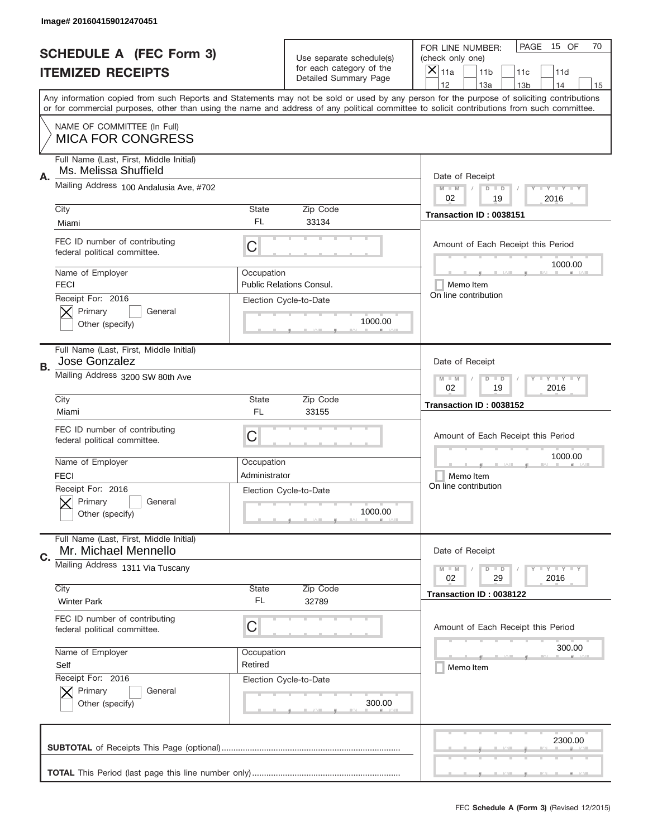|    | Image# 201604159012470451                                        |                                                           |                                                   |                                                                                                                                                                                                                                                                                         |
|----|------------------------------------------------------------------|-----------------------------------------------------------|---------------------------------------------------|-----------------------------------------------------------------------------------------------------------------------------------------------------------------------------------------------------------------------------------------------------------------------------------------|
|    | <b>SCHEDULE A (FEC Form 3)</b>                                   |                                                           | Use separate schedule(s)                          | PAGE<br>15 OF<br>70<br>FOR LINE NUMBER:<br>(check only one)                                                                                                                                                                                                                             |
|    | <b>ITEMIZED RECEIPTS</b>                                         |                                                           | for each category of the<br>Detailed Summary Page | $\times$<br>11a<br>11 <sub>b</sub><br>11c<br>11d                                                                                                                                                                                                                                        |
|    |                                                                  |                                                           |                                                   | 12<br>13a<br>14<br>13 <sub>b</sub><br>15                                                                                                                                                                                                                                                |
|    |                                                                  |                                                           |                                                   | Any information copied from such Reports and Statements may not be sold or used by any person for the purpose of soliciting contributions<br>or for commercial purposes, other than using the name and address of any political committee to solicit contributions from such committee. |
|    | NAME OF COMMITTEE (In Full)<br><b>MICA FOR CONGRESS</b>          |                                                           |                                                   |                                                                                                                                                                                                                                                                                         |
| Α. | Full Name (Last, First, Middle Initial)<br>Ms. Melissa Shuffield |                                                           |                                                   | Date of Receipt                                                                                                                                                                                                                                                                         |
|    | Mailing Address 100 Andalusia Ave, #702                          |                                                           |                                                   | $M$ $M$<br>Y FY FY FY<br>$D$ $D$<br>02<br>2016<br>19                                                                                                                                                                                                                                    |
|    | City                                                             | State<br>FL                                               | Zip Code<br>33134                                 | Transaction ID: 0038151                                                                                                                                                                                                                                                                 |
|    | Miami                                                            |                                                           |                                                   |                                                                                                                                                                                                                                                                                         |
|    | FEC ID number of contributing<br>federal political committee.    | C                                                         |                                                   | Amount of Each Receipt this Period<br>1000.00                                                                                                                                                                                                                                           |
|    | Name of Employer<br><b>FECI</b>                                  | Occupation                                                | <b>Public Relations Consul.</b>                   | Memo Item                                                                                                                                                                                                                                                                               |
|    | Receipt For: 2016                                                |                                                           | Election Cycle-to-Date                            | On line contribution                                                                                                                                                                                                                                                                    |
|    | Primary<br>General<br>Other (specify)                            |                                                           | 1000.00                                           |                                                                                                                                                                                                                                                                                         |
| В. | Full Name (Last, First, Middle Initial)<br>Jose Gonzalez         |                                                           |                                                   | Date of Receipt                                                                                                                                                                                                                                                                         |
|    | Mailing Address 3200 SW 80th Ave                                 | <b>LY LY LY</b><br>$M - M$<br>$D$ $D$<br>02<br>19<br>2016 |                                                   |                                                                                                                                                                                                                                                                                         |
|    | City<br>Miami                                                    | <b>State</b><br>FL                                        | Zip Code<br>33155                                 | Transaction ID: 0038152                                                                                                                                                                                                                                                                 |
|    | FEC ID number of contributing                                    |                                                           |                                                   |                                                                                                                                                                                                                                                                                         |
|    | federal political committee.                                     | C                                                         |                                                   | Amount of Each Receipt this Period                                                                                                                                                                                                                                                      |
|    | Name of Employer                                                 | Occupation                                                |                                                   | 1000.00                                                                                                                                                                                                                                                                                 |
|    | <b>FECI</b>                                                      | Administrator                                             |                                                   | Memo Item                                                                                                                                                                                                                                                                               |
|    | Receipt For: 2016<br>General<br>Primary                          |                                                           | Election Cycle-to-Date                            | On line contribution                                                                                                                                                                                                                                                                    |
|    | Other (specify)                                                  |                                                           | 1000.00                                           |                                                                                                                                                                                                                                                                                         |
| C. | Full Name (Last, First, Middle Initial)<br>Mr. Michael Mennello  |                                                           |                                                   | Date of Receipt                                                                                                                                                                                                                                                                         |
|    | Mailing Address 1311 Via Tuscany                                 |                                                           |                                                   | <b>LYLYLY</b><br>$M - M$<br>$D$ $D$<br>02<br>29<br>2016                                                                                                                                                                                                                                 |
|    | City                                                             | <b>State</b>                                              | Zip Code                                          | Transaction ID: 0038122                                                                                                                                                                                                                                                                 |
|    | <b>Winter Park</b>                                               | FL                                                        | 32789                                             |                                                                                                                                                                                                                                                                                         |
|    | FEC ID number of contributing<br>federal political committee.    | C                                                         |                                                   | Amount of Each Receipt this Period                                                                                                                                                                                                                                                      |
|    | Name of Employer                                                 | Occupation                                                |                                                   | 300.00                                                                                                                                                                                                                                                                                  |
|    | Self                                                             | Retired                                                   |                                                   | Memo Item                                                                                                                                                                                                                                                                               |
|    | Receipt For: 2016                                                |                                                           | Election Cycle-to-Date                            |                                                                                                                                                                                                                                                                                         |
|    | Primary<br>General<br>Other (specify)                            |                                                           | 300.00                                            |                                                                                                                                                                                                                                                                                         |
|    |                                                                  |                                                           |                                                   |                                                                                                                                                                                                                                                                                         |
|    |                                                                  |                                                           |                                                   | 2300.00                                                                                                                                                                                                                                                                                 |
|    |                                                                  |                                                           |                                                   |                                                                                                                                                                                                                                                                                         |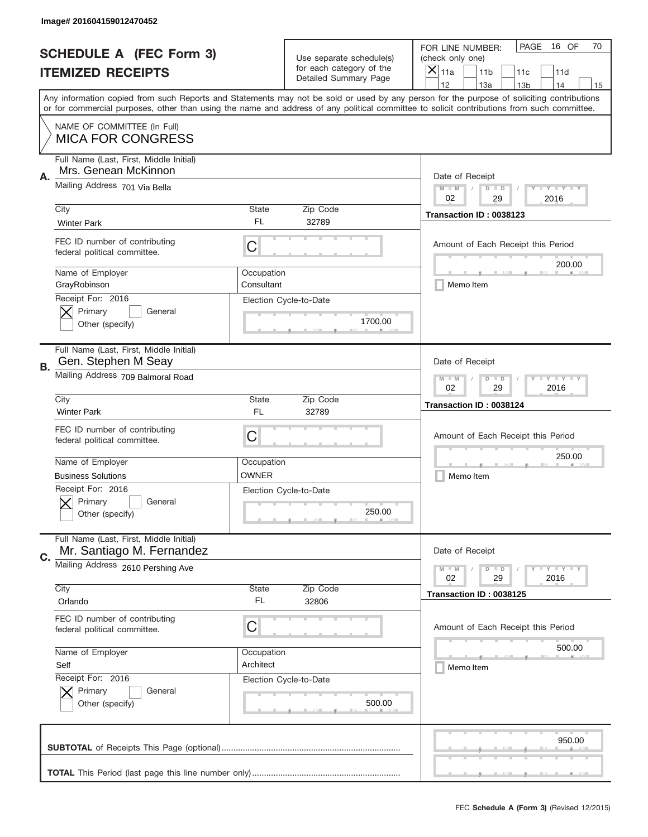|    | Image# 201604159012470452                                            |                          |                                                      |                                                                                                                                                                                                                                                                                                                                     |
|----|----------------------------------------------------------------------|--------------------------|------------------------------------------------------|-------------------------------------------------------------------------------------------------------------------------------------------------------------------------------------------------------------------------------------------------------------------------------------------------------------------------------------|
|    | <b>SCHEDULE A (FEC Form 3)</b>                                       |                          | Use separate schedule(s)<br>for each category of the | PAGE<br>16 OF<br>70<br>FOR LINE NUMBER:<br>(check only one)                                                                                                                                                                                                                                                                         |
|    | <b>ITEMIZED RECEIPTS</b>                                             |                          | Detailed Summary Page                                | ×<br>11a<br>11 <sub>b</sub><br>11c<br>11d                                                                                                                                                                                                                                                                                           |
|    |                                                                      |                          |                                                      | 12<br>13a<br>13 <sub>b</sub><br>14<br>15<br>Any information copied from such Reports and Statements may not be sold or used by any person for the purpose of soliciting contributions<br>or for commercial purposes, other than using the name and address of any political committee to solicit contributions from such committee. |
|    | NAME OF COMMITTEE (In Full)<br><b>MICA FOR CONGRESS</b>              |                          |                                                      |                                                                                                                                                                                                                                                                                                                                     |
| Α. | Full Name (Last, First, Middle Initial)<br>Mrs. Genean McKinnon      |                          |                                                      | Date of Receipt                                                                                                                                                                                                                                                                                                                     |
|    | Mailing Address 701 Via Bella                                        |                          |                                                      | $M$ M<br><b>LEY LEY LEY</b><br>$D$ $D$<br>02<br>29<br>2016                                                                                                                                                                                                                                                                          |
|    | City<br><b>Winter Park</b>                                           | State<br>FL.             | Zip Code<br>32789                                    | Transaction ID: 0038123                                                                                                                                                                                                                                                                                                             |
|    | FEC ID number of contributing<br>federal political committee.        | C                        |                                                      | Amount of Each Receipt this Period<br>200.00                                                                                                                                                                                                                                                                                        |
|    | Name of Employer<br>GrayRobinson                                     | Occupation<br>Consultant |                                                      | Memo Item                                                                                                                                                                                                                                                                                                                           |
|    | Receipt For: 2016<br>Primary<br>General<br>Other (specify)           |                          | Election Cycle-to-Date<br>1700.00                    |                                                                                                                                                                                                                                                                                                                                     |
| В. | Full Name (Last, First, Middle Initial)<br>Gen. Stephen M Seay       |                          |                                                      | Date of Receipt                                                                                                                                                                                                                                                                                                                     |
|    | Mailing Address 709 Balmoral Road                                    |                          |                                                      | $M - M$<br><b>LY LY LY</b><br>$D$ $D$<br>02<br>29<br>2016                                                                                                                                                                                                                                                                           |
|    | City<br><b>Winter Park</b>                                           | State<br>FL              | Zip Code<br>32789                                    | Transaction ID: 0038124                                                                                                                                                                                                                                                                                                             |
|    | FEC ID number of contributing<br>federal political committee.        | C                        |                                                      | Amount of Each Receipt this Period                                                                                                                                                                                                                                                                                                  |
|    |                                                                      |                          |                                                      | 250.00                                                                                                                                                                                                                                                                                                                              |
|    | Name of Employer                                                     | Occupation               |                                                      |                                                                                                                                                                                                                                                                                                                                     |
|    | <b>Business Solutions</b>                                            | OWNER                    |                                                      | Memo Item                                                                                                                                                                                                                                                                                                                           |
|    | Receipt For: 2016<br>General<br>Primary<br>Other (specify)           |                          | Election Cycle-to-Date<br>250.00                     |                                                                                                                                                                                                                                                                                                                                     |
| C. | Full Name (Last, First, Middle Initial)<br>Mr. Santiago M. Fernandez |                          |                                                      | Date of Receipt                                                                                                                                                                                                                                                                                                                     |
|    | Mailing Address 2610 Pershing Ave                                    |                          |                                                      | <b>LYLYLY</b><br>$M - M$<br>$D$ $D$<br>02<br>29<br>2016                                                                                                                                                                                                                                                                             |
|    | City<br>Orlando                                                      | State<br>FL              | Zip Code<br>32806                                    | Transaction ID: 0038125                                                                                                                                                                                                                                                                                                             |
|    | FEC ID number of contributing<br>federal political committee.        | C                        |                                                      | Amount of Each Receipt this Period                                                                                                                                                                                                                                                                                                  |
|    | Name of Employer                                                     | Occupation               |                                                      | 500.00                                                                                                                                                                                                                                                                                                                              |
|    | Self                                                                 | Architect                |                                                      | Memo Item                                                                                                                                                                                                                                                                                                                           |
|    | Receipt For: 2016<br>Primary<br>General<br>Other (specify)           |                          | Election Cycle-to-Date<br>500.00                     |                                                                                                                                                                                                                                                                                                                                     |
|    |                                                                      |                          |                                                      | 950.00                                                                                                                                                                                                                                                                                                                              |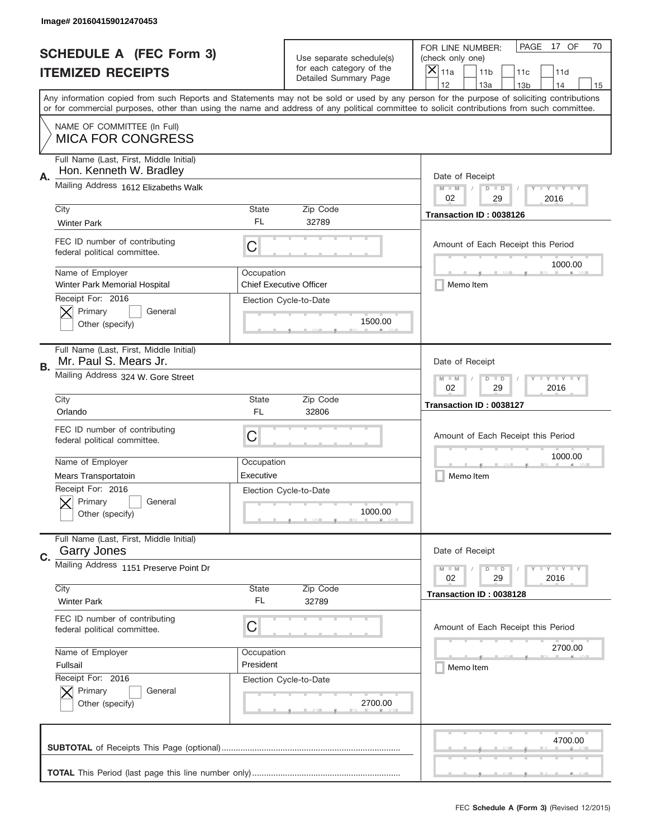|           | Image# 201604159012470453                                          |             |                                                   |                                                                                                                                                                                                                                                                                                                                     |
|-----------|--------------------------------------------------------------------|-------------|---------------------------------------------------|-------------------------------------------------------------------------------------------------------------------------------------------------------------------------------------------------------------------------------------------------------------------------------------------------------------------------------------|
|           | <b>SCHEDULE A (FEC Form 3)</b>                                     |             | Use separate schedule(s)                          | PAGE<br>17 OF<br>70<br>FOR LINE NUMBER:<br>(check only one)                                                                                                                                                                                                                                                                         |
|           | <b>ITEMIZED RECEIPTS</b>                                           |             | for each category of the<br>Detailed Summary Page | ×<br>11a<br>11 <sub>b</sub><br>11c<br>11d                                                                                                                                                                                                                                                                                           |
|           |                                                                    |             |                                                   | 12<br>13a<br>14<br>13 <sub>b</sub><br>15<br>Any information copied from such Reports and Statements may not be sold or used by any person for the purpose of soliciting contributions<br>or for commercial purposes, other than using the name and address of any political committee to solicit contributions from such committee. |
|           | NAME OF COMMITTEE (In Full)<br><b>MICA FOR CONGRESS</b>            |             |                                                   |                                                                                                                                                                                                                                                                                                                                     |
| Α.        | Full Name (Last, First, Middle Initial)<br>Hon. Kenneth W. Bradley |             |                                                   | Date of Receipt                                                                                                                                                                                                                                                                                                                     |
|           | Mailing Address 1612 Elizabeths Walk                               |             |                                                   | $M - M$<br><b>LEY LEY LEY</b><br>$D$ $D$<br>02<br>29<br>2016                                                                                                                                                                                                                                                                        |
|           | City<br><b>Winter Park</b>                                         | State<br>FL | Zip Code<br>32789                                 | Transaction ID: 0038126                                                                                                                                                                                                                                                                                                             |
|           | FEC ID number of contributing<br>federal political committee.      | C           |                                                   | Amount of Each Receipt this Period<br>1000.00                                                                                                                                                                                                                                                                                       |
|           | Name of Employer<br>Winter Park Memorial Hospital                  | Occupation  | <b>Chief Executive Officer</b>                    | Memo Item                                                                                                                                                                                                                                                                                                                           |
|           | Receipt For: 2016<br>Primary<br>General<br>Other (specify)         |             | Election Cycle-to-Date<br>1500.00                 |                                                                                                                                                                                                                                                                                                                                     |
| <b>B.</b> | Full Name (Last, First, Middle Initial)<br>Mr. Paul S. Mears Jr.   |             |                                                   | Date of Receipt                                                                                                                                                                                                                                                                                                                     |
|           | Mailing Address 324 W. Gore Street                                 |             |                                                   | $M - M$<br>$D$ $D$<br><b>LEYTEY LEY</b><br>02<br>29<br>2016                                                                                                                                                                                                                                                                         |
|           | City<br>Orlando                                                    | State<br>FL | Zip Code<br>32806                                 | Transaction ID: 0038127                                                                                                                                                                                                                                                                                                             |
|           |                                                                    |             |                                                   |                                                                                                                                                                                                                                                                                                                                     |
|           | FEC ID number of contributing<br>federal political committee.      | C           |                                                   | Amount of Each Receipt this Period                                                                                                                                                                                                                                                                                                  |
|           | Name of Employer                                                   | Occupation  |                                                   | 1000.00                                                                                                                                                                                                                                                                                                                             |
|           | <b>Mears Transportatoin</b>                                        | Executive   |                                                   | Memo Item                                                                                                                                                                                                                                                                                                                           |
|           | Receipt For: 2016<br>Primary<br>General<br>Other (specify)         |             | Election Cycle-to-Date<br>1000.00                 |                                                                                                                                                                                                                                                                                                                                     |
| C.        | Full Name (Last, First, Middle Initial)<br><b>Garry Jones</b>      |             |                                                   | Date of Receipt                                                                                                                                                                                                                                                                                                                     |
|           | Mailing Address 1151 Preserve Point Dr                             |             |                                                   | $I - Y - I - Y - I - Y$<br>$M - M$<br>$D$ $D$<br>02<br>2016<br>29                                                                                                                                                                                                                                                                   |
|           | City<br><b>Winter Park</b>                                         | State<br>FL | Zip Code<br>32789                                 | Transaction ID: 0038128                                                                                                                                                                                                                                                                                                             |
|           | FEC ID number of contributing<br>federal political committee.      | С           |                                                   | Amount of Each Receipt this Period                                                                                                                                                                                                                                                                                                  |
|           | Name of Employer                                                   | Occupation  |                                                   | 2700.00                                                                                                                                                                                                                                                                                                                             |
|           | Fullsail                                                           | President   |                                                   | Memo Item                                                                                                                                                                                                                                                                                                                           |
|           | Receipt For: 2016<br>Primary<br>General<br>Other (specify)         |             | Election Cycle-to-Date<br>2700.00                 |                                                                                                                                                                                                                                                                                                                                     |
|           |                                                                    |             |                                                   | 4700.00                                                                                                                                                                                                                                                                                                                             |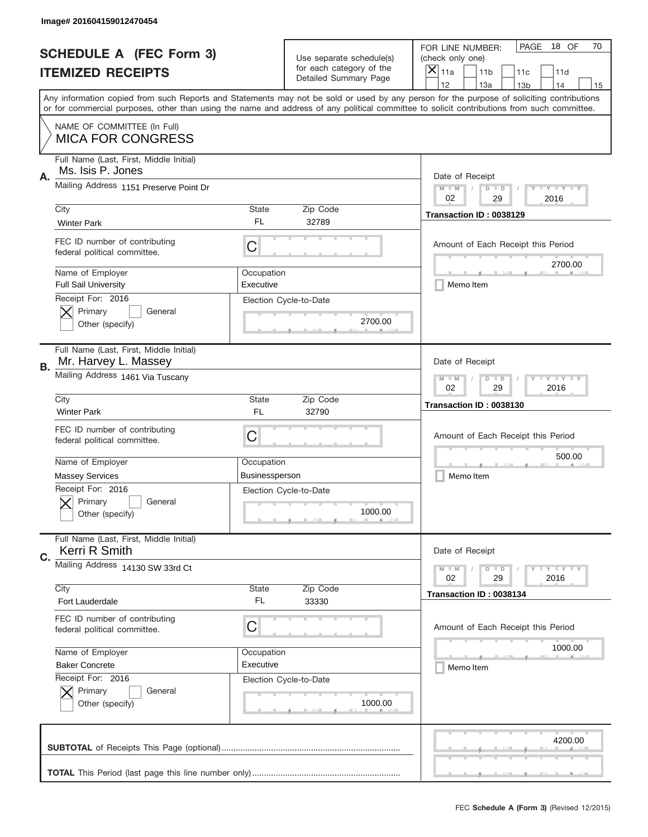|    | Image# 201604159012470454                                       |                       |                                                   |                                                                                                                                                                                                                                                                                         |
|----|-----------------------------------------------------------------|-----------------------|---------------------------------------------------|-----------------------------------------------------------------------------------------------------------------------------------------------------------------------------------------------------------------------------------------------------------------------------------------|
|    | <b>SCHEDULE A (FEC Form 3)</b>                                  |                       | Use separate schedule(s)                          | PAGE<br>18 OF<br>70<br>FOR LINE NUMBER:<br>(check only one)                                                                                                                                                                                                                             |
|    | <b>ITEMIZED RECEIPTS</b>                                        |                       | for each category of the<br>Detailed Summary Page | ×<br>11a<br>11 <sub>b</sub><br>11c<br>11d                                                                                                                                                                                                                                               |
|    |                                                                 |                       |                                                   | 12<br>13a<br>14<br>13 <sub>b</sub><br>15                                                                                                                                                                                                                                                |
|    |                                                                 |                       |                                                   | Any information copied from such Reports and Statements may not be sold or used by any person for the purpose of soliciting contributions<br>or for commercial purposes, other than using the name and address of any political committee to solicit contributions from such committee. |
|    | NAME OF COMMITTEE (In Full)                                     |                       |                                                   |                                                                                                                                                                                                                                                                                         |
|    | <b>MICA FOR CONGRESS</b>                                        |                       |                                                   |                                                                                                                                                                                                                                                                                         |
| Α. | Full Name (Last, First, Middle Initial)<br>Ms. Isis P. Jones    |                       |                                                   | Date of Receipt                                                                                                                                                                                                                                                                         |
|    | Mailing Address 1151 Preserve Point Dr                          |                       |                                                   | $M - M$<br><b>LEY LEY LEY</b><br>$D$ $D$<br>02<br>29<br>2016                                                                                                                                                                                                                            |
|    | City                                                            | State                 | Zip Code                                          | Transaction ID: 0038129                                                                                                                                                                                                                                                                 |
|    | <b>Winter Park</b>                                              | FL                    | 32789                                             |                                                                                                                                                                                                                                                                                         |
|    | FEC ID number of contributing<br>federal political committee.   | C                     |                                                   | Amount of Each Receipt this Period<br>2700.00                                                                                                                                                                                                                                           |
|    | Name of Employer                                                | Occupation            |                                                   |                                                                                                                                                                                                                                                                                         |
|    | <b>Full Sail University</b>                                     | Executive             |                                                   | Memo Item                                                                                                                                                                                                                                                                               |
|    | Receipt For: 2016<br>Primary<br>General<br>Other (specify)      |                       | Election Cycle-to-Date<br>2700.00                 |                                                                                                                                                                                                                                                                                         |
|    |                                                                 |                       |                                                   |                                                                                                                                                                                                                                                                                         |
| В. | Full Name (Last, First, Middle Initial)<br>Mr. Harvey L. Massey |                       |                                                   | Date of Receipt                                                                                                                                                                                                                                                                         |
|    | Mailing Address 1461 Via Tuscany                                |                       |                                                   | $M$ M<br><b>LEYTEY LEY</b><br>$D$ $D$<br>02<br>29<br>2016                                                                                                                                                                                                                               |
|    | City                                                            | State                 | Zip Code                                          | Transaction ID: 0038130                                                                                                                                                                                                                                                                 |
|    | <b>Winter Park</b>                                              | FL                    | 32790                                             |                                                                                                                                                                                                                                                                                         |
|    | FEC ID number of contributing<br>federal political committee.   | C                     |                                                   | Amount of Each Receipt this Period                                                                                                                                                                                                                                                      |
|    |                                                                 |                       |                                                   | 500.00                                                                                                                                                                                                                                                                                  |
|    | Name of Employer                                                | Occupation            |                                                   |                                                                                                                                                                                                                                                                                         |
|    | <b>Massey Services</b>                                          | <b>Businessperson</b> |                                                   | Memo Item                                                                                                                                                                                                                                                                               |
|    | Receipt For: 2016                                               |                       | Election Cycle-to-Date                            |                                                                                                                                                                                                                                                                                         |
|    | General<br>Primary<br>Other (specify)                           |                       | 1000.00                                           |                                                                                                                                                                                                                                                                                         |
|    |                                                                 |                       |                                                   |                                                                                                                                                                                                                                                                                         |
| C. | Full Name (Last, First, Middle Initial)<br>Kerri R Smith        |                       |                                                   | Date of Receipt                                                                                                                                                                                                                                                                         |
|    | Mailing Address 14130 SW 33rd Ct                                |                       |                                                   | $I - Y - I - Y - I - Y$<br>$M - M$<br>$D$ $D$                                                                                                                                                                                                                                           |
|    | City                                                            | State                 | Zip Code                                          | 02<br>29<br>2016                                                                                                                                                                                                                                                                        |
|    | Fort Lauderdale                                                 | FL                    | 33330                                             | Transaction ID: 0038134                                                                                                                                                                                                                                                                 |
|    | FEC ID number of contributing                                   |                       |                                                   |                                                                                                                                                                                                                                                                                         |
|    | federal political committee.                                    | C                     |                                                   | Amount of Each Receipt this Period                                                                                                                                                                                                                                                      |
|    | Name of Employer                                                | Occupation            |                                                   | 1000.00                                                                                                                                                                                                                                                                                 |
|    | <b>Baker Concrete</b>                                           | Executive             |                                                   | Memo Item                                                                                                                                                                                                                                                                               |
|    | Receipt For: 2016                                               |                       | Election Cycle-to-Date                            |                                                                                                                                                                                                                                                                                         |
|    | Primary<br>General                                              |                       |                                                   |                                                                                                                                                                                                                                                                                         |
|    | Other (specify)                                                 |                       | 1000.00                                           |                                                                                                                                                                                                                                                                                         |
|    |                                                                 |                       |                                                   |                                                                                                                                                                                                                                                                                         |
|    |                                                                 |                       |                                                   | 4200.00                                                                                                                                                                                                                                                                                 |
|    |                                                                 |                       |                                                   |                                                                                                                                                                                                                                                                                         |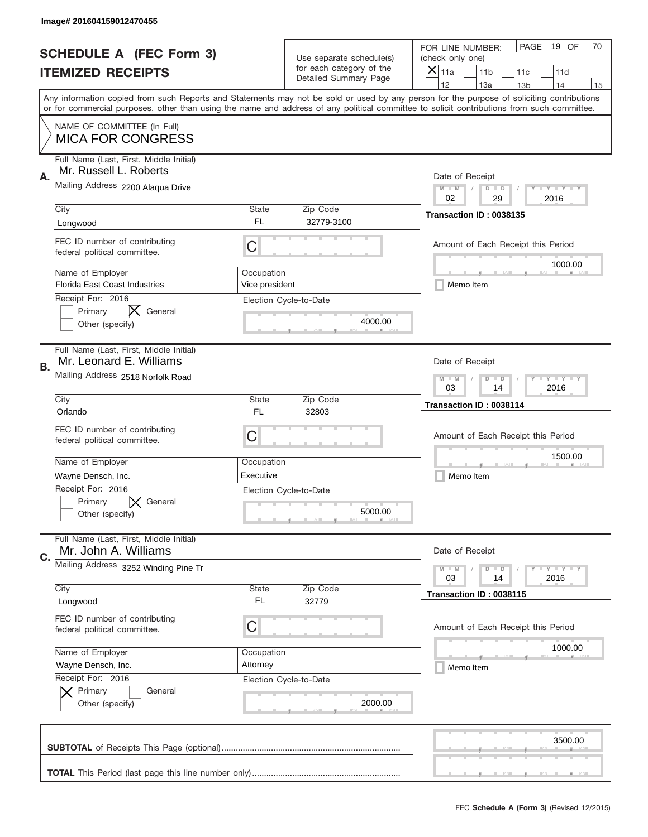|           | Image# 201604159012470455                                          |                              |                                                   |                                                                                                                                                                                                                                                                                                                                     |
|-----------|--------------------------------------------------------------------|------------------------------|---------------------------------------------------|-------------------------------------------------------------------------------------------------------------------------------------------------------------------------------------------------------------------------------------------------------------------------------------------------------------------------------------|
|           | <b>SCHEDULE A (FEC Form 3)</b>                                     |                              | Use separate schedule(s)                          | PAGE<br>19 OF<br>70<br>FOR LINE NUMBER:<br>(check only one)                                                                                                                                                                                                                                                                         |
|           | <b>ITEMIZED RECEIPTS</b>                                           |                              | for each category of the<br>Detailed Summary Page | ×<br>11a<br>11 <sub>b</sub><br>11c<br>11d                                                                                                                                                                                                                                                                                           |
|           |                                                                    |                              |                                                   | 12<br>13a<br>14<br>13 <sub>b</sub><br>15<br>Any information copied from such Reports and Statements may not be sold or used by any person for the purpose of soliciting contributions<br>or for commercial purposes, other than using the name and address of any political committee to solicit contributions from such committee. |
|           | NAME OF COMMITTEE (In Full)<br><b>MICA FOR CONGRESS</b>            |                              |                                                   |                                                                                                                                                                                                                                                                                                                                     |
| Α.        | Full Name (Last, First, Middle Initial)<br>Mr. Russell L. Roberts  |                              |                                                   | Date of Receipt                                                                                                                                                                                                                                                                                                                     |
|           | Mailing Address 2200 Alaqua Drive                                  |                              |                                                   | $M - M$<br><b>LEY LEY LEY</b><br>$D$ $D$<br>02<br>29<br>2016                                                                                                                                                                                                                                                                        |
|           | City<br>Longwood                                                   | State<br>FL.                 | Zip Code<br>32779-3100                            | Transaction ID: 0038135                                                                                                                                                                                                                                                                                                             |
|           | FEC ID number of contributing<br>federal political committee.      | C                            |                                                   | Amount of Each Receipt this Period<br>1000.00                                                                                                                                                                                                                                                                                       |
|           | Name of Employer<br>Florida East Coast Industries                  | Occupation<br>Vice president |                                                   | Memo Item                                                                                                                                                                                                                                                                                                                           |
|           | Receipt For: 2016<br>X.<br>General<br>Primary<br>Other (specify)   |                              | Election Cycle-to-Date<br>4000.00                 |                                                                                                                                                                                                                                                                                                                                     |
| <b>B.</b> | Full Name (Last, First, Middle Initial)<br>Mr. Leonard E. Williams |                              |                                                   | Date of Receipt                                                                                                                                                                                                                                                                                                                     |
|           | Mailing Address 2518 Norfolk Road                                  |                              |                                                   | $M - M$<br><b>LEYTEY LEY</b><br>$D$ $D$<br>03<br>14<br>2016                                                                                                                                                                                                                                                                         |
|           | City<br>Orlando                                                    | State<br>FL                  | Zip Code<br>32803                                 | Transaction ID: 0038114                                                                                                                                                                                                                                                                                                             |
|           | FEC ID number of contributing<br>federal political committee.      | C                            |                                                   | Amount of Each Receipt this Period                                                                                                                                                                                                                                                                                                  |
|           | Name of Employer                                                   | Occupation                   |                                                   | 1500.00                                                                                                                                                                                                                                                                                                                             |
|           | Wayne Densch, Inc.                                                 | Executive                    |                                                   | Memo Item                                                                                                                                                                                                                                                                                                                           |
|           | Receipt For: 2016<br>Primary<br>General<br>Other (specify)         |                              | Election Cycle-to-Date<br>5000.00                 |                                                                                                                                                                                                                                                                                                                                     |
| C.        | Full Name (Last, First, Middle Initial)<br>Mr. John A. Williams    |                              |                                                   | Date of Receipt                                                                                                                                                                                                                                                                                                                     |
|           | Mailing Address 3252 Winding Pine Tr                               |                              |                                                   | $I - Y - I - Y - I - Y$<br>$M - M$<br>$D$ $D$<br>03<br>2016<br>14                                                                                                                                                                                                                                                                   |
|           |                                                                    | State                        | Zip Code                                          |                                                                                                                                                                                                                                                                                                                                     |
|           | City<br>Longwood                                                   | FL                           | 32779                                             | Transaction ID: 0038115                                                                                                                                                                                                                                                                                                             |
|           | FEC ID number of contributing<br>federal political committee.      | С                            |                                                   | Amount of Each Receipt this Period                                                                                                                                                                                                                                                                                                  |
|           | Name of Employer                                                   | Occupation                   |                                                   | 1000.00                                                                                                                                                                                                                                                                                                                             |
|           | Wayne Densch, Inc.                                                 | Attorney                     |                                                   | Memo Item                                                                                                                                                                                                                                                                                                                           |
|           | Receipt For: 2016<br>Primary<br>General<br>Other (specify)         |                              | Election Cycle-to-Date<br>2000.00                 |                                                                                                                                                                                                                                                                                                                                     |
|           |                                                                    |                              |                                                   | 3500.00                                                                                                                                                                                                                                                                                                                             |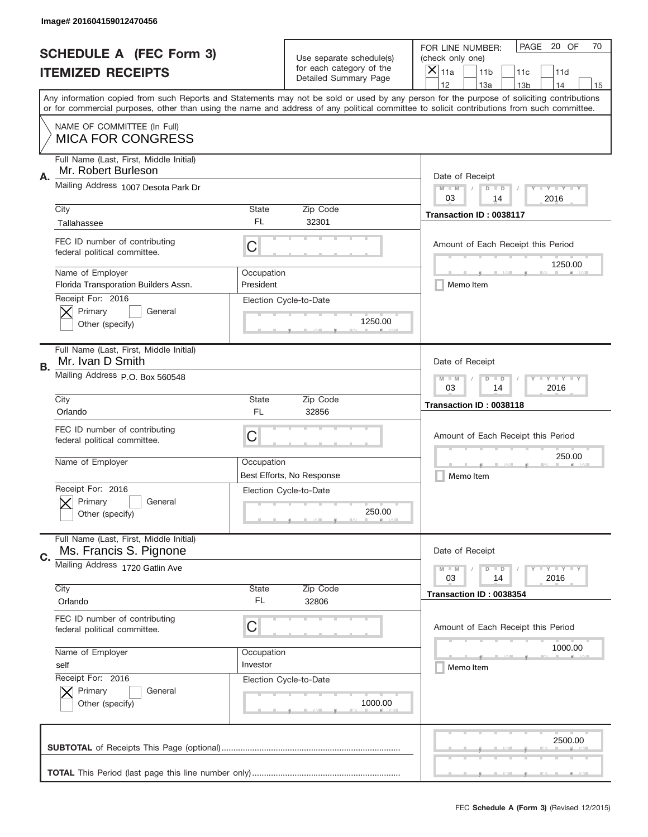|           | Image# 201604159012470456                                         |                                                         |                                                   |                                                                                                                                                                                                                                                                                                                                     |
|-----------|-------------------------------------------------------------------|---------------------------------------------------------|---------------------------------------------------|-------------------------------------------------------------------------------------------------------------------------------------------------------------------------------------------------------------------------------------------------------------------------------------------------------------------------------------|
|           | <b>SCHEDULE A (FEC Form 3)</b>                                    |                                                         | Use separate schedule(s)                          | PAGE 20 OF<br>70<br>FOR LINE NUMBER:<br>(check only one)                                                                                                                                                                                                                                                                            |
|           | <b>ITEMIZED RECEIPTS</b>                                          |                                                         | for each category of the<br>Detailed Summary Page | ×<br>11a<br>11 <sub>b</sub><br>11c<br>11d                                                                                                                                                                                                                                                                                           |
|           |                                                                   |                                                         |                                                   | 12<br>13a<br>14<br>13 <sub>b</sub><br>15<br>Any information copied from such Reports and Statements may not be sold or used by any person for the purpose of soliciting contributions<br>or for commercial purposes, other than using the name and address of any political committee to solicit contributions from such committee. |
|           | NAME OF COMMITTEE (In Full)<br><b>MICA FOR CONGRESS</b>           |                                                         |                                                   |                                                                                                                                                                                                                                                                                                                                     |
| Α.        | Full Name (Last, First, Middle Initial)<br>Mr. Robert Burleson    |                                                         |                                                   | Date of Receipt                                                                                                                                                                                                                                                                                                                     |
|           | Mailing Address 1007 Desota Park Dr                               |                                                         |                                                   | $M - M$<br><b>LEY LEY LEY</b><br>$D$ $D$<br>03<br>14<br>2016                                                                                                                                                                                                                                                                        |
|           | City<br>Tallahassee                                               | State<br>FL                                             | Zip Code<br>32301                                 | Transaction ID: 0038117                                                                                                                                                                                                                                                                                                             |
|           | FEC ID number of contributing<br>federal political committee.     | C                                                       |                                                   | Amount of Each Receipt this Period<br>1250.00                                                                                                                                                                                                                                                                                       |
|           | Name of Employer<br>Florida Transporation Builders Assn.          | Occupation<br>President                                 |                                                   | Memo Item                                                                                                                                                                                                                                                                                                                           |
|           | Receipt For: 2016<br>Primary<br>General<br>Other (specify)        |                                                         | Election Cycle-to-Date<br>1250.00                 |                                                                                                                                                                                                                                                                                                                                     |
| <b>B.</b> | Full Name (Last, First, Middle Initial)<br>Mr. Ivan D Smith       |                                                         |                                                   | Date of Receipt                                                                                                                                                                                                                                                                                                                     |
|           | Mailing Address P.O. Box 560548                                   | $M - M$<br><b>LYLYLY</b><br>$D$ $D$<br>03<br>14<br>2016 |                                                   |                                                                                                                                                                                                                                                                                                                                     |
|           | City<br>Orlando                                                   | State<br>FL                                             | Zip Code<br>32856                                 | Transaction ID: 0038118                                                                                                                                                                                                                                                                                                             |
|           | FEC ID number of contributing<br>federal political committee.     | C                                                       |                                                   | Amount of Each Receipt this Period                                                                                                                                                                                                                                                                                                  |
|           | Name of Employer                                                  | Occupation                                              | Best Efforts, No Response                         | 250.00<br>Memo Item                                                                                                                                                                                                                                                                                                                 |
|           | Receipt For: 2016<br>General<br>Primary<br>Other (specify)        |                                                         | Election Cycle-to-Date<br>250.00                  |                                                                                                                                                                                                                                                                                                                                     |
|           |                                                                   |                                                         |                                                   |                                                                                                                                                                                                                                                                                                                                     |
| C.        | Full Name (Last, First, Middle Initial)<br>Ms. Francis S. Pignone |                                                         |                                                   | Date of Receipt                                                                                                                                                                                                                                                                                                                     |
|           | Mailing Address 1720 Gatlin Ave                                   |                                                         |                                                   | $I - Y - I - Y - I - Y$<br>$M - M$<br>$D$ $D$<br>2016<br>03<br>14                                                                                                                                                                                                                                                                   |
|           | City<br>Orlando                                                   | State<br>FL                                             | Zip Code<br>32806                                 | Transaction ID: 0038354                                                                                                                                                                                                                                                                                                             |
|           | FEC ID number of contributing<br>federal political committee.     | С                                                       |                                                   | Amount of Each Receipt this Period                                                                                                                                                                                                                                                                                                  |
|           | Name of Employer<br>self                                          | Occupation<br>Investor                                  |                                                   | 1000.00<br>Memo Item                                                                                                                                                                                                                                                                                                                |
|           | Receipt For: 2016<br>Primary<br>General<br>Other (specify)        |                                                         | Election Cycle-to-Date<br>1000.00                 |                                                                                                                                                                                                                                                                                                                                     |
|           |                                                                   |                                                         |                                                   | 2500.00                                                                                                                                                                                                                                                                                                                             |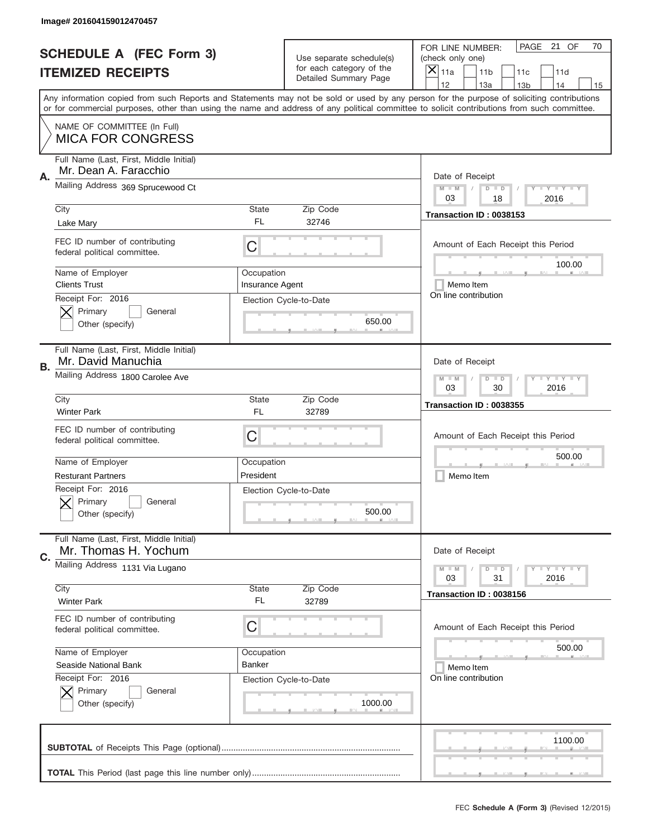|    | Image# 201604159012470457                                        |                                                           |                                                      |                                                                                                                                                                                                                                                                                                                               |
|----|------------------------------------------------------------------|-----------------------------------------------------------|------------------------------------------------------|-------------------------------------------------------------------------------------------------------------------------------------------------------------------------------------------------------------------------------------------------------------------------------------------------------------------------------|
|    | <b>SCHEDULE A (FEC Form 3)</b>                                   |                                                           | Use separate schedule(s)<br>for each category of the | PAGE 21 OF<br>70<br>FOR LINE NUMBER:<br>(check only one)                                                                                                                                                                                                                                                                      |
|    | <b>ITEMIZED RECEIPTS</b>                                         |                                                           | Detailed Summary Page                                | $\times$<br>11a<br>11 <sub>b</sub><br>11c<br>11d<br>12                                                                                                                                                                                                                                                                        |
|    |                                                                  |                                                           |                                                      | 13a<br>14<br>13 <sub>b</sub><br>15<br>Any information copied from such Reports and Statements may not be sold or used by any person for the purpose of soliciting contributions<br>or for commercial purposes, other than using the name and address of any political committee to solicit contributions from such committee. |
|    | NAME OF COMMITTEE (In Full)<br><b>MICA FOR CONGRESS</b>          |                                                           |                                                      |                                                                                                                                                                                                                                                                                                                               |
| Α. | Full Name (Last, First, Middle Initial)<br>Mr. Dean A. Faracchio |                                                           |                                                      | Date of Receipt                                                                                                                                                                                                                                                                                                               |
|    | Mailing Address 369 Sprucewood Ct                                |                                                           |                                                      | $M$ M<br>$D$ $D$<br>Y FY FY FY<br>03<br>2016<br>18                                                                                                                                                                                                                                                                            |
|    | City<br>Lake Mary                                                | State<br>FL                                               | Zip Code<br>32746                                    | Transaction ID: 0038153                                                                                                                                                                                                                                                                                                       |
|    | FEC ID number of contributing<br>federal political committee.    | C                                                         |                                                      | Amount of Each Receipt this Period<br>100.00                                                                                                                                                                                                                                                                                  |
|    | Name of Employer<br><b>Clients Trust</b>                         | Occupation<br>Insurance Agent                             |                                                      | Memo Item                                                                                                                                                                                                                                                                                                                     |
|    | Receipt For: 2016<br>Primary<br>General<br>Other (specify)       |                                                           | Election Cycle-to-Date<br>650.00                     | On line contribution                                                                                                                                                                                                                                                                                                          |
| В. | Full Name (Last, First, Middle Initial)<br>Mr. David Manuchia    |                                                           |                                                      | Date of Receipt                                                                                                                                                                                                                                                                                                               |
|    | Mailing Address 1800 Carolee Ave                                 | <b>LY LY LY</b><br>$M - M$<br>$D$ $D$<br>03<br>30<br>2016 |                                                      |                                                                                                                                                                                                                                                                                                                               |
|    | City<br><b>Winter Park</b>                                       | State<br>FL                                               | Zip Code<br>32789                                    | Transaction ID: 0038355                                                                                                                                                                                                                                                                                                       |
|    | FEC ID number of contributing<br>federal political committee.    | C                                                         |                                                      | Amount of Each Receipt this Period                                                                                                                                                                                                                                                                                            |
|    | Name of Employer                                                 | Occupation                                                |                                                      | 500.00                                                                                                                                                                                                                                                                                                                        |
|    | <b>Resturant Partners</b>                                        | President                                                 |                                                      | Memo Item                                                                                                                                                                                                                                                                                                                     |
|    | Receipt For: 2016<br>General<br>Primary<br>Other (specify)       |                                                           | Election Cycle-to-Date<br>500.00                     |                                                                                                                                                                                                                                                                                                                               |
| C. | Full Name (Last, First, Middle Initial)<br>Mr. Thomas H. Yochum  |                                                           |                                                      | Date of Receipt                                                                                                                                                                                                                                                                                                               |
|    | Mailing Address 1131 Via Lugano                                  |                                                           |                                                      | <b>LYLYLY</b><br>$M - M$<br>$D$ $D$<br>03<br>31<br>2016                                                                                                                                                                                                                                                                       |
|    | City<br><b>Winter Park</b>                                       | <b>State</b><br>FL                                        | Zip Code<br>32789                                    | Transaction ID: 0038156                                                                                                                                                                                                                                                                                                       |
|    | FEC ID number of contributing<br>federal political committee.    | C                                                         |                                                      | Amount of Each Receipt this Period                                                                                                                                                                                                                                                                                            |
|    | Name of Employer                                                 | Occupation                                                |                                                      | 500.00                                                                                                                                                                                                                                                                                                                        |
|    | Seaside National Bank                                            | <b>Banker</b>                                             |                                                      | Memo Item                                                                                                                                                                                                                                                                                                                     |
|    | Receipt For: 2016<br>Primary<br>General<br>Other (specify)       |                                                           | Election Cycle-to-Date<br>1000.00                    | On line contribution                                                                                                                                                                                                                                                                                                          |
|    |                                                                  |                                                           |                                                      | 1100.00                                                                                                                                                                                                                                                                                                                       |
|    |                                                                  |                                                           |                                                      |                                                                                                                                                                                                                                                                                                                               |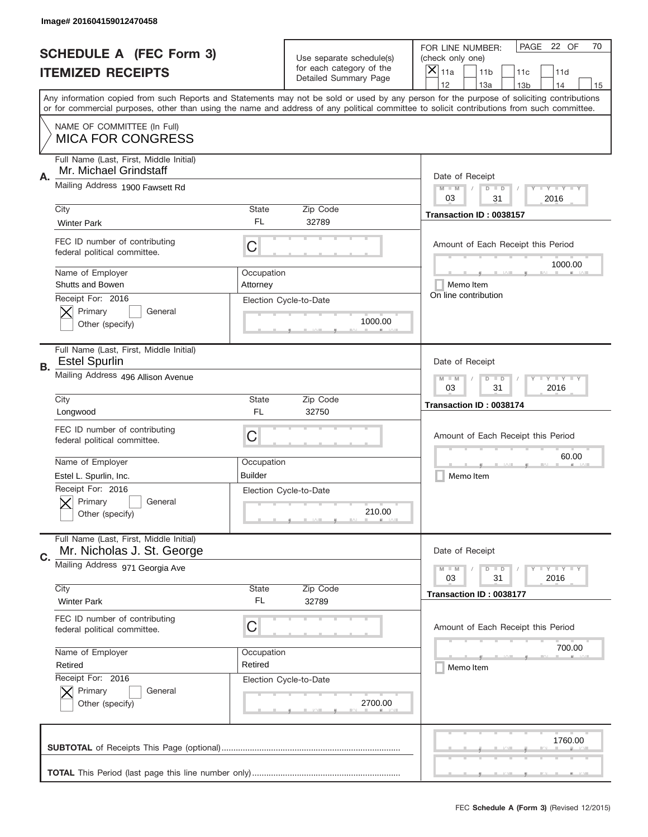|           | Image# 201604159012470458                                                            |                        |                                                   |                                                                                                                                                                                                                                                                                                                                     |
|-----------|--------------------------------------------------------------------------------------|------------------------|---------------------------------------------------|-------------------------------------------------------------------------------------------------------------------------------------------------------------------------------------------------------------------------------------------------------------------------------------------------------------------------------------|
|           | <b>SCHEDULE A (FEC Form 3)</b>                                                       |                        | Use separate schedule(s)                          | PAGE 22 OF<br>70<br>FOR LINE NUMBER:<br>(check only one)                                                                                                                                                                                                                                                                            |
|           | <b>ITEMIZED RECEIPTS</b>                                                             |                        | for each category of the<br>Detailed Summary Page | ×<br>11a<br>11 <sub>b</sub><br>11c<br>11d                                                                                                                                                                                                                                                                                           |
|           |                                                                                      |                        |                                                   | 12<br>13a<br>14<br>13 <sub>b</sub><br>15<br>Any information copied from such Reports and Statements may not be sold or used by any person for the purpose of soliciting contributions<br>or for commercial purposes, other than using the name and address of any political committee to solicit contributions from such committee. |
|           | NAME OF COMMITTEE (In Full)<br><b>MICA FOR CONGRESS</b>                              |                        |                                                   |                                                                                                                                                                                                                                                                                                                                     |
| Α.        | Full Name (Last, First, Middle Initial)<br>Mr. Michael Grindstaff                    |                        |                                                   | Date of Receipt                                                                                                                                                                                                                                                                                                                     |
|           | Mailing Address 1900 Fawsett Rd                                                      |                        |                                                   | $M - M$<br><b>LEY LEY LEY</b><br>$D$ $D$<br>03<br>31<br>2016                                                                                                                                                                                                                                                                        |
|           | City<br><b>Winter Park</b>                                                           | State<br>FL            | Zip Code<br>32789                                 | Transaction ID: 0038157                                                                                                                                                                                                                                                                                                             |
|           | FEC ID number of contributing<br>federal political committee.                        | C                      |                                                   | Amount of Each Receipt this Period<br>1000.00                                                                                                                                                                                                                                                                                       |
|           | Name of Employer<br>Shutts and Bowen                                                 | Occupation<br>Attornev |                                                   | Memo Item<br>On line contribution                                                                                                                                                                                                                                                                                                   |
|           | Receipt For: 2016<br>Primary<br>General<br>Other (specify)                           |                        | Election Cycle-to-Date<br>1000.00                 |                                                                                                                                                                                                                                                                                                                                     |
| <b>B.</b> | Full Name (Last, First, Middle Initial)<br><b>Estel Spurlin</b>                      |                        |                                                   | Date of Receipt                                                                                                                                                                                                                                                                                                                     |
|           | Mailing Address 496 Allison Avenue                                                   |                        |                                                   | $M - M$<br><b>LEYTEY LEY</b><br>$D$ $D$<br>03<br>31<br>2016                                                                                                                                                                                                                                                                         |
|           | City<br>Longwood                                                                     | State<br>FL            | Zip Code<br>32750                                 | Transaction ID: 0038174                                                                                                                                                                                                                                                                                                             |
|           | FEC ID number of contributing                                                        |                        |                                                   | Amount of Each Receipt this Period                                                                                                                                                                                                                                                                                                  |
|           | federal political committee.                                                         | C                      |                                                   |                                                                                                                                                                                                                                                                                                                                     |
|           | Name of Employer                                                                     | Occupation             |                                                   | 60.00                                                                                                                                                                                                                                                                                                                               |
|           | Estel L. Spurlin, Inc.<br>Receipt For: 2016<br>General<br>Primary<br>Other (specify) | <b>Builder</b>         | Election Cycle-to-Date<br>210.00                  | Memo Item                                                                                                                                                                                                                                                                                                                           |
| C.        | Full Name (Last, First, Middle Initial)<br>Mr. Nicholas J. St. George                |                        |                                                   | Date of Receipt                                                                                                                                                                                                                                                                                                                     |
|           | Mailing Address 971 Georgia Ave                                                      |                        |                                                   | $I - Y - I - Y - I - Y$<br>$M - M$<br>$D$ $D$<br>31<br>2016<br>03                                                                                                                                                                                                                                                                   |
|           | City<br><b>Winter Park</b>                                                           | State<br>FL            | Zip Code<br>32789                                 | Transaction ID: 0038177                                                                                                                                                                                                                                                                                                             |
|           | FEC ID number of contributing<br>federal political committee.                        | С                      |                                                   | Amount of Each Receipt this Period                                                                                                                                                                                                                                                                                                  |
|           | Name of Employer<br>Retired                                                          | Occupation<br>Retired  |                                                   | 700.00                                                                                                                                                                                                                                                                                                                              |
|           | Receipt For: 2016<br>Primary<br>General<br>Other (specify)                           |                        | Election Cycle-to-Date<br>2700.00                 | Memo Item                                                                                                                                                                                                                                                                                                                           |
|           |                                                                                      |                        |                                                   | 1760.00                                                                                                                                                                                                                                                                                                                             |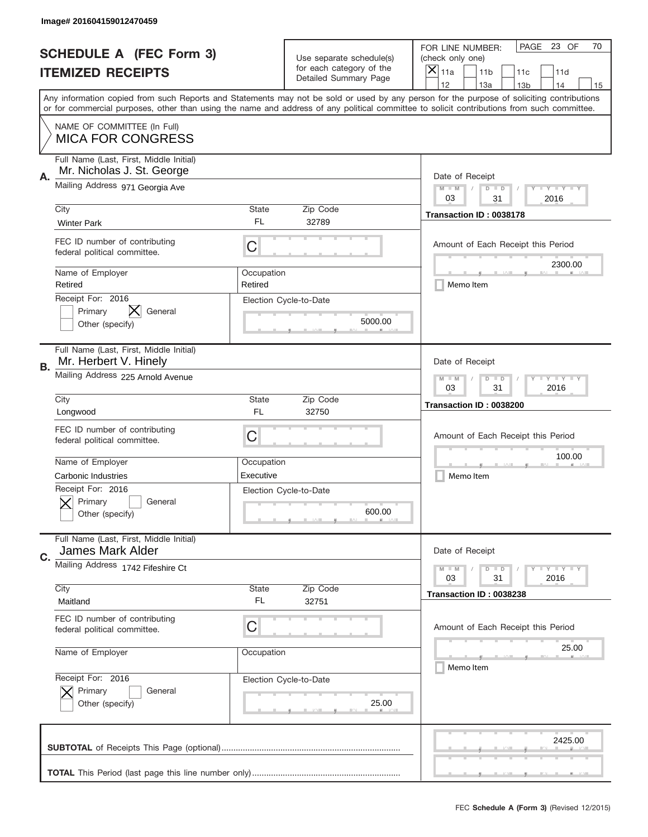|    | Image# 201604159012470459                                             |                       |                                                   |                                                                                                                                                                                       |
|----|-----------------------------------------------------------------------|-----------------------|---------------------------------------------------|---------------------------------------------------------------------------------------------------------------------------------------------------------------------------------------|
|    | <b>SCHEDULE A (FEC Form 3)</b>                                        |                       | Use separate schedule(s)                          | PAGE 23 OF<br>70<br>FOR LINE NUMBER:<br>(check only one)                                                                                                                              |
|    | <b>ITEMIZED RECEIPTS</b>                                              |                       | for each category of the<br>Detailed Summary Page | ×<br>11a<br>11 <sub>b</sub><br>11c<br>11d                                                                                                                                             |
|    |                                                                       |                       |                                                   | 12<br>13a<br>14<br>13 <sub>b</sub><br>15<br>Any information copied from such Reports and Statements may not be sold or used by any person for the purpose of soliciting contributions |
|    |                                                                       |                       |                                                   | or for commercial purposes, other than using the name and address of any political committee to solicit contributions from such committee.                                            |
|    | NAME OF COMMITTEE (In Full)<br><b>MICA FOR CONGRESS</b>               |                       |                                                   |                                                                                                                                                                                       |
| Α. | Full Name (Last, First, Middle Initial)<br>Mr. Nicholas J. St. George |                       |                                                   | Date of Receipt                                                                                                                                                                       |
|    | Mailing Address 971 Georgia Ave                                       |                       |                                                   | $M - M$<br><b>LY LY LY</b><br>$D$ $D$<br>03<br>31<br>2016                                                                                                                             |
|    | City<br><b>Winter Park</b>                                            | State<br>FL           | Zip Code<br>32789                                 | Transaction ID: 0038178                                                                                                                                                               |
|    | FEC ID number of contributing<br>federal political committee.         | C                     |                                                   | Amount of Each Receipt this Period<br>2300.00                                                                                                                                         |
|    | Name of Employer<br>Retired                                           | Occupation<br>Retired |                                                   | Memo Item                                                                                                                                                                             |
|    | Receipt For: 2016<br>Primary<br>General<br>Other (specify)            |                       | Election Cycle-to-Date<br>5000.00                 |                                                                                                                                                                                       |
| В. | Full Name (Last, First, Middle Initial)<br>Mr. Herbert V. Hinely      |                       |                                                   | Date of Receipt                                                                                                                                                                       |
|    | Mailing Address 225 Arnold Avenue                                     |                       |                                                   | $M$ M<br><b>LEYTEY LEY</b><br>$D$ $D$<br>03<br>31<br>2016                                                                                                                             |
|    | City<br>Longwood                                                      | State<br>FL           | Zip Code<br>32750                                 | Transaction ID: 0038200                                                                                                                                                               |
|    | FEC ID number of contributing                                         | C                     |                                                   | Amount of Each Receipt this Period                                                                                                                                                    |
|    | federal political committee.                                          |                       |                                                   |                                                                                                                                                                                       |
|    | Name of Employer                                                      | Occupation            |                                                   | 100.00                                                                                                                                                                                |
|    | Carbonic Industries                                                   | Executive             |                                                   | Memo Item                                                                                                                                                                             |
|    | Receipt For: 2016<br>General<br>Primary<br>Other (specify)            |                       | Election Cycle-to-Date<br>600.00                  |                                                                                                                                                                                       |
| C. | Full Name (Last, First, Middle Initial)<br>James Mark Alder           |                       |                                                   | Date of Receipt                                                                                                                                                                       |
|    | Mailing Address 1742 Fifeshire Ct                                     |                       |                                                   | $I - Y - I - Y - I - Y$<br>$M - M$<br>$D$ $D$<br>2016<br>03<br>31                                                                                                                     |
|    | City<br>Maitland                                                      | State<br>FL           | Zip Code<br>32751                                 | Transaction ID: 0038238                                                                                                                                                               |
|    | FEC ID number of contributing<br>federal political committee.         | C                     |                                                   | Amount of Each Receipt this Period                                                                                                                                                    |
|    | Name of Employer                                                      | Occupation            |                                                   | 25.00<br>Memo Item                                                                                                                                                                    |
|    | Receipt For: 2016<br>Primary<br>General<br>Other (specify)            |                       | Election Cycle-to-Date<br>25.00                   |                                                                                                                                                                                       |
|    |                                                                       |                       |                                                   | 2425.00                                                                                                                                                                               |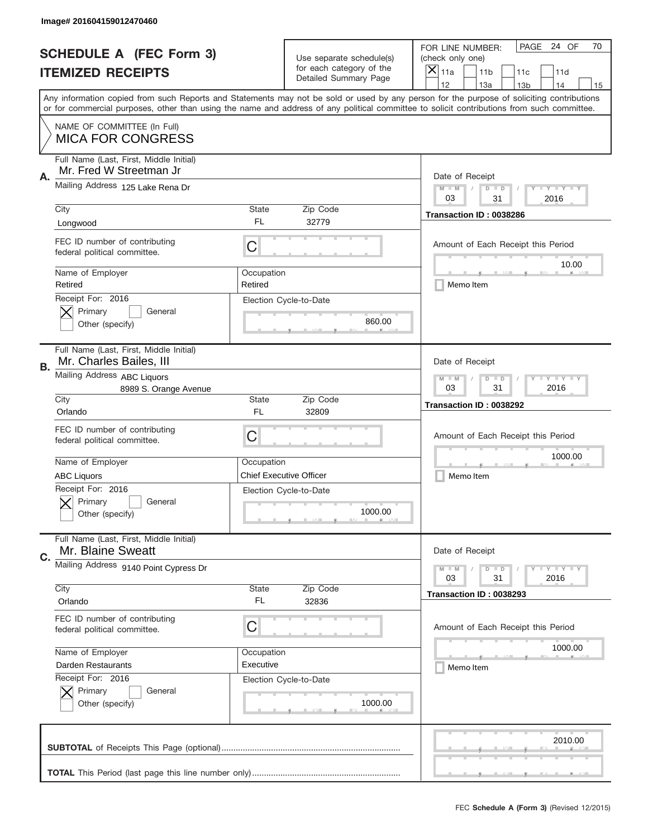|    | Image# 201604159012470460                                          |                       |                                                   |                                                                                                                                                                                                                                                                                                                                     |
|----|--------------------------------------------------------------------|-----------------------|---------------------------------------------------|-------------------------------------------------------------------------------------------------------------------------------------------------------------------------------------------------------------------------------------------------------------------------------------------------------------------------------------|
|    | <b>SCHEDULE A (FEC Form 3)</b>                                     |                       | Use separate schedule(s)                          | PAGE 24 OF<br>70<br>FOR LINE NUMBER:<br>(check only one)                                                                                                                                                                                                                                                                            |
|    | <b>ITEMIZED RECEIPTS</b>                                           |                       | for each category of the<br>Detailed Summary Page | ×<br>11a<br>11 <sub>b</sub><br>11c<br>11d                                                                                                                                                                                                                                                                                           |
|    |                                                                    |                       |                                                   | 12<br>13a<br>14<br>13 <sub>b</sub><br>15<br>Any information copied from such Reports and Statements may not be sold or used by any person for the purpose of soliciting contributions<br>or for commercial purposes, other than using the name and address of any political committee to solicit contributions from such committee. |
|    | NAME OF COMMITTEE (In Full)                                        |                       |                                                   |                                                                                                                                                                                                                                                                                                                                     |
|    | <b>MICA FOR CONGRESS</b>                                           |                       |                                                   |                                                                                                                                                                                                                                                                                                                                     |
| Α. | Full Name (Last, First, Middle Initial)<br>Mr. Fred W Streetman Jr |                       |                                                   | Date of Receipt                                                                                                                                                                                                                                                                                                                     |
|    | Mailing Address 125 Lake Rena Dr                                   |                       |                                                   | $M - M$<br><b>LEY LEY LEY</b><br>$D$ $D$<br>03<br>2016<br>31                                                                                                                                                                                                                                                                        |
|    | City<br>Longwood                                                   | State<br><b>FL</b>    | Zip Code<br>32779                                 | Transaction ID: 0038286                                                                                                                                                                                                                                                                                                             |
|    | FEC ID number of contributing<br>federal political committee.      | C                     |                                                   | Amount of Each Receipt this Period<br>10.00                                                                                                                                                                                                                                                                                         |
|    | Name of Employer<br>Retired                                        | Occupation<br>Retired |                                                   | Memo Item                                                                                                                                                                                                                                                                                                                           |
|    | Receipt For: 2016<br>Primary<br>General<br>Other (specify)         |                       | Election Cycle-to-Date<br>860.00                  |                                                                                                                                                                                                                                                                                                                                     |
| В. | Full Name (Last, First, Middle Initial)<br>Mr. Charles Bailes, III |                       |                                                   | Date of Receipt                                                                                                                                                                                                                                                                                                                     |
|    | Mailing Address ABC Liquors<br>8989 S. Orange Avenue               |                       |                                                   | $M - M$<br><b>LEYTEY LEY</b><br>$D$ $D$<br>03<br>31<br>2016                                                                                                                                                                                                                                                                         |
|    | City<br>Orlando                                                    | State<br>FL           | Zip Code<br>32809                                 | Transaction ID: 0038292                                                                                                                                                                                                                                                                                                             |
|    | FEC ID number of contributing<br>federal political committee.      | C                     |                                                   | Amount of Each Receipt this Period                                                                                                                                                                                                                                                                                                  |
|    |                                                                    |                       |                                                   | 1000.00                                                                                                                                                                                                                                                                                                                             |
|    | Name of Employer                                                   | Occupation            |                                                   |                                                                                                                                                                                                                                                                                                                                     |
|    | <b>ABC Liquors</b>                                                 |                       | <b>Chief Executive Officer</b>                    | Memo Item                                                                                                                                                                                                                                                                                                                           |
|    | Receipt For: 2016<br>General<br>Primary<br>Other (specify)         |                       | Election Cycle-to-Date<br>1000.00                 |                                                                                                                                                                                                                                                                                                                                     |
| C. | Full Name (Last, First, Middle Initial)<br>Mr. Blaine Sweatt       |                       |                                                   | Date of Receipt                                                                                                                                                                                                                                                                                                                     |
|    | Mailing Address 9140 Point Cypress Dr                              |                       |                                                   | $I - Y - I - Y - I - Y$<br>$M - M$<br>$D$ $D$<br>03<br>31<br>2016                                                                                                                                                                                                                                                                   |
|    | City<br>Orlando                                                    | State<br>FL           | Zip Code<br>32836                                 | Transaction ID: 0038293                                                                                                                                                                                                                                                                                                             |
|    | FEC ID number of contributing<br>federal political committee.      | С                     |                                                   | Amount of Each Receipt this Period                                                                                                                                                                                                                                                                                                  |
|    | Name of Employer                                                   | Occupation            |                                                   | 1000.00                                                                                                                                                                                                                                                                                                                             |
|    | Darden Restaurants                                                 | Executive             |                                                   | Memo Item                                                                                                                                                                                                                                                                                                                           |
|    | Receipt For: 2016<br>Primary<br>General<br>Other (specify)         |                       | Election Cycle-to-Date<br>1000.00                 |                                                                                                                                                                                                                                                                                                                                     |
|    |                                                                    |                       |                                                   | 2010.00                                                                                                                                                                                                                                                                                                                             |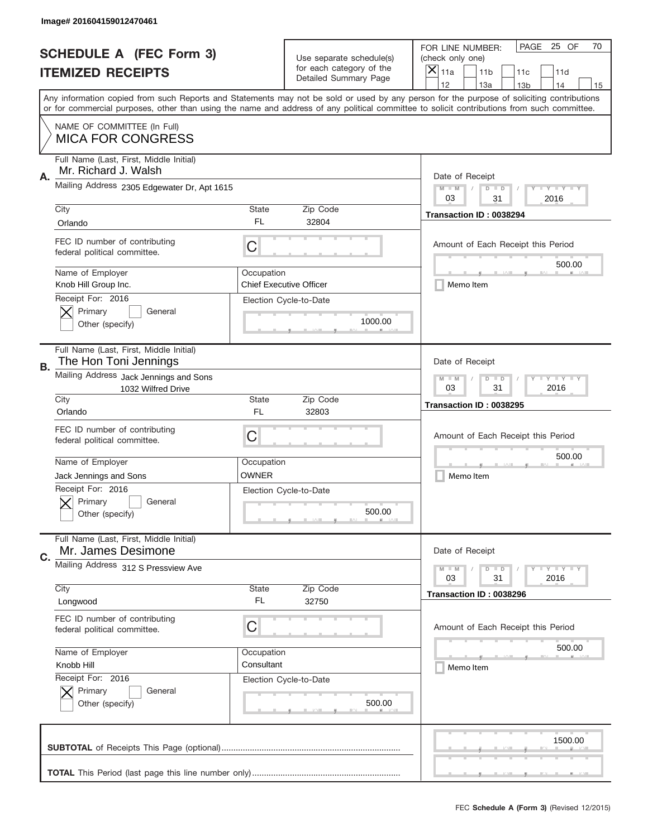|    | Image# 201604159012470461                                                |                                                             |                                                   |                                                                                                                                                                                                                                                                                                                                     |
|----|--------------------------------------------------------------------------|-------------------------------------------------------------|---------------------------------------------------|-------------------------------------------------------------------------------------------------------------------------------------------------------------------------------------------------------------------------------------------------------------------------------------------------------------------------------------|
|    | <b>SCHEDULE A (FEC Form 3)</b>                                           |                                                             | Use separate schedule(s)                          | PAGE 25 OF<br>70<br>FOR LINE NUMBER:<br>(check only one)                                                                                                                                                                                                                                                                            |
|    | <b>ITEMIZED RECEIPTS</b>                                                 |                                                             | for each category of the<br>Detailed Summary Page | ×<br>11a<br>11 <sub>b</sub><br>11c<br>11d                                                                                                                                                                                                                                                                                           |
|    |                                                                          |                                                             |                                                   | 12<br>13a<br>14<br>13 <sub>b</sub><br>15<br>Any information copied from such Reports and Statements may not be sold or used by any person for the purpose of soliciting contributions<br>or for commercial purposes, other than using the name and address of any political committee to solicit contributions from such committee. |
|    | NAME OF COMMITTEE (In Full)<br><b>MICA FOR CONGRESS</b>                  |                                                             |                                                   |                                                                                                                                                                                                                                                                                                                                     |
| Α. | Full Name (Last, First, Middle Initial)<br>Mr. Richard J. Walsh          |                                                             |                                                   | Date of Receipt                                                                                                                                                                                                                                                                                                                     |
|    | Mailing Address 2305 Edgewater Dr, Apt 1615                              |                                                             |                                                   | $M - M$<br><b>LY LY LY</b><br>$D$ $D$<br>03<br>31<br>2016                                                                                                                                                                                                                                                                           |
|    | City<br>Orlando                                                          | State<br>FL                                                 | Zip Code<br>32804                                 | Transaction ID: 0038294                                                                                                                                                                                                                                                                                                             |
|    | FEC ID number of contributing<br>federal political committee.            | C                                                           |                                                   | Amount of Each Receipt this Period<br>500.00                                                                                                                                                                                                                                                                                        |
|    | Name of Employer<br>Knob Hill Group Inc.                                 | Occupation                                                  | <b>Chief Executive Officer</b>                    | Memo Item                                                                                                                                                                                                                                                                                                                           |
|    | Receipt For: 2016<br>Primary<br>General<br>Other (specify)               |                                                             | Election Cycle-to-Date<br>1000.00                 |                                                                                                                                                                                                                                                                                                                                     |
| В. | Full Name (Last, First, Middle Initial)<br>The Hon Toni Jennings         |                                                             |                                                   | Date of Receipt                                                                                                                                                                                                                                                                                                                     |
|    | Mailing Address Jack Jennings and Sons<br>1032 Wilfred Drive             | <b>LEYTEY LEY</b><br>$M - M$<br>$D$ $D$<br>03<br>31<br>2016 |                                                   |                                                                                                                                                                                                                                                                                                                                     |
|    | City<br>Orlando                                                          | State<br>FL                                                 | Zip Code<br>32803                                 | Transaction ID: 0038295                                                                                                                                                                                                                                                                                                             |
|    | FEC ID number of contributing<br>federal political committee.            | C                                                           |                                                   | Amount of Each Receipt this Period                                                                                                                                                                                                                                                                                                  |
|    | Name of Employer<br>Jack Jennings and Sons                               | Occupation<br><b>OWNER</b>                                  |                                                   | 500.00<br>Memo Item                                                                                                                                                                                                                                                                                                                 |
|    |                                                                          |                                                             |                                                   |                                                                                                                                                                                                                                                                                                                                     |
|    | Receipt For: 2016<br>General<br>Primary<br>Other (specify)               |                                                             | Election Cycle-to-Date<br>500.00                  |                                                                                                                                                                                                                                                                                                                                     |
| C. | Full Name (Last, First, Middle Initial)<br>Mr. James Desimone            |                                                             |                                                   | Date of Receipt                                                                                                                                                                                                                                                                                                                     |
|    | Mailing Address 312 S Pressview Ave                                      |                                                             |                                                   | $I - Y - I - Y - I - Y$<br>$M - M$<br>$D$ $D$<br>03<br>31<br>2016                                                                                                                                                                                                                                                                   |
|    | City<br>Longwood                                                         | State<br>FL                                                 | Zip Code<br>32750                                 | Transaction ID: 0038296                                                                                                                                                                                                                                                                                                             |
|    | FEC ID number of contributing<br>federal political committee.            | С                                                           |                                                   | Amount of Each Receipt this Period                                                                                                                                                                                                                                                                                                  |
|    | Name of Employer                                                         | Occupation                                                  |                                                   | 500.00                                                                                                                                                                                                                                                                                                                              |
|    | Knobb Hill<br>Receipt For: 2016<br>Primary<br>General<br>Other (specify) | Consultant                                                  | Election Cycle-to-Date<br>500.00                  | Memo Item                                                                                                                                                                                                                                                                                                                           |
|    |                                                                          |                                                             |                                                   | 1500.00                                                                                                                                                                                                                                                                                                                             |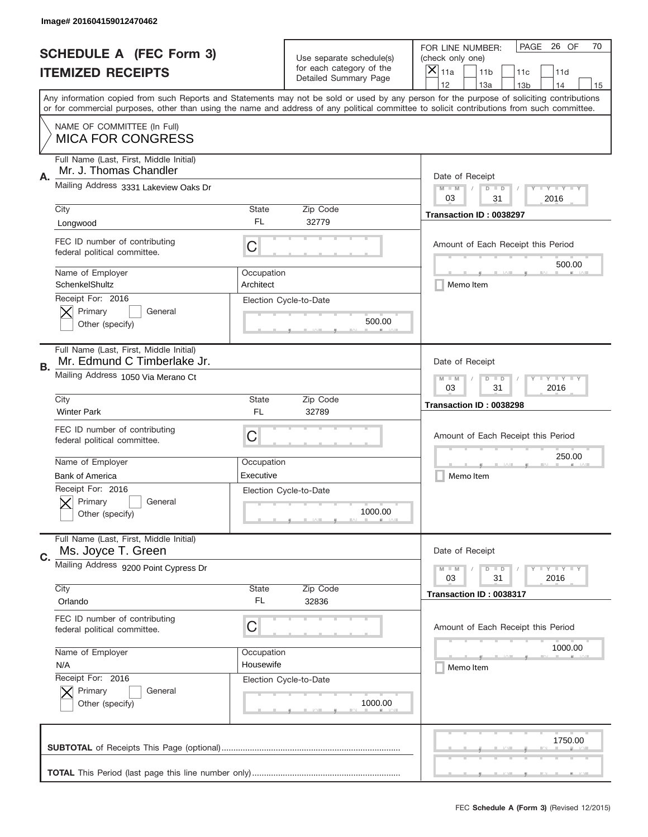|    | Image# 201604159012470462                                              |                                                             |                                                   |                                                                                                                                                                                                                                                                                                                                     |
|----|------------------------------------------------------------------------|-------------------------------------------------------------|---------------------------------------------------|-------------------------------------------------------------------------------------------------------------------------------------------------------------------------------------------------------------------------------------------------------------------------------------------------------------------------------------|
|    | <b>SCHEDULE A (FEC Form 3)</b>                                         |                                                             | Use separate schedule(s)                          | PAGE 26 OF<br>70<br>FOR LINE NUMBER:<br>(check only one)                                                                                                                                                                                                                                                                            |
|    | <b>ITEMIZED RECEIPTS</b>                                               |                                                             | for each category of the<br>Detailed Summary Page | ×<br>11a<br>11 <sub>b</sub><br>11c<br>11d                                                                                                                                                                                                                                                                                           |
|    |                                                                        |                                                             |                                                   | 12<br>13a<br>14<br>13 <sub>b</sub><br>15<br>Any information copied from such Reports and Statements may not be sold or used by any person for the purpose of soliciting contributions<br>or for commercial purposes, other than using the name and address of any political committee to solicit contributions from such committee. |
|    | NAME OF COMMITTEE (In Full)<br><b>MICA FOR CONGRESS</b>                |                                                             |                                                   |                                                                                                                                                                                                                                                                                                                                     |
| Α. | Full Name (Last, First, Middle Initial)<br>Mr. J. Thomas Chandler      |                                                             |                                                   | Date of Receipt                                                                                                                                                                                                                                                                                                                     |
|    | Mailing Address 3331 Lakeview Oaks Dr                                  |                                                             |                                                   | $M - M$<br><b>LEY LEY LEY</b><br>$D$ $D$<br>03<br>31<br>2016                                                                                                                                                                                                                                                                        |
|    | City<br>Longwood                                                       | State<br><b>FL</b>                                          | Zip Code<br>32779                                 | Transaction ID: 0038297                                                                                                                                                                                                                                                                                                             |
|    | FEC ID number of contributing<br>federal political committee.          | C                                                           |                                                   | Amount of Each Receipt this Period<br>500.00                                                                                                                                                                                                                                                                                        |
|    | Name of Employer<br>SchenkelShultz                                     | Occupation<br>Architect                                     |                                                   | Memo Item                                                                                                                                                                                                                                                                                                                           |
|    | Receipt For: 2016<br>Primary<br>General<br>Other (specify)             |                                                             | Election Cycle-to-Date<br>500.00                  |                                                                                                                                                                                                                                                                                                                                     |
| В. | Full Name (Last, First, Middle Initial)<br>Mr. Edmund C Timberlake Jr. |                                                             |                                                   | Date of Receipt                                                                                                                                                                                                                                                                                                                     |
|    | Mailing Address 1050 Via Merano Ct                                     | $M - M$<br><b>LEYTEY LEY</b><br>$D$ $D$<br>03<br>31<br>2016 |                                                   |                                                                                                                                                                                                                                                                                                                                     |
|    | City<br><b>Winter Park</b>                                             | State<br>FL                                                 | Zip Code<br>32789                                 | Transaction ID: 0038298                                                                                                                                                                                                                                                                                                             |
|    | FEC ID number of contributing<br>federal political committee.          | C                                                           |                                                   | Amount of Each Receipt this Period                                                                                                                                                                                                                                                                                                  |
|    |                                                                        |                                                             |                                                   |                                                                                                                                                                                                                                                                                                                                     |
|    | Name of Employer                                                       | Occupation                                                  |                                                   | 250.00                                                                                                                                                                                                                                                                                                                              |
|    | <b>Bank of America</b>                                                 | Executive                                                   |                                                   | Memo Item                                                                                                                                                                                                                                                                                                                           |
|    | Receipt For: 2016<br>General<br>Primary<br>Other (specify)             |                                                             | Election Cycle-to-Date<br>1000.00                 |                                                                                                                                                                                                                                                                                                                                     |
| C. | Full Name (Last, First, Middle Initial)<br>Ms. Joyce T. Green          |                                                             |                                                   | Date of Receipt                                                                                                                                                                                                                                                                                                                     |
|    | Mailing Address 9200 Point Cypress Dr                                  |                                                             |                                                   | $I - Y - I - Y - I - Y$<br>$M - M$<br>$D$ $D$<br>03<br>31<br>2016                                                                                                                                                                                                                                                                   |
|    | City<br>Orlando                                                        | State<br>FL                                                 | Zip Code<br>32836                                 | Transaction ID: 0038317                                                                                                                                                                                                                                                                                                             |
|    | FEC ID number of contributing<br>federal political committee.          | С                                                           |                                                   | Amount of Each Receipt this Period                                                                                                                                                                                                                                                                                                  |
|    | Name of Employer                                                       | Occupation                                                  |                                                   | 1000.00                                                                                                                                                                                                                                                                                                                             |
|    | N/A                                                                    | Housewife                                                   |                                                   | Memo Item                                                                                                                                                                                                                                                                                                                           |
|    | Receipt For: 2016<br>Primary<br>General<br>Other (specify)             |                                                             | Election Cycle-to-Date<br>1000.00                 |                                                                                                                                                                                                                                                                                                                                     |
|    |                                                                        |                                                             |                                                   | 1750.00                                                                                                                                                                                                                                                                                                                             |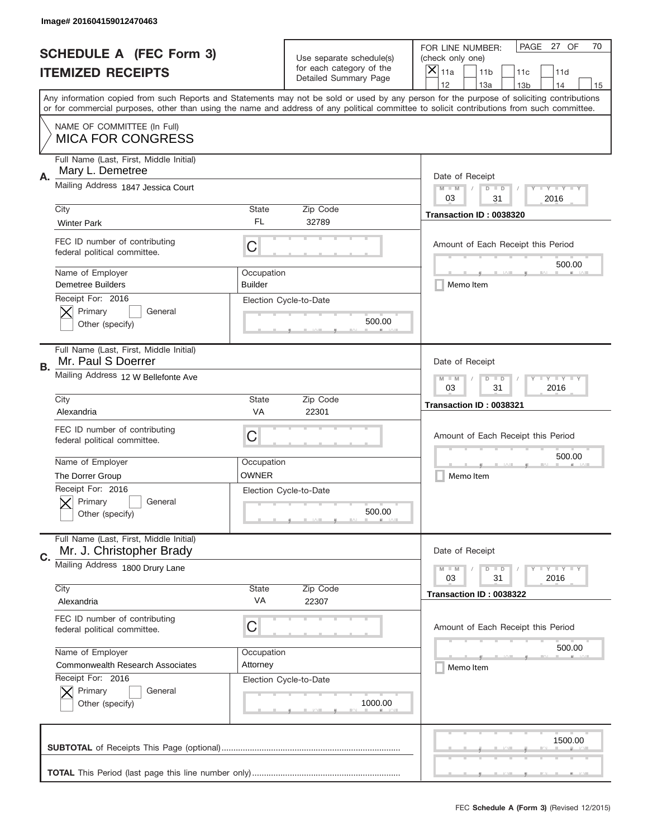|    | Image# 201604159012470463                                           |                                                             |                                                   |                                                                                                                                                                                                                                                                                                                                     |
|----|---------------------------------------------------------------------|-------------------------------------------------------------|---------------------------------------------------|-------------------------------------------------------------------------------------------------------------------------------------------------------------------------------------------------------------------------------------------------------------------------------------------------------------------------------------|
|    | <b>SCHEDULE A (FEC Form 3)</b>                                      |                                                             | Use separate schedule(s)                          | PAGE 27 OF<br>70<br>FOR LINE NUMBER:<br>(check only one)                                                                                                                                                                                                                                                                            |
|    | <b>ITEMIZED RECEIPTS</b>                                            |                                                             | for each category of the<br>Detailed Summary Page | ×<br>11a<br>11 <sub>b</sub><br>11c<br>11d                                                                                                                                                                                                                                                                                           |
|    |                                                                     |                                                             |                                                   | 12<br>13a<br>14<br>13 <sub>b</sub><br>15<br>Any information copied from such Reports and Statements may not be sold or used by any person for the purpose of soliciting contributions<br>or for commercial purposes, other than using the name and address of any political committee to solicit contributions from such committee. |
|    | NAME OF COMMITTEE (In Full)<br><b>MICA FOR CONGRESS</b>             |                                                             |                                                   |                                                                                                                                                                                                                                                                                                                                     |
| Α. | Full Name (Last, First, Middle Initial)<br>Mary L. Demetree         |                                                             |                                                   | Date of Receipt                                                                                                                                                                                                                                                                                                                     |
|    | Mailing Address 1847 Jessica Court                                  |                                                             |                                                   | $M - M$<br><b>LEY LEY LEY</b><br>$D$ $D$<br>03<br>31<br>2016                                                                                                                                                                                                                                                                        |
|    | City<br><b>Winter Park</b>                                          | State<br>FL                                                 | Zip Code<br>32789                                 | Transaction ID: 0038320                                                                                                                                                                                                                                                                                                             |
|    | FEC ID number of contributing<br>federal political committee.       | C                                                           |                                                   | Amount of Each Receipt this Period<br>500.00                                                                                                                                                                                                                                                                                        |
|    | Name of Employer<br>Demetree Builders                               | Occupation<br><b>Builder</b>                                |                                                   | Memo Item                                                                                                                                                                                                                                                                                                                           |
|    | Receipt For: 2016<br>Primary<br>General<br>Other (specify)          |                                                             | Election Cycle-to-Date<br>500.00                  |                                                                                                                                                                                                                                                                                                                                     |
| В. | Full Name (Last, First, Middle Initial)<br>Mr. Paul S Doerrer       |                                                             |                                                   | Date of Receipt                                                                                                                                                                                                                                                                                                                     |
|    | Mailing Address 12 W Bellefonte Ave                                 | <b>LEYTEY LEY</b><br>$M - M$<br>$D$ $D$<br>03<br>31<br>2016 |                                                   |                                                                                                                                                                                                                                                                                                                                     |
|    | City<br>Alexandria                                                  | State<br>VA                                                 | Zip Code<br>22301                                 | Transaction ID: 0038321                                                                                                                                                                                                                                                                                                             |
|    | FEC ID number of contributing<br>federal political committee.       | C                                                           |                                                   | Amount of Each Receipt this Period                                                                                                                                                                                                                                                                                                  |
|    | Name of Employer<br>The Dorrer Group                                | Occupation<br><b>OWNER</b>                                  |                                                   | 500.00<br>Memo Item                                                                                                                                                                                                                                                                                                                 |
|    | Receipt For: 2016<br>General<br>Primary<br>Other (specify)          |                                                             | Election Cycle-to-Date<br>500.00                  |                                                                                                                                                                                                                                                                                                                                     |
| C. | Full Name (Last, First, Middle Initial)<br>Mr. J. Christopher Brady |                                                             |                                                   | Date of Receipt                                                                                                                                                                                                                                                                                                                     |
|    | Mailing Address 1800 Drury Lane                                     |                                                             |                                                   | $I - Y - I - Y - I - Y$<br>$M - M$<br>$D$ $D$<br>03<br>31<br>2016                                                                                                                                                                                                                                                                   |
|    | City<br>Alexandria                                                  | State<br>VA                                                 | Zip Code<br>22307                                 | Transaction ID: 0038322                                                                                                                                                                                                                                                                                                             |
|    | FEC ID number of contributing<br>federal political committee.       | С                                                           |                                                   | Amount of Each Receipt this Period                                                                                                                                                                                                                                                                                                  |
|    | Name of Employer<br>Commonwealth Research Associates                | Occupation                                                  |                                                   | 500.00                                                                                                                                                                                                                                                                                                                              |
|    | Receipt For: 2016<br>Primary<br>General<br>Other (specify)          | Attorney                                                    | Election Cycle-to-Date<br>1000.00                 | Memo Item                                                                                                                                                                                                                                                                                                                           |
|    |                                                                     |                                                             |                                                   | 1500.00                                                                                                                                                                                                                                                                                                                             |
|    |                                                                     |                                                             |                                                   |                                                                                                                                                                                                                                                                                                                                     |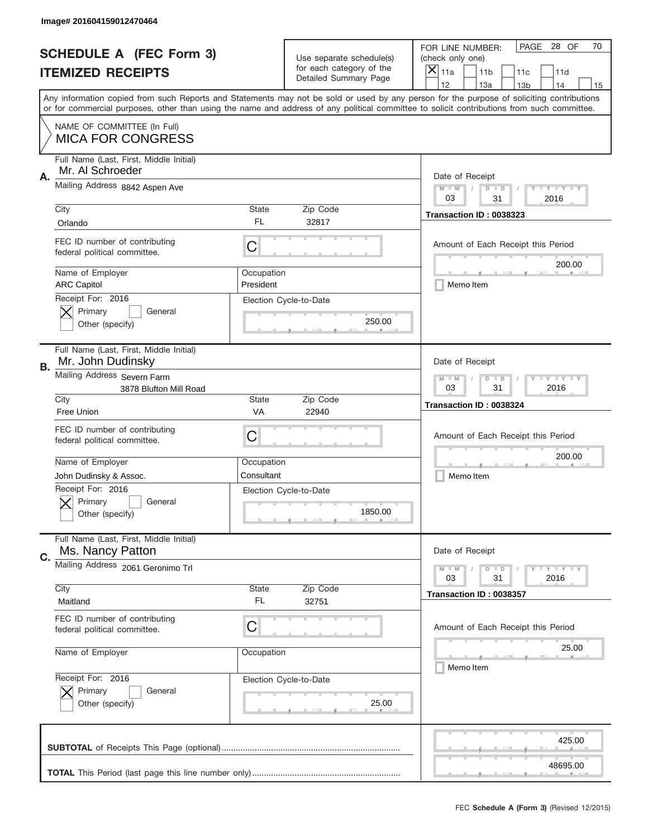|           | Image# 201604159012470464                                     |                                                           |                                                   |                                                                                                                                                                                                                                                                                                                                     |
|-----------|---------------------------------------------------------------|-----------------------------------------------------------|---------------------------------------------------|-------------------------------------------------------------------------------------------------------------------------------------------------------------------------------------------------------------------------------------------------------------------------------------------------------------------------------------|
|           | <b>SCHEDULE A (FEC Form 3)</b>                                |                                                           | Use separate schedule(s)                          | PAGE 28 OF<br>70<br>FOR LINE NUMBER:<br>(check only one)                                                                                                                                                                                                                                                                            |
|           | <b>ITEMIZED RECEIPTS</b>                                      |                                                           | for each category of the<br>Detailed Summary Page | ×<br>11a<br>11 <sub>b</sub><br>11c<br>11d                                                                                                                                                                                                                                                                                           |
|           |                                                               |                                                           |                                                   | 12<br>13a<br>14<br>13 <sub>b</sub><br>15<br>Any information copied from such Reports and Statements may not be sold or used by any person for the purpose of soliciting contributions<br>or for commercial purposes, other than using the name and address of any political committee to solicit contributions from such committee. |
|           | NAME OF COMMITTEE (In Full)<br><b>MICA FOR CONGRESS</b>       |                                                           |                                                   |                                                                                                                                                                                                                                                                                                                                     |
| Α.        | Full Name (Last, First, Middle Initial)<br>Mr. Al Schroeder   |                                                           |                                                   | Date of Receipt                                                                                                                                                                                                                                                                                                                     |
|           | Mailing Address 8842 Aspen Ave                                |                                                           |                                                   | $M - M$<br><b>LEY LEY LEY</b><br>$D$ $D$<br>03<br>31<br>2016                                                                                                                                                                                                                                                                        |
|           | City<br>Orlando                                               | State<br>FL                                               | Zip Code<br>32817                                 | Transaction ID: 0038323                                                                                                                                                                                                                                                                                                             |
|           | FEC ID number of contributing<br>federal political committee. | C                                                         |                                                   | Amount of Each Receipt this Period<br>200.00                                                                                                                                                                                                                                                                                        |
|           | Name of Employer<br><b>ARC Capitol</b>                        | Occupation<br>President                                   |                                                   | Memo Item                                                                                                                                                                                                                                                                                                                           |
|           | Receipt For: 2016<br>Primary<br>General<br>Other (specify)    |                                                           | Election Cycle-to-Date<br>250.00                  |                                                                                                                                                                                                                                                                                                                                     |
| <b>B.</b> | Full Name (Last, First, Middle Initial)<br>Mr. John Dudinsky  |                                                           |                                                   | Date of Receipt                                                                                                                                                                                                                                                                                                                     |
|           | Mailing Address Severn Farm<br>3878 Blufton Mill Road         | <b>LY LY LY</b><br>$M - M$<br>$D$ $D$<br>03<br>31<br>2016 |                                                   |                                                                                                                                                                                                                                                                                                                                     |
|           | City<br>Free Union                                            | <b>State</b><br>VA                                        | Zip Code<br>22940                                 | Transaction ID: 0038324                                                                                                                                                                                                                                                                                                             |
|           | FEC ID number of contributing<br>federal political committee. | C                                                         |                                                   | Amount of Each Receipt this Period                                                                                                                                                                                                                                                                                                  |
|           | Name of Employer                                              | Occupation                                                |                                                   | 200.00                                                                                                                                                                                                                                                                                                                              |
|           | John Dudinsky & Assoc.                                        | Consultant                                                |                                                   | Memo Item                                                                                                                                                                                                                                                                                                                           |
|           | Receipt For: 2016<br>General<br>Primary<br>Other (specify)    |                                                           | Election Cycle-to-Date<br>1850.00                 |                                                                                                                                                                                                                                                                                                                                     |
| C.        | Full Name (Last, First, Middle Initial)<br>Ms. Nancy Patton   |                                                           |                                                   | Date of Receipt                                                                                                                                                                                                                                                                                                                     |
|           | Mailing Address 2061 Geronimo Trl                             |                                                           |                                                   | $I - Y - I - Y - I - Y$<br>$M - M$<br>$D$ $D$<br>31<br>2016<br>03                                                                                                                                                                                                                                                                   |
|           | City<br>Maitland                                              | State<br>FL                                               | Zip Code<br>32751                                 | Transaction ID: 0038357                                                                                                                                                                                                                                                                                                             |
|           | FEC ID number of contributing<br>federal political committee. | С                                                         |                                                   | Amount of Each Receipt this Period                                                                                                                                                                                                                                                                                                  |
|           | Name of Employer                                              | Occupation                                                |                                                   | 25.00<br>Memo Item                                                                                                                                                                                                                                                                                                                  |
|           | Receipt For: 2016<br>Primary<br>General<br>Other (specify)    |                                                           | Election Cycle-to-Date<br>25.00                   |                                                                                                                                                                                                                                                                                                                                     |
|           |                                                               |                                                           |                                                   | 425.00                                                                                                                                                                                                                                                                                                                              |
|           |                                                               |                                                           |                                                   | 48695.00                                                                                                                                                                                                                                                                                                                            |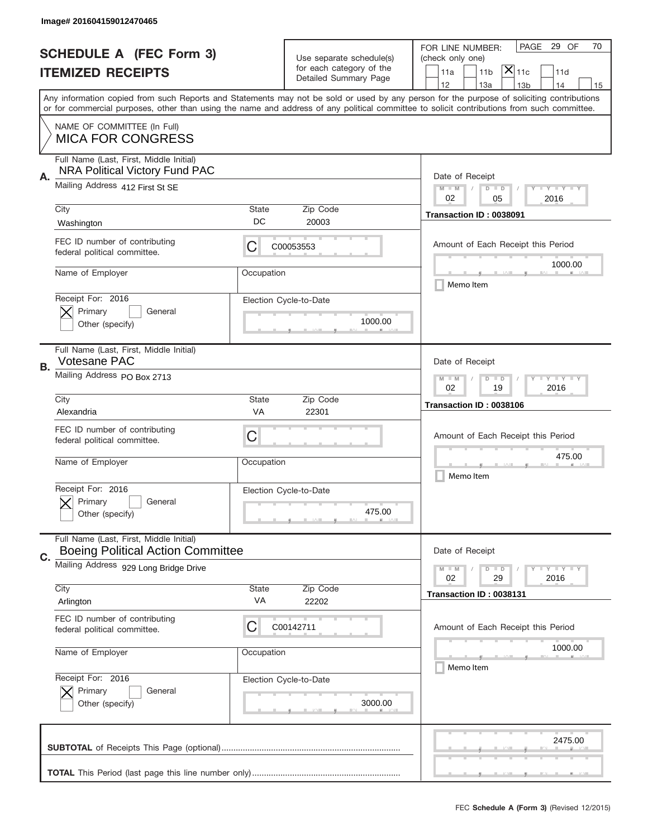|    | Image# 201604159012470465                                                        |                                                             |                                                   |                                                                                                                                                                                                                                                                                         |
|----|----------------------------------------------------------------------------------|-------------------------------------------------------------|---------------------------------------------------|-----------------------------------------------------------------------------------------------------------------------------------------------------------------------------------------------------------------------------------------------------------------------------------------|
|    | <b>SCHEDULE A (FEC Form 3)</b>                                                   |                                                             | Use separate schedule(s)                          | PAGE 29 OF<br>70<br>FOR LINE NUMBER:<br>(check only one)                                                                                                                                                                                                                                |
|    | <b>ITEMIZED RECEIPTS</b>                                                         |                                                             | for each category of the<br>Detailed Summary Page | $ \mathsf{X} _{\mathsf{11c}}$<br>11 <sub>b</sub><br>11a<br>11d                                                                                                                                                                                                                          |
|    |                                                                                  |                                                             |                                                   | 12<br>13a<br>13 <sub>b</sub><br>14<br>15                                                                                                                                                                                                                                                |
|    |                                                                                  |                                                             |                                                   | Any information copied from such Reports and Statements may not be sold or used by any person for the purpose of soliciting contributions<br>or for commercial purposes, other than using the name and address of any political committee to solicit contributions from such committee. |
|    | NAME OF COMMITTEE (In Full)                                                      |                                                             |                                                   |                                                                                                                                                                                                                                                                                         |
|    | <b>MICA FOR CONGRESS</b>                                                         |                                                             |                                                   |                                                                                                                                                                                                                                                                                         |
| А. | Full Name (Last, First, Middle Initial)<br><b>NRA Political Victory Fund PAC</b> |                                                             |                                                   | Date of Receipt                                                                                                                                                                                                                                                                         |
|    | Mailing Address 412 First St SE                                                  | $M - M$<br><b>LEY LEY LEY</b><br>$D$ $D$                    |                                                   |                                                                                                                                                                                                                                                                                         |
|    | City                                                                             | State                                                       | Zip Code                                          | 02<br>2016<br>05<br>Transaction ID: 0038091                                                                                                                                                                                                                                             |
|    | Washington                                                                       | DC                                                          | 20003                                             |                                                                                                                                                                                                                                                                                         |
|    | FEC ID number of contributing<br>federal political committee.                    | С                                                           | C00053553                                         | Amount of Each Receipt this Period                                                                                                                                                                                                                                                      |
|    | Name of Employer                                                                 | Occupation                                                  |                                                   | 1000.00<br>Memo Item                                                                                                                                                                                                                                                                    |
|    | Receipt For: 2016<br>Primary<br>General                                          |                                                             | Election Cycle-to-Date                            |                                                                                                                                                                                                                                                                                         |
|    | Other (specify)                                                                  |                                                             | 1000.00                                           |                                                                                                                                                                                                                                                                                         |
|    | Full Name (Last, First, Middle Initial)                                          |                                                             |                                                   |                                                                                                                                                                                                                                                                                         |
|    | <b>Votesane PAC</b>                                                              |                                                             |                                                   | Date of Receipt                                                                                                                                                                                                                                                                         |
| В. | Mailing Address PO Box 2713                                                      | $M - M$<br>$D$ $D$<br><b>LEYTEY LEY</b><br>02<br>19<br>2016 |                                                   |                                                                                                                                                                                                                                                                                         |
|    | City<br>Alexandria                                                               | State<br>VA                                                 | Zip Code<br>22301                                 | Transaction ID: 0038106                                                                                                                                                                                                                                                                 |
|    | FEC ID number of contributing                                                    |                                                             |                                                   |                                                                                                                                                                                                                                                                                         |
|    | federal political committee.                                                     | C                                                           |                                                   | Amount of Each Receipt this Period                                                                                                                                                                                                                                                      |
|    | Name of Employer                                                                 | Occupation                                                  |                                                   | 475.00                                                                                                                                                                                                                                                                                  |
|    |                                                                                  |                                                             |                                                   | Memo Item                                                                                                                                                                                                                                                                               |
|    | Receipt For: 2016<br>General<br>Primary                                          |                                                             | Election Cycle-to-Date                            |                                                                                                                                                                                                                                                                                         |
|    | Other (specify)                                                                  |                                                             | 475.00                                            |                                                                                                                                                                                                                                                                                         |
|    | Full Name (Last, First, Middle Initial)                                          |                                                             |                                                   |                                                                                                                                                                                                                                                                                         |
| C. | <b>Boeing Political Action Committee</b>                                         |                                                             |                                                   | Date of Receipt                                                                                                                                                                                                                                                                         |
|    | Mailing Address 929 Long Bridge Drive                                            |                                                             |                                                   | $I - Y - I - Y - I - Y$<br>$M - M$<br>$D$ $D$                                                                                                                                                                                                                                           |
|    | City                                                                             | State                                                       | Zip Code                                          | 02<br>29<br>2016<br>Transaction ID: 0038131                                                                                                                                                                                                                                             |
|    | Arlington                                                                        | VA                                                          | 22202                                             |                                                                                                                                                                                                                                                                                         |
|    | FEC ID number of contributing<br>federal political committee.                    | С                                                           | C00142711                                         | Amount of Each Receipt this Period                                                                                                                                                                                                                                                      |
|    | Name of Employer                                                                 | Occupation                                                  |                                                   | 1000.00                                                                                                                                                                                                                                                                                 |
|    |                                                                                  |                                                             |                                                   | Memo Item                                                                                                                                                                                                                                                                               |
|    | Receipt For: 2016<br>Primary<br>General                                          |                                                             | Election Cycle-to-Date                            |                                                                                                                                                                                                                                                                                         |
|    | Other (specify)                                                                  |                                                             | 3000.00                                           |                                                                                                                                                                                                                                                                                         |
|    |                                                                                  |                                                             |                                                   | 2475.00                                                                                                                                                                                                                                                                                 |
|    |                                                                                  |                                                             |                                                   |                                                                                                                                                                                                                                                                                         |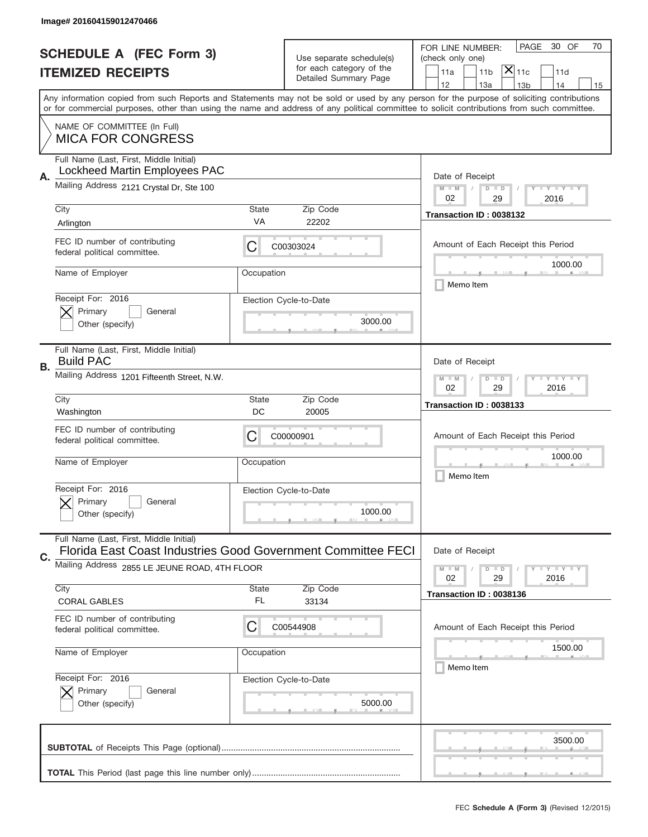|    | Image# 201604159012470466                                                                               |                                                              |                                                   |                                                                                                                                                                                                                                                                                                                                     |
|----|---------------------------------------------------------------------------------------------------------|--------------------------------------------------------------|---------------------------------------------------|-------------------------------------------------------------------------------------------------------------------------------------------------------------------------------------------------------------------------------------------------------------------------------------------------------------------------------------|
|    | <b>SCHEDULE A (FEC Form 3)</b>                                                                          |                                                              | Use separate schedule(s)                          | PAGE<br>30 OF<br>70<br>FOR LINE NUMBER:<br>(check only one)                                                                                                                                                                                                                                                                         |
|    | <b>ITEMIZED RECEIPTS</b>                                                                                |                                                              | for each category of the<br>Detailed Summary Page | $ \mathsf{\overline{X}} _{\mathsf{11c}}$<br>11 <sub>b</sub><br>11a<br>11d                                                                                                                                                                                                                                                           |
|    |                                                                                                         |                                                              |                                                   | 12<br>13a<br>13 <sub>b</sub><br>14<br>15<br>Any information copied from such Reports and Statements may not be sold or used by any person for the purpose of soliciting contributions<br>or for commercial purposes, other than using the name and address of any political committee to solicit contributions from such committee. |
|    | NAME OF COMMITTEE (In Full)<br><b>MICA FOR CONGRESS</b>                                                 |                                                              |                                                   |                                                                                                                                                                                                                                                                                                                                     |
| Α. | Full Name (Last, First, Middle Initial)<br>Lockheed Martin Employees PAC                                |                                                              |                                                   | Date of Receipt                                                                                                                                                                                                                                                                                                                     |
|    | Mailing Address 2121 Crystal Dr, Ste 100                                                                | <b>LEY LEY LEY</b><br>$M - M$<br>$D$ $D$<br>02<br>29<br>2016 |                                                   |                                                                                                                                                                                                                                                                                                                                     |
|    | City<br>Arlington                                                                                       | <b>State</b><br>VA                                           | Zip Code<br>22202                                 | Transaction ID: 0038132                                                                                                                                                                                                                                                                                                             |
|    | FEC ID number of contributing<br>federal political committee.                                           | С                                                            | C00303024                                         | Amount of Each Receipt this Period<br>1000.00                                                                                                                                                                                                                                                                                       |
|    | Name of Employer                                                                                        | Occupation                                                   |                                                   | Memo Item                                                                                                                                                                                                                                                                                                                           |
|    | Receipt For: 2016<br>Primary<br>General<br>Other (specify)                                              |                                                              | Election Cycle-to-Date<br>3000.00                 |                                                                                                                                                                                                                                                                                                                                     |
| В. | Full Name (Last, First, Middle Initial)<br><b>Build PAC</b>                                             |                                                              |                                                   | Date of Receipt                                                                                                                                                                                                                                                                                                                     |
|    | Mailing Address 1201 Fifteenth Street, N.W.                                                             | <b>LY LY LY</b><br>$M - M$<br>$D$ $D$<br>02<br>29<br>2016    |                                                   |                                                                                                                                                                                                                                                                                                                                     |
|    | City<br>Washington                                                                                      | <b>State</b><br>DC                                           | Zip Code<br>20005                                 | Transaction ID: 0038133                                                                                                                                                                                                                                                                                                             |
|    | FEC ID number of contributing<br>federal political committee.                                           | С                                                            | C00000901                                         | Amount of Each Receipt this Period                                                                                                                                                                                                                                                                                                  |
|    | Name of Employer                                                                                        | Occupation                                                   |                                                   | 1000.00<br>Memo Item                                                                                                                                                                                                                                                                                                                |
|    | Receipt For: 2016<br>General<br>Primary<br>Other (specify)                                              |                                                              | Election Cycle-to-Date<br>1000.00                 |                                                                                                                                                                                                                                                                                                                                     |
| C. | Full Name (Last, First, Middle Initial)<br>Florida East Coast Industries Good Government Committee FECI |                                                              |                                                   | Date of Receipt                                                                                                                                                                                                                                                                                                                     |
|    | Mailing Address 2855 LE JEUNE ROAD, 4TH FLOOR                                                           |                                                              |                                                   | $I - Y - I - Y - I - Y$<br>$M - M$<br>$D$ $D$<br>02<br>29<br>2016                                                                                                                                                                                                                                                                   |
|    | City<br><b>CORAL GABLES</b>                                                                             | <b>State</b><br>FL.                                          | Zip Code<br>33134                                 | Transaction ID: 0038136                                                                                                                                                                                                                                                                                                             |
|    | FEC ID number of contributing<br>federal political committee.                                           | С                                                            | C00544908                                         | Amount of Each Receipt this Period                                                                                                                                                                                                                                                                                                  |
|    | Name of Employer                                                                                        | Occupation                                                   |                                                   | 1500.00<br>Memo Item                                                                                                                                                                                                                                                                                                                |
|    | Receipt For: 2016<br>Primary<br>General<br>Other (specify)                                              |                                                              | Election Cycle-to-Date<br>5000.00                 |                                                                                                                                                                                                                                                                                                                                     |
|    |                                                                                                         |                                                              |                                                   | 3500.00                                                                                                                                                                                                                                                                                                                             |
|    |                                                                                                         |                                                              |                                                   |                                                                                                                                                                                                                                                                                                                                     |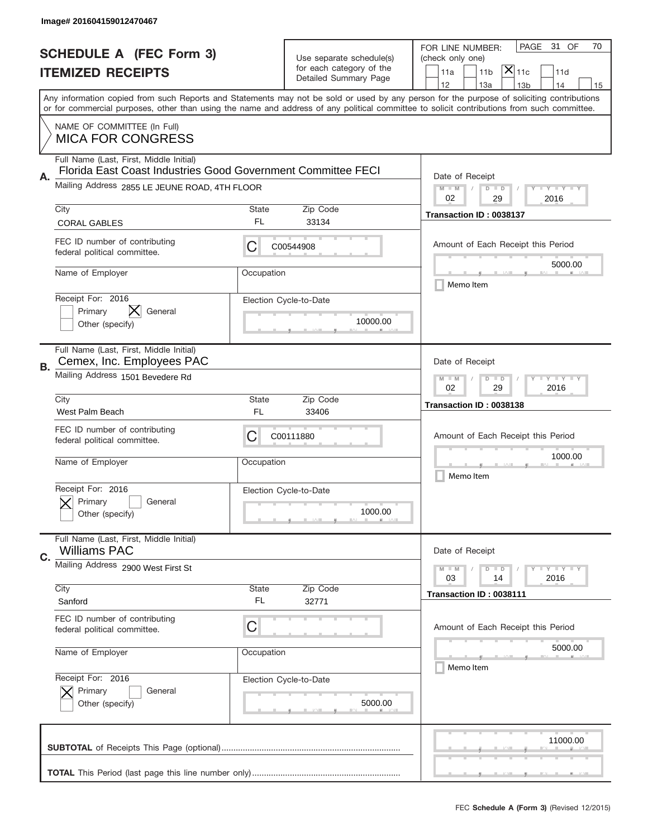|    | Image# 201604159012470467                                                                                     |                                                           |                                    |                                                                                                                                                                                                                                                                                               |
|----|---------------------------------------------------------------------------------------------------------------|-----------------------------------------------------------|------------------------------------|-----------------------------------------------------------------------------------------------------------------------------------------------------------------------------------------------------------------------------------------------------------------------------------------------|
|    | <b>SCHEDULE A (FEC Form 3)</b>                                                                                |                                                           | Use separate schedule(s)           | PAGE<br>31 OF<br>70<br>FOR LINE NUMBER:<br>(check only one)                                                                                                                                                                                                                                   |
|    | <b>ITEMIZED RECEIPTS</b>                                                                                      | for each category of the<br>Detailed Summary Page         |                                    | $ \mathsf{\overline{X}} _{\mathsf{11c}}$<br>11 <sub>b</sub><br>11d<br>11a<br>12<br>13a<br>13 <sub>b</sub><br>14                                                                                                                                                                               |
|    |                                                                                                               |                                                           |                                    | 15<br>Any information copied from such Reports and Statements may not be sold or used by any person for the purpose of soliciting contributions<br>or for commercial purposes, other than using the name and address of any political committee to solicit contributions from such committee. |
|    | NAME OF COMMITTEE (In Full)<br><b>MICA FOR CONGRESS</b>                                                       |                                                           |                                    |                                                                                                                                                                                                                                                                                               |
|    | Full Name (Last, First, Middle Initial)                                                                       |                                                           |                                    |                                                                                                                                                                                                                                                                                               |
| Α. | Florida East Coast Industries Good Government Committee FECI<br>Mailing Address 2855 LE JEUNE ROAD, 4TH FLOOR |                                                           |                                    | Date of Receipt<br>$M - M$<br><b>LEY LEY LEY</b><br>$D$ $D$                                                                                                                                                                                                                                   |
|    | City                                                                                                          | <b>State</b>                                              | Zip Code                           | 02<br>29<br>2016                                                                                                                                                                                                                                                                              |
|    | <b>CORAL GABLES</b>                                                                                           | FL.                                                       | 33134                              | Transaction ID: 0038137                                                                                                                                                                                                                                                                       |
|    | FEC ID number of contributing<br>federal political committee.                                                 | С                                                         | C00544908                          | Amount of Each Receipt this Period                                                                                                                                                                                                                                                            |
|    | Name of Employer                                                                                              | Occupation                                                |                                    | 5000.00<br>Memo Item                                                                                                                                                                                                                                                                          |
|    | Receipt For: 2016<br>X<br>Primary<br>General<br>Other (specify)                                               |                                                           | Election Cycle-to-Date<br>10000.00 |                                                                                                                                                                                                                                                                                               |
| В. | Full Name (Last, First, Middle Initial)<br>Cemex, Inc. Employees PAC                                          |                                                           |                                    | Date of Receipt                                                                                                                                                                                                                                                                               |
|    | Mailing Address 1501 Bevedere Rd                                                                              | <b>LY LY LY</b><br>$M - M$<br>$D$ $D$<br>02<br>29<br>2016 |                                    |                                                                                                                                                                                                                                                                                               |
|    | City<br>West Palm Beach                                                                                       | <b>State</b><br>FL.                                       | Zip Code<br>33406                  | Transaction ID: 0038138                                                                                                                                                                                                                                                                       |
|    | FEC ID number of contributing<br>federal political committee.                                                 | С                                                         | C00111880                          | Amount of Each Receipt this Period                                                                                                                                                                                                                                                            |
|    | Name of Employer                                                                                              | Occupation                                                |                                    | 1000.00<br>Memo Item                                                                                                                                                                                                                                                                          |
|    | Receipt For: 2016<br>General<br>Primary<br>Other (specify)                                                    |                                                           | Election Cycle-to-Date<br>1000.00  |                                                                                                                                                                                                                                                                                               |
| C. | Full Name (Last, First, Middle Initial)<br><b>Williams PAC</b>                                                |                                                           |                                    | Date of Receipt                                                                                                                                                                                                                                                                               |
|    | Mailing Address 2900 West First St                                                                            |                                                           |                                    | <b>LYLYLY</b><br>$M - M$<br>$D$ $D$<br>2016<br>03<br>14                                                                                                                                                                                                                                       |
|    | City<br>Sanford                                                                                               | <b>State</b><br>FL.                                       | Zip Code<br>32771                  | Transaction ID: 0038111                                                                                                                                                                                                                                                                       |
|    | FEC ID number of contributing<br>federal political committee.                                                 | С                                                         |                                    | Amount of Each Receipt this Period                                                                                                                                                                                                                                                            |
|    | Name of Employer                                                                                              | Occupation                                                |                                    | 5000.00<br>Memo Item                                                                                                                                                                                                                                                                          |
|    | Receipt For: 2016<br>Primary<br>General<br>Other (specify)                                                    |                                                           | Election Cycle-to-Date<br>5000.00  |                                                                                                                                                                                                                                                                                               |
|    |                                                                                                               |                                                           |                                    | 11000.00                                                                                                                                                                                                                                                                                      |
|    |                                                                                                               |                                                           |                                    |                                                                                                                                                                                                                                                                                               |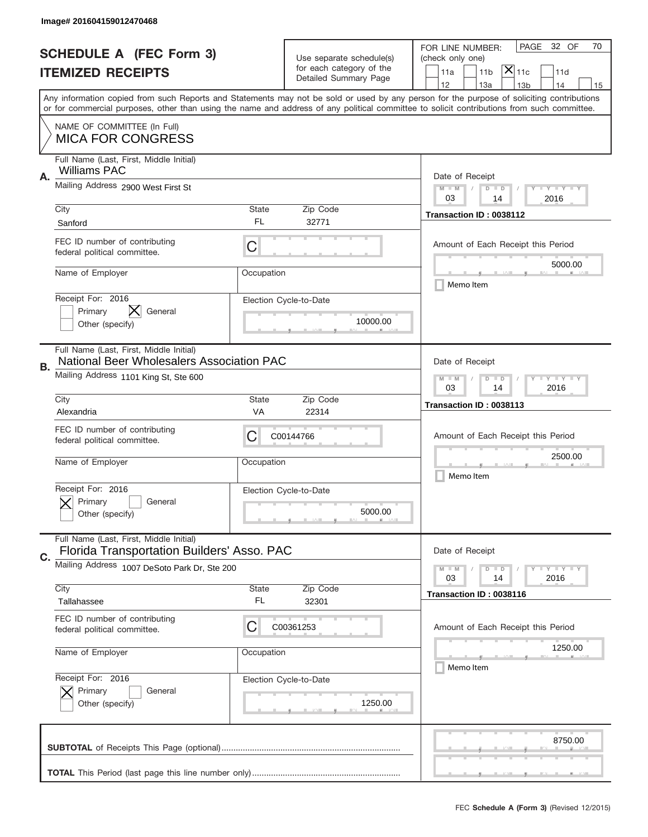|                                | Image# 201604159012470468                                                                   |                                                             |                                    |                                                                                                                                                                                                                                                                                         |
|--------------------------------|---------------------------------------------------------------------------------------------|-------------------------------------------------------------|------------------------------------|-----------------------------------------------------------------------------------------------------------------------------------------------------------------------------------------------------------------------------------------------------------------------------------------|
| <b>SCHEDULE A (FEC Form 3)</b> |                                                                                             | Use separate schedule(s)<br>for each category of the        |                                    | PAGE<br>32 OF<br>70<br>FOR LINE NUMBER:<br>(check only one)                                                                                                                                                                                                                             |
|                                | <b>ITEMIZED RECEIPTS</b>                                                                    |                                                             | Detailed Summary Page              | $ \overline{\mathsf{X}} _{\mathsf{11c}}$<br>11a<br>11 <sub>b</sub><br>11d<br>12<br>13a<br>13 <sub>b</sub><br>14<br>15                                                                                                                                                                   |
|                                |                                                                                             |                                                             |                                    | Any information copied from such Reports and Statements may not be sold or used by any person for the purpose of soliciting contributions<br>or for commercial purposes, other than using the name and address of any political committee to solicit contributions from such committee. |
|                                | NAME OF COMMITTEE (In Full)<br><b>MICA FOR CONGRESS</b>                                     |                                                             |                                    |                                                                                                                                                                                                                                                                                         |
| Α.                             | Full Name (Last, First, Middle Initial)<br><b>Williams PAC</b>                              |                                                             |                                    | Date of Receipt                                                                                                                                                                                                                                                                         |
|                                | Mailing Address 2900 West First St                                                          |                                                             |                                    | $M - M$<br><b>LY LY LY</b><br>$D$ $D$<br>03<br>14<br>2016                                                                                                                                                                                                                               |
|                                | City<br>Sanford                                                                             | State<br>FL                                                 | Zip Code<br>32771                  | Transaction ID: 0038112                                                                                                                                                                                                                                                                 |
|                                | FEC ID number of contributing<br>federal political committee.                               | C                                                           |                                    | Amount of Each Receipt this Period<br>5000.00                                                                                                                                                                                                                                           |
|                                | Name of Employer                                                                            | Occupation                                                  |                                    | Memo Item                                                                                                                                                                                                                                                                               |
|                                | Receipt For: 2016<br>Primary<br>General<br>Other (specify)                                  |                                                             | Election Cycle-to-Date<br>10000.00 |                                                                                                                                                                                                                                                                                         |
| В.                             | Full Name (Last, First, Middle Initial)<br><b>National Beer Wholesalers Association PAC</b> |                                                             |                                    | Date of Receipt                                                                                                                                                                                                                                                                         |
|                                | Mailing Address 1101 King St, Ste 600                                                       | $M - M$<br><b>LEYTEY LEY</b><br>$D$ $D$<br>03<br>14<br>2016 |                                    |                                                                                                                                                                                                                                                                                         |
|                                | City<br>Alexandria                                                                          | State<br>VA                                                 | Zip Code<br>22314                  | Transaction ID: 0038113                                                                                                                                                                                                                                                                 |
|                                | FEC ID number of contributing<br>federal political committee.                               | C                                                           | C00144766                          | Amount of Each Receipt this Period                                                                                                                                                                                                                                                      |
|                                | Name of Employer                                                                            | Occupation                                                  |                                    | 2500.00<br>Memo Item                                                                                                                                                                                                                                                                    |
|                                | Receipt For: 2016<br>Primary<br>General<br>Other (specify)                                  |                                                             | Election Cycle-to-Date<br>5000.00  |                                                                                                                                                                                                                                                                                         |
| C.                             | Full Name (Last, First, Middle Initial)<br>Florida Transportation Builders' Asso. PAC       |                                                             |                                    | Date of Receipt                                                                                                                                                                                                                                                                         |
|                                | Mailing Address 1007 DeSoto Park Dr, Ste 200                                                |                                                             |                                    | $I - Y - I - Y - I - Y$<br>$M - M$<br>$D$ $D$<br>2016<br>03<br>14                                                                                                                                                                                                                       |
|                                | City<br>Tallahassee                                                                         | State<br>FL                                                 | Zip Code<br>32301                  | Transaction ID: 0038116                                                                                                                                                                                                                                                                 |
|                                | FEC ID number of contributing<br>federal political committee.                               | C                                                           | C00361253                          | Amount of Each Receipt this Period                                                                                                                                                                                                                                                      |
|                                | Name of Employer                                                                            | Occupation                                                  |                                    | 1250.00<br>Memo Item                                                                                                                                                                                                                                                                    |
|                                | Receipt For: 2016<br>Primary<br>General<br>Other (specify)                                  |                                                             | Election Cycle-to-Date<br>1250.00  |                                                                                                                                                                                                                                                                                         |
|                                |                                                                                             |                                                             |                                    |                                                                                                                                                                                                                                                                                         |
|                                |                                                                                             |                                                             |                                    | 8750.00                                                                                                                                                                                                                                                                                 |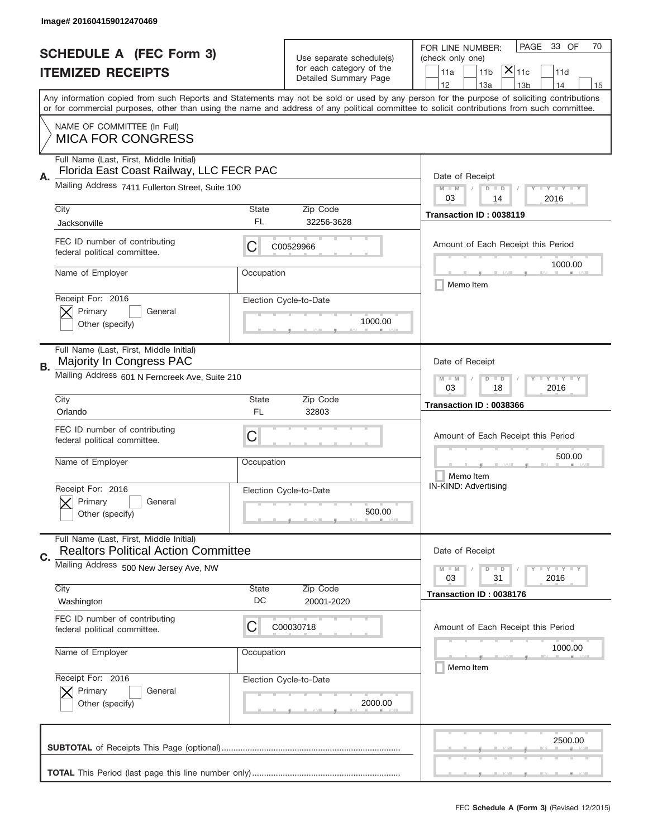|    | Image# 201604159012470469                                                             |                                                             |                                                   |                                                                                                                                                                                                                                                                                                                                     |
|----|---------------------------------------------------------------------------------------|-------------------------------------------------------------|---------------------------------------------------|-------------------------------------------------------------------------------------------------------------------------------------------------------------------------------------------------------------------------------------------------------------------------------------------------------------------------------------|
|    | <b>SCHEDULE A (FEC Form 3)</b>                                                        |                                                             | Use separate schedule(s)                          | PAGE<br>33 OF<br>70<br>FOR LINE NUMBER:<br>(check only one)                                                                                                                                                                                                                                                                         |
|    | <b>ITEMIZED RECEIPTS</b>                                                              |                                                             | for each category of the<br>Detailed Summary Page | $\mathsf{X} _{\mathsf{11c}}$<br>11a<br>11 <sub>b</sub><br>11d                                                                                                                                                                                                                                                                       |
|    |                                                                                       |                                                             |                                                   | 12<br>14<br>13a<br>13 <sub>b</sub><br>15<br>Any information copied from such Reports and Statements may not be sold or used by any person for the purpose of soliciting contributions<br>or for commercial purposes, other than using the name and address of any political committee to solicit contributions from such committee. |
|    | NAME OF COMMITTEE (In Full)<br><b>MICA FOR CONGRESS</b>                               |                                                             |                                                   |                                                                                                                                                                                                                                                                                                                                     |
| Α. | Full Name (Last, First, Middle Initial)<br>Florida East Coast Railway, LLC FECR PAC   |                                                             |                                                   | Date of Receipt                                                                                                                                                                                                                                                                                                                     |
|    | Mailing Address 7411 Fullerton Street, Suite 100                                      |                                                             |                                                   | $M - M$<br><b>LY LY LY</b><br>$D$ $D$<br>03<br>2016<br>14                                                                                                                                                                                                                                                                           |
|    | City<br>Jacksonville                                                                  | State<br>FL                                                 | Zip Code<br>32256-3628                            | Transaction ID: 0038119                                                                                                                                                                                                                                                                                                             |
|    | FEC ID number of contributing<br>federal political committee.                         | C                                                           | C00529966                                         | Amount of Each Receipt this Period<br>1000.00                                                                                                                                                                                                                                                                                       |
|    | Name of Employer                                                                      | Occupation                                                  |                                                   | Memo Item                                                                                                                                                                                                                                                                                                                           |
|    | Receipt For: 2016<br>Primary<br>General<br>Other (specify)                            |                                                             | Election Cycle-to-Date<br>1000.00                 |                                                                                                                                                                                                                                                                                                                                     |
| В. | Full Name (Last, First, Middle Initial)<br>Majority In Congress PAC                   |                                                             |                                                   | Date of Receipt                                                                                                                                                                                                                                                                                                                     |
|    | Mailing Address 601 N Ferncreek Ave, Suite 210                                        | <b>LEYTEY LEY</b><br>$M - M$<br>$D$ $D$<br>03<br>18<br>2016 |                                                   |                                                                                                                                                                                                                                                                                                                                     |
|    | City<br>Orlando                                                                       | State<br>FL                                                 | Zip Code<br>32803                                 | Transaction ID: 0038366                                                                                                                                                                                                                                                                                                             |
|    | FEC ID number of contributing<br>federal political committee.                         | C                                                           |                                                   | Amount of Each Receipt this Period                                                                                                                                                                                                                                                                                                  |
|    | Name of Employer                                                                      | Occupation                                                  |                                                   | 500.00<br>Memo Item                                                                                                                                                                                                                                                                                                                 |
|    | Receipt For: 2016                                                                     |                                                             |                                                   | IN-KIND: Advertising                                                                                                                                                                                                                                                                                                                |
|    | Primary<br>General<br>Other (specify)                                                 | Election Cycle-to-Date                                      | 500.00                                            |                                                                                                                                                                                                                                                                                                                                     |
| C. | Full Name (Last, First, Middle Initial)<br><b>Realtors Political Action Committee</b> |                                                             |                                                   | Date of Receipt                                                                                                                                                                                                                                                                                                                     |
|    | Mailing Address 500 New Jersey Ave, NW                                                |                                                             |                                                   | <b>LYLYLY</b><br>$M - M$<br>$D$ $D$<br>31<br>2016<br>03                                                                                                                                                                                                                                                                             |
|    | City<br>Washington                                                                    | State<br>DC                                                 | Zip Code<br>20001-2020                            | Transaction ID: 0038176                                                                                                                                                                                                                                                                                                             |
|    | FEC ID number of contributing<br>federal political committee.                         | C                                                           | C00030718                                         | Amount of Each Receipt this Period                                                                                                                                                                                                                                                                                                  |
|    | Name of Employer                                                                      | Occupation                                                  |                                                   | 1000.00<br>Memo Item                                                                                                                                                                                                                                                                                                                |
|    | Receipt For: 2016<br>Primary<br>General<br>Other (specify)                            |                                                             | Election Cycle-to-Date<br>2000.00                 |                                                                                                                                                                                                                                                                                                                                     |
|    |                                                                                       |                                                             |                                                   | 2500.00                                                                                                                                                                                                                                                                                                                             |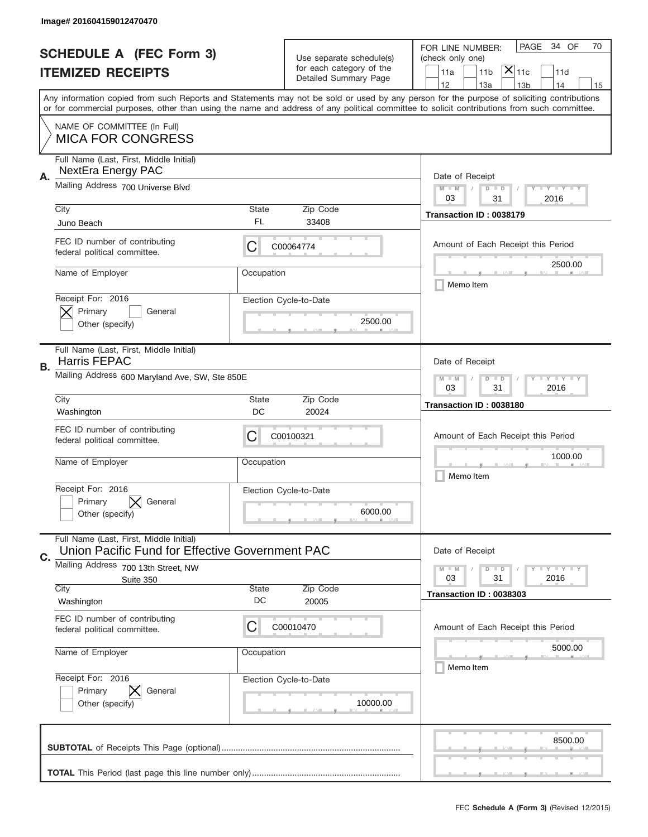|    | Image# 201604159012470470                                                                  |                                                                                      |                                                      |                                                                                                                                                                                                                                                                                         |
|----|--------------------------------------------------------------------------------------------|--------------------------------------------------------------------------------------|------------------------------------------------------|-----------------------------------------------------------------------------------------------------------------------------------------------------------------------------------------------------------------------------------------------------------------------------------------|
|    | <b>SCHEDULE A (FEC Form 3)</b>                                                             |                                                                                      |                                                      | PAGE<br>34 OF<br>70<br>FOR LINE NUMBER:                                                                                                                                                                                                                                                 |
|    | <b>ITEMIZED RECEIPTS</b>                                                                   |                                                                                      | Use separate schedule(s)<br>for each category of the | (check only one)<br>$ \mathsf{\overline{X}} _{\mathsf{11c}}$<br>11 <sub>b</sub><br>11a<br>11d                                                                                                                                                                                           |
|    |                                                                                            |                                                                                      | Detailed Summary Page                                | 12<br>13a<br>14<br>13 <sub>b</sub><br>15                                                                                                                                                                                                                                                |
|    |                                                                                            |                                                                                      |                                                      | Any information copied from such Reports and Statements may not be sold or used by any person for the purpose of soliciting contributions<br>or for commercial purposes, other than using the name and address of any political committee to solicit contributions from such committee. |
|    | NAME OF COMMITTEE (In Full)<br><b>MICA FOR CONGRESS</b>                                    |                                                                                      |                                                      |                                                                                                                                                                                                                                                                                         |
|    | Full Name (Last, First, Middle Initial)<br><b>NextEra Energy PAC</b>                       |                                                                                      |                                                      |                                                                                                                                                                                                                                                                                         |
| А. | Mailing Address 700 Universe Blvd                                                          | Date of Receipt<br>$M - M$<br>$T$ $Y$ $Y$ $Y$ $Y$ $Y$<br>$D$ $D$<br>03<br>31<br>2016 |                                                      |                                                                                                                                                                                                                                                                                         |
|    | City<br>Juno Beach                                                                         | State<br>FL                                                                          | Zip Code<br>33408                                    | Transaction ID: 0038179                                                                                                                                                                                                                                                                 |
|    | FEC ID number of contributing<br>federal political committee.                              | C                                                                                    | C00064774                                            | Amount of Each Receipt this Period                                                                                                                                                                                                                                                      |
|    | Name of Employer                                                                           | Occupation                                                                           |                                                      | 2500.00<br>Memo Item                                                                                                                                                                                                                                                                    |
|    | Receipt For: 2016<br>Primary<br>General<br>Other (specify)                                 |                                                                                      | Election Cycle-to-Date<br>2500.00                    |                                                                                                                                                                                                                                                                                         |
| В. | Full Name (Last, First, Middle Initial)<br><b>Harris FEPAC</b>                             |                                                                                      |                                                      | Date of Receipt                                                                                                                                                                                                                                                                         |
|    | Mailing Address 600 Maryland Ave, SW, Ste 850E                                             | <b>LY LY LY</b><br>$M - M$<br>$D$ $D$<br>03<br>31<br>2016                            |                                                      |                                                                                                                                                                                                                                                                                         |
|    | City<br>Washington                                                                         | State<br>DC                                                                          | Zip Code<br>20024                                    | Transaction ID: 0038180                                                                                                                                                                                                                                                                 |
|    | FEC ID number of contributing<br>federal political committee.                              | C                                                                                    | C00100321                                            | Amount of Each Receipt this Period                                                                                                                                                                                                                                                      |
|    | Name of Employer                                                                           | Occupation                                                                           |                                                      | 1000.00<br>Memo Item                                                                                                                                                                                                                                                                    |
|    | Receipt For: 2016<br>General<br>Primary<br>Other (specify)                                 |                                                                                      | Election Cycle-to-Date<br>6000.00                    |                                                                                                                                                                                                                                                                                         |
| C. | Full Name (Last, First, Middle Initial)<br>Union Pacific Fund for Effective Government PAC |                                                                                      |                                                      | Date of Receipt                                                                                                                                                                                                                                                                         |
|    | Mailing Address 700 13th Street, NW<br>Suite 350                                           |                                                                                      |                                                      | <b>LY LY LY</b><br>$M - M$<br>$D$ $D$<br>31<br>2016<br>03                                                                                                                                                                                                                               |
|    | City<br>Washington                                                                         | State<br>DC                                                                          | Zip Code<br>20005                                    | Transaction ID: 0038303                                                                                                                                                                                                                                                                 |
|    | FEC ID number of contributing<br>federal political committee.                              | C                                                                                    | C00010470                                            | Amount of Each Receipt this Period                                                                                                                                                                                                                                                      |
|    | Name of Employer                                                                           | Occupation                                                                           |                                                      | 5000.00<br>Memo Item                                                                                                                                                                                                                                                                    |
|    | Receipt For: 2016<br>Primary<br>General<br>Other (specify)                                 |                                                                                      | Election Cycle-to-Date<br>10000.00                   |                                                                                                                                                                                                                                                                                         |
|    |                                                                                            |                                                                                      |                                                      | 8500.00                                                                                                                                                                                                                                                                                 |
|    |                                                                                            |                                                                                      |                                                      |                                                                                                                                                                                                                                                                                         |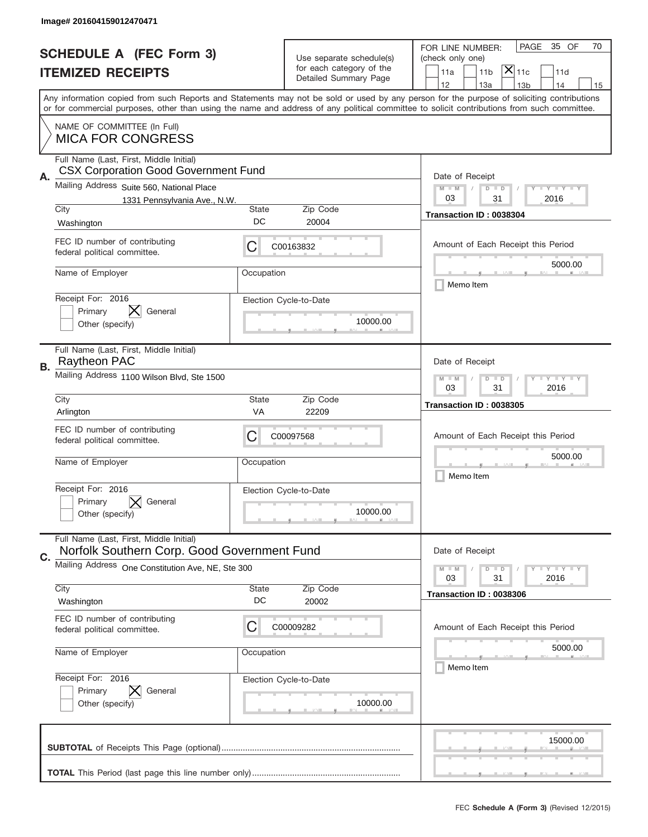|    | Image# 201604159012470471                                                              |                                                              |                                                      |                                                                                                                                                                                                                                                                                         |
|----|----------------------------------------------------------------------------------------|--------------------------------------------------------------|------------------------------------------------------|-----------------------------------------------------------------------------------------------------------------------------------------------------------------------------------------------------------------------------------------------------------------------------------------|
|    | <b>SCHEDULE A (FEC Form 3)</b>                                                         |                                                              | Use separate schedule(s)<br>for each category of the | 35 OF<br>PAGE<br>70<br>FOR LINE NUMBER:<br>(check only one)                                                                                                                                                                                                                             |
|    | <b>ITEMIZED RECEIPTS</b>                                                               |                                                              | Detailed Summary Page                                | $ \mathsf{\overline{X}} _{\mathsf{11c}}$<br>11a<br>11 <sub>b</sub><br>11d<br>12<br>13a<br>13 <sub>b</sub><br>14<br>15                                                                                                                                                                   |
|    |                                                                                        |                                                              |                                                      | Any information copied from such Reports and Statements may not be sold or used by any person for the purpose of soliciting contributions<br>or for commercial purposes, other than using the name and address of any political committee to solicit contributions from such committee. |
|    | NAME OF COMMITTEE (In Full)<br><b>MICA FOR CONGRESS</b>                                |                                                              |                                                      |                                                                                                                                                                                                                                                                                         |
| Α. | Full Name (Last, First, Middle Initial)<br><b>CSX Corporation Good Government Fund</b> |                                                              |                                                      | Date of Receipt                                                                                                                                                                                                                                                                         |
|    | Mailing Address Suite 560, National Place                                              | $M - M$<br><b>LEY LEY LEY</b><br>$D$ $D$                     |                                                      |                                                                                                                                                                                                                                                                                         |
|    | 1331 Pennsylvania Ave., N.W.<br>City                                                   | <b>State</b>                                                 | Zip Code                                             | 03<br>31<br>2016                                                                                                                                                                                                                                                                        |
|    | Washington                                                                             | DC                                                           | 20004                                                | Transaction ID: 0038304                                                                                                                                                                                                                                                                 |
|    | FEC ID number of contributing<br>federal political committee.                          | C                                                            | C00163832                                            | Amount of Each Receipt this Period                                                                                                                                                                                                                                                      |
|    | Name of Employer                                                                       | Occupation                                                   |                                                      | 5000.00<br>Memo Item                                                                                                                                                                                                                                                                    |
|    | Receipt For: 2016<br>General<br>Primary                                                |                                                              | Election Cycle-to-Date                               |                                                                                                                                                                                                                                                                                         |
|    | Other (specify)                                                                        | 10000.00                                                     |                                                      |                                                                                                                                                                                                                                                                                         |
|    | Full Name (Last, First, Middle Initial)<br>Raytheon PAC                                | Date of Receipt                                              |                                                      |                                                                                                                                                                                                                                                                                         |
| В. | Mailing Address 1100 Wilson Blvd, Ste 1500                                             | <b>LEY LEY LEY</b><br>$M - M$<br>$D$ $D$<br>03<br>31<br>2016 |                                                      |                                                                                                                                                                                                                                                                                         |
|    | City<br>Arlington                                                                      | <b>State</b><br>VA                                           | Zip Code<br>22209                                    | Transaction ID: 0038305                                                                                                                                                                                                                                                                 |
|    | FEC ID number of contributing<br>federal political committee.                          | C                                                            | C00097568                                            | Amount of Each Receipt this Period                                                                                                                                                                                                                                                      |
|    | Name of Employer                                                                       | Occupation                                                   |                                                      | 5000.00<br>Memo Item                                                                                                                                                                                                                                                                    |
|    | Receipt For: 2016<br>General<br>Primary                                                |                                                              | Election Cycle-to-Date                               |                                                                                                                                                                                                                                                                                         |
|    | Other (specify)                                                                        |                                                              |                                                      |                                                                                                                                                                                                                                                                                         |
|    |                                                                                        |                                                              | 10000.00                                             |                                                                                                                                                                                                                                                                                         |
| C. | Full Name (Last, First, Middle Initial)<br>Norfolk Southern Corp. Good Government Fund |                                                              |                                                      | Date of Receipt                                                                                                                                                                                                                                                                         |
|    | Mailing Address One Constitution Ave, NE, Ste 300                                      |                                                              |                                                      | <b>LYLYLY</b><br>$M - M$<br>$D$ $D$<br>2016<br>03<br>31                                                                                                                                                                                                                                 |
|    | City<br>Washington                                                                     | State<br>DC                                                  | Zip Code<br>20002                                    | Transaction ID: 0038306                                                                                                                                                                                                                                                                 |
|    | FEC ID number of contributing<br>federal political committee.                          | C                                                            | C00009282                                            | Amount of Each Receipt this Period                                                                                                                                                                                                                                                      |
|    | Name of Employer                                                                       | Occupation                                                   |                                                      | 5000.00                                                                                                                                                                                                                                                                                 |
|    | Receipt For: 2016                                                                      |                                                              | Election Cycle-to-Date                               | Memo Item                                                                                                                                                                                                                                                                               |
|    | Primary<br>General<br>Other (specify)                                                  |                                                              | 10000.00                                             |                                                                                                                                                                                                                                                                                         |
|    |                                                                                        |                                                              |                                                      | 15000.00                                                                                                                                                                                                                                                                                |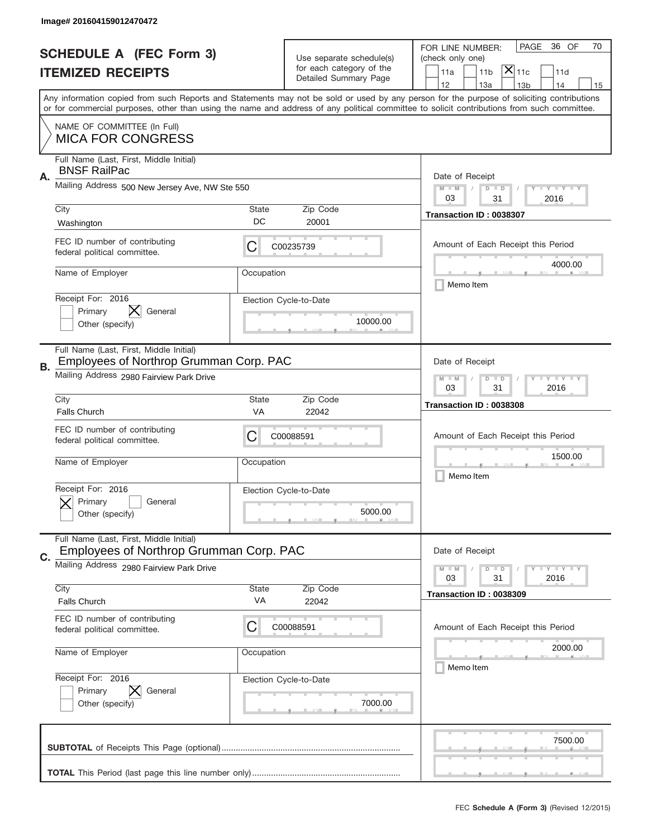|    | Image# 201604159012470472                                                          |                                                            |                          |                                                                                                                                                                                       |
|----|------------------------------------------------------------------------------------|------------------------------------------------------------|--------------------------|---------------------------------------------------------------------------------------------------------------------------------------------------------------------------------------|
|    | <b>SCHEDULE A (FEC Form 3)</b>                                                     |                                                            | Use separate schedule(s) | PAGE<br>36 OF<br>70<br>FOR LINE NUMBER:<br>(check only one)                                                                                                                           |
|    | <b>ITEMIZED RECEIPTS</b>                                                           | for each category of the<br>Detailed Summary Page          |                          | $ \mathsf{\overline{X}} _{\mathsf{11c}}$<br>11 <sub>b</sub><br>11a<br>11d                                                                                                             |
|    |                                                                                    |                                                            |                          | 12<br>13a<br>14<br>13 <sub>b</sub><br>15<br>Any information copied from such Reports and Statements may not be sold or used by any person for the purpose of soliciting contributions |
|    |                                                                                    |                                                            |                          | or for commercial purposes, other than using the name and address of any political committee to solicit contributions from such committee.                                            |
|    | NAME OF COMMITTEE (In Full)<br><b>MICA FOR CONGRESS</b>                            |                                                            |                          |                                                                                                                                                                                       |
| Α. | Full Name (Last, First, Middle Initial)<br><b>BNSF RailPac</b>                     |                                                            |                          | Date of Receipt                                                                                                                                                                       |
|    | Mailing Address 500 New Jersey Ave, NW Ste 550                                     |                                                            |                          | <b>LEY LEY LEY</b><br>$M - M$<br>$D$ $D$<br>03<br>31<br>2016                                                                                                                          |
|    | City                                                                               | <b>State</b><br>DC                                         | Zip Code                 | Transaction ID: 0038307                                                                                                                                                               |
|    | Washington                                                                         |                                                            | 20001                    |                                                                                                                                                                                       |
|    | FEC ID number of contributing<br>federal political committee.                      | С                                                          | C00235739                | Amount of Each Receipt this Period<br>4000.00                                                                                                                                         |
|    | Name of Employer                                                                   | Occupation                                                 |                          | Memo Item                                                                                                                                                                             |
|    | Receipt For: 2016<br>Primary<br>General                                            |                                                            | Election Cycle-to-Date   |                                                                                                                                                                                       |
|    | Other (specify)                                                                    |                                                            | 10000.00                 |                                                                                                                                                                                       |
|    | Full Name (Last, First, Middle Initial)<br>Employees of Northrop Grumman Corp. PAC |                                                            |                          | Date of Receipt                                                                                                                                                                       |
| В. | Mailing Address 2980 Fairview Park Drive                                           | <b>LEY LEY LEY</b><br>$M$ M<br>$D$ $D$<br>03<br>31<br>2016 |                          |                                                                                                                                                                                       |
|    | City<br><b>Falls Church</b>                                                        | <b>State</b><br>VA                                         | Zip Code<br>22042        | Transaction ID: 0038308                                                                                                                                                               |
|    | FEC ID number of contributing                                                      |                                                            |                          |                                                                                                                                                                                       |
|    | federal political committee.                                                       | С                                                          | C00088591                | Amount of Each Receipt this Period                                                                                                                                                    |
|    | Name of Employer                                                                   | Occupation                                                 |                          | 1500.00<br>Memo Item                                                                                                                                                                  |
|    | Receipt For: 2016                                                                  |                                                            | Election Cycle-to-Date   |                                                                                                                                                                                       |
|    | General<br>Primary<br>Other (specify)                                              |                                                            | 5000.00                  |                                                                                                                                                                                       |
|    | Full Name (Last, First, Middle Initial)<br>Employees of Northrop Grumman Corp. PAC |                                                            |                          | Date of Receipt                                                                                                                                                                       |
| C. | Mailing Address 2980 Fairview Park Drive                                           |                                                            |                          | <b>LYLYLY</b><br>$M - M$<br>$D$ $D$                                                                                                                                                   |
|    | City                                                                               | <b>State</b>                                               | Zip Code                 | 31<br>2016<br>03<br>Transaction ID: 0038309                                                                                                                                           |
|    | Falls Church                                                                       | VA                                                         | 22042                    |                                                                                                                                                                                       |
|    | FEC ID number of contributing<br>federal political committee.                      | C                                                          | C00088591                | Amount of Each Receipt this Period                                                                                                                                                    |
|    | Name of Employer                                                                   | Occupation                                                 |                          | 2000.00                                                                                                                                                                               |
|    | Receipt For: 2016                                                                  |                                                            | Election Cycle-to-Date   | Memo Item                                                                                                                                                                             |
|    | Primary<br>General                                                                 |                                                            |                          |                                                                                                                                                                                       |
|    | Other (specify)                                                                    |                                                            | 7000.00                  |                                                                                                                                                                                       |
|    |                                                                                    |                                                            |                          | 7500.00                                                                                                                                                                               |
|    |                                                                                    |                                                            |                          |                                                                                                                                                                                       |
|    |                                                                                    |                                                            |                          |                                                                                                                                                                                       |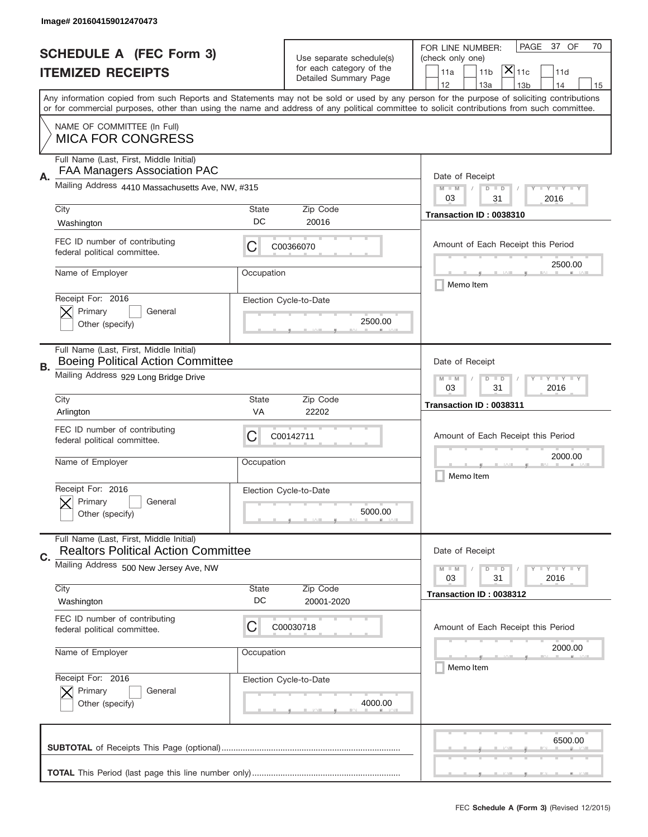|    | Image# 201604159012470473                                                             |                                                         |                                                   |                                                                                                                                                                                                                                                                                                                                     |
|----|---------------------------------------------------------------------------------------|---------------------------------------------------------|---------------------------------------------------|-------------------------------------------------------------------------------------------------------------------------------------------------------------------------------------------------------------------------------------------------------------------------------------------------------------------------------------|
|    | <b>SCHEDULE A (FEC Form 3)</b>                                                        |                                                         | Use separate schedule(s)                          | PAGE<br>37 OF<br>70<br>FOR LINE NUMBER:<br>(check only one)                                                                                                                                                                                                                                                                         |
|    | <b>ITEMIZED RECEIPTS</b>                                                              |                                                         | for each category of the<br>Detailed Summary Page | $\overline{X} _{11c}$<br>11a<br>11 <sub>b</sub><br>11d                                                                                                                                                                                                                                                                              |
|    |                                                                                       |                                                         |                                                   | 12<br>13a<br>13 <sub>b</sub><br>14<br>15<br>Any information copied from such Reports and Statements may not be sold or used by any person for the purpose of soliciting contributions<br>or for commercial purposes, other than using the name and address of any political committee to solicit contributions from such committee. |
|    | NAME OF COMMITTEE (In Full)<br><b>MICA FOR CONGRESS</b>                               |                                                         |                                                   |                                                                                                                                                                                                                                                                                                                                     |
| Α. | Full Name (Last, First, Middle Initial)<br>FAA Managers Association PAC               |                                                         |                                                   | Date of Receipt                                                                                                                                                                                                                                                                                                                     |
|    | Mailing Address 4410 Massachusetts Ave, NW, #315                                      |                                                         |                                                   | $M - M$<br><b>LY LY LY</b><br>$D$ $D$<br>03<br>31<br>2016                                                                                                                                                                                                                                                                           |
|    | City<br>Washington                                                                    | State<br>DC                                             | Zip Code<br>20016                                 | Transaction ID: 0038310                                                                                                                                                                                                                                                                                                             |
|    | FEC ID number of contributing<br>federal political committee.                         | C                                                       | C00366070                                         | Amount of Each Receipt this Period<br>2500.00                                                                                                                                                                                                                                                                                       |
|    | Name of Employer                                                                      | Occupation                                              |                                                   | Memo Item                                                                                                                                                                                                                                                                                                                           |
|    | Receipt For: 2016<br>Primary<br>General<br>Other (specify)                            |                                                         | Election Cycle-to-Date<br>2500.00                 |                                                                                                                                                                                                                                                                                                                                     |
| В. | Full Name (Last, First, Middle Initial)<br><b>Boeing Political Action Committee</b>   |                                                         |                                                   | Date of Receipt                                                                                                                                                                                                                                                                                                                     |
|    | Mailing Address 929 Long Bridge Drive                                                 | <b>LY LY LY</b><br>$M$ M<br>$D$ $D$<br>03<br>31<br>2016 |                                                   |                                                                                                                                                                                                                                                                                                                                     |
|    | City<br>Arlington                                                                     | State<br><b>VA</b>                                      | Zip Code<br>22202                                 | Transaction ID: 0038311                                                                                                                                                                                                                                                                                                             |
|    | FEC ID number of contributing<br>federal political committee.                         | С                                                       | C00142711                                         | Amount of Each Receipt this Period                                                                                                                                                                                                                                                                                                  |
|    | Name of Employer                                                                      | Occupation                                              |                                                   | 2000.00<br>Memo Item                                                                                                                                                                                                                                                                                                                |
|    | Receipt For: 2016<br>General<br>Primary<br>Other (specify)                            |                                                         | Election Cycle-to-Date<br>5000.00                 |                                                                                                                                                                                                                                                                                                                                     |
| C. | Full Name (Last, First, Middle Initial)<br><b>Realtors Political Action Committee</b> |                                                         |                                                   | Date of Receipt                                                                                                                                                                                                                                                                                                                     |
|    | Mailing Address 500 New Jersey Ave, NW                                                |                                                         |                                                   | <b>LY LY LY</b><br>$M - M$<br>$D$ $D$<br>03<br>31<br>2016                                                                                                                                                                                                                                                                           |
|    | City<br>Washington                                                                    | <b>State</b><br>DC                                      | Zip Code<br>20001-2020                            | Transaction ID: 0038312                                                                                                                                                                                                                                                                                                             |
|    | FEC ID number of contributing<br>federal political committee.                         | С                                                       | C00030718                                         | Amount of Each Receipt this Period                                                                                                                                                                                                                                                                                                  |
|    | Name of Employer                                                                      | Occupation                                              |                                                   | 2000.00<br>Memo Item                                                                                                                                                                                                                                                                                                                |
|    | Receipt For: 2016<br>Primary<br>General                                               |                                                         | Election Cycle-to-Date<br>4000.00                 |                                                                                                                                                                                                                                                                                                                                     |
|    | Other (specify)                                                                       |                                                         |                                                   |                                                                                                                                                                                                                                                                                                                                     |
|    |                                                                                       |                                                         |                                                   | 6500.00                                                                                                                                                                                                                                                                                                                             |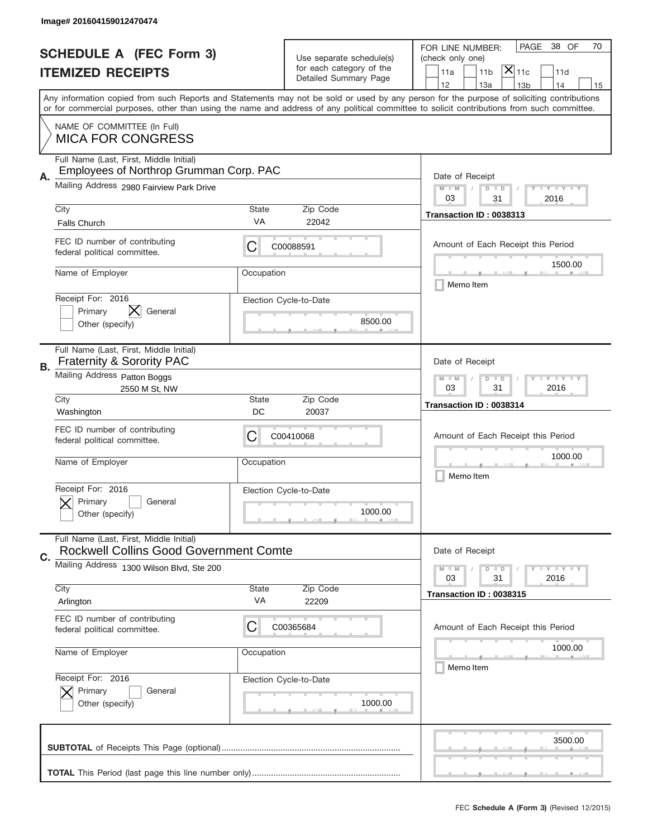|           | Image# 201604159012470474                                                                |                                                            |                                                   |                                                                                                                                                                                                                                                                                         |
|-----------|------------------------------------------------------------------------------------------|------------------------------------------------------------|---------------------------------------------------|-----------------------------------------------------------------------------------------------------------------------------------------------------------------------------------------------------------------------------------------------------------------------------------------|
|           | <b>SCHEDULE A (FEC Form 3)</b>                                                           |                                                            | Use separate schedule(s)                          | PAGE<br>38 OF<br>70<br>FOR LINE NUMBER:<br>(check only one)                                                                                                                                                                                                                             |
|           | <b>ITEMIZED RECEIPTS</b>                                                                 |                                                            | for each category of the<br>Detailed Summary Page | $ \mathsf{\overline{X}} _{\mathsf{11c}}$<br>11 <sub>b</sub><br>11a<br>11d                                                                                                                                                                                                               |
|           |                                                                                          |                                                            |                                                   | 12<br>13a<br>14<br>13 <sub>b</sub><br>15                                                                                                                                                                                                                                                |
|           |                                                                                          |                                                            |                                                   | Any information copied from such Reports and Statements may not be sold or used by any person for the purpose of soliciting contributions<br>or for commercial purposes, other than using the name and address of any political committee to solicit contributions from such committee. |
|           | NAME OF COMMITTEE (In Full)<br><b>MICA FOR CONGRESS</b>                                  |                                                            |                                                   |                                                                                                                                                                                                                                                                                         |
|           | Full Name (Last, First, Middle Initial)<br>Employees of Northrop Grumman Corp. PAC       |                                                            |                                                   |                                                                                                                                                                                                                                                                                         |
| Α.        | Mailing Address 2980 Fairview Park Drive                                                 |                                                            |                                                   | Date of Receipt<br><b>LEY LEY LEY</b><br>$M - M$<br>$D$ $D$<br>03<br>31                                                                                                                                                                                                                 |
|           | City                                                                                     | <b>State</b>                                               | Zip Code                                          | 2016<br>Transaction ID: 0038313                                                                                                                                                                                                                                                         |
|           | <b>Falls Church</b>                                                                      | VA                                                         | 22042                                             |                                                                                                                                                                                                                                                                                         |
|           | FEC ID number of contributing<br>federal political committee.                            | С                                                          | C00088591                                         | Amount of Each Receipt this Period                                                                                                                                                                                                                                                      |
|           | Name of Employer                                                                         | Occupation                                                 |                                                   | 1500.00<br>Memo Item                                                                                                                                                                                                                                                                    |
|           | Receipt For: 2016<br>X<br>Primary<br>General<br>Other (specify)                          |                                                            | Election Cycle-to-Date<br>8500.00                 |                                                                                                                                                                                                                                                                                         |
| <b>B.</b> | Full Name (Last, First, Middle Initial)<br><b>Fraternity &amp; Sorority PAC</b>          |                                                            |                                                   | Date of Receipt                                                                                                                                                                                                                                                                         |
|           | Mailing Address Patton Boggs<br>2550 M St, NW                                            | <b>LEY LEY LEY</b><br>$M$ M<br>$D$ $D$<br>03<br>31<br>2016 |                                                   |                                                                                                                                                                                                                                                                                         |
|           | City<br>Washington                                                                       | State<br>DC                                                | Zip Code<br>20037                                 | Transaction ID: 0038314                                                                                                                                                                                                                                                                 |
|           | FEC ID number of contributing<br>federal political committee.                            | С                                                          | C00410068                                         | Amount of Each Receipt this Period                                                                                                                                                                                                                                                      |
|           | Name of Employer                                                                         | Occupation                                                 |                                                   | 1000.00<br>Memo Item                                                                                                                                                                                                                                                                    |
|           | Receipt For: 2016<br>General<br>Primary<br>Other (specify)                               |                                                            | Election Cycle-to-Date<br>1000.00                 |                                                                                                                                                                                                                                                                                         |
| C.        | Full Name (Last, First, Middle Initial)<br><b>Rockwell Collins Good Government Comte</b> |                                                            |                                                   | Date of Receipt                                                                                                                                                                                                                                                                         |
|           | Mailing Address 1300 Wilson Blvd, Ste 200                                                |                                                            |                                                   | <b>LYLYLY</b><br>$M - M$<br>$D$ $D$<br>31<br>2016<br>03                                                                                                                                                                                                                                 |
|           | City<br>Arlington                                                                        | <b>State</b><br>VA                                         | Zip Code<br>22209                                 | Transaction ID: 0038315                                                                                                                                                                                                                                                                 |
|           | FEC ID number of contributing<br>federal political committee.                            | С                                                          | C00365684                                         | Amount of Each Receipt this Period                                                                                                                                                                                                                                                      |
|           | Name of Employer                                                                         | Occupation                                                 |                                                   | 1000.00<br>Memo Item                                                                                                                                                                                                                                                                    |
|           | Receipt For: 2016<br>Primary<br>General<br>Other (specify)                               |                                                            | Election Cycle-to-Date<br>1000.00                 |                                                                                                                                                                                                                                                                                         |
|           |                                                                                          |                                                            |                                                   | 3500.00                                                                                                                                                                                                                                                                                 |
|           |                                                                                          |                                                            |                                                   |                                                                                                                                                                                                                                                                                         |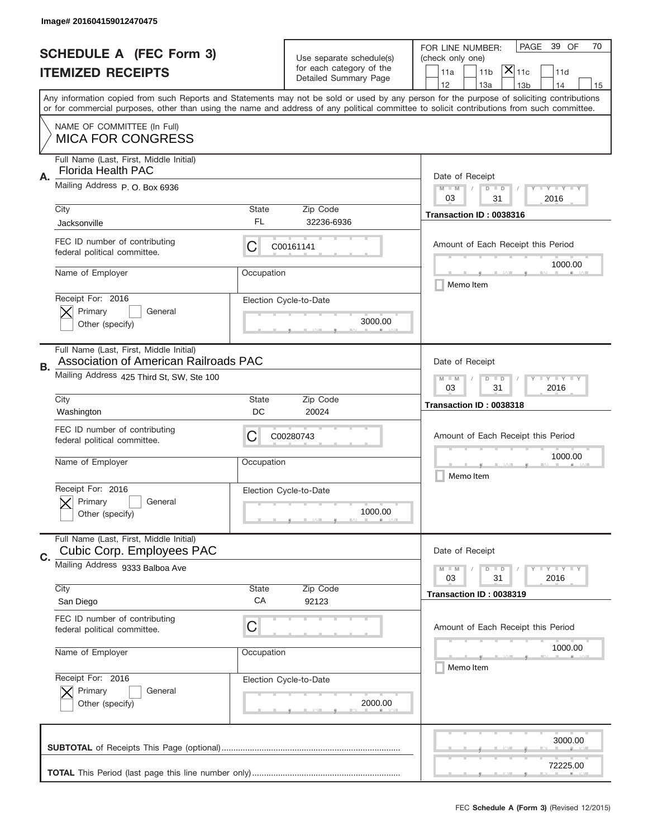|    | Image# 201604159012470475                                                               |                                                         |                                                   |                                                                                                                                                                                                                                                                                                                                     |
|----|-----------------------------------------------------------------------------------------|---------------------------------------------------------|---------------------------------------------------|-------------------------------------------------------------------------------------------------------------------------------------------------------------------------------------------------------------------------------------------------------------------------------------------------------------------------------------|
|    | <b>SCHEDULE A (FEC Form 3)</b>                                                          |                                                         | Use separate schedule(s)                          | 39 OF<br>PAGE<br>70<br>FOR LINE NUMBER:<br>(check only one)                                                                                                                                                                                                                                                                         |
|    | <b>ITEMIZED RECEIPTS</b>                                                                |                                                         | for each category of the<br>Detailed Summary Page | $ \mathsf{\overline{X}} _{\mathsf{11c}}$<br>11 <sub>b</sub><br>11a<br>11d                                                                                                                                                                                                                                                           |
|    |                                                                                         |                                                         |                                                   | 12<br>13a<br>14<br>13 <sub>b</sub><br>15<br>Any information copied from such Reports and Statements may not be sold or used by any person for the purpose of soliciting contributions<br>or for commercial purposes, other than using the name and address of any political committee to solicit contributions from such committee. |
|    | NAME OF COMMITTEE (In Full)<br><b>MICA FOR CONGRESS</b>                                 |                                                         |                                                   |                                                                                                                                                                                                                                                                                                                                     |
| Α. | Full Name (Last, First, Middle Initial)<br>Florida Health PAC                           |                                                         |                                                   | Date of Receipt                                                                                                                                                                                                                                                                                                                     |
|    | Mailing Address P.O. Box 6936                                                           |                                                         |                                                   | $M - M$<br><b>LEY LEY LEY</b><br>$D$ $D$<br>03<br>31<br>2016                                                                                                                                                                                                                                                                        |
|    | City<br>Jacksonville                                                                    | State<br>FL                                             | Zip Code<br>32236-6936                            | Transaction ID: 0038316                                                                                                                                                                                                                                                                                                             |
|    | FEC ID number of contributing<br>federal political committee.                           | С                                                       | C00161141                                         | Amount of Each Receipt this Period<br>1000.00                                                                                                                                                                                                                                                                                       |
|    | Name of Employer                                                                        | Occupation                                              |                                                   | Memo Item                                                                                                                                                                                                                                                                                                                           |
|    | Receipt For: 2016<br>Primary<br>General<br>Other (specify)                              |                                                         | Election Cycle-to-Date<br>3000.00                 |                                                                                                                                                                                                                                                                                                                                     |
| В. | Full Name (Last, First, Middle Initial)<br><b>Association of American Railroads PAC</b> |                                                         |                                                   | Date of Receipt                                                                                                                                                                                                                                                                                                                     |
|    | Mailing Address 425 Third St, SW, Ste 100                                               | <b>LY LY LY</b><br>$M$ M<br>$D$ $D$<br>03<br>31<br>2016 |                                                   |                                                                                                                                                                                                                                                                                                                                     |
|    | City<br>Washington                                                                      | State<br>DC                                             | Zip Code<br>20024                                 | Transaction ID: 0038318                                                                                                                                                                                                                                                                                                             |
|    | FEC ID number of contributing<br>federal political committee.                           | С                                                       | C00280743                                         | Amount of Each Receipt this Period                                                                                                                                                                                                                                                                                                  |
|    | Name of Employer                                                                        | Occupation                                              |                                                   | 1000.00<br>Memo Item                                                                                                                                                                                                                                                                                                                |
|    | Receipt For: 2016<br>General<br>Primary<br>Other (specify)                              |                                                         | Election Cycle-to-Date<br>1000.00                 |                                                                                                                                                                                                                                                                                                                                     |
|    |                                                                                         |                                                         |                                                   |                                                                                                                                                                                                                                                                                                                                     |
|    | Full Name (Last, First, Middle Initial)<br><b>Cubic Corp. Employees PAC</b>             |                                                         |                                                   | Date of Receipt                                                                                                                                                                                                                                                                                                                     |
| C. | Mailing Address 9333 Balboa Ave                                                         |                                                         |                                                   | <b>LY LY LY</b><br>$M - M$<br>$D$ $D$<br>03<br>31<br>2016                                                                                                                                                                                                                                                                           |
|    | City<br>San Diego                                                                       | <b>State</b><br>СA                                      | Zip Code<br>92123                                 | Transaction ID: 0038319                                                                                                                                                                                                                                                                                                             |
|    | FEC ID number of contributing<br>federal political committee.                           | C                                                       |                                                   | Amount of Each Receipt this Period                                                                                                                                                                                                                                                                                                  |
|    | Name of Employer                                                                        | Occupation                                              |                                                   | 1000.00<br>Memo Item                                                                                                                                                                                                                                                                                                                |
|    | Receipt For: 2016<br>Primary<br>General<br>Other (specify)                              |                                                         | Election Cycle-to-Date<br>2000.00                 |                                                                                                                                                                                                                                                                                                                                     |
|    |                                                                                         |                                                         |                                                   | 3000.00                                                                                                                                                                                                                                                                                                                             |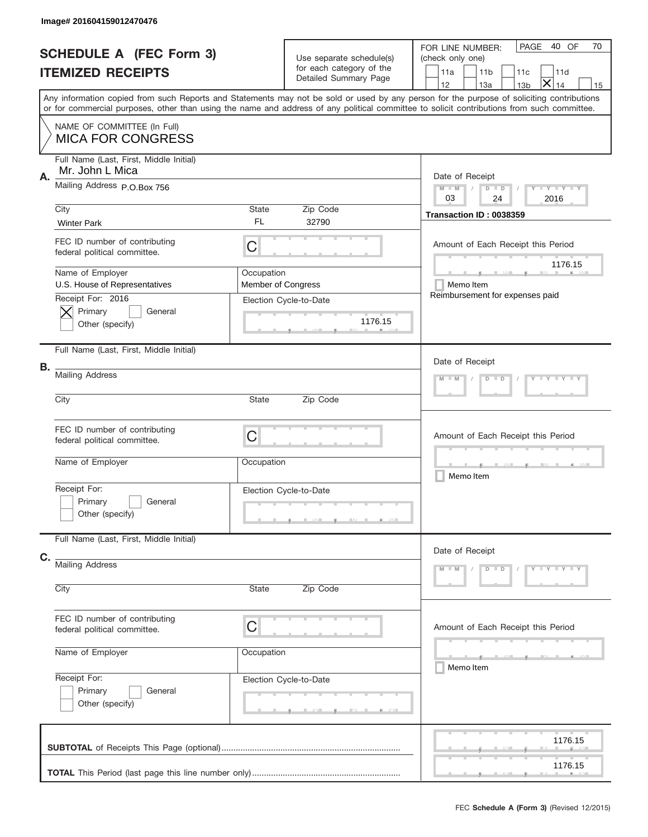|    | Image# 201604159012470476                                                                 |                                         |                                                                               |                                                                                                                                                                                                                                                                                         |
|----|-------------------------------------------------------------------------------------------|-----------------------------------------|-------------------------------------------------------------------------------|-----------------------------------------------------------------------------------------------------------------------------------------------------------------------------------------------------------------------------------------------------------------------------------------|
|    | <b>SCHEDULE A (FEC Form 3)</b><br><b>ITEMIZED RECEIPTS</b>                                |                                         | Use separate schedule(s)<br>for each category of the<br>Detailed Summary Page | PAGE 40 OF<br>70<br>FOR LINE NUMBER:<br>(check only one)<br>11a<br>11 <sub>b</sub><br>11d<br>11c<br>$\bm{\times}$<br>12<br>13a<br>14<br>13 <sub>b</sub><br>15                                                                                                                           |
|    |                                                                                           |                                         |                                                                               | Any information copied from such Reports and Statements may not be sold or used by any person for the purpose of soliciting contributions<br>or for commercial purposes, other than using the name and address of any political committee to solicit contributions from such committee. |
|    | NAME OF COMMITTEE (In Full)<br><b>MICA FOR CONGRESS</b>                                   |                                         |                                                                               |                                                                                                                                                                                                                                                                                         |
| Α. | Full Name (Last, First, Middle Initial)<br>Mr. John L Mica<br>Mailing Address P.O.Box 756 |                                         |                                                                               | Date of Receipt                                                                                                                                                                                                                                                                         |
|    | City                                                                                      | State                                   | Zip Code                                                                      | $M - M$<br><b>TEY LY LY</b><br>$D$ $D$<br>03<br>24<br>2016                                                                                                                                                                                                                              |
|    | <b>Winter Park</b>                                                                        | <b>FL</b>                               | 32790                                                                         | Transaction ID: 0038359                                                                                                                                                                                                                                                                 |
|    | FEC ID number of contributing<br>federal political committee.                             | C                                       |                                                                               | Amount of Each Receipt this Period<br>1176.15                                                                                                                                                                                                                                           |
|    | Name of Employer<br>U.S. House of Representatives                                         | Occupation<br><b>Member of Congress</b> |                                                                               | Memo Item<br>Reimbursement for expenses paid                                                                                                                                                                                                                                            |
|    | Receipt For: 2016<br>Primary<br>General<br>Other (specify)                                |                                         | Election Cycle-to-Date<br>1176.15                                             |                                                                                                                                                                                                                                                                                         |
| В. | Full Name (Last, First, Middle Initial)                                                   |                                         |                                                                               | Date of Receipt                                                                                                                                                                                                                                                                         |
|    | <b>Mailing Address</b>                                                                    | $Y = Y = Y + Y$<br>$M - M$<br>$D$ $D$   |                                                                               |                                                                                                                                                                                                                                                                                         |
|    | City                                                                                      | State                                   | Zip Code                                                                      |                                                                                                                                                                                                                                                                                         |
|    | FEC ID number of contributing<br>federal political committee.                             | C                                       |                                                                               | Amount of Each Receipt this Period                                                                                                                                                                                                                                                      |
|    | Name of Employer                                                                          | Occupation                              |                                                                               | Memo Item                                                                                                                                                                                                                                                                               |
|    | Receipt For:<br>Primary<br>General<br>Other (specify)                                     |                                         | Election Cycle-to-Date                                                        |                                                                                                                                                                                                                                                                                         |
|    | Full Name (Last, First, Middle Initial)                                                   |                                         |                                                                               | Date of Receipt                                                                                                                                                                                                                                                                         |
| C. | <b>Mailing Address</b><br>City                                                            | State                                   | Zip Code                                                                      | $D$ $D$<br>$Y - Y - Y - Y - Y$<br>$M - M$                                                                                                                                                                                                                                               |
|    |                                                                                           |                                         |                                                                               |                                                                                                                                                                                                                                                                                         |
|    | FEC ID number of contributing<br>federal political committee.                             | C                                       |                                                                               | Amount of Each Receipt this Period                                                                                                                                                                                                                                                      |
|    | Name of Employer                                                                          | Occupation                              |                                                                               | ________<br>Memo Item                                                                                                                                                                                                                                                                   |
|    | Receipt For:<br>Primary<br>General<br>Other (specify)                                     |                                         | Election Cycle-to-Date                                                        |                                                                                                                                                                                                                                                                                         |
|    |                                                                                           |                                         |                                                                               | 1176.15                                                                                                                                                                                                                                                                                 |
|    |                                                                                           |                                         |                                                                               | 1176.15                                                                                                                                                                                                                                                                                 |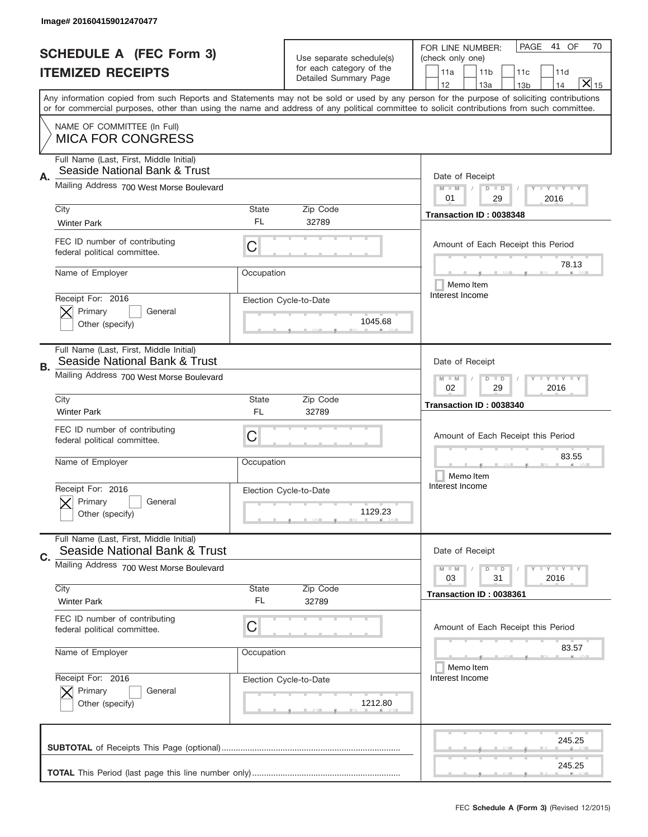|    | Image# 201604159012470477                                                |                                                           |                                                      |                                                                                                                                                                                              |
|----|--------------------------------------------------------------------------|-----------------------------------------------------------|------------------------------------------------------|----------------------------------------------------------------------------------------------------------------------------------------------------------------------------------------------|
|    | <b>SCHEDULE A (FEC Form 3)</b><br><b>ITEMIZED RECEIPTS</b>               |                                                           | Use separate schedule(s)<br>for each category of the | PAGE<br>41 OF<br>70<br>FOR LINE NUMBER:<br>(check only one)<br>11a<br>11 <sub>b</sub><br>11d<br>11c                                                                                          |
|    |                                                                          |                                                           | Detailed Summary Page                                | $X _{15}$<br>12<br>13a<br>14<br>13 <sub>b</sub><br>Any information copied from such Reports and Statements may not be sold or used by any person for the purpose of soliciting contributions |
|    |                                                                          |                                                           |                                                      | or for commercial purposes, other than using the name and address of any political committee to solicit contributions from such committee.                                                   |
|    | NAME OF COMMITTEE (In Full)<br><b>MICA FOR CONGRESS</b>                  |                                                           |                                                      |                                                                                                                                                                                              |
| Α. | Full Name (Last, First, Middle Initial)<br>Seaside National Bank & Trust |                                                           |                                                      | Date of Receipt                                                                                                                                                                              |
|    | Mailing Address 700 West Morse Boulevard                                 |                                                           |                                                      | <b>LYLYLY</b><br>$M$ M<br>$D$ $D$<br>29<br>01<br>2016                                                                                                                                        |
|    | City<br><b>Winter Park</b>                                               | State<br>FL.                                              | Zip Code<br>32789                                    | Transaction ID: 0038348                                                                                                                                                                      |
|    | FEC ID number of contributing<br>federal political committee.            | C                                                         |                                                      | Amount of Each Receipt this Period                                                                                                                                                           |
|    | Name of Employer                                                         | Occupation                                                |                                                      | 78.13<br>Memo Item                                                                                                                                                                           |
|    | Receipt For: 2016<br>Primary<br>General<br>Other (specify)               |                                                           | Election Cycle-to-Date<br>1045.68                    | Interest Income                                                                                                                                                                              |
| В. | Full Name (Last, First, Middle Initial)<br>Seaside National Bank & Trust |                                                           |                                                      | Date of Receipt                                                                                                                                                                              |
|    | Mailing Address 700 West Morse Boulevard                                 | <b>LY LY LY</b><br>$D$ $D$<br>$M - M$<br>02<br>29<br>2016 |                                                      |                                                                                                                                                                                              |
|    | City<br><b>Winter Park</b>                                               | State<br>FL                                               | Zip Code<br>32789                                    | Transaction ID: 0038340                                                                                                                                                                      |
|    | FEC ID number of contributing<br>federal political committee.            | C                                                         |                                                      | Amount of Each Receipt this Period                                                                                                                                                           |
|    | Name of Employer                                                         | Occupation                                                |                                                      | 83.55<br>Memo Item                                                                                                                                                                           |
|    | Receipt For: 2016<br>General<br>Primary<br>Other (specify)               |                                                           | Election Cycle-to-Date<br>1129.23                    | Interest Income                                                                                                                                                                              |
| C. | Full Name (Last, First, Middle Initial)<br>Seaside National Bank & Trust |                                                           |                                                      | Date of Receipt                                                                                                                                                                              |
|    | Mailing Address 700 West Morse Boulevard                                 |                                                           |                                                      | $D$ $D$<br><b>LYLYLY</b><br>$M - M$<br>03<br>31<br>2016                                                                                                                                      |
|    | City<br><b>Winter Park</b>                                               | State<br>FL                                               | Zip Code<br>32789                                    | Transaction ID: 0038361                                                                                                                                                                      |
|    | FEC ID number of contributing<br>federal political committee.            | C                                                         |                                                      | Amount of Each Receipt this Period                                                                                                                                                           |
|    | Name of Employer                                                         | Occupation                                                |                                                      | 83.57<br>Memo Item                                                                                                                                                                           |
|    | Receipt For: 2016<br>Primary<br>General<br>Other (specify)               |                                                           | Election Cycle-to-Date<br>1212.80                    | Interest Income                                                                                                                                                                              |
|    |                                                                          |                                                           |                                                      | 245.25                                                                                                                                                                                       |
|    |                                                                          |                                                           |                                                      | 245.25                                                                                                                                                                                       |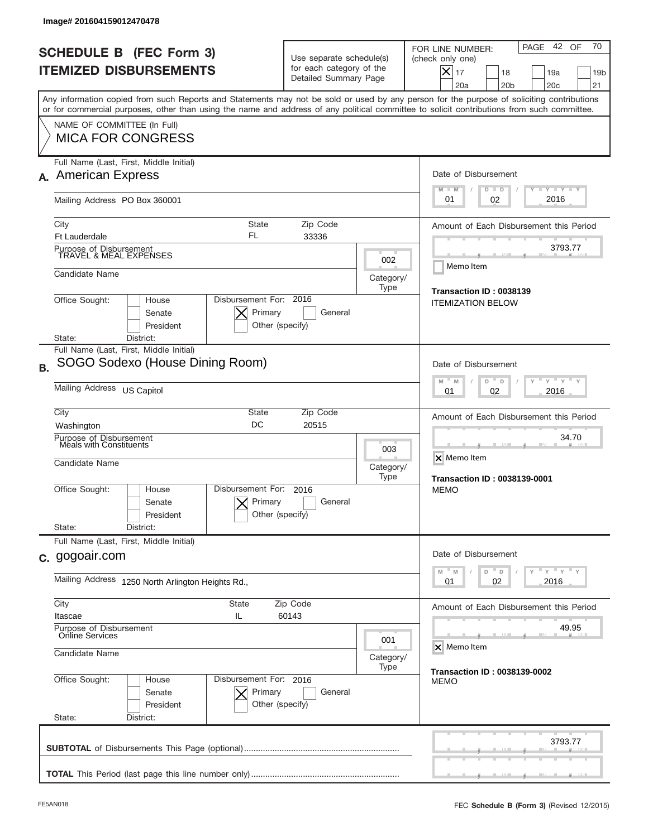| Image# 201604159012470478                                                                                                                                                                                                                                                               |                                                                                             |                                                             |                                                                                                                                                             |  |  |
|-----------------------------------------------------------------------------------------------------------------------------------------------------------------------------------------------------------------------------------------------------------------------------------------|---------------------------------------------------------------------------------------------|-------------------------------------------------------------|-------------------------------------------------------------------------------------------------------------------------------------------------------------|--|--|
| <b>SCHEDULE B (FEC Form 3)</b><br><b>ITEMIZED DISBURSEMENTS</b>                                                                                                                                                                                                                         | Use separate schedule(s)<br>for each category of the<br>Detailed Summary Page               |                                                             | 70<br>42 OF<br>PAGE<br>FOR LINE NUMBER:<br>(check only one)<br>$X _{17}$<br>18<br>19a<br>19 <sub>b</sub><br>20a<br>20 <sub>b</sub><br>20 <sub>c</sub><br>21 |  |  |
| Any information copied from such Reports and Statements may not be sold or used by any person for the purpose of soliciting contributions<br>or for commercial purposes, other than using the name and address of any political committee to solicit contributions from such committee. |                                                                                             |                                                             |                                                                                                                                                             |  |  |
| NAME OF COMMITTEE (In Full)<br><b>MICA FOR CONGRESS</b>                                                                                                                                                                                                                                 |                                                                                             |                                                             |                                                                                                                                                             |  |  |
| Full Name (Last, First, Middle Initial)<br><b>American Express</b><br>А.                                                                                                                                                                                                                |                                                                                             |                                                             | Date of Disbursement                                                                                                                                        |  |  |
| Mailing Address PO Box 360001                                                                                                                                                                                                                                                           |                                                                                             |                                                             | $T - Y$ $T - Y$<br>$M - M$<br>$D$ $D$<br>2016<br>01<br>02                                                                                                   |  |  |
| <b>State</b><br>City<br>FL<br><b>Ft Lauderdale</b>                                                                                                                                                                                                                                      | Amount of Each Disbursement this Period                                                     |                                                             |                                                                                                                                                             |  |  |
| Purpose of Disbursement<br>TRAVEL & MEAL EXPENSES                                                                                                                                                                                                                                       |                                                                                             | 002                                                         | 3793.77<br>Memo Item                                                                                                                                        |  |  |
| Candidate Name                                                                                                                                                                                                                                                                          |                                                                                             | Category/<br>Type                                           | Transaction ID: 0038139                                                                                                                                     |  |  |
| Disbursement For: 2016<br>Office Sought:<br>House<br><b>ITEMIZATION BELOW</b><br>Primary<br>General<br>Senate<br>President<br>Other (specify)                                                                                                                                           |                                                                                             |                                                             |                                                                                                                                                             |  |  |
| District:<br>State:<br>Full Name (Last, First, Middle Initial)                                                                                                                                                                                                                          |                                                                                             |                                                             |                                                                                                                                                             |  |  |
| SOGO Sodexo (House Dining Room)<br><b>B.</b>                                                                                                                                                                                                                                            | Date of Disbursement<br>$\cdots$ $\gamma$ $\cdots$ $\gamma$ $\cdots$ $\gamma$<br>M<br>D     |                                                             |                                                                                                                                                             |  |  |
| Mailing Address US Capitol                                                                                                                                                                                                                                                              | M<br>D<br>2016<br>01<br>02                                                                  |                                                             |                                                                                                                                                             |  |  |
| City<br>DC<br>Washington                                                                                                                                                                                                                                                                | State<br>Zip Code<br>20515                                                                  |                                                             |                                                                                                                                                             |  |  |
| Purpose of Disbursement<br>Meals with Constituents<br>Candidate Name                                                                                                                                                                                                                    | 003<br>Category/<br>Type                                                                    | 34.70<br>X Memo Item<br><b>Transaction ID: 0038139-0001</b> |                                                                                                                                                             |  |  |
| Disbursement For:<br>Office Sought:<br>House<br>Senate<br>President                                                                                                                                                                                                                     | 2016<br>Primary<br>General<br>Other (specify)                                               |                                                             | <b>MEMO</b>                                                                                                                                                 |  |  |
| State:<br>District:<br>Full Name (Last, First, Middle Initial)                                                                                                                                                                                                                          |                                                                                             |                                                             |                                                                                                                                                             |  |  |
| c. gogoair.com                                                                                                                                                                                                                                                                          | Date of Disbursement<br>$-\gamma$ $\gamma$ $-\gamma$ $\gamma$<br>M<br>$\mathbb M$<br>D<br>D |                                                             |                                                                                                                                                             |  |  |
| Mailing Address 1250 North Arlington Heights Rd.,                                                                                                                                                                                                                                       | 02<br>2016<br>01                                                                            |                                                             |                                                                                                                                                             |  |  |
| City<br><b>State</b><br>Itascae<br>IL                                                                                                                                                                                                                                                   | Amount of Each Disbursement this Period                                                     |                                                             |                                                                                                                                                             |  |  |
| Purpose of Disbursement<br>Online Services<br>Candidate Name                                                                                                                                                                                                                            | 49.95<br>X Memo Item                                                                        |                                                             |                                                                                                                                                             |  |  |
|                                                                                                                                                                                                                                                                                         | <b>Transaction ID: 0038139-0002</b>                                                         |                                                             |                                                                                                                                                             |  |  |
| Office Sought:<br>Disbursement For: 2016<br>House<br>Senate<br>President<br>State:<br>District:                                                                                                                                                                                         | Primary<br>General<br>Other (specify)                                                       |                                                             | <b>MEMO</b>                                                                                                                                                 |  |  |
|                                                                                                                                                                                                                                                                                         |                                                                                             |                                                             | 3793.77                                                                                                                                                     |  |  |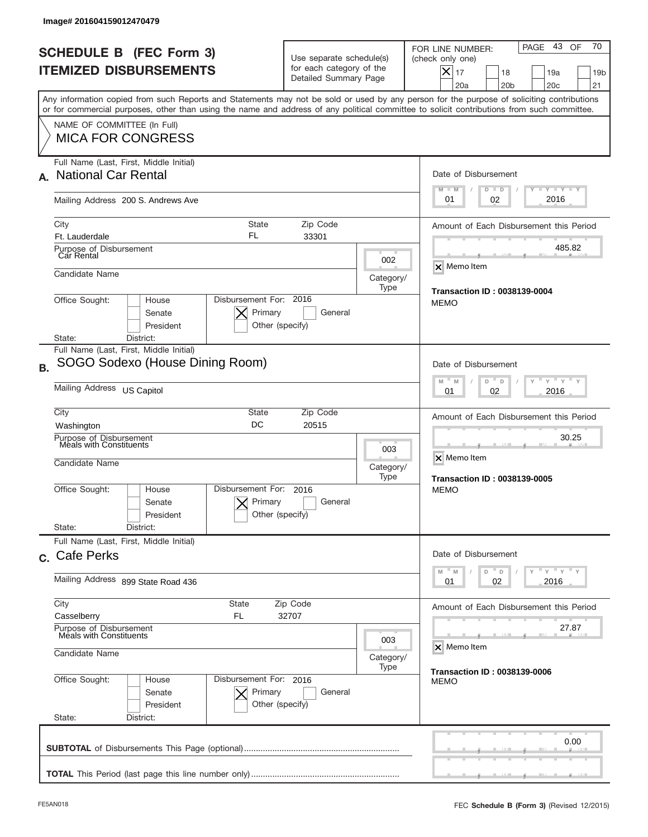| lmage#201604159012470479                                                                                                                                                                                                                                                                |                                                                                                                      |      |                                                                                                                                                                              |  |  |
|-----------------------------------------------------------------------------------------------------------------------------------------------------------------------------------------------------------------------------------------------------------------------------------------|----------------------------------------------------------------------------------------------------------------------|------|------------------------------------------------------------------------------------------------------------------------------------------------------------------------------|--|--|
| <b>SCHEDULE B (FEC Form 3)</b><br><b>ITEMIZED DISBURSEMENTS</b>                                                                                                                                                                                                                         | Use separate schedule(s)<br>for each category of the<br>Detailed Summary Page                                        |      | 70<br>PAGE 43 OF<br>FOR LINE NUMBER:<br>(check only one)<br>$ \boldsymbol{\times} $<br>17<br>18<br>19a<br>19 <sub>b</sub><br>20a<br>20 <sub>b</sub><br>20 <sub>c</sub><br>21 |  |  |
| Any information copied from such Reports and Statements may not be sold or used by any person for the purpose of soliciting contributions<br>or for commercial purposes, other than using the name and address of any political committee to solicit contributions from such committee. |                                                                                                                      |      |                                                                                                                                                                              |  |  |
| NAME OF COMMITTEE (In Full)<br><b>MICA FOR CONGRESS</b>                                                                                                                                                                                                                                 |                                                                                                                      |      |                                                                                                                                                                              |  |  |
| Full Name (Last, First, Middle Initial)<br><b>National Car Rental</b><br>А.                                                                                                                                                                                                             |                                                                                                                      |      | Date of Disbursement<br>Y FY FY FY<br>$M - M$<br>$D$ $D$                                                                                                                     |  |  |
| Mailing Address 200 S. Andrews Ave                                                                                                                                                                                                                                                      |                                                                                                                      |      | 2016<br>01<br>02                                                                                                                                                             |  |  |
| City<br><b>State</b><br>FL<br>Ft. Lauderdale                                                                                                                                                                                                                                            | Zip Code<br>33301                                                                                                    |      | Amount of Each Disbursement this Period                                                                                                                                      |  |  |
| Purpose of Disbursement<br>Car Rental                                                                                                                                                                                                                                                   |                                                                                                                      | 002  | 485.82                                                                                                                                                                       |  |  |
| Candidate Name                                                                                                                                                                                                                                                                          | $\overline{\mathsf{x}}$ Memo Item                                                                                    |      |                                                                                                                                                                              |  |  |
| Office Sought:<br>House<br>Senate<br>President<br>District:<br>State:                                                                                                                                                                                                                   | Disbursement For: 2016<br>Primary<br>General<br>Other (specify)                                                      | Type | Transaction ID: 0038139-0004<br><b>MEMO</b>                                                                                                                                  |  |  |
| Full Name (Last, First, Middle Initial)<br>SOGO Sodexo (House Dining Room)<br><b>B.</b>                                                                                                                                                                                                 |                                                                                                                      |      | Date of Disbursement                                                                                                                                                         |  |  |
| Mailing Address US Capitol                                                                                                                                                                                                                                                              | $\cdots$ $\gamma$ $\cdots$ $\gamma$ $\cdots$ $\gamma$<br>M<br>$D =$<br>M<br>$\Box$<br>2016<br>01<br>02               |      |                                                                                                                                                                              |  |  |
| City<br><b>State</b><br>DC<br>Washington                                                                                                                                                                                                                                                | Zip Code<br>20515                                                                                                    |      | Amount of Each Disbursement this Period                                                                                                                                      |  |  |
| Purpose of Disbursement<br>Meals with Constituents<br>Candidate Name                                                                                                                                                                                                                    | 30.25<br>X Memo Item                                                                                                 |      |                                                                                                                                                                              |  |  |
| Disbursement For:<br>Office Sought:<br>House<br>Senate<br>President<br>State:                                                                                                                                                                                                           | 2016<br>Primary<br>General<br>Other (specify)                                                                        | Type | <b>Transaction ID: 0038139-0005</b><br><b>MEMO</b>                                                                                                                           |  |  |
| District:<br>Full Name (Last, First, Middle Initial)                                                                                                                                                                                                                                    |                                                                                                                      |      | Date of Disbursement                                                                                                                                                         |  |  |
| c. Cafe Perks<br>Mailing Address 899 State Road 436                                                                                                                                                                                                                                     | $\mathbb{F}$ $\mathsf{y}$ $\mathbb{F}$ $\mathsf{y}$ $\mathbb{F}$ $\mathsf{y}$<br>$M$ M<br>D<br>D<br>2016<br>01<br>02 |      |                                                                                                                                                                              |  |  |
| City<br><b>State</b>                                                                                                                                                                                                                                                                    | Zip Code                                                                                                             |      |                                                                                                                                                                              |  |  |
| Casselberry<br>FL.<br>Purpose of Disbursement<br>Meals with Constituents                                                                                                                                                                                                                | Amount of Each Disbursement this Period<br>27.87                                                                     |      |                                                                                                                                                                              |  |  |
| Candidate Name                                                                                                                                                                                                                                                                          | X Memo Item                                                                                                          |      |                                                                                                                                                                              |  |  |
| Office Sought:<br>House<br>Senate<br>President<br>State:<br>District:                                                                                                                                                                                                                   | Disbursement For: 2016<br>Primary<br>General<br>Other (specify)                                                      | Type | <b>Transaction ID: 0038139-0006</b><br><b>MEMO</b>                                                                                                                           |  |  |
|                                                                                                                                                                                                                                                                                         |                                                                                                                      |      | 0.00                                                                                                                                                                         |  |  |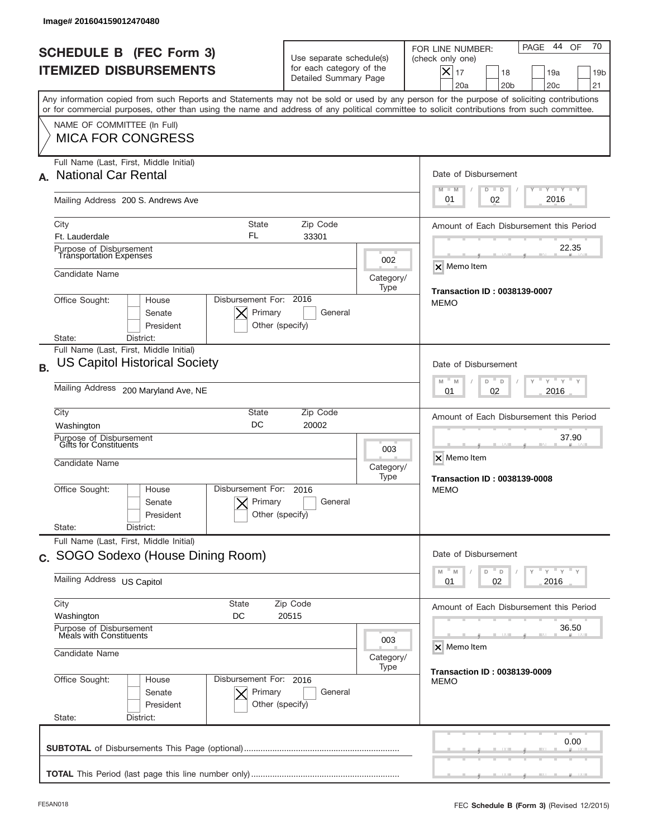| Image# 201604159012470480                                                                                                                                                                                                                                                               |                                                                                                               |                                                             |                                                                                                                                                             |  |  |
|-----------------------------------------------------------------------------------------------------------------------------------------------------------------------------------------------------------------------------------------------------------------------------------------|---------------------------------------------------------------------------------------------------------------|-------------------------------------------------------------|-------------------------------------------------------------------------------------------------------------------------------------------------------------|--|--|
| <b>SCHEDULE B (FEC Form 3)</b><br><b>ITEMIZED DISBURSEMENTS</b>                                                                                                                                                                                                                         | Use separate schedule(s)<br>for each category of the<br>Detailed Summary Page                                 |                                                             | 70<br>44 OF<br>PAGE<br>FOR LINE NUMBER:<br>(check only one)<br>$X _{17}$<br>18<br>19a<br>19 <sub>b</sub><br>20a<br>20 <sub>b</sub><br>20 <sub>c</sub><br>21 |  |  |
| Any information copied from such Reports and Statements may not be sold or used by any person for the purpose of soliciting contributions<br>or for commercial purposes, other than using the name and address of any political committee to solicit contributions from such committee. |                                                                                                               |                                                             |                                                                                                                                                             |  |  |
| NAME OF COMMITTEE (In Full)<br><b>MICA FOR CONGRESS</b>                                                                                                                                                                                                                                 |                                                                                                               |                                                             |                                                                                                                                                             |  |  |
| Full Name (Last, First, Middle Initial)<br><b>National Car Rental</b><br>А.                                                                                                                                                                                                             |                                                                                                               |                                                             | Date of Disbursement<br><b>TAYLY LY</b>                                                                                                                     |  |  |
| Mailing Address 200 S. Andrews Ave                                                                                                                                                                                                                                                      |                                                                                                               |                                                             | $M - M$<br>$D$ $D$<br>2016<br>01<br>02                                                                                                                      |  |  |
| <b>State</b><br>City<br>FL<br>Ft. Lauderdale                                                                                                                                                                                                                                            | Zip Code<br>33301                                                                                             |                                                             | Amount of Each Disbursement this Period                                                                                                                     |  |  |
| Purpose of Disbursement<br><b>Transportation Expenses</b>                                                                                                                                                                                                                               |                                                                                                               | 002                                                         | 22.35<br>X Memo Item                                                                                                                                        |  |  |
| Candidate Name                                                                                                                                                                                                                                                                          |                                                                                                               | Category/<br>Type                                           | <b>Transaction ID: 0038139-0007</b>                                                                                                                         |  |  |
| Disbursement For: 2016<br>Office Sought:<br>House<br>Senate<br>President                                                                                                                                                                                                                | Primary<br>General<br>Other (specify)                                                                         |                                                             | <b>MEMO</b>                                                                                                                                                 |  |  |
| District:<br>State:<br>Full Name (Last, First, Middle Initial)                                                                                                                                                                                                                          |                                                                                                               |                                                             |                                                                                                                                                             |  |  |
| <b>US Capitol Historical Society</b><br><b>B.</b>                                                                                                                                                                                                                                       | Date of Disbursement<br>$\cdots$ $\gamma$ $\cdots$ $\gamma$ $\cdots$                                          |                                                             |                                                                                                                                                             |  |  |
| Mailing Address 200 Maryland Ave, NE                                                                                                                                                                                                                                                    | M<br>M<br>D<br>D<br>2016<br>01<br>02                                                                          |                                                             |                                                                                                                                                             |  |  |
| City<br>Washington                                                                                                                                                                                                                                                                      | State<br>Zip Code<br>DC<br>20002                                                                              |                                                             |                                                                                                                                                             |  |  |
| Purpose of Disbursement<br>Gifts for Constituents<br>Candidate Name                                                                                                                                                                                                                     | 003<br>Category/<br>Type                                                                                      | 37.90<br>X Memo Item<br><b>Transaction ID: 0038139-0008</b> |                                                                                                                                                             |  |  |
| Disbursement For:<br>Office Sought:<br>House<br>Senate<br>President                                                                                                                                                                                                                     | 2016<br>Primary<br>General<br>Other (specify)                                                                 |                                                             | <b>MEMO</b>                                                                                                                                                 |  |  |
| State:<br>District:<br>Full Name (Last, First, Middle Initial)                                                                                                                                                                                                                          |                                                                                                               |                                                             |                                                                                                                                                             |  |  |
| c. SOGO Sodexo (House Dining Room)                                                                                                                                                                                                                                                      | Date of Disbursement                                                                                          |                                                             |                                                                                                                                                             |  |  |
| Mailing Address US Capitol                                                                                                                                                                                                                                                              | $\rightarrow$ $\rightarrow$ $\rightarrow$ $\rightarrow$ $\rightarrow$<br>M<br>D<br>M<br>D<br>02<br>2016<br>01 |                                                             |                                                                                                                                                             |  |  |
| City<br><b>State</b><br>Washington<br>DC                                                                                                                                                                                                                                                | Zip Code<br>20515                                                                                             |                                                             |                                                                                                                                                             |  |  |
| Purpose of Disbursement<br>Meals with Constituents                                                                                                                                                                                                                                      | 36.50<br>X Memo Item                                                                                          |                                                             |                                                                                                                                                             |  |  |
| Candidate Name                                                                                                                                                                                                                                                                          | <b>Transaction ID: 0038139-0009</b>                                                                           |                                                             |                                                                                                                                                             |  |  |
| Office Sought:<br>Disbursement For: 2016<br>House<br>Senate<br>President<br>State:<br>District:                                                                                                                                                                                         | Primary<br>General<br>Other (specify)                                                                         |                                                             | <b>MEMO</b>                                                                                                                                                 |  |  |
|                                                                                                                                                                                                                                                                                         |                                                                                                               |                                                             | 0.00                                                                                                                                                        |  |  |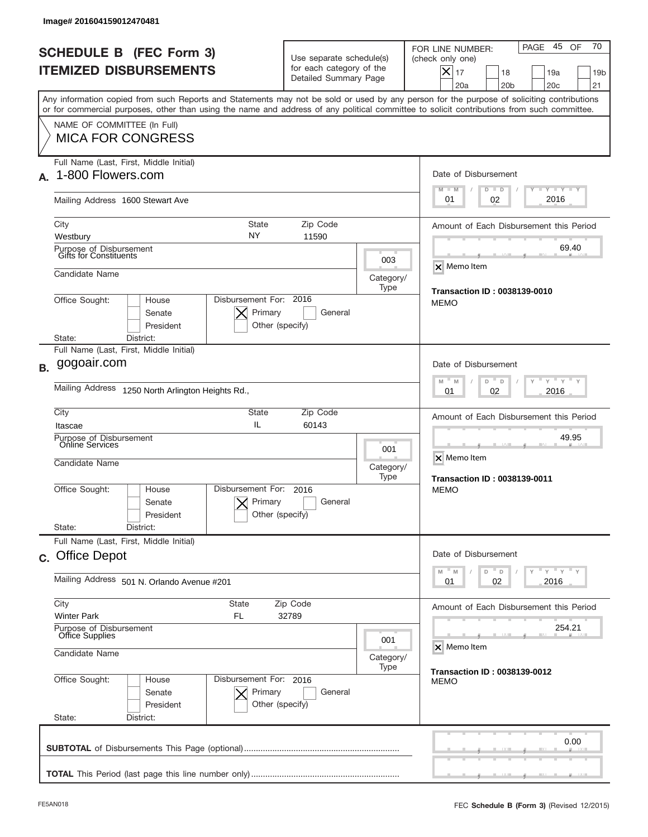| Image# 201604159012470481                                                                                                                                                                                                                                                               |                                                                               |                      |                                                                                                                                                                     |
|-----------------------------------------------------------------------------------------------------------------------------------------------------------------------------------------------------------------------------------------------------------------------------------------|-------------------------------------------------------------------------------|----------------------|---------------------------------------------------------------------------------------------------------------------------------------------------------------------|
| <b>SCHEDULE B (FEC Form 3)</b><br><b>ITEMIZED DISBURSEMENTS</b>                                                                                                                                                                                                                         | Use separate schedule(s)<br>for each category of the<br>Detailed Summary Page |                      | 70<br>45<br>PAGE<br>OF<br>FOR LINE NUMBER:<br>(check only one)<br>$\times$<br>17<br>18<br>19a<br>19 <sub>b</sub><br>20a<br>20 <sub>b</sub><br>20 <sub>c</sub><br>21 |
| Any information copied from such Reports and Statements may not be sold or used by any person for the purpose of soliciting contributions<br>or for commercial purposes, other than using the name and address of any political committee to solicit contributions from such committee. |                                                                               |                      |                                                                                                                                                                     |
| NAME OF COMMITTEE (In Full)<br><b>MICA FOR CONGRESS</b>                                                                                                                                                                                                                                 |                                                                               |                      |                                                                                                                                                                     |
| Full Name (Last, First, Middle Initial)<br>1-800 Flowers.com<br>А.                                                                                                                                                                                                                      |                                                                               |                      | Date of Disbursement<br><b>LYLYLY</b><br>$M - M$<br>$D$ $D$                                                                                                         |
| Mailing Address 1600 Stewart Ave                                                                                                                                                                                                                                                        |                                                                               |                      | 2016<br>01<br>02                                                                                                                                                    |
| <b>State</b><br>City<br>NY<br>Westbury                                                                                                                                                                                                                                                  | Zip Code<br>11590                                                             |                      | Amount of Each Disbursement this Period                                                                                                                             |
| Purpose of Disbursement<br>Gifts for Constituents                                                                                                                                                                                                                                       |                                                                               | 003                  | 69.40<br>X Memo Item                                                                                                                                                |
| Candidate Name                                                                                                                                                                                                                                                                          |                                                                               |                      |                                                                                                                                                                     |
| Office Sought:<br>House<br>Senate<br>President<br>District:<br>State:                                                                                                                                                                                                                   | Disbursement For: 2016<br>Primary<br>General<br>Other (specify)               | Type                 | <b>Transaction ID: 0038139-0010</b><br><b>MEMO</b>                                                                                                                  |
| Full Name (Last, First, Middle Initial)                                                                                                                                                                                                                                                 |                                                                               |                      |                                                                                                                                                                     |
| gogoair.com<br><b>B.</b>                                                                                                                                                                                                                                                                | Date of Disbursement<br>$-M$<br>$Y'$ $Y'$<br>M<br>D<br>D                      |                      |                                                                                                                                                                     |
| <b>Mailing Address</b><br>1250 North Arlington Heights Rd.,                                                                                                                                                                                                                             | 2016<br>01<br>02                                                              |                      |                                                                                                                                                                     |
| City<br>State<br>IL<br>Itascae                                                                                                                                                                                                                                                          | Zip Code<br>60143                                                             |                      | Amount of Each Disbursement this Period                                                                                                                             |
| Purpose of Disbursement<br>Online Services<br>Candidate Name                                                                                                                                                                                                                            | 001<br>Category/<br>Type                                                      | 49.95<br>X Memo Item |                                                                                                                                                                     |
| Disbursement For:<br>Office Sought:<br>House<br>Senate<br>President<br>State:<br>District:                                                                                                                                                                                              | 2016<br>Primary<br>General<br>Other (specify)                                 |                      | <b>Transaction ID: 0038139-0011</b><br><b>MEMO</b>                                                                                                                  |
| Full Name (Last, First, Middle Initial)                                                                                                                                                                                                                                                 |                                                                               |                      |                                                                                                                                                                     |
| c. Office Depot<br>Mailing Address 501 N. Orlando Avenue #201                                                                                                                                                                                                                           | Date of Disbursement<br>$y + y + y$<br>M<br>D<br>M<br>D<br>02<br>2016<br>01   |                      |                                                                                                                                                                     |
| City<br>State                                                                                                                                                                                                                                                                           | Zip Code<br>32789                                                             |                      | Amount of Each Disbursement this Period                                                                                                                             |
| <b>Winter Park</b><br>FL<br>Purpose of Disbursement<br>Office Supplies                                                                                                                                                                                                                  | 254.21                                                                        |                      |                                                                                                                                                                     |
| Candidate Name                                                                                                                                                                                                                                                                          | X Memo Item                                                                   |                      |                                                                                                                                                                     |
| Office Sought:<br>House<br>Senate<br>President<br>State:<br>District:                                                                                                                                                                                                                   | Disbursement For: 2016<br>Primary<br>General<br>Other (specify)               | Type                 | <b>Transaction ID: 0038139-0012</b><br><b>MEMO</b>                                                                                                                  |
|                                                                                                                                                                                                                                                                                         |                                                                               |                      | 0.00                                                                                                                                                                |
|                                                                                                                                                                                                                                                                                         |                                                                               |                      |                                                                                                                                                                     |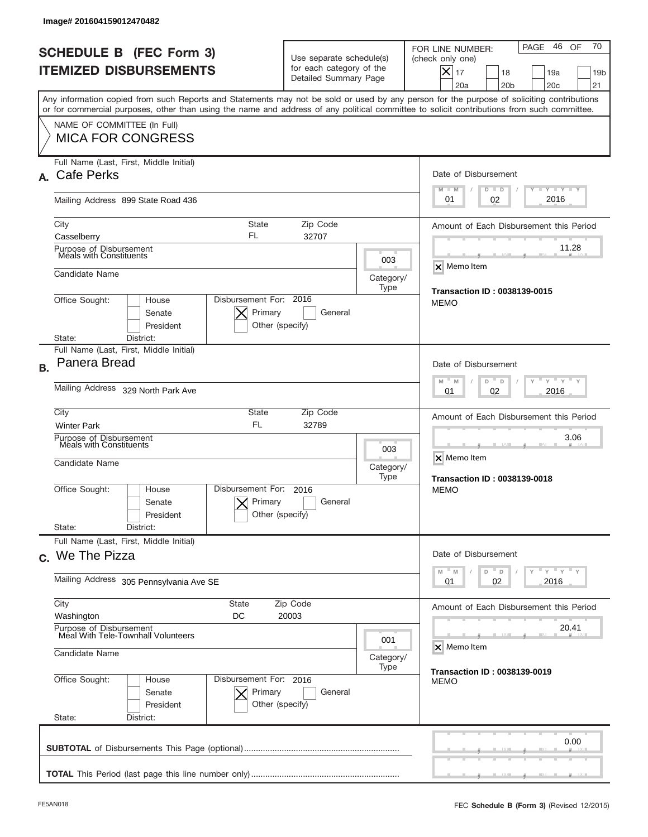| Image# 201604159012470482                                                                                                                                                                                                                                                                                              |                                                                                 |                                                            |                                                                                                                                                             |  |  |  |
|------------------------------------------------------------------------------------------------------------------------------------------------------------------------------------------------------------------------------------------------------------------------------------------------------------------------|---------------------------------------------------------------------------------|------------------------------------------------------------|-------------------------------------------------------------------------------------------------------------------------------------------------------------|--|--|--|
| <b>SCHEDULE B (FEC Form 3)</b><br><b>ITEMIZED DISBURSEMENTS</b>                                                                                                                                                                                                                                                        | Use separate schedule(s)<br>for each category of the<br>Detailed Summary Page   |                                                            | 70<br>46 OF<br>PAGE<br>FOR LINE NUMBER:<br>(check only one)<br>$X _{17}$<br>19a<br>18<br>19 <sub>b</sub><br>20a<br>20 <sub>b</sub><br>20 <sub>c</sub><br>21 |  |  |  |
| Any information copied from such Reports and Statements may not be sold or used by any person for the purpose of soliciting contributions<br>or for commercial purposes, other than using the name and address of any political committee to solicit contributions from such committee.<br>NAME OF COMMITTEE (In Full) |                                                                                 |                                                            |                                                                                                                                                             |  |  |  |
| <b>MICA FOR CONGRESS</b>                                                                                                                                                                                                                                                                                               |                                                                                 |                                                            |                                                                                                                                                             |  |  |  |
| Full Name (Last, First, Middle Initial)<br>A. Cafe Perks                                                                                                                                                                                                                                                               |                                                                                 |                                                            | Date of Disbursement<br>Y TY TY TY<br>$M - M$<br>$D$ $D$                                                                                                    |  |  |  |
| Mailing Address 899 State Road 436                                                                                                                                                                                                                                                                                     |                                                                                 |                                                            | 2016<br>02<br>01                                                                                                                                            |  |  |  |
| City<br><b>State</b><br>FL<br>Casselberry                                                                                                                                                                                                                                                                              | Amount of Each Disbursement this Period                                         |                                                            |                                                                                                                                                             |  |  |  |
| Purpose of Disbursement<br>Meals with Constituents                                                                                                                                                                                                                                                                     |                                                                                 | 003                                                        | 11.28<br>$\overline{\mathsf{x}}$ Memo Item                                                                                                                  |  |  |  |
| Candidate Name                                                                                                                                                                                                                                                                                                         |                                                                                 | Category/<br>Type                                          | <b>Transaction ID: 0038139-0015</b>                                                                                                                         |  |  |  |
| Disbursement For: 2016<br>Office Sought:<br>House<br>Primary<br>Senate<br>President                                                                                                                                                                                                                                    | General<br>Other (specify)                                                      |                                                            | <b>MEMO</b>                                                                                                                                                 |  |  |  |
| District:<br>State:<br>Full Name (Last, First, Middle Initial)                                                                                                                                                                                                                                                         |                                                                                 |                                                            |                                                                                                                                                             |  |  |  |
| Panera Bread<br><b>B.</b>                                                                                                                                                                                                                                                                                              | Date of Disbursement<br>ү " ү " ү " ү<br>$- M$<br>M<br>D<br>D                   |                                                            |                                                                                                                                                             |  |  |  |
| Mailing Address 329 North Park Ave                                                                                                                                                                                                                                                                                     | 2016<br>01<br>02                                                                |                                                            |                                                                                                                                                             |  |  |  |
| City<br><b>State</b><br><b>FL</b><br><b>Winter Park</b>                                                                                                                                                                                                                                                                | Amount of Each Disbursement this Period                                         |                                                            |                                                                                                                                                             |  |  |  |
| Purpose of Disbursement<br>Meals with Constituents<br>Candidate Name                                                                                                                                                                                                                                                   | 003<br>Category/<br>Type                                                        | 3.06<br>X Memo Item<br><b>Transaction ID: 0038139-0018</b> |                                                                                                                                                             |  |  |  |
| Disbursement For:<br>Office Sought:<br>House<br>Primary<br>Senate<br>President<br>State:<br>District:                                                                                                                                                                                                                  | 2016<br>General<br>Other (specify)                                              |                                                            | <b>MEMO</b>                                                                                                                                                 |  |  |  |
| Full Name (Last, First, Middle Initial)                                                                                                                                                                                                                                                                                |                                                                                 |                                                            |                                                                                                                                                             |  |  |  |
| c. We The Pizza                                                                                                                                                                                                                                                                                                        | Date of Disbursement<br>$\cdots$ $\vdots$ $\cdots$ $\vdots$<br>M<br>M<br>D<br>D |                                                            |                                                                                                                                                             |  |  |  |
| Mailing Address 305 Pennsylvania Ave SE                                                                                                                                                                                                                                                                                | 02<br>2016<br>01                                                                |                                                            |                                                                                                                                                             |  |  |  |
| City<br><b>State</b><br>Washington<br>DC                                                                                                                                                                                                                                                                               | Amount of Each Disbursement this Period                                         |                                                            |                                                                                                                                                             |  |  |  |
| Purpose of Disbursement<br>Meal With Tele-Townhall Volunteers<br>Candidate Name                                                                                                                                                                                                                                        | 20.41<br>X Memo Item                                                            |                                                            |                                                                                                                                                             |  |  |  |
| Office Sought:<br>Disbursement For: 2016<br>House<br>Senate<br>Primary<br>President<br>State:<br>District:                                                                                                                                                                                                             | General<br>Other (specify)                                                      | Category/<br>Type                                          | <b>Transaction ID: 0038139-0019</b><br>MEMO                                                                                                                 |  |  |  |
|                                                                                                                                                                                                                                                                                                                        |                                                                                 |                                                            | 0.00                                                                                                                                                        |  |  |  |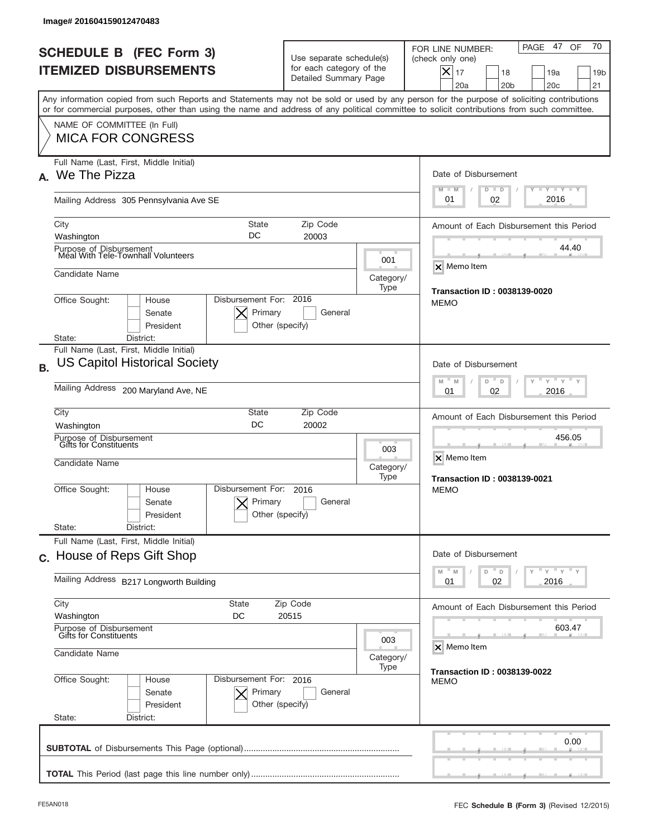| Image# 201604159012470483                                                                                                                                                                                                                                                               |                                                                                                                                  |                                                              |                                                                                                                                                             |  |  |
|-----------------------------------------------------------------------------------------------------------------------------------------------------------------------------------------------------------------------------------------------------------------------------------------|----------------------------------------------------------------------------------------------------------------------------------|--------------------------------------------------------------|-------------------------------------------------------------------------------------------------------------------------------------------------------------|--|--|
| <b>SCHEDULE B (FEC Form 3)</b><br><b>ITEMIZED DISBURSEMENTS</b>                                                                                                                                                                                                                         | Use separate schedule(s)<br>for each category of the<br>Detailed Summary Page                                                    |                                                              | 70<br>47 OF<br>PAGE<br>FOR LINE NUMBER:<br>(check only one)<br>$X _{17}$<br>18<br>19a<br>19 <sub>b</sub><br>20a<br>20 <sub>b</sub><br>20 <sub>c</sub><br>21 |  |  |
| Any information copied from such Reports and Statements may not be sold or used by any person for the purpose of soliciting contributions<br>or for commercial purposes, other than using the name and address of any political committee to solicit contributions from such committee. |                                                                                                                                  |                                                              |                                                                                                                                                             |  |  |
| NAME OF COMMITTEE (In Full)<br><b>MICA FOR CONGRESS</b>                                                                                                                                                                                                                                 |                                                                                                                                  |                                                              |                                                                                                                                                             |  |  |
| Full Name (Last, First, Middle Initial)<br>We The Pizza<br>А.                                                                                                                                                                                                                           |                                                                                                                                  |                                                              | Date of Disbursement<br><b>TAYLY LY</b>                                                                                                                     |  |  |
| Mailing Address 305 Pennsylvania Ave SE                                                                                                                                                                                                                                                 |                                                                                                                                  |                                                              | $M - M$<br>$D$ $D$<br>2016<br>01<br>02                                                                                                                      |  |  |
| City<br>State<br>DC<br>Washington                                                                                                                                                                                                                                                       | Zip Code<br>20003                                                                                                                |                                                              | Amount of Each Disbursement this Period                                                                                                                     |  |  |
| Purpose of Disbursement<br>Meal With Tele-Townhall Volunteers                                                                                                                                                                                                                           |                                                                                                                                  | 001                                                          | 44.40<br>X Memo Item                                                                                                                                        |  |  |
| Candidate Name                                                                                                                                                                                                                                                                          |                                                                                                                                  | Category/<br>Type                                            | <b>Transaction ID: 0038139-0020</b>                                                                                                                         |  |  |
| Disbursement For: 2016<br>Office Sought:<br>House<br>Primary<br>Senate<br>President                                                                                                                                                                                                     | General<br>Other (specify)                                                                                                       |                                                              | <b>MEMO</b>                                                                                                                                                 |  |  |
| District:<br>State:<br>Full Name (Last, First, Middle Initial)                                                                                                                                                                                                                          |                                                                                                                                  |                                                              |                                                                                                                                                             |  |  |
| <b>US Capitol Historical Society</b><br><b>B.</b>                                                                                                                                                                                                                                       | Date of Disbursement<br>$\cdots$ $\gamma$ $\cdots$ $\gamma$ $\cdots$<br>M<br>M<br>D<br>D                                         |                                                              |                                                                                                                                                             |  |  |
| Mailing Address 200 Maryland Ave, NE                                                                                                                                                                                                                                                    | 2016<br>01<br>02                                                                                                                 |                                                              |                                                                                                                                                             |  |  |
| City<br>State<br>DC<br>Washington                                                                                                                                                                                                                                                       | Zip Code<br>20002                                                                                                                |                                                              |                                                                                                                                                             |  |  |
| Purpose of Disbursement<br>Gifts for Constituents<br>Candidate Name                                                                                                                                                                                                                     | 003<br>Category/<br>Type                                                                                                         | 456.05<br>X Memo Item<br><b>Transaction ID: 0038139-0021</b> |                                                                                                                                                             |  |  |
| Disbursement For:<br>Office Sought:<br>House<br>Primary<br>Senate<br>President                                                                                                                                                                                                          | 2016<br>General<br>Other (specify)                                                                                               |                                                              | <b>MEMO</b>                                                                                                                                                 |  |  |
| State:<br>District:<br>Full Name (Last, First, Middle Initial)                                                                                                                                                                                                                          |                                                                                                                                  |                                                              |                                                                                                                                                             |  |  |
| c. House of Reps Gift Shop                                                                                                                                                                                                                                                              | Date of Disbursement<br>$\overline{Y}$ $\overline{Y}$ $\overline{Y}$ $\overline{Y}$ $\overline{Y}$<br>M<br>$\mathbb M$<br>D<br>D |                                                              |                                                                                                                                                             |  |  |
| Mailing Address B217 Longworth Building                                                                                                                                                                                                                                                 | 02<br>2016<br>01                                                                                                                 |                                                              |                                                                                                                                                             |  |  |
| City<br>State<br>Washington<br>DC                                                                                                                                                                                                                                                       | Amount of Each Disbursement this Period                                                                                          |                                                              |                                                                                                                                                             |  |  |
| Purpose of Disbursement<br>Gifts for Constituents<br>Candidate Name                                                                                                                                                                                                                     | 603.47<br>X Memo Item                                                                                                            |                                                              |                                                                                                                                                             |  |  |
| Office Sought:<br>Disbursement For: 2016<br>House<br>Primary<br>Senate<br>President<br>State:<br>District:                                                                                                                                                                              | General<br>Other (specify)                                                                                                       | Category/<br>Type                                            | <b>Transaction ID: 0038139-0022</b><br><b>MEMO</b>                                                                                                          |  |  |
|                                                                                                                                                                                                                                                                                         |                                                                                                                                  |                                                              | 0.00                                                                                                                                                        |  |  |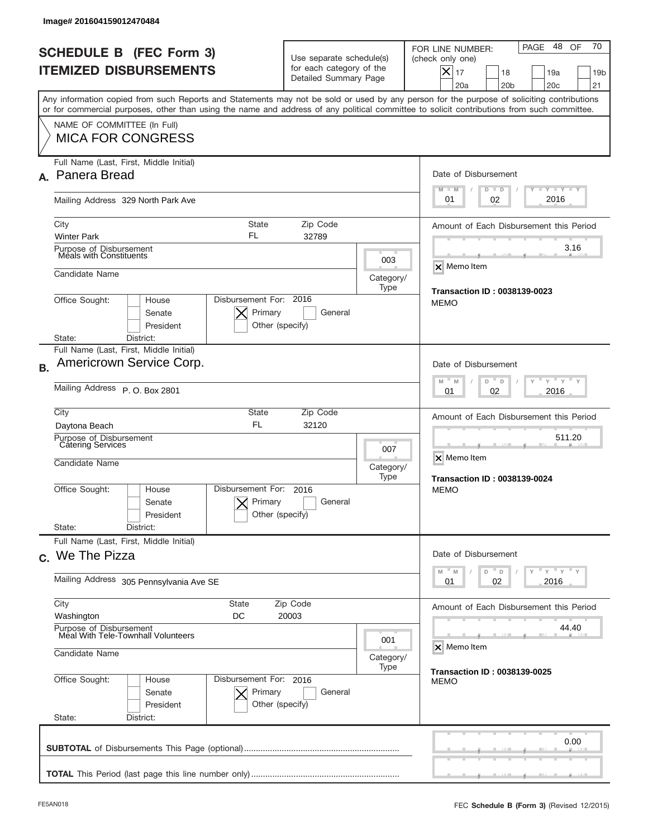| Image# 201604159012470484                                                                                                                                                                                                                                                               |                                                                                                     |                                                              |                                                                                                                                                                               |  |  |
|-----------------------------------------------------------------------------------------------------------------------------------------------------------------------------------------------------------------------------------------------------------------------------------------|-----------------------------------------------------------------------------------------------------|--------------------------------------------------------------|-------------------------------------------------------------------------------------------------------------------------------------------------------------------------------|--|--|
| <b>SCHEDULE B (FEC Form 3)</b><br><b>ITEMIZED DISBURSEMENTS</b>                                                                                                                                                                                                                         | Use separate schedule(s)<br>for each category of the<br>Detailed Summary Page                       |                                                              | 70<br>48 OF<br>PAGE<br>FOR LINE NUMBER:<br>(check only one)<br>$\boldsymbol{\times}$<br>17<br>18<br>19a<br>19 <sub>b</sub><br>20a<br>20 <sub>b</sub><br>20 <sub>c</sub><br>21 |  |  |
| Any information copied from such Reports and Statements may not be sold or used by any person for the purpose of soliciting contributions<br>or for commercial purposes, other than using the name and address of any political committee to solicit contributions from such committee. |                                                                                                     |                                                              |                                                                                                                                                                               |  |  |
| NAME OF COMMITTEE (In Full)<br><b>MICA FOR CONGRESS</b>                                                                                                                                                                                                                                 |                                                                                                     |                                                              |                                                                                                                                                                               |  |  |
| Full Name (Last, First, Middle Initial)<br>Panera Bread<br>А.                                                                                                                                                                                                                           |                                                                                                     |                                                              | Date of Disbursement                                                                                                                                                          |  |  |
| Mailing Address 329 North Park Ave                                                                                                                                                                                                                                                      |                                                                                                     |                                                              | Y TY TY TY<br>$M - M$<br>$D$ $D$<br>2016<br>01<br>02                                                                                                                          |  |  |
| State<br>City<br>FL<br><b>Winter Park</b>                                                                                                                                                                                                                                               | Amount of Each Disbursement this Period                                                             |                                                              |                                                                                                                                                                               |  |  |
| Purpose of Disbursement<br>Meals with Constituents                                                                                                                                                                                                                                      |                                                                                                     | 003                                                          | 3.16<br>X Memo Item                                                                                                                                                           |  |  |
| Candidate Name                                                                                                                                                                                                                                                                          |                                                                                                     | Category/<br>Type                                            | <b>Transaction ID: 0038139-0023</b>                                                                                                                                           |  |  |
| Disbursement For: 2016<br>Office Sought:<br>House<br>Primary<br>Senate<br>President<br>Other (specify)                                                                                                                                                                                  | <b>MEMO</b>                                                                                         |                                                              |                                                                                                                                                                               |  |  |
| State:<br>District:<br>Full Name (Last, First, Middle Initial)                                                                                                                                                                                                                          |                                                                                                     |                                                              |                                                                                                                                                                               |  |  |
| Americrown Service Corp.<br><b>B.</b>                                                                                                                                                                                                                                                   | Date of Disbursement                                                                                |                                                              |                                                                                                                                                                               |  |  |
| Mailing Address P. O. Box 2801                                                                                                                                                                                                                                                          | $\cdots$ $\gamma$ $\cdots$ $\gamma$ $\cdots$ $\gamma$<br>$M - M$<br>D<br>$\Box$<br>2016<br>01<br>02 |                                                              |                                                                                                                                                                               |  |  |
| City<br><b>FL</b><br>Daytona Beach                                                                                                                                                                                                                                                      | State<br>Zip Code<br>32120                                                                          |                                                              |                                                                                                                                                                               |  |  |
| Purpose of Disbursement<br>Catering Services<br>Candidate Name                                                                                                                                                                                                                          | 007<br>Category/<br>Type                                                                            | 511.20<br>X Memo Item<br><b>Transaction ID: 0038139-0024</b> |                                                                                                                                                                               |  |  |
| Disbursement For:<br>Office Sought:<br>House<br>Primary<br>Senate<br>President                                                                                                                                                                                                          | 2016<br>General<br>Other (specify)                                                                  |                                                              | <b>MEMO</b>                                                                                                                                                                   |  |  |
| State:<br>District:<br>Full Name (Last, First, Middle Initial)                                                                                                                                                                                                                          |                                                                                                     |                                                              |                                                                                                                                                                               |  |  |
| c. We The Pizza                                                                                                                                                                                                                                                                         | Date of Disbursement                                                                                |                                                              |                                                                                                                                                                               |  |  |
| Mailing Address 305 Pennsylvania Ave SE                                                                                                                                                                                                                                                 | $Y$ $Y$ $Y$ $Y$ $Y$<br>M<br>M<br>D<br>D<br>02<br>2016<br>01                                         |                                                              |                                                                                                                                                                               |  |  |
| City<br>State<br>Washington<br>DC                                                                                                                                                                                                                                                       | Amount of Each Disbursement this Period                                                             |                                                              |                                                                                                                                                                               |  |  |
| Purpose of Disbursement<br>Meal With Tele-Townhall Volunteers<br>001                                                                                                                                                                                                                    |                                                                                                     |                                                              | 44.40<br>X Memo Item                                                                                                                                                          |  |  |
| Candidate Name                                                                                                                                                                                                                                                                          | <b>Transaction ID: 0038139-0025</b>                                                                 |                                                              |                                                                                                                                                                               |  |  |
| Office Sought:<br>Disbursement For: 2016<br>House<br>Primary<br>Senate<br>President<br>State:<br>District:                                                                                                                                                                              | General<br>Other (specify)                                                                          |                                                              | MEMO                                                                                                                                                                          |  |  |
|                                                                                                                                                                                                                                                                                         |                                                                                                     |                                                              | 0.00                                                                                                                                                                          |  |  |
|                                                                                                                                                                                                                                                                                         |                                                                                                     |                                                              |                                                                                                                                                                               |  |  |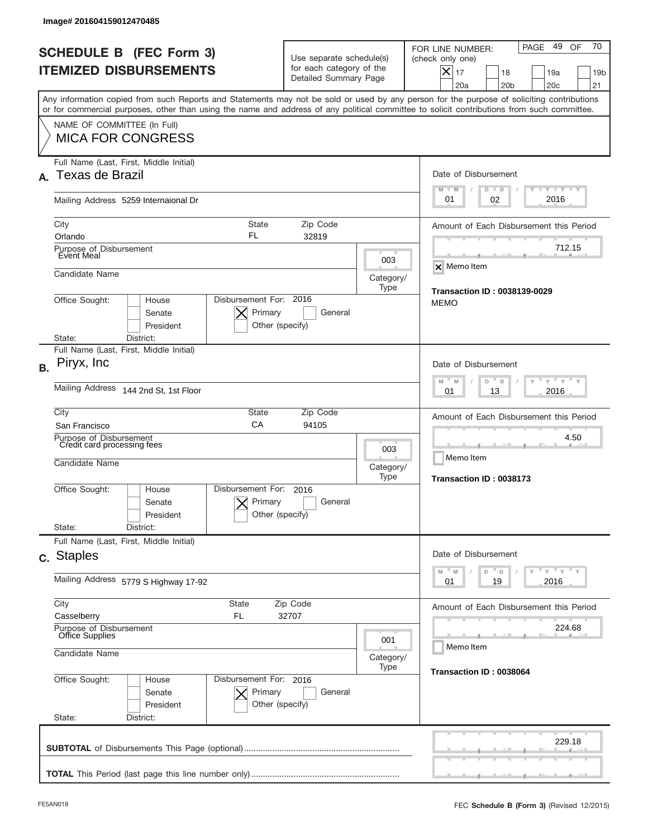|           | Image# 201604159012470485                                                        |                                                         |                                                                               |                                                                                                                                                                                                                                                                                         |
|-----------|----------------------------------------------------------------------------------|---------------------------------------------------------|-------------------------------------------------------------------------------|-----------------------------------------------------------------------------------------------------------------------------------------------------------------------------------------------------------------------------------------------------------------------------------------|
|           | <b>SCHEDULE B (FEC Form 3)</b><br><b>ITEMIZED DISBURSEMENTS</b>                  |                                                         | Use separate schedule(s)<br>for each category of the<br>Detailed Summary Page | 70<br>49<br>PAGE<br>OF<br>FOR LINE NUMBER:<br>(check only one)<br>$\times$<br>17<br>18<br>19a<br>19 <sub>b</sub><br>20a<br>20 <sub>b</sub><br>20 <sub>c</sub><br>21                                                                                                                     |
|           |                                                                                  |                                                         |                                                                               | Any information copied from such Reports and Statements may not be sold or used by any person for the purpose of soliciting contributions<br>or for commercial purposes, other than using the name and address of any political committee to solicit contributions from such committee. |
|           | NAME OF COMMITTEE (In Full)<br><b>MICA FOR CONGRESS</b>                          |                                                         |                                                                               |                                                                                                                                                                                                                                                                                         |
|           | Full Name (Last, First, Middle Initial)<br>A. Texas de Brazil                    |                                                         |                                                                               | Date of Disbursement<br><b>LYLYLY</b><br>$M - M$<br>$D$ $D$                                                                                                                                                                                                                             |
|           | Mailing Address 5259 Internaional Dr                                             |                                                         |                                                                               | 2016<br>01<br>02                                                                                                                                                                                                                                                                        |
|           | City<br>Orlando                                                                  | <b>State</b><br>FL<br>32819                             | Zip Code                                                                      | Amount of Each Disbursement this Period                                                                                                                                                                                                                                                 |
|           | Purpose of Disbursement<br>Event Meal                                            |                                                         | 003                                                                           | 712.15<br>X Memo Item                                                                                                                                                                                                                                                                   |
|           | Candidate Name<br>Office Sought:<br>House                                        | Disbursement For: 2016                                  | Category/<br>Type                                                             | <b>Transaction ID: 0038139-0029</b><br><b>MEMO</b>                                                                                                                                                                                                                                      |
|           | Senate<br>President<br>State:<br>District:                                       | Primary<br>Other (specify)                              | General                                                                       |                                                                                                                                                                                                                                                                                         |
| <b>B.</b> | Full Name (Last, First, Middle Initial)<br>Piryx, Inc                            |                                                         |                                                                               | Date of Disbursement                                                                                                                                                                                                                                                                    |
|           | Mailing Address 144 2nd St, 1st Floor                                            | $-M$<br>$Y = Y$<br>M<br>D<br>D<br>2016<br>01<br>13      |                                                                               |                                                                                                                                                                                                                                                                                         |
|           | City<br>San Francisco                                                            | State<br>CA<br>94105                                    | Zip Code                                                                      | Amount of Each Disbursement this Period                                                                                                                                                                                                                                                 |
|           | Purpose of Disbursement<br>Credit card processing fees<br>Candidate Name         |                                                         |                                                                               | 4.50<br>Memo Item<br>Transaction ID: 0038173                                                                                                                                                                                                                                            |
|           | Office Sought:<br>House<br>Senate<br>President                                   | Disbursement For:<br>2016<br>Primary<br>Other (specify) | Type<br>General                                                               |                                                                                                                                                                                                                                                                                         |
|           | State:<br>District:<br>Full Name (Last, First, Middle Initial)                   |                                                         |                                                                               |                                                                                                                                                                                                                                                                                         |
|           | c. Staples                                                                       |                                                         |                                                                               | Date of Disbursement<br>≡ γ ≡ γ ≡ γ<br>M<br>M<br>D<br>D                                                                                                                                                                                                                                 |
|           | Mailing Address 5779 S Highway 17-92                                             |                                                         |                                                                               | 19<br>2016<br>01                                                                                                                                                                                                                                                                        |
|           | City<br>State<br>Zip Code<br>Casselberry<br>FL<br>32707                          |                                                         |                                                                               | Amount of Each Disbursement this Period                                                                                                                                                                                                                                                 |
|           | Purpose of Disbursement<br>Office Supplies<br>001<br>Candidate Name<br>Category/ |                                                         |                                                                               | 224.68<br>Memo Item                                                                                                                                                                                                                                                                     |
|           | Office Sought:<br>House<br>Senate<br>President<br>State:<br>District:            | Disbursement For: 2016<br>Primary<br>Other (specify)    | Type<br>General                                                               | Transaction ID: 0038064                                                                                                                                                                                                                                                                 |
|           |                                                                                  |                                                         |                                                                               | 229.18                                                                                                                                                                                                                                                                                  |
|           |                                                                                  |                                                         |                                                                               |                                                                                                                                                                                                                                                                                         |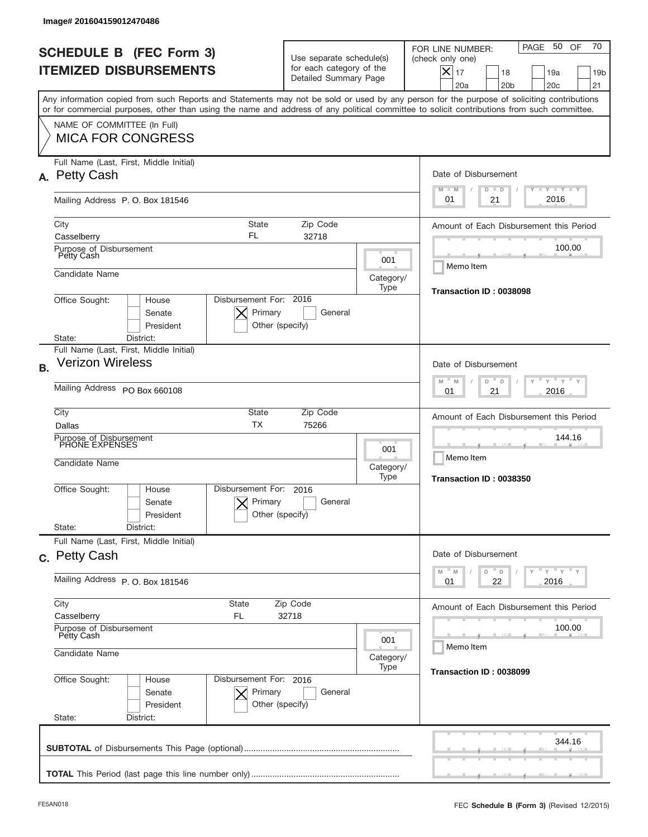| Image# 201604159012470486                                       |                                                                   |                                                                               |                                 |                                                                                                                                                                                                                                                                                         |  |
|-----------------------------------------------------------------|-------------------------------------------------------------------|-------------------------------------------------------------------------------|---------------------------------|-----------------------------------------------------------------------------------------------------------------------------------------------------------------------------------------------------------------------------------------------------------------------------------------|--|
| <b>SCHEDULE B (FEC Form 3)</b><br><b>ITEMIZED DISBURSEMENTS</b> |                                                                   | Use separate schedule(s)<br>for each category of the<br>Detailed Summary Page |                                 | 70<br>PAGE 50<br>OF<br>FOR LINE NUMBER:<br>(check only one)<br>$\times$<br>17<br>18<br>19a<br>19 <sub>b</sub><br>20a<br>20 <sub>b</sub><br>20 <sub>c</sub><br>21                                                                                                                        |  |
|                                                                 |                                                                   |                                                                               |                                 | Any information copied from such Reports and Statements may not be sold or used by any person for the purpose of soliciting contributions<br>or for commercial purposes, other than using the name and address of any political committee to solicit contributions from such committee. |  |
| NAME OF COMMITTEE (In Full)<br><b>MICA FOR CONGRESS</b>         |                                                                   |                                                                               |                                 |                                                                                                                                                                                                                                                                                         |  |
| Full Name (Last, First, Middle Initial)<br>A. Petty Cash        |                                                                   |                                                                               |                                 | Date of Disbursement                                                                                                                                                                                                                                                                    |  |
| Mailing Address P.O. Box 181546                                 |                                                                   | $T$ $Y$ $T$ $Y$ $T$ $Y$<br>$M - M$<br>$D$ $D$<br>2016<br>01<br>21             |                                 |                                                                                                                                                                                                                                                                                         |  |
| City<br>Casselberry                                             | <b>State</b><br>FL                                                | Amount of Each Disbursement this Period<br>100.00                             |                                 |                                                                                                                                                                                                                                                                                         |  |
| Purpose of Disbursement<br>Petty Cash<br>Candidate Name         |                                                                   |                                                                               | 001<br>Category/                | Memo Item                                                                                                                                                                                                                                                                               |  |
| Office Sought:<br>House                                         | Disbursement For: 2016<br>Primary<br>Senate<br>President          | General<br>Other (specify)                                                    | Type<br>Transaction ID: 0038098 |                                                                                                                                                                                                                                                                                         |  |
| District:<br>State:<br>Full Name (Last, First, Middle Initial)  |                                                                   |                                                                               |                                 |                                                                                                                                                                                                                                                                                         |  |
| <b>Verizon Wireless</b><br><b>B.</b>                            |                                                                   |                                                                               |                                 | Date of Disbursement<br>$\mathbb{F}$ $\mathbb{Y}$ $\mathbb{F}$ $\mathbb{Y}$ $\mathbb{F}$<br>$-M$<br>M<br>D<br>D                                                                                                                                                                         |  |
|                                                                 | Mailing Address PO Box 660108                                     |                                                                               |                                 | 2016<br>01<br>21                                                                                                                                                                                                                                                                        |  |
| City<br>Dallas                                                  | State<br><b>TX</b>                                                | Amount of Each Disbursement this Period<br>144.16                             |                                 |                                                                                                                                                                                                                                                                                         |  |
| Candidate Name                                                  | Purpose of Disbursement<br>PHONE EXPENSES<br>Category/            |                                                                               |                                 | Memo Item<br>Transaction ID: 0038350                                                                                                                                                                                                                                                    |  |
| Office Sought:<br>House                                         | Disbursement For:<br>Primary<br>Senate<br>President               | 2016<br>General<br>Other (specify)                                            |                                 |                                                                                                                                                                                                                                                                                         |  |
| State:<br>District:<br>Full Name (Last, First, Middle Initial)  |                                                                   |                                                                               |                                 |                                                                                                                                                                                                                                                                                         |  |
| c. Petty Cash                                                   |                                                                   |                                                                               |                                 | Date of Disbursement<br>$\mathbb{F}$ $\gamma$ $\mathbb{F}$ $\gamma$ $\mathbb{F}$ $\gamma$<br>M<br>M<br>D<br>D                                                                                                                                                                           |  |
|                                                                 | Mailing Address P. O. Box 181546                                  |                                                                               |                                 | 22<br>2016<br>01                                                                                                                                                                                                                                                                        |  |
| Casselberry                                                     | City<br>State<br>Zip Code<br>FL<br>32718                          |                                                                               |                                 | Amount of Each Disbursement this Period                                                                                                                                                                                                                                                 |  |
| Purpose of Disbursement<br>Petty Cash<br>001<br>Candidate Name  |                                                                   |                                                                               | 100.00<br>Memo Item             |                                                                                                                                                                                                                                                                                         |  |
| Office Sought:                                                  | Disbursement For: 2016<br>House<br>Senate<br>Primary<br>President | General<br>Other (specify)                                                    | Category/<br>Type               | Transaction ID: 0038099                                                                                                                                                                                                                                                                 |  |
| State:<br>District:                                             |                                                                   |                                                                               |                                 |                                                                                                                                                                                                                                                                                         |  |
|                                                                 |                                                                   |                                                                               |                                 | 344.16                                                                                                                                                                                                                                                                                  |  |
|                                                                 |                                                                   |                                                                               |                                 |                                                                                                                                                                                                                                                                                         |  |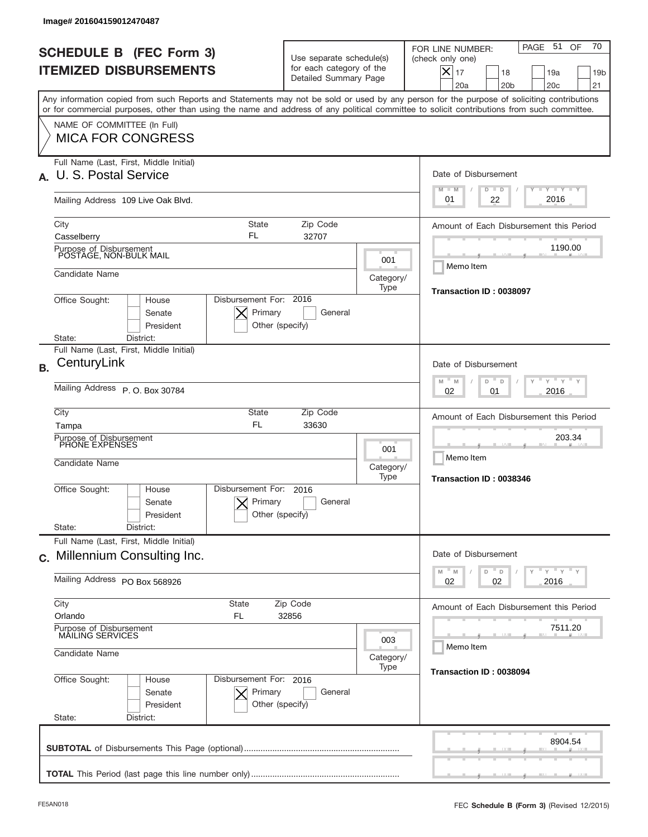|           | Image# 201604159012470487                                                                                                                                                                                                                                                               |                                                                               |                   |                                                                                                                                                             |
|-----------|-----------------------------------------------------------------------------------------------------------------------------------------------------------------------------------------------------------------------------------------------------------------------------------------|-------------------------------------------------------------------------------|-------------------|-------------------------------------------------------------------------------------------------------------------------------------------------------------|
|           | <b>SCHEDULE B (FEC Form 3)</b><br><b>ITEMIZED DISBURSEMENTS</b>                                                                                                                                                                                                                         | Use separate schedule(s)<br>for each category of the<br>Detailed Summary Page |                   | 70<br>PAGE 51<br>OF<br>FOR LINE NUMBER:<br>(check only one)<br>$X _{17}$<br>18<br>19a<br>19 <sub>b</sub><br>20a<br>20 <sub>b</sub><br>20 <sub>c</sub><br>21 |
|           | Any information copied from such Reports and Statements may not be sold or used by any person for the purpose of soliciting contributions<br>or for commercial purposes, other than using the name and address of any political committee to solicit contributions from such committee. |                                                                               |                   |                                                                                                                                                             |
|           | NAME OF COMMITTEE (In Full)<br><b>MICA FOR CONGRESS</b>                                                                                                                                                                                                                                 |                                                                               |                   |                                                                                                                                                             |
|           | Full Name (Last, First, Middle Initial)<br>U. S. Postal Service                                                                                                                                                                                                                         |                                                                               |                   | Date of Disbursement<br>Y LY LY LY<br>$M - M$<br>$D$ $D$                                                                                                    |
|           | Mailing Address 109 Live Oak Blvd.                                                                                                                                                                                                                                                      | 2016<br>01<br>22                                                              |                   |                                                                                                                                                             |
|           | <b>State</b><br>City<br>FL<br>Casselberry                                                                                                                                                                                                                                               | Zip Code<br>32707                                                             |                   | Amount of Each Disbursement this Period                                                                                                                     |
|           | Purpose of Disbursement<br>POSTAGE, NON-BULK MAIL                                                                                                                                                                                                                                       |                                                                               | 001               | 1190.00                                                                                                                                                     |
|           | Candidate Name                                                                                                                                                                                                                                                                          |                                                                               | Category/<br>Type | Memo Item                                                                                                                                                   |
|           | Disbursement For: 2016<br>Office Sought:<br>House<br>Primary<br>Senate<br>President<br>Other (specify)                                                                                                                                                                                  | General                                                                       |                   | Transaction ID: 0038097                                                                                                                                     |
|           | State:<br>District:<br>Full Name (Last, First, Middle Initial)                                                                                                                                                                                                                          |                                                                               |                   |                                                                                                                                                             |
| <b>B.</b> | CenturyLink                                                                                                                                                                                                                                                                             |                                                                               |                   | Date of Disbursement<br>$\cdots$ $\gamma$ $\cdots$ $\gamma$ $\cdots$ $\gamma$<br>M<br>D<br>M<br>D                                                           |
|           | Mailing Address P. O. Box 30784                                                                                                                                                                                                                                                         | 2016<br>02<br>01                                                              |                   |                                                                                                                                                             |
|           | City<br><b>State</b><br><b>FL</b><br>Tampa                                                                                                                                                                                                                                              | Zip Code<br>33630                                                             |                   | Amount of Each Disbursement this Period                                                                                                                     |
|           | Purpose of Disbursement<br>PHONE EXPENSES<br>Candidate Name                                                                                                                                                                                                                             |                                                                               | 001<br>Category/  | 203.34<br>Memo Item                                                                                                                                         |
|           | Disbursement For:<br>Office Sought:<br>House<br>Primary<br>Senate<br>Other (specify)<br>President<br>State:<br>District:                                                                                                                                                                | 2016<br>General                                                               | Type              | Transaction ID: 0038346                                                                                                                                     |
|           | Full Name (Last, First, Middle Initial)<br>c. Millennium Consulting Inc.                                                                                                                                                                                                                |                                                                               |                   | Date of Disbursement                                                                                                                                        |
|           | Mailing Address PO Box 568926                                                                                                                                                                                                                                                           |                                                                               |                   | $\overline{y}$ $\overline{y}$ $\overline{y}$ $\overline{y}$ $\overline{y}$<br>M<br>$\mathbb M$<br>D<br>D<br>02<br>2016<br>02                                |
|           | City<br><b>State</b><br>Zip Code<br>Orlando<br>FL<br>32856                                                                                                                                                                                                                              |                                                                               |                   | Amount of Each Disbursement this Period                                                                                                                     |
|           | Purpose of Disbursement<br>MAILING SERVICES<br>003<br>Candidate Name                                                                                                                                                                                                                    |                                                                               |                   | 7511.20<br>Memo Item                                                                                                                                        |
|           | Disbursement For: 2016                                                                                                                                                                                                                                                                  |                                                                               | Category/<br>Type | Transaction ID: 0038094                                                                                                                                     |
|           | Office Sought:<br>House<br>Senate<br>Primary<br>President<br>Other (specify)<br>State:<br>District:                                                                                                                                                                                     | General                                                                       |                   |                                                                                                                                                             |
|           |                                                                                                                                                                                                                                                                                         |                                                                               |                   | 8904.54                                                                                                                                                     |
|           |                                                                                                                                                                                                                                                                                         |                                                                               |                   |                                                                                                                                                             |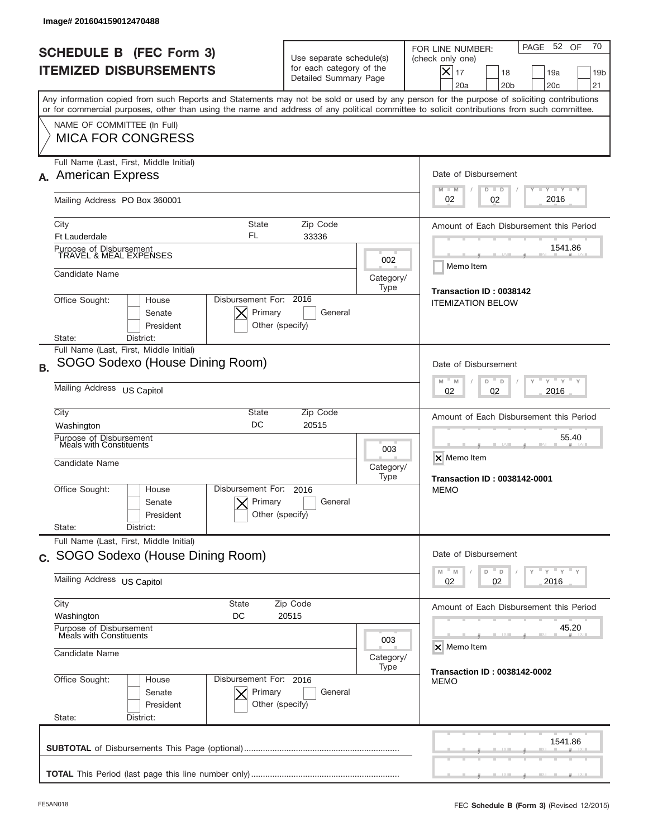| Image# 201604159012470488                                                                                                                                                                                                                                                               |                                                                                               |                   |                                                                                                                                                          |  |  |
|-----------------------------------------------------------------------------------------------------------------------------------------------------------------------------------------------------------------------------------------------------------------------------------------|-----------------------------------------------------------------------------------------------|-------------------|----------------------------------------------------------------------------------------------------------------------------------------------------------|--|--|
| <b>SCHEDULE B (FEC Form 3)</b><br><b>ITEMIZED DISBURSEMENTS</b>                                                                                                                                                                                                                         | Use separate schedule(s)<br>for each category of the<br>Detailed Summary Page                 |                   | 70<br>PAGE 52 OF<br>FOR LINE NUMBER:<br>(check only one)<br>$X _{17}$<br>18<br>19a<br>19 <sub>b</sub><br>20a<br>20 <sub>b</sub><br>20 <sub>c</sub><br>21 |  |  |
| Any information copied from such Reports and Statements may not be sold or used by any person for the purpose of soliciting contributions<br>or for commercial purposes, other than using the name and address of any political committee to solicit contributions from such committee. |                                                                                               |                   |                                                                                                                                                          |  |  |
| NAME OF COMMITTEE (In Full)<br><b>MICA FOR CONGRESS</b>                                                                                                                                                                                                                                 |                                                                                               |                   |                                                                                                                                                          |  |  |
| Full Name (Last, First, Middle Initial)<br><b>American Express</b><br>А.                                                                                                                                                                                                                |                                                                                               |                   | Date of Disbursement<br>$T - Y$ $T - Y$<br>$M - M$<br>$D$ $D$                                                                                            |  |  |
| Mailing Address PO Box 360001                                                                                                                                                                                                                                                           |                                                                                               |                   | 2016<br>02<br>02                                                                                                                                         |  |  |
| <b>State</b><br>City<br>FL<br><b>Ft Lauderdale</b>                                                                                                                                                                                                                                      | Amount of Each Disbursement this Period                                                       |                   |                                                                                                                                                          |  |  |
| Purpose of Disbursement<br>TRAVEL & MEAL EXPENSES                                                                                                                                                                                                                                       |                                                                                               | 002               | 1541.86<br>Memo Item                                                                                                                                     |  |  |
| Candidate Name                                                                                                                                                                                                                                                                          |                                                                                               | Category/<br>Type |                                                                                                                                                          |  |  |
| Office Sought:<br>House<br>Senate<br>President                                                                                                                                                                                                                                          | Disbursement For: 2016<br>Primary<br>General<br>Other (specify)                               |                   | Transaction ID: 0038142<br><b>ITEMIZATION BELOW</b>                                                                                                      |  |  |
| District:<br>State:<br>Full Name (Last, First, Middle Initial)                                                                                                                                                                                                                          |                                                                                               |                   |                                                                                                                                                          |  |  |
| SOGO Sodexo (House Dining Room)                                                                                                                                                                                                                                                         |                                                                                               |                   | Date of Disbursement                                                                                                                                     |  |  |
| Mailing Address US Capitol                                                                                                                                                                                                                                                              | $\cdots$ $\gamma$ $\cdots$ $\gamma$ $\cdots$ $\gamma$<br>M<br>D<br>M<br>D<br>2016<br>02<br>02 |                   |                                                                                                                                                          |  |  |
| City<br>State<br>DC<br>Washington                                                                                                                                                                                                                                                       | Zip Code<br>20515                                                                             |                   | Amount of Each Disbursement this Period                                                                                                                  |  |  |
| Purpose of Disbursement<br>Meals with Constituents<br>Candidate Name                                                                                                                                                                                                                    |                                                                                               |                   | 55.40<br>X Memo Item<br>Category/<br><b>Transaction ID: 0038142-0001</b>                                                                                 |  |  |
| Disbursement For:<br>Office Sought:<br>House<br>Senate<br>President                                                                                                                                                                                                                     | 2016<br>Primary<br>General<br>Other (specify)                                                 | Type              | <b>MEMO</b>                                                                                                                                              |  |  |
| State:<br>District:<br>Full Name (Last, First, Middle Initial)                                                                                                                                                                                                                          |                                                                                               |                   |                                                                                                                                                          |  |  |
| c. SOGO Sodexo (House Dining Room)                                                                                                                                                                                                                                                      |                                                                                               |                   | Date of Disbursement<br>$\mathsf{Y}$ $\mathsf{Y}$ $\mathsf{Y}$ $\mathsf{Y}$<br>D                                                                         |  |  |
| Mailing Address US Capitol                                                                                                                                                                                                                                                              | M<br>M<br>D<br>02<br>2016<br>02                                                               |                   |                                                                                                                                                          |  |  |
| City<br>Zip Code<br>State<br>Washington<br>DC<br>20515                                                                                                                                                                                                                                  |                                                                                               |                   | Amount of Each Disbursement this Period                                                                                                                  |  |  |
| Purpose of Disbursement<br>Meals with Constituents<br>003<br>Candidate Name<br>Category/<br>Type                                                                                                                                                                                        |                                                                                               |                   | 45.20<br>X Memo Item                                                                                                                                     |  |  |
|                                                                                                                                                                                                                                                                                         |                                                                                               |                   | <b>Transaction ID: 0038142-0002</b>                                                                                                                      |  |  |
| Office Sought:<br>House<br>Senate<br>President<br>State:<br>District:                                                                                                                                                                                                                   | Disbursement For: 2016<br>Primary<br>General<br>Other (specify)                               |                   | <b>MEMO</b>                                                                                                                                              |  |  |
|                                                                                                                                                                                                                                                                                         |                                                                                               |                   | 1541.86                                                                                                                                                  |  |  |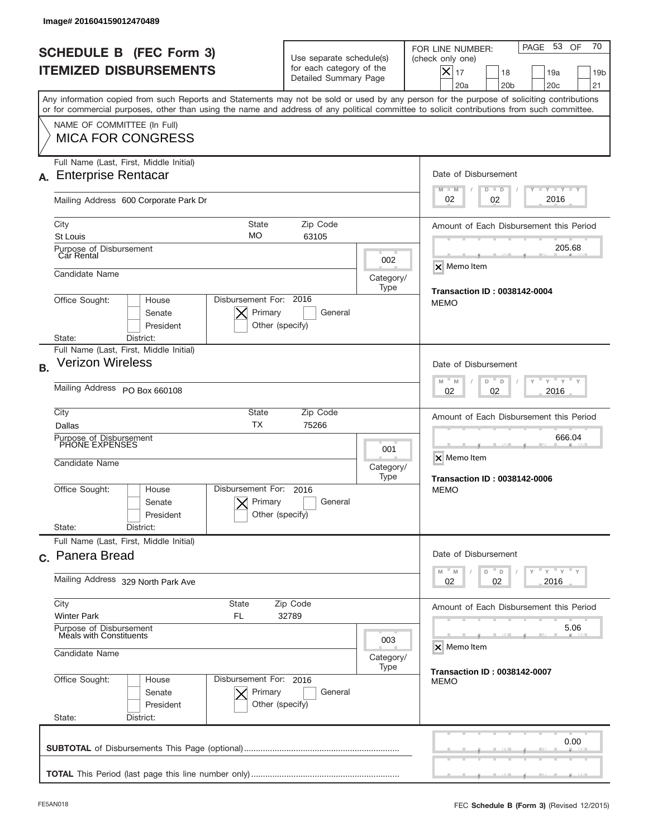| lmage# 201604159012470489                                                                                                                                                                                                                                                               |                                                                               |                                                              |                                                                                                                                                                  |  |  |
|-----------------------------------------------------------------------------------------------------------------------------------------------------------------------------------------------------------------------------------------------------------------------------------------|-------------------------------------------------------------------------------|--------------------------------------------------------------|------------------------------------------------------------------------------------------------------------------------------------------------------------------|--|--|
| <b>SCHEDULE B (FEC Form 3)</b><br><b>ITEMIZED DISBURSEMENTS</b>                                                                                                                                                                                                                         | Use separate schedule(s)<br>for each category of the<br>Detailed Summary Page |                                                              | 70<br>PAGE 53<br>OF<br>FOR LINE NUMBER:<br>(check only one)<br>$\times$<br>17<br>18<br>19a<br>19 <sub>b</sub><br>20a<br>20 <sub>b</sub><br>20 <sub>c</sub><br>21 |  |  |
| Any information copied from such Reports and Statements may not be sold or used by any person for the purpose of soliciting contributions<br>or for commercial purposes, other than using the name and address of any political committee to solicit contributions from such committee. |                                                                               |                                                              |                                                                                                                                                                  |  |  |
| NAME OF COMMITTEE (In Full)<br><b>MICA FOR CONGRESS</b>                                                                                                                                                                                                                                 |                                                                               |                                                              |                                                                                                                                                                  |  |  |
| Full Name (Last, First, Middle Initial)<br>A. Enterprise Rentacar                                                                                                                                                                                                                       |                                                                               |                                                              | Date of Disbursement<br><b>LYLYLY</b>                                                                                                                            |  |  |
| Mailing Address 600 Corporate Park Dr                                                                                                                                                                                                                                                   |                                                                               |                                                              | $M - M$<br>$D$ $D$<br>2016<br>02<br>02                                                                                                                           |  |  |
| City<br>St Louis                                                                                                                                                                                                                                                                        | <b>State</b><br>Zip Code<br>МO<br>63105                                       |                                                              |                                                                                                                                                                  |  |  |
| Purpose of Disbursement<br>Car Rental<br>Candidate Name                                                                                                                                                                                                                                 |                                                                               | 002<br>Category/                                             | 205.68<br>X Memo Item                                                                                                                                            |  |  |
| Office Sought:<br>House<br>Senate<br>President                                                                                                                                                                                                                                          | Disbursement For: 2016<br>Primary<br>General<br>Other (specify)               | Type                                                         | <b>Transaction ID: 0038142-0004</b><br><b>MEMO</b>                                                                                                               |  |  |
| District:<br>State:<br>Full Name (Last, First, Middle Initial)                                                                                                                                                                                                                          |                                                                               |                                                              |                                                                                                                                                                  |  |  |
| <b>Verizon Wireless</b><br><b>B.</b>                                                                                                                                                                                                                                                    |                                                                               |                                                              | Date of Disbursement<br>$M - M$<br>$Y'$ $Y'$<br>D<br>D                                                                                                           |  |  |
| Mailing Address PO Box 660108                                                                                                                                                                                                                                                           | 2016<br>02<br>02                                                              |                                                              |                                                                                                                                                                  |  |  |
| Dallas                                                                                                                                                                                                                                                                                  | City<br>State<br>Zip Code<br><b>TX</b><br>75266                               |                                                              |                                                                                                                                                                  |  |  |
| Purpose of Disbursement<br>PHONE EXPENSES<br>Candidate Name                                                                                                                                                                                                                             | 001<br>Category/<br>Type                                                      | 666.04<br>X Memo Item<br><b>Transaction ID: 0038142-0006</b> |                                                                                                                                                                  |  |  |
| Disbursement For:<br>Office Sought:<br>House<br>Senate<br>President<br>State:<br>District:                                                                                                                                                                                              | 2016<br>Primary<br>General<br>Other (specify)                                 |                                                              | <b>MEMO</b>                                                                                                                                                      |  |  |
| Full Name (Last, First, Middle Initial)                                                                                                                                                                                                                                                 |                                                                               |                                                              |                                                                                                                                                                  |  |  |
| c. Panera Bread                                                                                                                                                                                                                                                                         |                                                                               |                                                              | Date of Disbursement<br>≡ γ ≡ γ ≡ γ<br>D<br>M<br>M<br>D                                                                                                          |  |  |
| Mailing Address 329 North Park Ave                                                                                                                                                                                                                                                      | 02<br>02<br>2016                                                              |                                                              |                                                                                                                                                                  |  |  |
| <b>Winter Park</b><br>FL                                                                                                                                                                                                                                                                | City<br>State<br>Zip Code<br>32789                                            |                                                              |                                                                                                                                                                  |  |  |
| Purpose of Disbursement<br>Meals with Constituents<br>003<br>Candidate Name                                                                                                                                                                                                             |                                                                               |                                                              | 5.06<br>X Memo Item                                                                                                                                              |  |  |
|                                                                                                                                                                                                                                                                                         |                                                                               | Category/<br>Type                                            | <b>Transaction ID: 0038142-0007</b>                                                                                                                              |  |  |
| Office Sought:<br>House<br>Senate<br>President<br>State:<br>District:                                                                                                                                                                                                                   | Disbursement For: 2016<br>Primary<br>General<br>Other (specify)               |                                                              | <b>MEMO</b>                                                                                                                                                      |  |  |
|                                                                                                                                                                                                                                                                                         |                                                                               |                                                              | 0.00                                                                                                                                                             |  |  |
|                                                                                                                                                                                                                                                                                         |                                                                               |                                                              |                                                                                                                                                                  |  |  |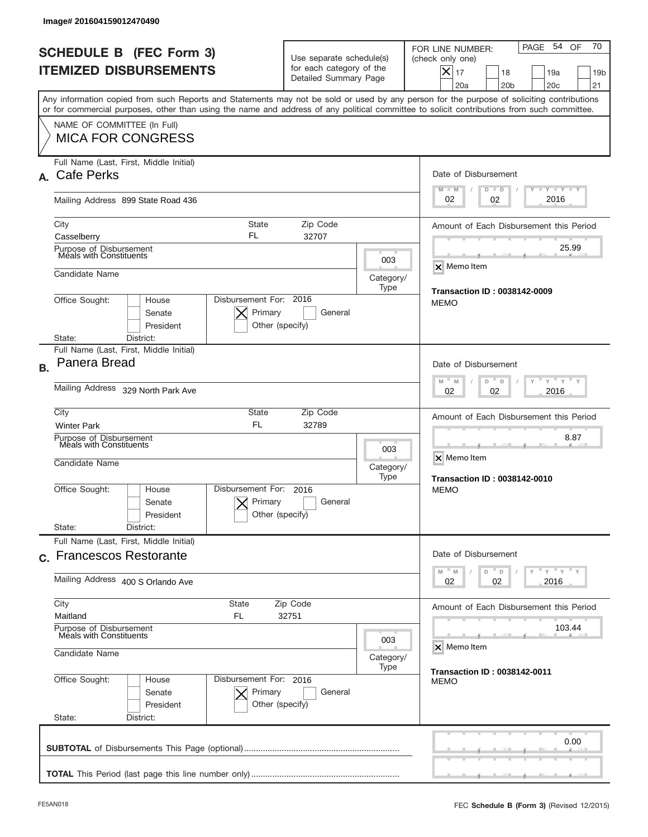| Image# 201604159012470490                                                                                                                                                                                                                                                                                              |                                                                               |                   |                                                                                                                                                             |
|------------------------------------------------------------------------------------------------------------------------------------------------------------------------------------------------------------------------------------------------------------------------------------------------------------------------|-------------------------------------------------------------------------------|-------------------|-------------------------------------------------------------------------------------------------------------------------------------------------------------|
| <b>SCHEDULE B (FEC Form 3)</b><br><b>ITEMIZED DISBURSEMENTS</b>                                                                                                                                                                                                                                                        | Use separate schedule(s)<br>for each category of the<br>Detailed Summary Page |                   | 70<br>54 OF<br>PAGE<br>FOR LINE NUMBER:<br>(check only one)<br>$X _{17}$<br>19a<br>18<br>19 <sub>b</sub><br>20a<br>20 <sub>b</sub><br>20 <sub>c</sub><br>21 |
| Any information copied from such Reports and Statements may not be sold or used by any person for the purpose of soliciting contributions<br>or for commercial purposes, other than using the name and address of any political committee to solicit contributions from such committee.<br>NAME OF COMMITTEE (In Full) |                                                                               |                   |                                                                                                                                                             |
| <b>MICA FOR CONGRESS</b>                                                                                                                                                                                                                                                                                               |                                                                               |                   |                                                                                                                                                             |
| Full Name (Last, First, Middle Initial)<br>A. Cafe Perks                                                                                                                                                                                                                                                               |                                                                               |                   | Date of Disbursement<br>Y TY TY TY<br>$M - M$<br>$D$ $D$                                                                                                    |
| Mailing Address 899 State Road 436                                                                                                                                                                                                                                                                                     | 2016<br>02<br>02                                                              |                   |                                                                                                                                                             |
| City<br><b>State</b><br>FL<br>Casselberry                                                                                                                                                                                                                                                                              | Amount of Each Disbursement this Period                                       |                   |                                                                                                                                                             |
| Purpose of Disbursement<br>Meals with Constituents                                                                                                                                                                                                                                                                     |                                                                               | 003               | 25.99<br>$\overline{\mathsf{x}}$ Memo Item                                                                                                                  |
| Candidate Name                                                                                                                                                                                                                                                                                                         |                                                                               | Category/<br>Type | <b>Transaction ID: 0038142-0009</b>                                                                                                                         |
| Disbursement For: 2016<br>Office Sought:<br>House<br>Primary<br>Senate<br>President                                                                                                                                                                                                                                    | General<br>Other (specify)                                                    |                   | <b>MEMO</b>                                                                                                                                                 |
| District:<br>State:<br>Full Name (Last, First, Middle Initial)                                                                                                                                                                                                                                                         |                                                                               |                   |                                                                                                                                                             |
| Panera Bread                                                                                                                                                                                                                                                                                                           |                                                                               |                   | Date of Disbursement<br>ү " ү " ү " ү<br>$M - M$<br>D<br>D                                                                                                  |
| Mailing Address 329 North Park Ave                                                                                                                                                                                                                                                                                     | 2016<br>02<br>02                                                              |                   |                                                                                                                                                             |
| City<br><b>State</b><br><b>FL</b><br><b>Winter Park</b>                                                                                                                                                                                                                                                                | Amount of Each Disbursement this Period                                       |                   |                                                                                                                                                             |
| Purpose of Disbursement<br>Meals with Constituents<br>003<br>Candidate Name<br>Category/<br>Type                                                                                                                                                                                                                       |                                                                               |                   | 8.87<br>X Memo Item<br><b>Transaction ID: 0038142-0010</b>                                                                                                  |
| Disbursement For:<br>Office Sought:<br>House<br>Primary<br>Senate<br>President                                                                                                                                                                                                                                         | 2016<br>General<br>Other (specify)                                            |                   | <b>MEMO</b>                                                                                                                                                 |
| State:<br>District:<br>Full Name (Last, First, Middle Initial)                                                                                                                                                                                                                                                         |                                                                               |                   |                                                                                                                                                             |
| c. Francescos Restorante                                                                                                                                                                                                                                                                                               |                                                                               |                   | Date of Disbursement<br>$\cdots$ $\vdots$ $\cdots$ $\vdots$<br>$-M$<br>M<br>D<br>D                                                                          |
| Mailing Address 400 S Orlando Ave                                                                                                                                                                                                                                                                                      | 02<br>02<br>2016                                                              |                   |                                                                                                                                                             |
| City<br>Zip Code<br>State<br>Maitland<br>FL<br>32751                                                                                                                                                                                                                                                                   |                                                                               |                   | Amount of Each Disbursement this Period                                                                                                                     |
| Purpose of Disbursement<br>Meals with Constituents<br>003<br>Candidate Name<br>Category/                                                                                                                                                                                                                               |                                                                               |                   | 103.44<br>X Memo Item                                                                                                                                       |
| Office Sought:<br>Disbursement For: 2016<br>House<br>Senate<br>Primary<br>President<br>State:<br>District:                                                                                                                                                                                                             | General<br>Other (specify)                                                    | Type              | <b>Transaction ID: 0038142-0011</b><br>MEMO                                                                                                                 |
|                                                                                                                                                                                                                                                                                                                        |                                                                               |                   | 0.00                                                                                                                                                        |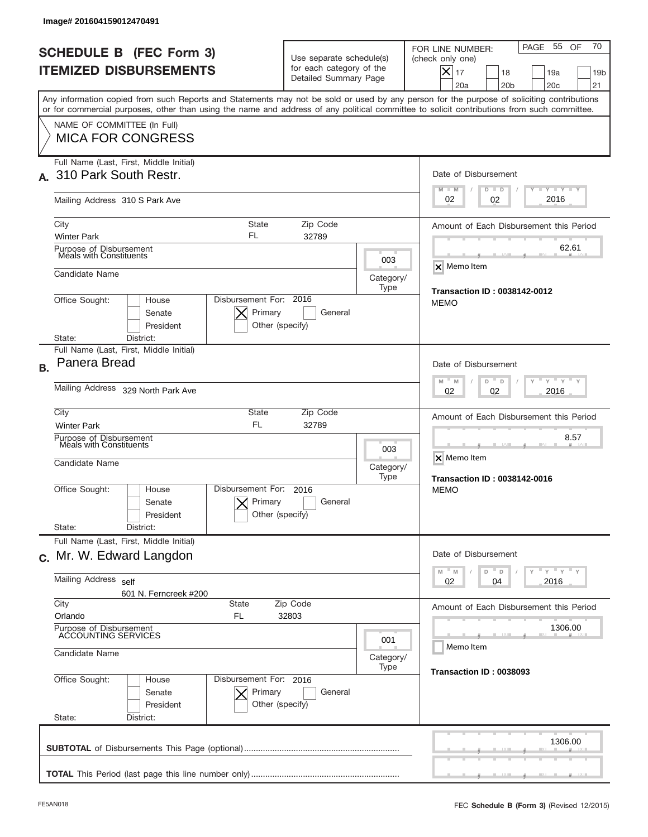|           | Image# 201604159012470491                                                                                                                                                                                                                                                               |                                                                               |                   |                                                                                                                                                             |
|-----------|-----------------------------------------------------------------------------------------------------------------------------------------------------------------------------------------------------------------------------------------------------------------------------------------|-------------------------------------------------------------------------------|-------------------|-------------------------------------------------------------------------------------------------------------------------------------------------------------|
|           | <b>SCHEDULE B (FEC Form 3)</b><br><b>ITEMIZED DISBURSEMENTS</b>                                                                                                                                                                                                                         | Use separate schedule(s)<br>for each category of the<br>Detailed Summary Page |                   | 70<br>PAGE 55<br>OF<br>FOR LINE NUMBER:<br>(check only one)<br>$X _{17}$<br>18<br>19a<br>19 <sub>b</sub><br>20a<br>20 <sub>b</sub><br>20 <sub>c</sub><br>21 |
|           | Any information copied from such Reports and Statements may not be sold or used by any person for the purpose of soliciting contributions<br>or for commercial purposes, other than using the name and address of any political committee to solicit contributions from such committee. |                                                                               |                   |                                                                                                                                                             |
|           | NAME OF COMMITTEE (In Full)<br><b>MICA FOR CONGRESS</b>                                                                                                                                                                                                                                 |                                                                               |                   |                                                                                                                                                             |
|           | Full Name (Last, First, Middle Initial)<br>310 Park South Restr.                                                                                                                                                                                                                        |                                                                               |                   | Date of Disbursement<br>$T - Y$ $T - Y$ $T - Y$<br>$M - M$<br>$D$ $D$                                                                                       |
|           | Mailing Address 310 S Park Ave                                                                                                                                                                                                                                                          |                                                                               |                   | 2016<br>02<br>02                                                                                                                                            |
|           | State<br>City<br>FL<br><b>Winter Park</b>                                                                                                                                                                                                                                               | Zip Code<br>32789                                                             |                   | Amount of Each Disbursement this Period                                                                                                                     |
|           | Purpose of Disbursement<br>Meals with Constituents                                                                                                                                                                                                                                      |                                                                               | 003               | 62.61<br><b>X</b> Memo Item                                                                                                                                 |
|           | Candidate Name<br>Disbursement For: 2016                                                                                                                                                                                                                                                |                                                                               | Category/<br>Type | <b>Transaction ID: 0038142-0012</b>                                                                                                                         |
|           | Office Sought:<br>House<br>Primary<br>Senate<br>President<br>District:<br>State:                                                                                                                                                                                                        | General<br>Other (specify)                                                    |                   | <b>MEMO</b>                                                                                                                                                 |
| <b>B.</b> | Full Name (Last, First, Middle Initial)<br>Panera Bread                                                                                                                                                                                                                                 |                                                                               |                   | Date of Disbursement                                                                                                                                        |
|           | Mailing Address 329 North Park Ave                                                                                                                                                                                                                                                      | $M - M$<br>≡ γ ≡ γ ≡<br>D<br>D<br>2016<br>02<br>02                            |                   |                                                                                                                                                             |
|           | City<br>State<br><b>FL</b><br><b>Winter Park</b>                                                                                                                                                                                                                                        | Zip Code<br>32789                                                             |                   | Amount of Each Disbursement this Period                                                                                                                     |
|           | Purpose of Disbursement<br>Meals with Constituents<br>Candidate Name                                                                                                                                                                                                                    |                                                                               |                   | 8.57<br>X Memo Item<br>Category/<br><b>Transaction ID: 0038142-0016</b>                                                                                     |
|           | Disbursement For:<br>Office Sought:<br>House<br>Primary<br>Senate<br>President<br>State:<br>District:                                                                                                                                                                                   | 2016<br>General<br>Other (specify)                                            |                   | MEMO                                                                                                                                                        |
|           | Full Name (Last, First, Middle Initial)<br>c. Mr. W. Edward Langdon                                                                                                                                                                                                                     |                                                                               |                   | Date of Disbursement                                                                                                                                        |
|           | <b>Mailing Address</b><br>self<br>601 N. Ferncreek #200                                                                                                                                                                                                                                 | ≡ γ ≡ γ ≡ γ<br>$-M$<br>M<br>D<br>D<br>Y<br>02<br>2016<br>04                   |                   |                                                                                                                                                             |
|           | City<br>State<br>Orlando<br>FL.                                                                                                                                                                                                                                                         | Zip Code<br>32803                                                             |                   | Amount of Each Disbursement this Period                                                                                                                     |
|           | Purpose of Disbursement<br>ACCOUNTING SERVICES<br>Candidate Name                                                                                                                                                                                                                        | 1306.00<br>Memo Item                                                          |                   |                                                                                                                                                             |
|           | Office Sought:<br>Disbursement For: 2016<br>House<br>Senate<br>Primary                                                                                                                                                                                                                  | General                                                                       | Category/<br>Type | Transaction ID: 0038093                                                                                                                                     |
|           | President<br>Other (specify)<br>State:<br>District:                                                                                                                                                                                                                                     |                                                                               |                   |                                                                                                                                                             |
|           |                                                                                                                                                                                                                                                                                         |                                                                               |                   | 1306.00                                                                                                                                                     |
|           |                                                                                                                                                                                                                                                                                         |                                                                               |                   |                                                                                                                                                             |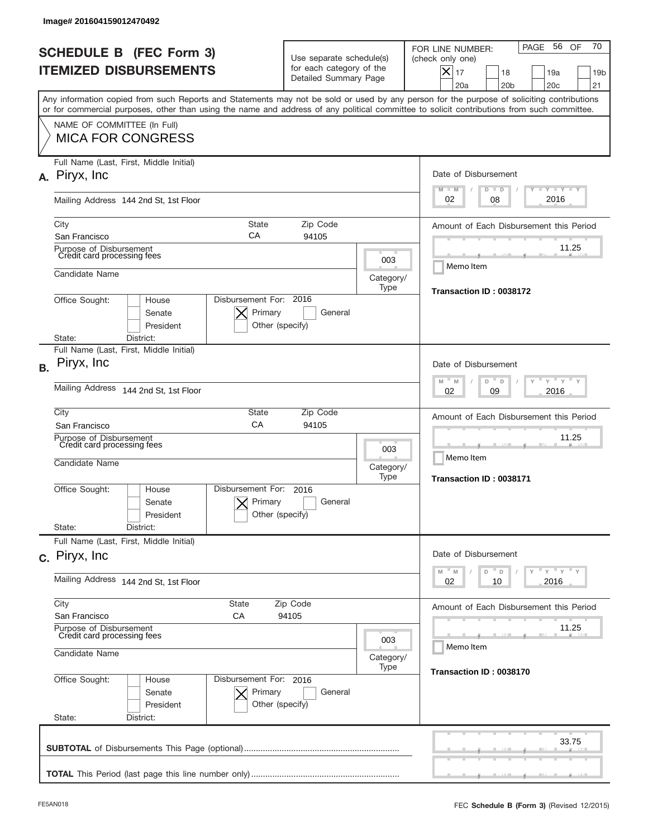| Image# 201604159012470492                                                                                                                                                                                                                                                               |                                                                               |                                               |                                                                                                                                                             |  |  |
|-----------------------------------------------------------------------------------------------------------------------------------------------------------------------------------------------------------------------------------------------------------------------------------------|-------------------------------------------------------------------------------|-----------------------------------------------|-------------------------------------------------------------------------------------------------------------------------------------------------------------|--|--|
| <b>SCHEDULE B (FEC Form 3)</b><br><b>ITEMIZED DISBURSEMENTS</b>                                                                                                                                                                                                                         | Use separate schedule(s)<br>for each category of the<br>Detailed Summary Page |                                               | 70<br>56 OF<br>PAGE<br>FOR LINE NUMBER:<br>(check only one)<br>$X _{17}$<br>19a<br>18<br>19 <sub>b</sub><br>20a<br>20 <sub>b</sub><br>20 <sub>c</sub><br>21 |  |  |
| Any information copied from such Reports and Statements may not be sold or used by any person for the purpose of soliciting contributions<br>or for commercial purposes, other than using the name and address of any political committee to solicit contributions from such committee. |                                                                               |                                               |                                                                                                                                                             |  |  |
| NAME OF COMMITTEE (In Full)<br><b>MICA FOR CONGRESS</b>                                                                                                                                                                                                                                 |                                                                               |                                               |                                                                                                                                                             |  |  |
| Full Name (Last, First, Middle Initial)<br>A. Piryx, Inc.                                                                                                                                                                                                                               |                                                                               |                                               | Date of Disbursement<br>Y TY TY TY<br>$M - M$<br>$D$ $D$                                                                                                    |  |  |
| Mailing Address 144 2nd St, 1st Floor                                                                                                                                                                                                                                                   |                                                                               |                                               | 2016<br>02<br>08                                                                                                                                            |  |  |
| City<br>СA<br>San Francisco                                                                                                                                                                                                                                                             | <b>State</b><br>Zip Code<br>94105                                             |                                               |                                                                                                                                                             |  |  |
| Purpose of Disbursement<br>Credit card processing fees                                                                                                                                                                                                                                  |                                                                               | 003                                           | 11.25<br>Memo Item                                                                                                                                          |  |  |
| Candidate Name                                                                                                                                                                                                                                                                          |                                                                               | Category/<br>Type                             | Transaction ID: 0038172                                                                                                                                     |  |  |
| Office Sought:<br>House<br>Senate<br>President                                                                                                                                                                                                                                          | Disbursement For: 2016<br>Primary<br>General<br>Other (specify)               |                                               |                                                                                                                                                             |  |  |
| District:<br>State:<br>Full Name (Last, First, Middle Initial)                                                                                                                                                                                                                          |                                                                               |                                               |                                                                                                                                                             |  |  |
| Piryx, Inc<br><b>B.</b>                                                                                                                                                                                                                                                                 |                                                                               |                                               | Date of Disbursement<br>$\cdots$ $\gamma$ $\cdots$ $\gamma$ $\cdots$<br>$-$ M                                                                               |  |  |
| Mailing Address<br>144 2nd St, 1st Floor                                                                                                                                                                                                                                                | M<br>D<br>D<br>2016<br>02<br>09                                               |                                               |                                                                                                                                                             |  |  |
| City<br><b>State</b><br>CA<br>San Francisco                                                                                                                                                                                                                                             | Amount of Each Disbursement this Period                                       |                                               |                                                                                                                                                             |  |  |
| Purpose of Disbursement<br>Credit card processing fees<br>Candidate Name                                                                                                                                                                                                                | 003<br>Category/<br>Type                                                      | 11.25<br>Memo Item<br>Transaction ID: 0038171 |                                                                                                                                                             |  |  |
| Disbursement For:<br>Office Sought:<br>House<br>Senate<br>President                                                                                                                                                                                                                     | 2016<br>Primary<br>General<br>Other (specify)                                 |                                               |                                                                                                                                                             |  |  |
| State:<br>District:<br>Full Name (Last, First, Middle Initial)                                                                                                                                                                                                                          |                                                                               |                                               |                                                                                                                                                             |  |  |
| c. Piryx, Inc.                                                                                                                                                                                                                                                                          |                                                                               |                                               | Date of Disbursement                                                                                                                                        |  |  |
| Mailing Address 144 2nd St, 1st Floor                                                                                                                                                                                                                                                   |                                                                               |                                               | $\mathbb{F}$ $\mathsf{y}$ $\mathbb{F}$ $\mathsf{y}$ $\mathbb{F}$ $\mathsf{y}$<br>M<br>M<br>D<br>D<br>02<br>2016<br>10                                       |  |  |
| City<br><b>State</b><br>Zip Code<br>San Francisco<br>СA<br>94105                                                                                                                                                                                                                        |                                                                               |                                               | Amount of Each Disbursement this Period                                                                                                                     |  |  |
| Purpose of Disbursement<br>Credit card processing fees<br>003                                                                                                                                                                                                                           |                                                                               |                                               | 11.25<br>Memo Item                                                                                                                                          |  |  |
| Candidate Name                                                                                                                                                                                                                                                                          |                                                                               | Category/<br>Type                             | Transaction ID: 0038170                                                                                                                                     |  |  |
| Office Sought:<br>House<br>Senate<br>President<br>State:<br>District:                                                                                                                                                                                                                   | Disbursement For: 2016<br>Primary<br>General<br>Other (specify)               |                                               |                                                                                                                                                             |  |  |
|                                                                                                                                                                                                                                                                                         |                                                                               |                                               | 33.75                                                                                                                                                       |  |  |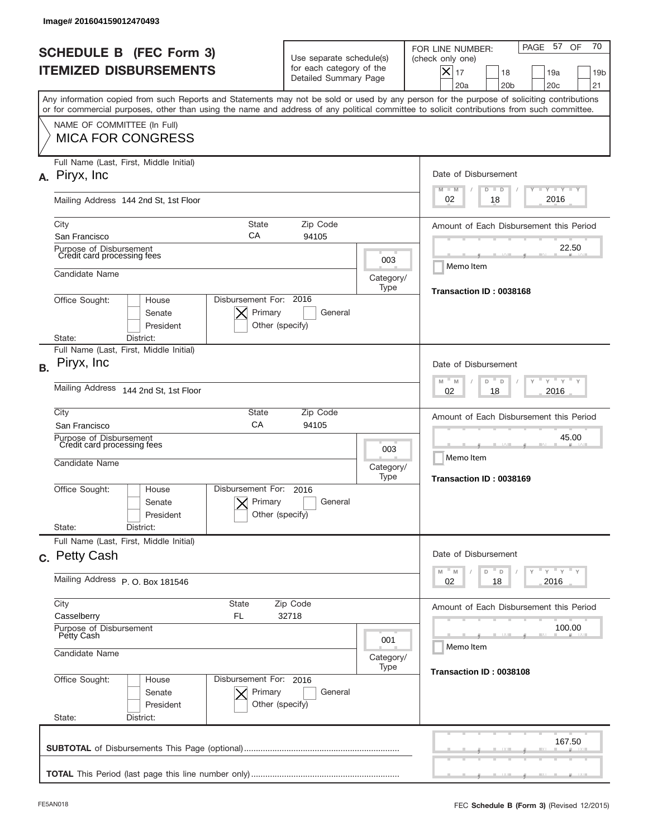| Image# 201604159012470493                                                                                                                                                                                                                                                               |                                                                               |                                               |                                                                                                                                                                  |  |  |
|-----------------------------------------------------------------------------------------------------------------------------------------------------------------------------------------------------------------------------------------------------------------------------------------|-------------------------------------------------------------------------------|-----------------------------------------------|------------------------------------------------------------------------------------------------------------------------------------------------------------------|--|--|
| <b>SCHEDULE B (FEC Form 3)</b><br><b>ITEMIZED DISBURSEMENTS</b>                                                                                                                                                                                                                         | Use separate schedule(s)<br>for each category of the<br>Detailed Summary Page |                                               | 70<br>PAGE 57<br>OF<br>FOR LINE NUMBER:<br>(check only one)<br>$\times$<br>17<br>18<br>19a<br>19 <sub>b</sub><br>20a<br>20 <sub>b</sub><br>20 <sub>c</sub><br>21 |  |  |
| Any information copied from such Reports and Statements may not be sold or used by any person for the purpose of soliciting contributions<br>or for commercial purposes, other than using the name and address of any political committee to solicit contributions from such committee. |                                                                               |                                               |                                                                                                                                                                  |  |  |
| NAME OF COMMITTEE (In Full)<br><b>MICA FOR CONGRESS</b>                                                                                                                                                                                                                                 |                                                                               |                                               |                                                                                                                                                                  |  |  |
| Full Name (Last, First, Middle Initial)<br>A. Piryx, Inc.                                                                                                                                                                                                                               |                                                                               |                                               | Date of Disbursement<br><b>LYLYLY</b><br>$M - M$<br>$D$ $D$                                                                                                      |  |  |
| Mailing Address 144 2nd St, 1st Floor                                                                                                                                                                                                                                                   |                                                                               |                                               |                                                                                                                                                                  |  |  |
| City<br>СA<br>San Francisco                                                                                                                                                                                                                                                             | <b>State</b><br>Zip Code<br>94105                                             |                                               |                                                                                                                                                                  |  |  |
| Purpose of Disbursement<br>Credit card processing fees                                                                                                                                                                                                                                  |                                                                               | 003                                           | 22.50<br>Memo Item                                                                                                                                               |  |  |
| Candidate Name                                                                                                                                                                                                                                                                          |                                                                               | Category/<br>Type                             | Transaction ID: 0038168                                                                                                                                          |  |  |
| Disbursement For: 2016<br>Office Sought:<br>House<br>Primary<br>Senate<br>President                                                                                                                                                                                                     | General<br>Other (specify)                                                    |                                               |                                                                                                                                                                  |  |  |
| State:<br>District:<br>Full Name (Last, First, Middle Initial)                                                                                                                                                                                                                          |                                                                               |                                               |                                                                                                                                                                  |  |  |
| Piryx, Inc<br><b>B.</b>                                                                                                                                                                                                                                                                 |                                                                               |                                               | Date of Disbursement<br>$M - M$<br>$Y = Y$<br>D<br>D                                                                                                             |  |  |
| Mailing Address<br>144 2nd St, 1st Floor                                                                                                                                                                                                                                                |                                                                               |                                               | 2016<br>02<br>18                                                                                                                                                 |  |  |
| City<br>State<br>CA<br>San Francisco                                                                                                                                                                                                                                                    | Zip Code<br>94105                                                             |                                               | Amount of Each Disbursement this Period                                                                                                                          |  |  |
| Purpose of Disbursement<br>Credit card processing fees<br>Candidate Name                                                                                                                                                                                                                | 003<br>Category/<br>Type                                                      | 45.00<br>Memo Item<br>Transaction ID: 0038169 |                                                                                                                                                                  |  |  |
| Disbursement For:<br>Office Sought:<br>House<br>Primary<br>Senate<br>President                                                                                                                                                                                                          | 2016<br>General<br>Other (specify)                                            |                                               |                                                                                                                                                                  |  |  |
| State:<br>District:<br>Full Name (Last, First, Middle Initial)                                                                                                                                                                                                                          |                                                                               |                                               |                                                                                                                                                                  |  |  |
| c. Petty Cash                                                                                                                                                                                                                                                                           |                                                                               |                                               |                                                                                                                                                                  |  |  |
| Mailing Address P. O. Box 181546                                                                                                                                                                                                                                                        |                                                                               |                                               | $\cdots$ $\gamma$ $\cdots$ $\gamma$ $\cdots$ $\gamma$<br>$-M$<br>M<br>D<br>D<br>02<br>18<br>2016                                                                 |  |  |
| City<br>State<br>Casselberry<br>FL                                                                                                                                                                                                                                                      | Zip Code<br>32718                                                             |                                               |                                                                                                                                                                  |  |  |
| Purpose of Disbursement<br>Petty Cash<br>001<br>Candidate Name<br>Category/<br>Type                                                                                                                                                                                                     |                                                                               |                                               | 100.00<br>Memo Item                                                                                                                                              |  |  |
|                                                                                                                                                                                                                                                                                         |                                                                               |                                               | Transaction ID: 0038108                                                                                                                                          |  |  |
| Office Sought:<br>Disbursement For: 2016<br>House<br>Senate<br>Primary<br>President<br>State:<br>District:                                                                                                                                                                              | General<br>Other (specify)                                                    |                                               |                                                                                                                                                                  |  |  |
|                                                                                                                                                                                                                                                                                         |                                                                               |                                               | 167.50                                                                                                                                                           |  |  |
|                                                                                                                                                                                                                                                                                         |                                                                               |                                               |                                                                                                                                                                  |  |  |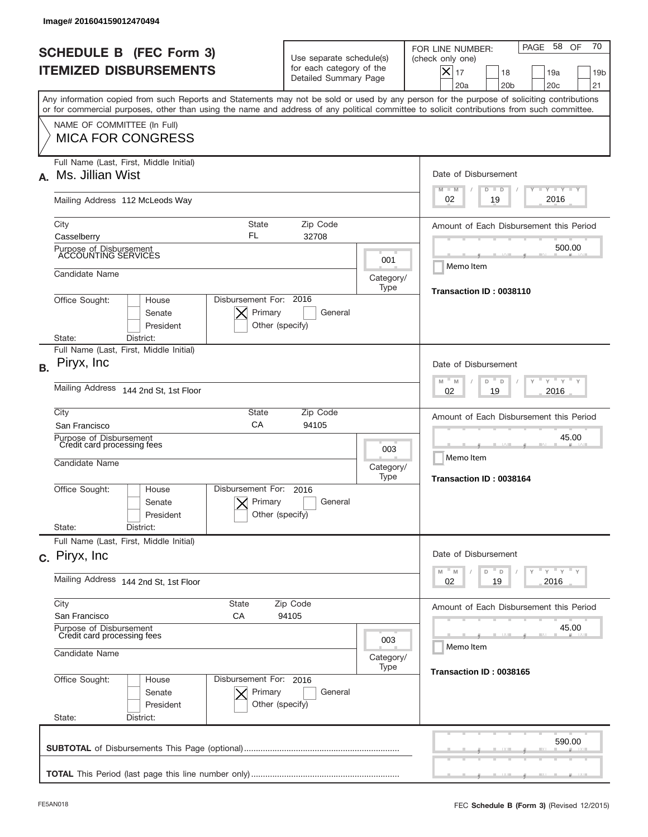|           | Image# 201604159012470494                                                                                                                                                                                                                                                               |                                                                               |                   |                                                                                                                                                             |
|-----------|-----------------------------------------------------------------------------------------------------------------------------------------------------------------------------------------------------------------------------------------------------------------------------------------|-------------------------------------------------------------------------------|-------------------|-------------------------------------------------------------------------------------------------------------------------------------------------------------|
|           | <b>SCHEDULE B (FEC Form 3)</b><br><b>ITEMIZED DISBURSEMENTS</b>                                                                                                                                                                                                                         | Use separate schedule(s)<br>for each category of the<br>Detailed Summary Page |                   | 70<br>58 OF<br>PAGE<br>FOR LINE NUMBER:<br>(check only one)<br>$X _{17}$<br>19a<br>18<br>19 <sub>b</sub><br>20a<br>20 <sub>b</sub><br>20 <sub>c</sub><br>21 |
|           | Any information copied from such Reports and Statements may not be sold or used by any person for the purpose of soliciting contributions<br>or for commercial purposes, other than using the name and address of any political committee to solicit contributions from such committee. |                                                                               |                   |                                                                                                                                                             |
|           | NAME OF COMMITTEE (In Full)<br><b>MICA FOR CONGRESS</b>                                                                                                                                                                                                                                 |                                                                               |                   |                                                                                                                                                             |
| A.        | Full Name (Last, First, Middle Initial)<br>Ms. Jillian Wist                                                                                                                                                                                                                             |                                                                               |                   | Date of Disbursement<br>Y TY TY TY<br>$M - M$<br>$D$ $D$                                                                                                    |
|           | Mailing Address 112 McLeods Way                                                                                                                                                                                                                                                         | 2016<br>02<br>19                                                              |                   |                                                                                                                                                             |
|           | City<br><b>State</b><br>FL<br>Casselberry                                                                                                                                                                                                                                               | Zip Code<br>32708                                                             |                   | Amount of Each Disbursement this Period                                                                                                                     |
|           | Purpose of Disbursement<br>ACCOUNTING SERVICES                                                                                                                                                                                                                                          | 001                                                                           | 500.00            |                                                                                                                                                             |
|           | Candidate Name                                                                                                                                                                                                                                                                          |                                                                               | Category/<br>Type | Memo Item                                                                                                                                                   |
|           | Disbursement For: 2016<br>Office Sought:<br>House<br>Primary<br>Senate<br>President<br>Other (specify)                                                                                                                                                                                  | General                                                                       |                   | Transaction ID: 0038110                                                                                                                                     |
|           | State:<br>District:<br>Full Name (Last, First, Middle Initial)                                                                                                                                                                                                                          |                                                                               |                   |                                                                                                                                                             |
| <b>B.</b> | Piryx, Inc                                                                                                                                                                                                                                                                              |                                                                               |                   | Date of Disbursement<br>$\cdots$ $\gamma$ $\cdots$ $\gamma$ $\cdots$<br>$-M$<br>M<br>D                                                                      |
|           | Mailing Address<br>144 2nd St, 1st Floor                                                                                                                                                                                                                                                |                                                                               |                   | D<br>2016<br>02<br>19                                                                                                                                       |
|           | City<br><b>State</b><br>CA<br>San Francisco                                                                                                                                                                                                                                             | Zip Code<br>94105                                                             |                   | Amount of Each Disbursement this Period                                                                                                                     |
|           | Purpose of Disbursement<br>Credit card processing fees<br>Candidate Name                                                                                                                                                                                                                |                                                                               |                   | 45.00<br>Memo Item<br>Category/                                                                                                                             |
|           | Disbursement For:<br>Office Sought:<br>House<br>Primary<br>Senate<br>Other (specify)<br>President<br>State:<br>District:                                                                                                                                                                | 2016<br>General                                                               | Type              | Transaction ID: 0038164                                                                                                                                     |
|           | Full Name (Last, First, Middle Initial)<br>c. Piryx, Inc.                                                                                                                                                                                                                               |                                                                               |                   | Date of Disbursement                                                                                                                                        |
|           | Mailing Address 144 2nd St, 1st Floor                                                                                                                                                                                                                                                   |                                                                               |                   | $\mathbb{F}$ $\mathsf{y}$ $\mathbb{F}$ $\mathsf{y}$ $\mathbb{F}$ $\mathsf{y}$<br>M<br>M<br>D<br>D<br>02<br>2016<br>19                                       |
|           | City<br><b>State</b><br>Zip Code<br>San Francisco<br>СA<br>94105                                                                                                                                                                                                                        |                                                                               |                   | Amount of Each Disbursement this Period                                                                                                                     |
|           | Purpose of Disbursement<br>Credit card processing fees<br>Candidate Name                                                                                                                                                                                                                |                                                                               |                   | 45.00<br>Memo Item                                                                                                                                          |
|           |                                                                                                                                                                                                                                                                                         |                                                                               | Category/<br>Type | Transaction ID: 0038165                                                                                                                                     |
|           | Office Sought:<br>Disbursement For: 2016<br>House<br>Senate<br>Primary<br>President<br>Other (specify)<br>State:<br>District:                                                                                                                                                           | General                                                                       |                   |                                                                                                                                                             |
|           |                                                                                                                                                                                                                                                                                         |                                                                               |                   | 590.00                                                                                                                                                      |
|           |                                                                                                                                                                                                                                                                                         |                                                                               |                   |                                                                                                                                                             |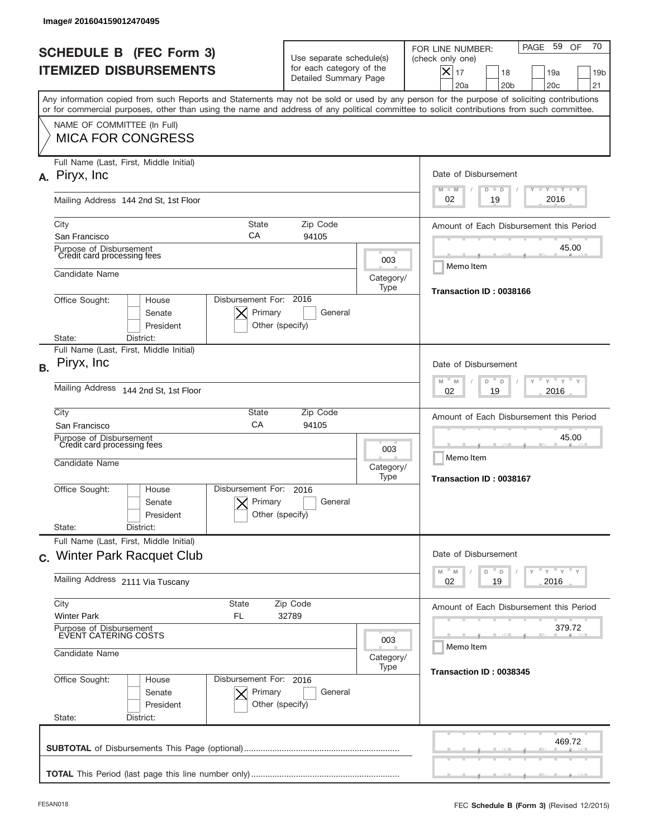|           | Image# 201604159012470495                                                                                                                                                                                                                                                               |                                                                               |                   |                                                                                                                                                                  |
|-----------|-----------------------------------------------------------------------------------------------------------------------------------------------------------------------------------------------------------------------------------------------------------------------------------------|-------------------------------------------------------------------------------|-------------------|------------------------------------------------------------------------------------------------------------------------------------------------------------------|
|           | <b>SCHEDULE B (FEC Form 3)</b><br><b>ITEMIZED DISBURSEMENTS</b>                                                                                                                                                                                                                         | Use separate schedule(s)<br>for each category of the<br>Detailed Summary Page |                   | 70<br>PAGE 59<br>OF<br>FOR LINE NUMBER:<br>(check only one)<br>$\times$<br>17<br>18<br>19a<br>19 <sub>b</sub><br>20a<br>20 <sub>b</sub><br>20 <sub>c</sub><br>21 |
|           | Any information copied from such Reports and Statements may not be sold or used by any person for the purpose of soliciting contributions<br>or for commercial purposes, other than using the name and address of any political committee to solicit contributions from such committee. |                                                                               |                   |                                                                                                                                                                  |
|           | NAME OF COMMITTEE (In Full)<br><b>MICA FOR CONGRESS</b>                                                                                                                                                                                                                                 |                                                                               |                   |                                                                                                                                                                  |
|           | Full Name (Last, First, Middle Initial)<br>A. Piryx, Inc.                                                                                                                                                                                                                               |                                                                               |                   | Date of Disbursement<br><b>LYLYLY</b><br>$M - M$<br>$D$ $D$                                                                                                      |
|           | Mailing Address 144 2nd St, 1st Floor                                                                                                                                                                                                                                                   |                                                                               |                   | 2016<br>02<br>19                                                                                                                                                 |
|           | City<br><b>State</b><br>СA<br>San Francisco                                                                                                                                                                                                                                             | Zip Code<br>94105                                                             |                   | Amount of Each Disbursement this Period                                                                                                                          |
|           | Purpose of Disbursement<br>Credit card processing fees                                                                                                                                                                                                                                  |                                                                               | 003               | 45.00<br>Memo Item                                                                                                                                               |
|           | Candidate Name                                                                                                                                                                                                                                                                          |                                                                               | Category/<br>Type | Transaction ID: 0038166                                                                                                                                          |
|           | Office Sought:<br>House<br>Senate<br>President<br>District:<br>State:                                                                                                                                                                                                                   | Disbursement For: 2016<br>Primary<br>General<br>Other (specify)               |                   |                                                                                                                                                                  |
|           | Full Name (Last, First, Middle Initial)                                                                                                                                                                                                                                                 |                                                                               |                   |                                                                                                                                                                  |
| <b>B.</b> | Piryx, Inc                                                                                                                                                                                                                                                                              |                                                                               |                   | Date of Disbursement<br>$-M$<br>$Y = Y$<br>M<br>D<br>D                                                                                                           |
|           | Mailing Address<br>144 2nd St, 1st Floor                                                                                                                                                                                                                                                | 2016<br>02<br>19                                                              |                   |                                                                                                                                                                  |
|           | City<br>State<br>CA<br>San Francisco                                                                                                                                                                                                                                                    | Zip Code<br>94105                                                             |                   | Amount of Each Disbursement this Period                                                                                                                          |
|           | Purpose of Disbursement<br>Credit card processing fees<br>Candidate Name                                                                                                                                                                                                                |                                                                               |                   | 45.00<br>Memo Item<br>Transaction ID: 0038167                                                                                                                    |
|           | Disbursement For:<br>Office Sought:<br>House<br>Senate<br>President<br>State:<br>District:                                                                                                                                                                                              | 2016<br>Primary<br>General<br>Other (specify)                                 | Type              |                                                                                                                                                                  |
|           | Full Name (Last, First, Middle Initial)                                                                                                                                                                                                                                                 |                                                                               |                   |                                                                                                                                                                  |
|           | c. Winter Park Racquet Club                                                                                                                                                                                                                                                             |                                                                               |                   | Date of Disbursement                                                                                                                                             |
|           | Mailing Address 2111 Via Tuscany                                                                                                                                                                                                                                                        | ≡ γ ≡ γ ≡ γ<br>D<br>M<br>M<br>D<br>Y<br>19<br>2016<br>02                      |                   |                                                                                                                                                                  |
|           | City<br>State<br><b>Winter Park</b><br>FL                                                                                                                                                                                                                                               | Zip Code<br>32789                                                             |                   | Amount of Each Disbursement this Period                                                                                                                          |
|           | Purpose of Disbursement<br>EVENT CATERING COSTS<br>003<br>Candidate Name<br>Category/<br>Type                                                                                                                                                                                           |                                                                               |                   | 379.72<br>Memo Item                                                                                                                                              |
|           |                                                                                                                                                                                                                                                                                         |                                                                               |                   | Transaction ID: 0038345                                                                                                                                          |
|           | Office Sought:<br>Disbursement For: 2016<br>House<br>Senate<br>President<br>State:<br>District:                                                                                                                                                                                         | Primary<br>General<br>Other (specify)                                         |                   |                                                                                                                                                                  |
|           |                                                                                                                                                                                                                                                                                         |                                                                               |                   | 469.72                                                                                                                                                           |
|           |                                                                                                                                                                                                                                                                                         |                                                                               |                   |                                                                                                                                                                  |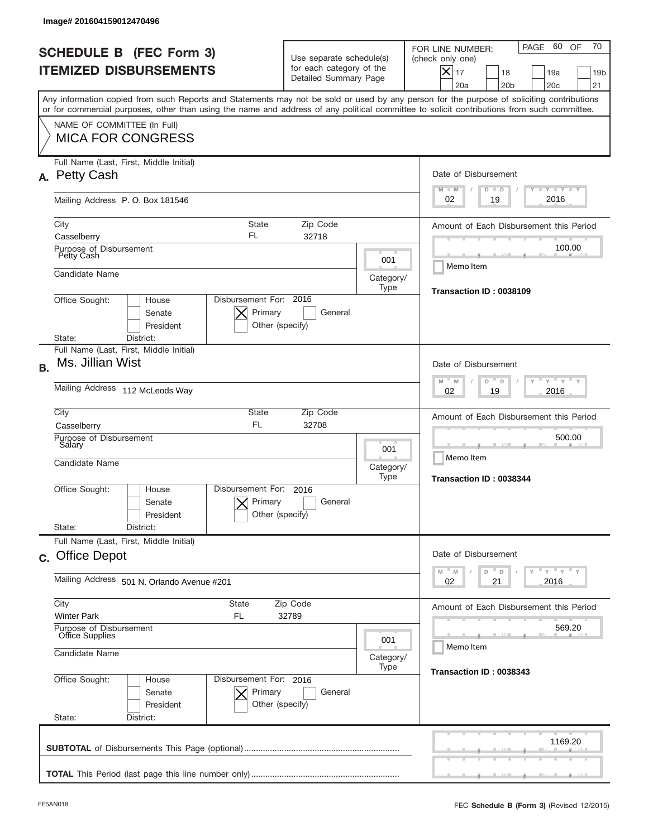| Image# 201604159012470496                                                                                                                                                                                                                                                               |                                                                               |                          |                                                                                                                                                                          |  |  |
|-----------------------------------------------------------------------------------------------------------------------------------------------------------------------------------------------------------------------------------------------------------------------------------------|-------------------------------------------------------------------------------|--------------------------|--------------------------------------------------------------------------------------------------------------------------------------------------------------------------|--|--|
| <b>SCHEDULE B (FEC Form 3)</b><br><b>ITEMIZED DISBURSEMENTS</b>                                                                                                                                                                                                                         | Use separate schedule(s)<br>for each category of the<br>Detailed Summary Page |                          | 70<br>60<br>OF<br>PAGE<br>FOR LINE NUMBER:<br>(check only one)<br>$ \mathsf{X} _{17}$<br>18<br>19a<br>19 <sub>b</sub><br>20a<br>20 <sub>b</sub><br>20 <sub>c</sub><br>21 |  |  |
| Any information copied from such Reports and Statements may not be sold or used by any person for the purpose of soliciting contributions<br>or for commercial purposes, other than using the name and address of any political committee to solicit contributions from such committee. |                                                                               |                          |                                                                                                                                                                          |  |  |
| NAME OF COMMITTEE (In Full)<br><b>MICA FOR CONGRESS</b>                                                                                                                                                                                                                                 |                                                                               |                          |                                                                                                                                                                          |  |  |
| Full Name (Last, First, Middle Initial)<br>A. Petty Cash                                                                                                                                                                                                                                |                                                                               |                          | Date of Disbursement<br><b>TANK TANK</b><br>$M - M$<br>$D$ $D$                                                                                                           |  |  |
| Mailing Address P.O. Box 181546                                                                                                                                                                                                                                                         |                                                                               |                          | 2016<br>19<br>02                                                                                                                                                         |  |  |
| City<br>FL<br>Casselberry                                                                                                                                                                                                                                                               | <b>State</b><br>Zip Code<br>32718                                             |                          |                                                                                                                                                                          |  |  |
| Purpose of Disbursement<br>Petty Cash<br>Candidate Name                                                                                                                                                                                                                                 |                                                                               | 001<br>Category/<br>Type | Memo Item<br>Transaction ID: 0038109                                                                                                                                     |  |  |
| Office Sought:<br>House<br>Senate<br>President<br>State:<br>District:                                                                                                                                                                                                                   | Disbursement For: 2016<br>Primary<br>General<br>Other (specify)               |                          |                                                                                                                                                                          |  |  |
| Full Name (Last, First, Middle Initial)<br>Ms. Jillian Wist<br><b>B.</b>                                                                                                                                                                                                                |                                                                               |                          |                                                                                                                                                                          |  |  |
| Mailing Address 112 McLeods Way                                                                                                                                                                                                                                                         |                                                                               |                          | $\frac{1}{\gamma}$ $\frac{1}{\gamma}$ $\frac{1}{\gamma}$ $\frac{1}{\gamma}$<br>$M - M$<br>D<br>D<br>2016<br>02<br>19                                                     |  |  |
| City<br>State<br><b>FL</b><br>Casselberry<br>Purpose of Disbursement                                                                                                                                                                                                                    | Amount of Each Disbursement this Period<br>500.00                             |                          |                                                                                                                                                                          |  |  |
| Salary<br>001<br>Candidate Name<br>Category/<br>Type                                                                                                                                                                                                                                    |                                                                               |                          | Memo Item<br>Transaction ID: 0038344                                                                                                                                     |  |  |
| Disbursement For:<br>Office Sought:<br>House<br>Senate<br>President<br>State:<br>District:                                                                                                                                                                                              | 2016<br>Primary<br>General<br>Other (specify)                                 |                          |                                                                                                                                                                          |  |  |
| Full Name (Last, First, Middle Initial)<br>c. Office Depot                                                                                                                                                                                                                              |                                                                               |                          |                                                                                                                                                                          |  |  |
| Mailing Address 501 N. Orlando Avenue #201                                                                                                                                                                                                                                              |                                                                               |                          | ≡ γ ≡ γ ≡ γ<br>M<br>D<br>M<br>D<br>02<br>2016<br>21                                                                                                                      |  |  |
| City<br>State<br>Zip Code<br><b>Winter Park</b><br>FL<br>32789                                                                                                                                                                                                                          |                                                                               |                          | Amount of Each Disbursement this Period                                                                                                                                  |  |  |
| Purpose of Disbursement<br>Office Supplies<br>001<br>Candidate Name                                                                                                                                                                                                                     |                                                                               |                          | 569.20<br>Memo Item                                                                                                                                                      |  |  |
| Office Sought:<br>House<br>Senate<br>President<br>State:<br>District:                                                                                                                                                                                                                   | Disbursement For: 2016<br>Primary<br>General<br>Other (specify)               | Category/<br>Type        | Transaction ID: 0038343                                                                                                                                                  |  |  |
|                                                                                                                                                                                                                                                                                         |                                                                               |                          | 1169.20                                                                                                                                                                  |  |  |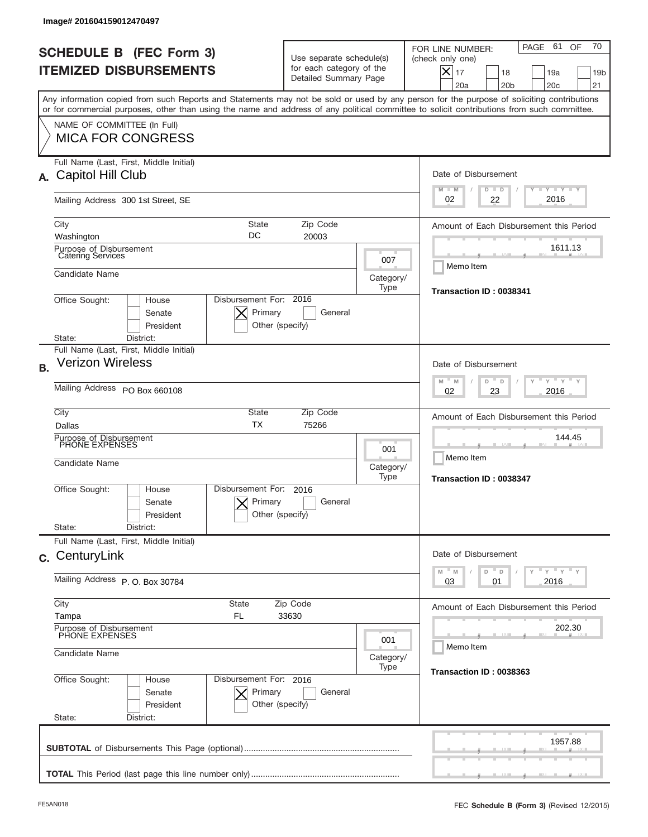| Image# 201604159012470497                                                                                                                                                                                                                                                               |                                                                                                                       |                                                |                                                                                                                                                                  |  |
|-----------------------------------------------------------------------------------------------------------------------------------------------------------------------------------------------------------------------------------------------------------------------------------------|-----------------------------------------------------------------------------------------------------------------------|------------------------------------------------|------------------------------------------------------------------------------------------------------------------------------------------------------------------|--|
| <b>SCHEDULE B (FEC Form 3)</b><br><b>ITEMIZED DISBURSEMENTS</b>                                                                                                                                                                                                                         | Use separate schedule(s)<br>for each category of the<br>Detailed Summary Page                                         |                                                | 70<br>PAGE 61<br>OF<br>FOR LINE NUMBER:<br>(check only one)<br>$\times$<br>17<br>18<br>19a<br>19 <sub>b</sub><br>20a<br>20 <sub>b</sub><br>20 <sub>c</sub><br>21 |  |
| Any information copied from such Reports and Statements may not be sold or used by any person for the purpose of soliciting contributions<br>or for commercial purposes, other than using the name and address of any political committee to solicit contributions from such committee. |                                                                                                                       |                                                |                                                                                                                                                                  |  |
| NAME OF COMMITTEE (In Full)<br><b>MICA FOR CONGRESS</b>                                                                                                                                                                                                                                 |                                                                                                                       |                                                |                                                                                                                                                                  |  |
| Full Name (Last, First, Middle Initial)<br>Capitol Hill Club<br>А.                                                                                                                                                                                                                      |                                                                                                                       |                                                | Date of Disbursement<br>$T$ $Y$ $T$ $Y$ $T$ $Y$<br>$M - M$<br>$D$ $D$                                                                                            |  |
| Mailing Address 300 1st Street, SE                                                                                                                                                                                                                                                      |                                                                                                                       |                                                | 2016<br>02<br>22                                                                                                                                                 |  |
| City<br>Washington                                                                                                                                                                                                                                                                      | <b>State</b><br>Zip Code<br>DC<br>20003                                                                               |                                                | Amount of Each Disbursement this Period<br>1611.13                                                                                                               |  |
| Purpose of Disbursement<br>Catering Services<br>Candidate Name                                                                                                                                                                                                                          |                                                                                                                       | 007                                            | Memo Item                                                                                                                                                        |  |
| Office Sought:<br>House<br>Senate<br>President                                                                                                                                                                                                                                          | Disbursement For: 2016<br>Primary<br>General<br>Other (specify)                                                       | Category/<br>Type                              | Transaction ID: 0038341                                                                                                                                          |  |
| District:<br>State:<br>Full Name (Last, First, Middle Initial)                                                                                                                                                                                                                          |                                                                                                                       |                                                |                                                                                                                                                                  |  |
| <b>Verizon Wireless</b><br><b>B.</b>                                                                                                                                                                                                                                                    |                                                                                                                       |                                                | Date of Disbursement                                                                                                                                             |  |
| Mailing Address PO Box 660108                                                                                                                                                                                                                                                           | $M - M$<br>$Y = Y$<br>D<br>D<br>2016<br>02<br>23                                                                      |                                                |                                                                                                                                                                  |  |
| City<br>Dallas                                                                                                                                                                                                                                                                          | State<br>Zip Code<br><b>TX</b><br>75266                                                                               |                                                |                                                                                                                                                                  |  |
| Purpose of Disbursement<br>PHONE EXPENSES<br>Candidate Name                                                                                                                                                                                                                             |                                                                                                                       | 144.45<br>Memo Item<br>Transaction ID: 0038347 |                                                                                                                                                                  |  |
| Disbursement For:<br>Office Sought:<br>House<br>Senate<br>President<br>State:<br>District:                                                                                                                                                                                              | 2016<br>Primary<br>General<br>Other (specify)                                                                         |                                                |                                                                                                                                                                  |  |
| Full Name (Last, First, Middle Initial)<br>c. CenturyLink                                                                                                                                                                                                                               |                                                                                                                       |                                                | Date of Disbursement                                                                                                                                             |  |
| Mailing Address P. O. Box 30784                                                                                                                                                                                                                                                         | $\vdash$ $\vdash$ $\vdash$ $\vdash$ $\vdash$ $\vdash$ $\vdash$<br>$\mathbb M$<br>M<br>D<br>D<br>Y<br>2016<br>03<br>01 |                                                |                                                                                                                                                                  |  |
| City<br>State<br>Tampa<br>FL                                                                                                                                                                                                                                                            | Amount of Each Disbursement this Period                                                                               |                                                |                                                                                                                                                                  |  |
| Purpose of Disbursement<br>PHONE EXPENSES<br>Candidate Name                                                                                                                                                                                                                             | 202.30<br>Memo Item                                                                                                   |                                                |                                                                                                                                                                  |  |
| Office Sought:<br>House                                                                                                                                                                                                                                                                 | Disbursement For: 2016                                                                                                | Category/<br>Type                              | Transaction ID: 0038363                                                                                                                                          |  |
| Senate<br>President<br>State:<br>District:                                                                                                                                                                                                                                              | Primary<br>General<br>Other (specify)                                                                                 |                                                |                                                                                                                                                                  |  |
|                                                                                                                                                                                                                                                                                         |                                                                                                                       |                                                | 1957.88                                                                                                                                                          |  |
|                                                                                                                                                                                                                                                                                         |                                                                                                                       |                                                |                                                                                                                                                                  |  |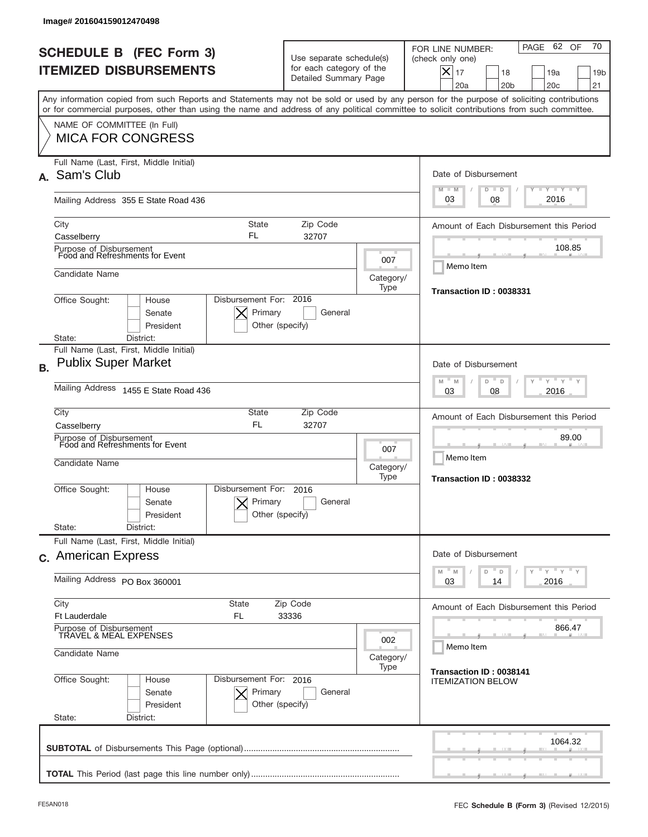| FOR LINE NUMBER:<br><b>SCHEDULE B (FEC Form 3)</b><br>Use separate schedule(s)<br>(check only one)<br>for each category of the<br><b>ITEMIZED DISBURSEMENTS</b><br>$X _{17}$<br>18<br>Detailed Summary Page<br>20a<br>20 <sub>b</sub><br>Any information copied from such Reports and Statements may not be sold or used by any person for the purpose of soliciting contributions<br>or for commercial purposes, other than using the name and address of any political committee to solicit contributions from such committee.<br>NAME OF COMMITTEE (In Full)<br><b>MICA FOR CONGRESS</b><br>Full Name (Last, First, Middle Initial)<br>Date of Disbursement<br>$M - M$<br>$D$ $D$<br>03<br>08<br>Mailing Address 355 E State Road 436<br>Zip Code<br>City<br>State<br>Amount of Each Disbursement this Period<br>FL<br>32707<br>Casselberry<br>Purpose of Disbursement<br>Food and Refreshments for Event<br>007<br>Memo Item<br>Candidate Name<br>Category/<br>Type<br>Transaction ID: 0038331<br>Disbursement For: 2016<br>Office Sought:<br>House<br>Primary<br>Senate<br>General<br>President<br>Other (specify)<br>State:<br>District:<br>Full Name (Last, First, Middle Initial)<br><b>Publix Super Market</b><br>Date of Disbursement<br>$M - M$<br>D<br>D<br>Mailing Address 1455 E State Road 436<br>03<br>08<br>City<br>State<br>Zip Code<br>Amount of Each Disbursement this Period<br><b>FL</b><br>32707<br>Casselberry<br>Purpose of Disbursement<br>Food and Refreshments for Event<br>007<br>Memo Item<br>Candidate Name<br>Category/<br>Type<br>Transaction ID: 0038332<br>Disbursement For:<br>Office Sought:<br>2016<br>House<br>Primary<br>General<br>Senate | 70<br>62 OF<br>PAGE<br>19a<br>19 <sub>b</sub><br>20 <sub>c</sub><br>21<br>$T - Y$ $T - Y$ $T - Y$<br>2016<br>108.85 |
|------------------------------------------------------------------------------------------------------------------------------------------------------------------------------------------------------------------------------------------------------------------------------------------------------------------------------------------------------------------------------------------------------------------------------------------------------------------------------------------------------------------------------------------------------------------------------------------------------------------------------------------------------------------------------------------------------------------------------------------------------------------------------------------------------------------------------------------------------------------------------------------------------------------------------------------------------------------------------------------------------------------------------------------------------------------------------------------------------------------------------------------------------------------------------------------------------------------------------------------------------------------------------------------------------------------------------------------------------------------------------------------------------------------------------------------------------------------------------------------------------------------------------------------------------------------------------------------------------------------------------------------------------------------------------------|---------------------------------------------------------------------------------------------------------------------|
| A. Sam's Club                                                                                                                                                                                                                                                                                                                                                                                                                                                                                                                                                                                                                                                                                                                                                                                                                                                                                                                                                                                                                                                                                                                                                                                                                                                                                                                                                                                                                                                                                                                                                                                                                                                                      |                                                                                                                     |
|                                                                                                                                                                                                                                                                                                                                                                                                                                                                                                                                                                                                                                                                                                                                                                                                                                                                                                                                                                                                                                                                                                                                                                                                                                                                                                                                                                                                                                                                                                                                                                                                                                                                                    |                                                                                                                     |
|                                                                                                                                                                                                                                                                                                                                                                                                                                                                                                                                                                                                                                                                                                                                                                                                                                                                                                                                                                                                                                                                                                                                                                                                                                                                                                                                                                                                                                                                                                                                                                                                                                                                                    |                                                                                                                     |
|                                                                                                                                                                                                                                                                                                                                                                                                                                                                                                                                                                                                                                                                                                                                                                                                                                                                                                                                                                                                                                                                                                                                                                                                                                                                                                                                                                                                                                                                                                                                                                                                                                                                                    |                                                                                                                     |
|                                                                                                                                                                                                                                                                                                                                                                                                                                                                                                                                                                                                                                                                                                                                                                                                                                                                                                                                                                                                                                                                                                                                                                                                                                                                                                                                                                                                                                                                                                                                                                                                                                                                                    |                                                                                                                     |
|                                                                                                                                                                                                                                                                                                                                                                                                                                                                                                                                                                                                                                                                                                                                                                                                                                                                                                                                                                                                                                                                                                                                                                                                                                                                                                                                                                                                                                                                                                                                                                                                                                                                                    |                                                                                                                     |
|                                                                                                                                                                                                                                                                                                                                                                                                                                                                                                                                                                                                                                                                                                                                                                                                                                                                                                                                                                                                                                                                                                                                                                                                                                                                                                                                                                                                                                                                                                                                                                                                                                                                                    |                                                                                                                     |
| <b>B.</b>                                                                                                                                                                                                                                                                                                                                                                                                                                                                                                                                                                                                                                                                                                                                                                                                                                                                                                                                                                                                                                                                                                                                                                                                                                                                                                                                                                                                                                                                                                                                                                                                                                                                          |                                                                                                                     |
|                                                                                                                                                                                                                                                                                                                                                                                                                                                                                                                                                                                                                                                                                                                                                                                                                                                                                                                                                                                                                                                                                                                                                                                                                                                                                                                                                                                                                                                                                                                                                                                                                                                                                    |                                                                                                                     |
|                                                                                                                                                                                                                                                                                                                                                                                                                                                                                                                                                                                                                                                                                                                                                                                                                                                                                                                                                                                                                                                                                                                                                                                                                                                                                                                                                                                                                                                                                                                                                                                                                                                                                    |                                                                                                                     |
|                                                                                                                                                                                                                                                                                                                                                                                                                                                                                                                                                                                                                                                                                                                                                                                                                                                                                                                                                                                                                                                                                                                                                                                                                                                                                                                                                                                                                                                                                                                                                                                                                                                                                    | $Y = Y$<br>2016                                                                                                     |
|                                                                                                                                                                                                                                                                                                                                                                                                                                                                                                                                                                                                                                                                                                                                                                                                                                                                                                                                                                                                                                                                                                                                                                                                                                                                                                                                                                                                                                                                                                                                                                                                                                                                                    |                                                                                                                     |
|                                                                                                                                                                                                                                                                                                                                                                                                                                                                                                                                                                                                                                                                                                                                                                                                                                                                                                                                                                                                                                                                                                                                                                                                                                                                                                                                                                                                                                                                                                                                                                                                                                                                                    | 89.00                                                                                                               |
| President<br>Other (specify)                                                                                                                                                                                                                                                                                                                                                                                                                                                                                                                                                                                                                                                                                                                                                                                                                                                                                                                                                                                                                                                                                                                                                                                                                                                                                                                                                                                                                                                                                                                                                                                                                                                       |                                                                                                                     |
| State:<br>District:<br>Full Name (Last, First, Middle Initial)                                                                                                                                                                                                                                                                                                                                                                                                                                                                                                                                                                                                                                                                                                                                                                                                                                                                                                                                                                                                                                                                                                                                                                                                                                                                                                                                                                                                                                                                                                                                                                                                                     |                                                                                                                     |
| Date of Disbursement<br>c. American Express<br>$-M$<br>$\mathbb M$<br>D<br>D                                                                                                                                                                                                                                                                                                                                                                                                                                                                                                                                                                                                                                                                                                                                                                                                                                                                                                                                                                                                                                                                                                                                                                                                                                                                                                                                                                                                                                                                                                                                                                                                       | ≡ γ ≡ γ ≡ γ<br>Y                                                                                                    |
| Mailing Address PO Box 360001<br>03<br>14                                                                                                                                                                                                                                                                                                                                                                                                                                                                                                                                                                                                                                                                                                                                                                                                                                                                                                                                                                                                                                                                                                                                                                                                                                                                                                                                                                                                                                                                                                                                                                                                                                          | 2016                                                                                                                |
| City<br>Zip Code<br>State<br>Amount of Each Disbursement this Period<br>Ft Lauderdale<br>FL.<br>33336                                                                                                                                                                                                                                                                                                                                                                                                                                                                                                                                                                                                                                                                                                                                                                                                                                                                                                                                                                                                                                                                                                                                                                                                                                                                                                                                                                                                                                                                                                                                                                              |                                                                                                                     |
| Purpose of Disbursement<br>TRAVEL & MEAL EXPENSES<br>002<br>Memo Item<br>Candidate Name<br>Category/                                                                                                                                                                                                                                                                                                                                                                                                                                                                                                                                                                                                                                                                                                                                                                                                                                                                                                                                                                                                                                                                                                                                                                                                                                                                                                                                                                                                                                                                                                                                                                               | 866.47                                                                                                              |
| Type<br>Transaction ID: 0038141<br>Office Sought:<br>Disbursement For: 2016<br>House<br><b>ITEMIZATION BELOW</b><br>Senate<br>Primary<br>General<br>President<br>Other (specify)<br>State:<br>District:                                                                                                                                                                                                                                                                                                                                                                                                                                                                                                                                                                                                                                                                                                                                                                                                                                                                                                                                                                                                                                                                                                                                                                                                                                                                                                                                                                                                                                                                            |                                                                                                                     |
|                                                                                                                                                                                                                                                                                                                                                                                                                                                                                                                                                                                                                                                                                                                                                                                                                                                                                                                                                                                                                                                                                                                                                                                                                                                                                                                                                                                                                                                                                                                                                                                                                                                                                    | 1064.32                                                                                                             |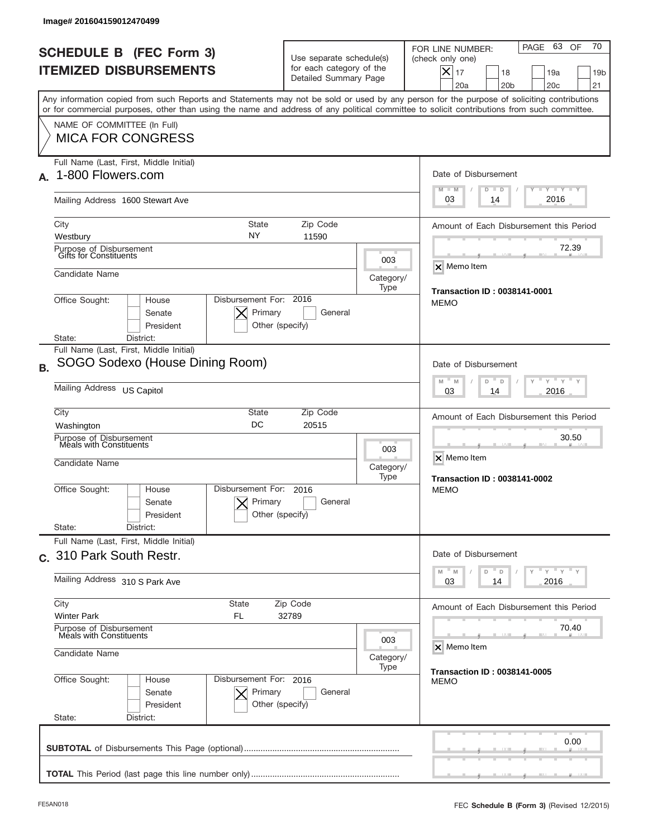| <b>SCHEDULE B (FEC Form 3)</b><br><b>ITEMIZED DISBURSEMENTS</b><br>Any information copied from such Reports and Statements may not be sold or used by any person for the purpose of soliciting contributions<br>or for commercial purposes, other than using the name and address of any political committee to solicit contributions from such committee.<br>NAME OF COMMITTEE (In Full)<br><b>MICA FOR CONGRESS</b> | Use separate schedule(s)<br>for each category of the<br>Detailed Summary Page |                          | 70<br>PAGE 63 OF<br>FOR LINE NUMBER:<br>(check only one)<br>$X _{17}$<br>18<br>19a<br>19 <sub>b</sub><br>20a<br>20 <sub>b</sub><br>20 <sub>c</sub><br>21 |
|-----------------------------------------------------------------------------------------------------------------------------------------------------------------------------------------------------------------------------------------------------------------------------------------------------------------------------------------------------------------------------------------------------------------------|-------------------------------------------------------------------------------|--------------------------|----------------------------------------------------------------------------------------------------------------------------------------------------------|
|                                                                                                                                                                                                                                                                                                                                                                                                                       |                                                                               |                          |                                                                                                                                                          |
|                                                                                                                                                                                                                                                                                                                                                                                                                       |                                                                               |                          |                                                                                                                                                          |
|                                                                                                                                                                                                                                                                                                                                                                                                                       |                                                                               |                          |                                                                                                                                                          |
| Full Name (Last, First, Middle Initial)<br>1-800 Flowers.com                                                                                                                                                                                                                                                                                                                                                          |                                                                               |                          | Date of Disbursement<br>$T - Y$ $T - Y$<br>$M - M$<br>$D$ $D$                                                                                            |
| Mailing Address 1600 Stewart Ave                                                                                                                                                                                                                                                                                                                                                                                      |                                                                               |                          | 2016<br>03<br>14                                                                                                                                         |
| <b>State</b><br>City<br>NY<br>Westbury                                                                                                                                                                                                                                                                                                                                                                                | Zip Code<br>11590                                                             |                          | Amount of Each Disbursement this Period                                                                                                                  |
| Purpose of Disbursement<br>Gifts for Constituents                                                                                                                                                                                                                                                                                                                                                                     |                                                                               | 003                      | 72.39<br>X Memo Item                                                                                                                                     |
| Candidate Name                                                                                                                                                                                                                                                                                                                                                                                                        | <b>Transaction ID: 0038141-0001</b>                                           |                          |                                                                                                                                                          |
| Disbursement For: 2016<br>Office Sought:<br>House<br>Primary<br>Senate<br>President                                                                                                                                                                                                                                                                                                                                   | General<br>Other (specify)                                                    | Type                     | <b>MEMO</b>                                                                                                                                              |
| District:<br>State:<br>Full Name (Last, First, Middle Initial)                                                                                                                                                                                                                                                                                                                                                        |                                                                               |                          |                                                                                                                                                          |
| SOGO Sodexo (House Dining Room)<br><b>B.</b>                                                                                                                                                                                                                                                                                                                                                                          |                                                                               |                          | Date of Disbursement<br>$\cdots$ $\gamma$ $\cdots$ $\gamma$ $\cdots$                                                                                     |
| Mailing Address US Capitol                                                                                                                                                                                                                                                                                                                                                                                            | M<br>M<br>D<br>D<br>2016<br>03<br>14                                          |                          |                                                                                                                                                          |
| City<br>State<br>DC<br>Washington                                                                                                                                                                                                                                                                                                                                                                                     | Zip Code<br>20515                                                             |                          | Amount of Each Disbursement this Period                                                                                                                  |
| Purpose of Disbursement<br>Meals with Constituents<br>Candidate Name                                                                                                                                                                                                                                                                                                                                                  |                                                                               | 003<br>Category/<br>Type | 30.50<br>X Memo Item<br><b>Transaction ID: 0038141-0002</b>                                                                                              |
| Disbursement For:<br>Office Sought:<br>House<br>Primary<br>Senate<br>President<br>State:<br>District:                                                                                                                                                                                                                                                                                                                 | 2016<br>General<br>Other (specify)                                            |                          | <b>MEMO</b>                                                                                                                                              |
| Full Name (Last, First, Middle Initial)                                                                                                                                                                                                                                                                                                                                                                               |                                                                               |                          |                                                                                                                                                          |
| c. 310 Park South Restr.                                                                                                                                                                                                                                                                                                                                                                                              |                                                                               |                          | Date of Disbursement<br>$\cdots$ $\gamma$ $\cdots$ $\gamma$ $\cdots$ $\gamma$<br>$-M$<br>M<br>D<br>D                                                     |
| Mailing Address 310 S Park Ave                                                                                                                                                                                                                                                                                                                                                                                        | 2016<br>03<br>14                                                              |                          |                                                                                                                                                          |
| City<br>State<br><b>Winter Park</b><br>FL                                                                                                                                                                                                                                                                                                                                                                             | Amount of Each Disbursement this Period                                       |                          |                                                                                                                                                          |
| Purpose of Disbursement<br>Meals with Constituents<br>003<br>Candidate Name<br>Category/                                                                                                                                                                                                                                                                                                                              |                                                                               |                          | 70.40<br>X Memo Item                                                                                                                                     |
|                                                                                                                                                                                                                                                                                                                                                                                                                       | <b>Transaction ID: 0038141-0005</b>                                           |                          |                                                                                                                                                          |
| Office Sought:<br>Disbursement For: 2016<br>House<br>Primary<br>Senate<br>President<br>State:<br>District:                                                                                                                                                                                                                                                                                                            | General<br>Other (specify)                                                    |                          | <b>MEMO</b>                                                                                                                                              |
|                                                                                                                                                                                                                                                                                                                                                                                                                       |                                                                               |                          | 0.00                                                                                                                                                     |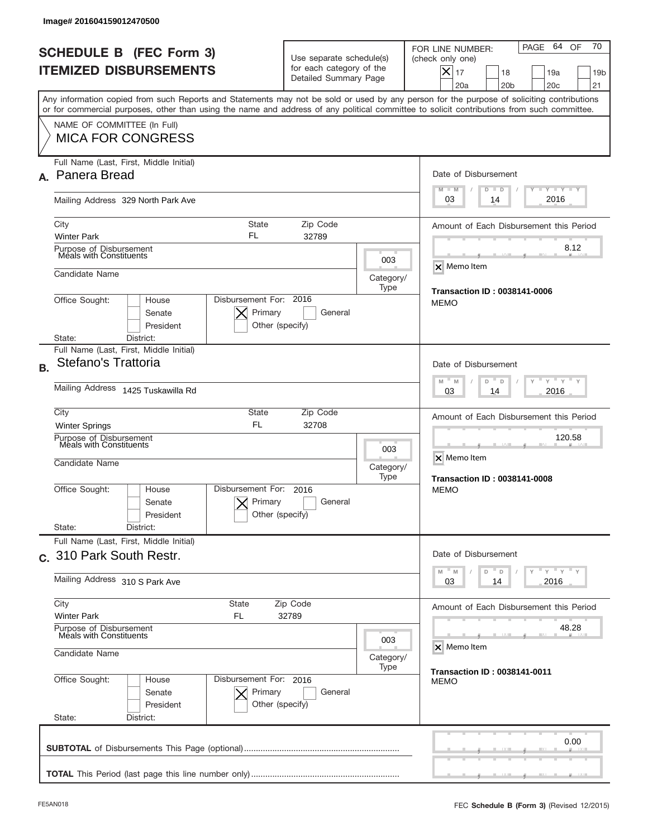| Image# 201604159012470500                                                                                                                                                                                                                                                               |                                                                                                         |                          |                                                                                                                                                          |
|-----------------------------------------------------------------------------------------------------------------------------------------------------------------------------------------------------------------------------------------------------------------------------------------|---------------------------------------------------------------------------------------------------------|--------------------------|----------------------------------------------------------------------------------------------------------------------------------------------------------|
| <b>SCHEDULE B (FEC Form 3)</b><br><b>ITEMIZED DISBURSEMENTS</b>                                                                                                                                                                                                                         | Use separate schedule(s)<br>for each category of the<br>Detailed Summary Page                           |                          | 70<br>PAGE 64 OF<br>FOR LINE NUMBER:<br>(check only one)<br>$X _{17}$<br>18<br>19a<br>19 <sub>b</sub><br>20a<br>20 <sub>b</sub><br>20 <sub>c</sub><br>21 |
| Any information copied from such Reports and Statements may not be sold or used by any person for the purpose of soliciting contributions<br>or for commercial purposes, other than using the name and address of any political committee to solicit contributions from such committee. |                                                                                                         |                          |                                                                                                                                                          |
| NAME OF COMMITTEE (In Full)<br><b>MICA FOR CONGRESS</b>                                                                                                                                                                                                                                 |                                                                                                         |                          |                                                                                                                                                          |
| Full Name (Last, First, Middle Initial)<br>Panera Bread<br>А.                                                                                                                                                                                                                           |                                                                                                         |                          | Date of Disbursement                                                                                                                                     |
| Mailing Address 329 North Park Ave                                                                                                                                                                                                                                                      |                                                                                                         |                          | Y TY TY TY<br>$M - M$<br>$D$ $D$<br>2016<br>03<br>14                                                                                                     |
| <b>State</b><br>City<br>FL<br><b>Winter Park</b>                                                                                                                                                                                                                                        | Zip Code<br>32789                                                                                       |                          | Amount of Each Disbursement this Period                                                                                                                  |
| Purpose of Disbursement<br>Meals with Constituents                                                                                                                                                                                                                                      |                                                                                                         | 003                      | 8.12<br>X Memo Item                                                                                                                                      |
| Candidate Name                                                                                                                                                                                                                                                                          | <b>Transaction ID: 0038141-0006</b>                                                                     |                          |                                                                                                                                                          |
| Disbursement For: 2016<br>Office Sought:<br>House<br>Primary<br>Senate<br>President<br>State:<br>District:                                                                                                                                                                              | General<br>Other (specify)                                                                              |                          | <b>MEMO</b>                                                                                                                                              |
| Full Name (Last, First, Middle Initial)<br>Stefano's Trattoria<br><b>B.</b>                                                                                                                                                                                                             |                                                                                                         |                          | Date of Disbursement                                                                                                                                     |
| Mailing Address 1425 Tuskawilla Rd                                                                                                                                                                                                                                                      | $\cdots$ $\vdots$ $\vdots$ $\vdots$<br>$M$ <sup><math>-</math></sup><br>M<br>D<br>D<br>2016<br>03<br>14 |                          |                                                                                                                                                          |
| City<br>State<br><b>FL</b><br><b>Winter Springs</b>                                                                                                                                                                                                                                     | Zip Code<br>32708                                                                                       |                          | Amount of Each Disbursement this Period                                                                                                                  |
| Purpose of Disbursement<br>Meals with Constituents<br>Candidate Name                                                                                                                                                                                                                    |                                                                                                         | 003<br>Category/<br>Type | 120.58<br>X Memo Item<br><b>Transaction ID: 0038141-0008</b>                                                                                             |
| Disbursement For:<br>Office Sought:<br>House<br>Primary<br>Senate<br>President<br>State:<br>District:                                                                                                                                                                                   | 2016<br>General<br>Other (specify)                                                                      |                          | <b>MEMO</b>                                                                                                                                              |
| Full Name (Last, First, Middle Initial)<br>c. 310 Park South Restr.                                                                                                                                                                                                                     |                                                                                                         |                          | Date of Disbursement                                                                                                                                     |
| Mailing Address 310 S Park Ave                                                                                                                                                                                                                                                          |                                                                                                         |                          | $\cdots$ $\gamma$ $\cdots$ $\gamma$ $\cdots$ $\gamma$<br>$-M$<br>M<br>D<br>D<br>2016<br>03<br>14                                                         |
| City<br>State<br><b>Winter Park</b><br>FL                                                                                                                                                                                                                                               | Zip Code<br>32789                                                                                       |                          | Amount of Each Disbursement this Period                                                                                                                  |
| Purpose of Disbursement<br>Meals with Constituents<br>003<br>Candidate Name<br>Category/                                                                                                                                                                                                |                                                                                                         |                          | 48.28<br>X Memo Item                                                                                                                                     |
| Office Sought:<br>Disbursement For: 2016<br>House<br>Primary<br>Senate<br>President<br>State:<br>District:                                                                                                                                                                              | General<br>Other (specify)                                                                              | Type                     | <b>Transaction ID: 0038141-0011</b><br><b>MEMO</b>                                                                                                       |
|                                                                                                                                                                                                                                                                                         |                                                                                                         |                          | 0.00                                                                                                                                                     |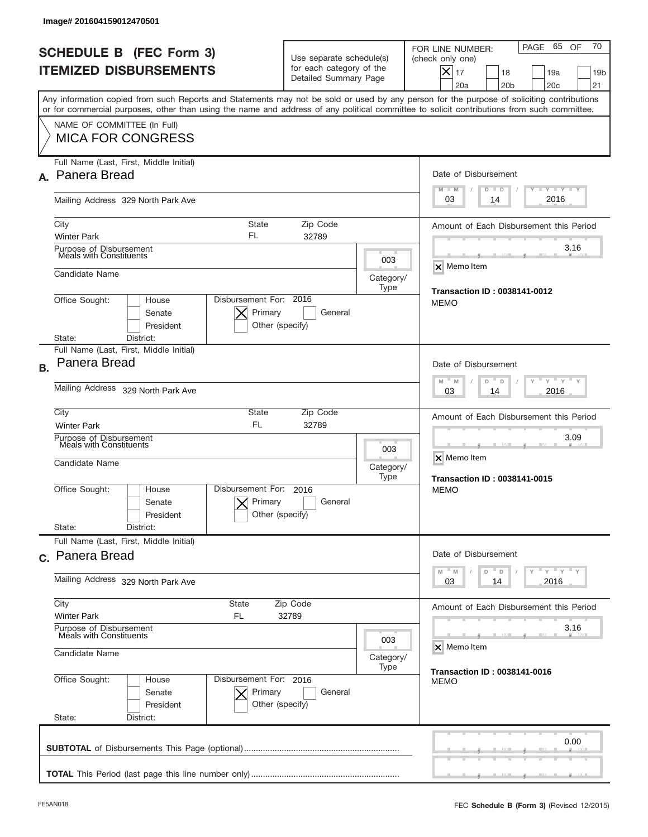|           | Image# 201604159012470501                                                                                                                                                                                                                                                               |                                                                               |                                             |                                                                                                                                                                          |
|-----------|-----------------------------------------------------------------------------------------------------------------------------------------------------------------------------------------------------------------------------------------------------------------------------------------|-------------------------------------------------------------------------------|---------------------------------------------|--------------------------------------------------------------------------------------------------------------------------------------------------------------------------|
|           | <b>SCHEDULE B (FEC Form 3)</b><br><b>ITEMIZED DISBURSEMENTS</b>                                                                                                                                                                                                                         | Use separate schedule(s)<br>for each category of the<br>Detailed Summary Page |                                             | 70<br>65<br>PAGE<br>OF<br>FOR LINE NUMBER:<br>(check only one)<br>$ \mathsf{X} _{17}$<br>18<br>19a<br>19 <sub>b</sub><br>20a<br>20 <sub>b</sub><br>20 <sub>c</sub><br>21 |
|           | Any information copied from such Reports and Statements may not be sold or used by any person for the purpose of soliciting contributions<br>or for commercial purposes, other than using the name and address of any political committee to solicit contributions from such committee. |                                                                               |                                             |                                                                                                                                                                          |
|           | NAME OF COMMITTEE (In Full)<br><b>MICA FOR CONGRESS</b>                                                                                                                                                                                                                                 |                                                                               |                                             |                                                                                                                                                                          |
|           | Full Name (Last, First, Middle Initial)<br>A. Panera Bread                                                                                                                                                                                                                              |                                                                               |                                             | Date of Disbursement<br>$T$ $Y$ $T$ $Y$ $T$ $Y$<br>$M - M$<br>$D$ $D$                                                                                                    |
|           | Mailing Address 329 North Park Ave                                                                                                                                                                                                                                                      |                                                                               |                                             | 2016<br>03<br>14                                                                                                                                                         |
|           | City<br><b>State</b><br>FL<br><b>Winter Park</b>                                                                                                                                                                                                                                        | Zip Code<br>32789                                                             |                                             | Amount of Each Disbursement this Period                                                                                                                                  |
|           | Purpose of Disbursement<br>Meals with Constituents                                                                                                                                                                                                                                      |                                                                               | 003                                         | 3.16                                                                                                                                                                     |
|           | Candidate Name                                                                                                                                                                                                                                                                          | X Memo Item                                                                   |                                             |                                                                                                                                                                          |
|           | Disbursement For: 2016<br>Office Sought:<br>House<br>Primary<br>Senate<br>President                                                                                                                                                                                                     | General<br>Other (specify)                                                    | Type                                        | <b>Transaction ID: 0038141-0012</b><br><b>MEMO</b>                                                                                                                       |
|           | District:<br>State:<br>Full Name (Last, First, Middle Initial)                                                                                                                                                                                                                          |                                                                               |                                             |                                                                                                                                                                          |
| <b>B.</b> | Panera Bread                                                                                                                                                                                                                                                                            | Date of Disbursement<br>$M - M$<br>≡ γ ≡ γ ≡<br>D<br>D<br>2016<br>03<br>14    |                                             |                                                                                                                                                                          |
|           | Mailing Address 329 North Park Ave                                                                                                                                                                                                                                                      |                                                                               |                                             |                                                                                                                                                                          |
|           | City<br>State<br><b>FL</b><br><b>Winter Park</b>                                                                                                                                                                                                                                        | Zip Code<br>32789                                                             |                                             | Amount of Each Disbursement this Period                                                                                                                                  |
|           | Purpose of Disbursement<br>Meals with Constituents<br>Candidate Name                                                                                                                                                                                                                    |                                                                               | 003<br>Category/<br>Type                    | 3.09<br>X Memo Item                                                                                                                                                      |
|           | Disbursement For:<br>Office Sought:<br>House<br>Primary<br>Senate<br>President                                                                                                                                                                                                          | 2016<br>General<br>Other (specify)                                            |                                             | <b>Transaction ID: 0038141-0015</b><br><b>MEMO</b>                                                                                                                       |
|           | State:<br>District:<br>Full Name (Last, First, Middle Initial)                                                                                                                                                                                                                          |                                                                               |                                             |                                                                                                                                                                          |
|           | c. Panera Bread                                                                                                                                                                                                                                                                         |                                                                               | Date of Disbursement<br>$-M$<br>M<br>D<br>D | $y + \sqrt{1 + \gamma}$                                                                                                                                                  |
|           | Mailing Address 329 North Park Ave                                                                                                                                                                                                                                                      | 2016<br>03<br>14                                                              |                                             |                                                                                                                                                                          |
|           | City<br>State<br>Zip Code<br><b>Winter Park</b><br>FL<br>32789                                                                                                                                                                                                                          |                                                                               |                                             | Amount of Each Disbursement this Period                                                                                                                                  |
|           | Purpose of Disbursement<br>Meals with Constituents<br>003<br>Candidate Name<br>Category/                                                                                                                                                                                                |                                                                               |                                             | 3.16<br>X Memo Item                                                                                                                                                      |
|           | Office Sought:<br>Disbursement For: 2016<br>House<br>Primary<br>Senate<br>President<br>State:<br>District:                                                                                                                                                                              | General<br>Other (specify)                                                    | Type                                        | <b>Transaction ID: 0038141-0016</b><br><b>MEMO</b>                                                                                                                       |
|           |                                                                                                                                                                                                                                                                                         |                                                                               |                                             | 0.00                                                                                                                                                                     |
|           |                                                                                                                                                                                                                                                                                         |                                                                               |                                             |                                                                                                                                                                          |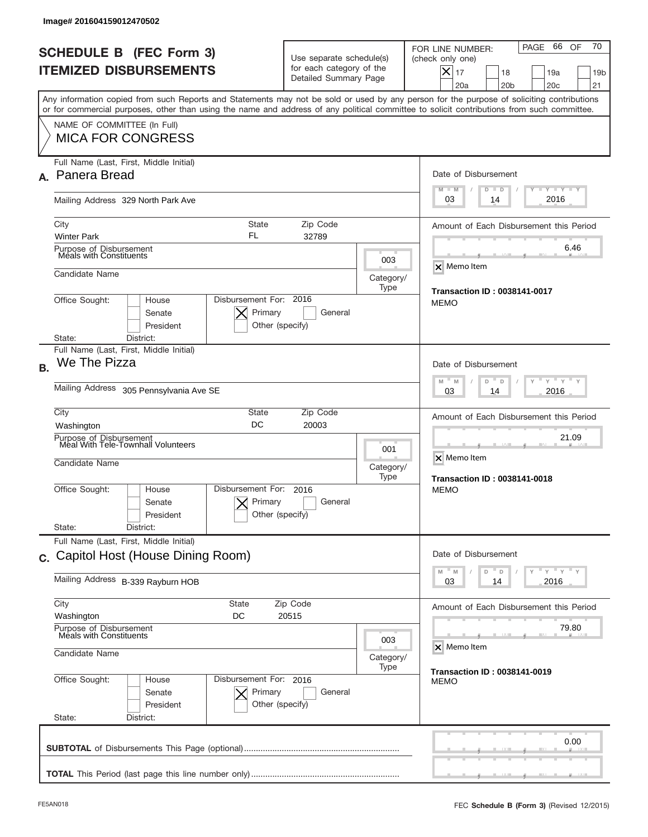| Image# 201604159012470502                                                                                                                                                                                                                                                               |                                                                                                                            |                          |                                                                                                                                                                              |
|-----------------------------------------------------------------------------------------------------------------------------------------------------------------------------------------------------------------------------------------------------------------------------------------|----------------------------------------------------------------------------------------------------------------------------|--------------------------|------------------------------------------------------------------------------------------------------------------------------------------------------------------------------|
| <b>SCHEDULE B (FEC Form 3)</b><br><b>ITEMIZED DISBURSEMENTS</b>                                                                                                                                                                                                                         | Use separate schedule(s)<br>for each category of the<br>Detailed Summary Page                                              |                          | 70<br>PAGE 66 OF<br>FOR LINE NUMBER:<br>(check only one)<br>$ \boldsymbol{\times} $<br>17<br>18<br>19a<br>19 <sub>b</sub><br>20a<br>20 <sub>b</sub><br>20 <sub>c</sub><br>21 |
| Any information copied from such Reports and Statements may not be sold or used by any person for the purpose of soliciting contributions<br>or for commercial purposes, other than using the name and address of any political committee to solicit contributions from such committee. |                                                                                                                            |                          |                                                                                                                                                                              |
| NAME OF COMMITTEE (In Full)<br><b>MICA FOR CONGRESS</b>                                                                                                                                                                                                                                 |                                                                                                                            |                          |                                                                                                                                                                              |
| Full Name (Last, First, Middle Initial)<br>A. Panera Bread                                                                                                                                                                                                                              |                                                                                                                            |                          | Date of Disbursement                                                                                                                                                         |
| Mailing Address 329 North Park Ave                                                                                                                                                                                                                                                      |                                                                                                                            |                          | Y FY FY FY<br>$M - M$<br>$D$ $D$<br>2016<br>03<br>14                                                                                                                         |
| City<br><b>State</b><br>FL<br><b>Winter Park</b>                                                                                                                                                                                                                                        | Zip Code<br>32789                                                                                                          |                          | Amount of Each Disbursement this Period                                                                                                                                      |
| Purpose of Disbursement<br>Meals with Constituents                                                                                                                                                                                                                                      |                                                                                                                            | 003                      | 6.46<br>$\overline{\mathsf{x}}$ Memo Item                                                                                                                                    |
| Candidate Name                                                                                                                                                                                                                                                                          | <b>Transaction ID: 0038141-0017</b>                                                                                        |                          |                                                                                                                                                                              |
| Disbursement For: 2016<br>Office Sought:<br>House<br>Senate<br>President                                                                                                                                                                                                                | Primary<br>General<br>Other (specify)                                                                                      | Type                     | <b>MEMO</b>                                                                                                                                                                  |
| District:<br>State:<br>Full Name (Last, First, Middle Initial)                                                                                                                                                                                                                          |                                                                                                                            |                          |                                                                                                                                                                              |
| We The Pizza<br><b>B.</b><br>Mailing Address 305 Pennsylvania Ave SE                                                                                                                                                                                                                    | Date of Disbursement<br>$\cdots$ $\gamma$ $\cdots$ $\gamma$ $\cdots$ $\gamma$<br>M<br>M<br>D<br>$\Box$<br>2016<br>03<br>14 |                          |                                                                                                                                                                              |
| City<br>State                                                                                                                                                                                                                                                                           |                                                                                                                            |                          |                                                                                                                                                                              |
| DC<br>Washington                                                                                                                                                                                                                                                                        | Amount of Each Disbursement this Period                                                                                    |                          |                                                                                                                                                                              |
| Purpose of Disbursement<br>Meal With Tele-Townhall Volunteers<br>Candidate Name                                                                                                                                                                                                         |                                                                                                                            | 001<br>Category/<br>Type | 21.09<br>X Memo Item<br><b>Transaction ID: 0038141-0018</b>                                                                                                                  |
| Disbursement For:<br>Office Sought:<br>House<br>Senate<br>President                                                                                                                                                                                                                     | 2016<br>Primary<br>General<br>Other (specify)                                                                              |                          | <b>MEMO</b>                                                                                                                                                                  |
| State:<br>District:<br>Full Name (Last, First, Middle Initial)                                                                                                                                                                                                                          |                                                                                                                            |                          |                                                                                                                                                                              |
| c. Capitol Host (House Dining Room)                                                                                                                                                                                                                                                     |                                                                                                                            |                          | Date of Disbursement<br>$\overline{Y}$ $\overline{Y}$ $\overline{Y}$ $\overline{Y}$ $\overline{Y}$<br>$-M$<br>M<br>D                                                         |
| Mailing Address B-339 Rayburn HOB                                                                                                                                                                                                                                                       | $\Box$<br>2016<br>03<br>14                                                                                                 |                          |                                                                                                                                                                              |
| City<br>State<br>Washington<br>DC                                                                                                                                                                                                                                                       | Amount of Each Disbursement this Period                                                                                    |                          |                                                                                                                                                                              |
| Purpose of Disbursement<br>Meals with Constituents<br>Candidate Name                                                                                                                                                                                                                    | 79.80<br>X Memo Item                                                                                                       |                          |                                                                                                                                                                              |
| Office Sought:<br>Disbursement For: 2016<br>House<br>Senate<br>President                                                                                                                                                                                                                | Primary<br>General<br>Other (specify)                                                                                      | Category/<br>Type        | <b>Transaction ID: 0038141-0019</b><br><b>MEMO</b>                                                                                                                           |
| State:<br>District:                                                                                                                                                                                                                                                                     |                                                                                                                            |                          | 0.00                                                                                                                                                                         |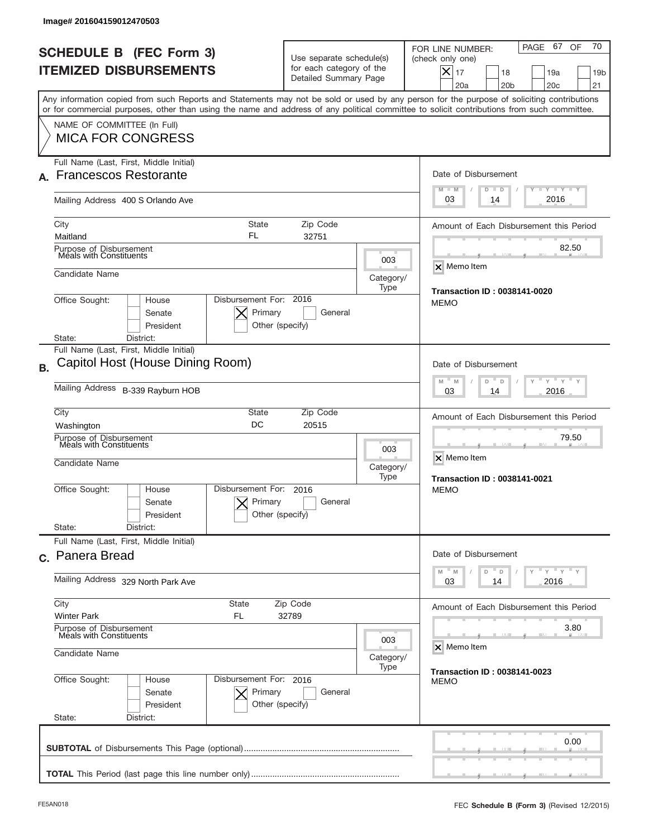|           | Image# 201604159012470503                                                                                                                                                                                                                                                               |                                                                                               |      |                                                                                                                                                                              |  |
|-----------|-----------------------------------------------------------------------------------------------------------------------------------------------------------------------------------------------------------------------------------------------------------------------------------------|-----------------------------------------------------------------------------------------------|------|------------------------------------------------------------------------------------------------------------------------------------------------------------------------------|--|
|           | <b>SCHEDULE B (FEC Form 3)</b><br><b>ITEMIZED DISBURSEMENTS</b>                                                                                                                                                                                                                         | Use separate schedule(s)<br>for each category of the<br>Detailed Summary Page                 |      | 70<br>PAGE 67 OF<br>FOR LINE NUMBER:<br>(check only one)<br>$ \boldsymbol{\times} $<br>17<br>18<br>19a<br>19 <sub>b</sub><br>20a<br>20 <sub>b</sub><br>20 <sub>c</sub><br>21 |  |
|           | Any information copied from such Reports and Statements may not be sold or used by any person for the purpose of soliciting contributions<br>or for commercial purposes, other than using the name and address of any political committee to solicit contributions from such committee. |                                                                                               |      |                                                                                                                                                                              |  |
|           | NAME OF COMMITTEE (In Full)<br><b>MICA FOR CONGRESS</b>                                                                                                                                                                                                                                 |                                                                                               |      |                                                                                                                                                                              |  |
|           | Full Name (Last, First, Middle Initial)                                                                                                                                                                                                                                                 |                                                                                               |      |                                                                                                                                                                              |  |
| А.        | <b>Francescos Restorante</b>                                                                                                                                                                                                                                                            |                                                                                               |      | Date of Disbursement                                                                                                                                                         |  |
|           | Mailing Address 400 S Orlando Ave                                                                                                                                                                                                                                                       |                                                                                               |      | $T - Y$ $T - Y$<br>$M - M$<br>$D$ $D$<br>2016<br>03<br>14                                                                                                                    |  |
|           | City<br><b>State</b><br>FL                                                                                                                                                                                                                                                              | Zip Code                                                                                      |      | Amount of Each Disbursement this Period                                                                                                                                      |  |
|           | Maitland<br>Purpose of Disbursement<br>Meals with Constituents                                                                                                                                                                                                                          | 32751                                                                                         |      | 82.50                                                                                                                                                                        |  |
|           |                                                                                                                                                                                                                                                                                         |                                                                                               | 003  | $\overline{\mathsf{x}}$ Memo Item                                                                                                                                            |  |
|           | Candidate Name                                                                                                                                                                                                                                                                          |                                                                                               |      |                                                                                                                                                                              |  |
|           | Disbursement For: 2016<br>Office Sought:<br>House<br>Primary<br>Senate<br>President<br>Other (specify)<br>District:<br>State:                                                                                                                                                           | General                                                                                       | Type | Transaction ID: 0038141-0020<br><b>MEMO</b>                                                                                                                                  |  |
|           | Full Name (Last, First, Middle Initial)                                                                                                                                                                                                                                                 |                                                                                               |      |                                                                                                                                                                              |  |
| <b>B.</b> | Capitol Host (House Dining Room)                                                                                                                                                                                                                                                        |                                                                                               |      | Date of Disbursement                                                                                                                                                         |  |
|           | Mailing Address B-339 Rayburn HOB                                                                                                                                                                                                                                                       | $\cdots$ $\gamma$ $\cdots$ $\gamma$ $\cdots$ $\gamma$<br>M<br>M<br>D<br>D<br>2016<br>03<br>14 |      |                                                                                                                                                                              |  |
|           | City<br><b>State</b>                                                                                                                                                                                                                                                                    | Zip Code<br>20515                                                                             |      | Amount of Each Disbursement this Period                                                                                                                                      |  |
|           | DC<br>Washington<br>Purpose of Disbursement                                                                                                                                                                                                                                             | 79.50                                                                                         |      |                                                                                                                                                                              |  |
|           | Meals with Constituents<br>Candidate Name                                                                                                                                                                                                                                               | 003<br>Category/<br>Type                                                                      |      |                                                                                                                                                                              |  |
|           | Disbursement For:<br>Office Sought:<br>House<br>Primary<br>Senate<br>Other (specify)<br>President<br>State:<br>District:                                                                                                                                                                | 2016<br>General                                                                               |      | <b>Transaction ID: 0038141-0021</b><br><b>MEMO</b>                                                                                                                           |  |
|           | Full Name (Last, First, Middle Initial)                                                                                                                                                                                                                                                 |                                                                                               |      |                                                                                                                                                                              |  |
|           | c. Panera Bread                                                                                                                                                                                                                                                                         |                                                                                               |      | Date of Disbursement                                                                                                                                                         |  |
|           | Mailing Address 329 North Park Ave                                                                                                                                                                                                                                                      | $\cdots$ $\gamma$ $\cdots$ $\gamma$ $\cdots$ $\gamma$<br>$M$ M<br>D<br>D<br>2016<br>03<br>14  |      |                                                                                                                                                                              |  |
|           | City<br><b>State</b><br>Zip Code                                                                                                                                                                                                                                                        | Amount of Each Disbursement this Period                                                       |      |                                                                                                                                                                              |  |
|           | <b>Winter Park</b><br>FL.<br>32789<br>Purpose of Disbursement<br>Meals with Constituents                                                                                                                                                                                                |                                                                                               |      | 3.80                                                                                                                                                                         |  |
|           | 003<br>Candidate Name<br>Category/                                                                                                                                                                                                                                                      |                                                                                               |      | X Memo Item                                                                                                                                                                  |  |
|           | Office Sought:<br>Disbursement For: 2016<br>House<br>Senate<br>Primary<br>President<br>Other (specify)<br>State:<br>District:                                                                                                                                                           | General                                                                                       | Type | <b>Transaction ID: 0038141-0023</b><br><b>MEMO</b>                                                                                                                           |  |
|           |                                                                                                                                                                                                                                                                                         |                                                                                               |      | 0.00                                                                                                                                                                         |  |
|           |                                                                                                                                                                                                                                                                                         |                                                                                               |      |                                                                                                                                                                              |  |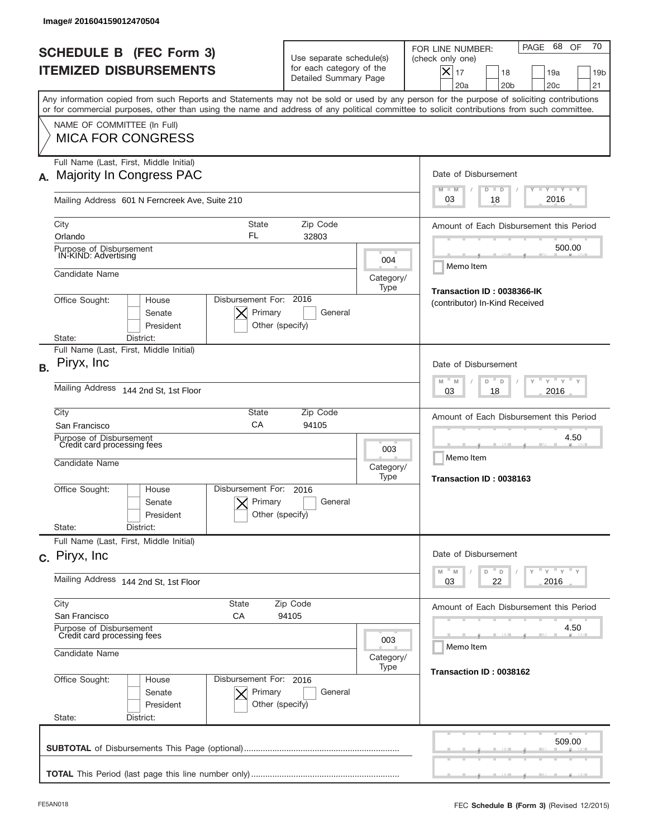| lmage# 201604159012470504                                                                            |                                                      |                                                                               |                                                                              |                                                                                                                                                                                                                                                                                         |
|------------------------------------------------------------------------------------------------------|------------------------------------------------------|-------------------------------------------------------------------------------|------------------------------------------------------------------------------|-----------------------------------------------------------------------------------------------------------------------------------------------------------------------------------------------------------------------------------------------------------------------------------------|
| <b>SCHEDULE B (FEC Form 3)</b><br><b>ITEMIZED DISBURSEMENTS</b>                                      |                                                      | Use separate schedule(s)<br>for each category of the<br>Detailed Summary Page |                                                                              | 70<br>68 OF<br>PAGE<br>FOR LINE NUMBER:<br>(check only one)<br>$X _{17}$<br>19a<br>18<br>19 <sub>b</sub><br>20a<br>20 <sub>b</sub><br>20 <sub>c</sub><br>21                                                                                                                             |
|                                                                                                      |                                                      |                                                                               |                                                                              | Any information copied from such Reports and Statements may not be sold or used by any person for the purpose of soliciting contributions<br>or for commercial purposes, other than using the name and address of any political committee to solicit contributions from such committee. |
| NAME OF COMMITTEE (In Full)<br><b>MICA FOR CONGRESS</b>                                              |                                                      |                                                                               |                                                                              |                                                                                                                                                                                                                                                                                         |
| Full Name (Last, First, Middle Initial)<br>A. Majority In Congress PAC                               |                                                      |                                                                               |                                                                              | Date of Disbursement<br><b>TANK TANK</b><br>$M - M$<br>$D$ $D$                                                                                                                                                                                                                          |
| Mailing Address 601 N Ferncreek Ave, Suite 210                                                       |                                                      |                                                                               |                                                                              | 2016<br>03<br>18                                                                                                                                                                                                                                                                        |
| City<br>Orlando                                                                                      | <b>State</b><br>FL                                   | Zip Code<br>32803                                                             |                                                                              | Amount of Each Disbursement this Period                                                                                                                                                                                                                                                 |
| Purpose of Disbursement<br>IN-KIND: Advertising                                                      |                                                      |                                                                               | 004                                                                          | 500.00<br>Memo Item                                                                                                                                                                                                                                                                     |
| Candidate Name<br>Category/<br>Type                                                                  |                                                      |                                                                               |                                                                              | Transaction ID: 0038366-IK                                                                                                                                                                                                                                                              |
| Office Sought:<br>House<br>Senate<br>President                                                       | Disbursement For: 2016<br>Primary<br>Other (specify) | General                                                                       |                                                                              | (contributor) In-Kind Received                                                                                                                                                                                                                                                          |
| District:<br>State:<br>Full Name (Last, First, Middle Initial)                                       |                                                      |                                                                               |                                                                              |                                                                                                                                                                                                                                                                                         |
| Piryx, Inc                                                                                           |                                                      |                                                                               | Date of Disbursement<br>$\cdots$ $\gamma$ $\cdots$ $\gamma$ $\cdots$<br>$-M$ |                                                                                                                                                                                                                                                                                         |
| Mailing Address<br>144 2nd St, 1st Floor                                                             | M<br>D<br>D<br>2016<br>03<br>18                      |                                                                               |                                                                              |                                                                                                                                                                                                                                                                                         |
| City<br>San Francisco                                                                                | <b>State</b><br>CA                                   | Zip Code<br>94105                                                             |                                                                              | Amount of Each Disbursement this Period                                                                                                                                                                                                                                                 |
| Purpose of Disbursement<br>Credit card processing fees<br>Candidate Name                             |                                                      |                                                                               | 003<br>Category/<br>Type                                                     | 4.50<br>Memo Item<br>Transaction ID: 0038163                                                                                                                                                                                                                                            |
| Office Sought:<br>House<br>Senate<br>President<br>State:<br>District:                                | Disbursement For:<br>Primary<br>Other (specify)      | 2016<br>General                                                               |                                                                              |                                                                                                                                                                                                                                                                                         |
| Full Name (Last, First, Middle Initial)                                                              |                                                      |                                                                               |                                                                              |                                                                                                                                                                                                                                                                                         |
| c. Piryx, Inc.                                                                                       |                                                      |                                                                               |                                                                              | Date of Disbursement<br>$\mathbb{F}$ $\mathsf{y}$ $\mathbb{F}$ $\mathsf{y}$ $\mathbb{F}$ $\mathsf{y}$<br>M<br>D<br>M<br>D                                                                                                                                                               |
| Mailing Address 144 2nd St, 1st Floor                                                                | 03<br>22<br>2016                                     |                                                                               |                                                                              |                                                                                                                                                                                                                                                                                         |
| City<br><b>State</b><br>Zip Code<br>San Francisco<br>СA<br>94105                                     |                                                      |                                                                               |                                                                              | Amount of Each Disbursement this Period                                                                                                                                                                                                                                                 |
| Purpose of Disbursement<br>Credit card processing fees<br>003<br>Candidate Name<br>Category/<br>Type |                                                      |                                                                               | 4.50<br>Memo Item                                                            |                                                                                                                                                                                                                                                                                         |
|                                                                                                      |                                                      |                                                                               | Transaction ID: 0038162                                                      |                                                                                                                                                                                                                                                                                         |
| Office Sought:<br>House<br>Senate<br>President<br>State:<br>District:                                | Disbursement For: 2016<br>Primary<br>Other (specify) | General                                                                       |                                                                              |                                                                                                                                                                                                                                                                                         |
|                                                                                                      |                                                      |                                                                               |                                                                              | 509.00                                                                                                                                                                                                                                                                                  |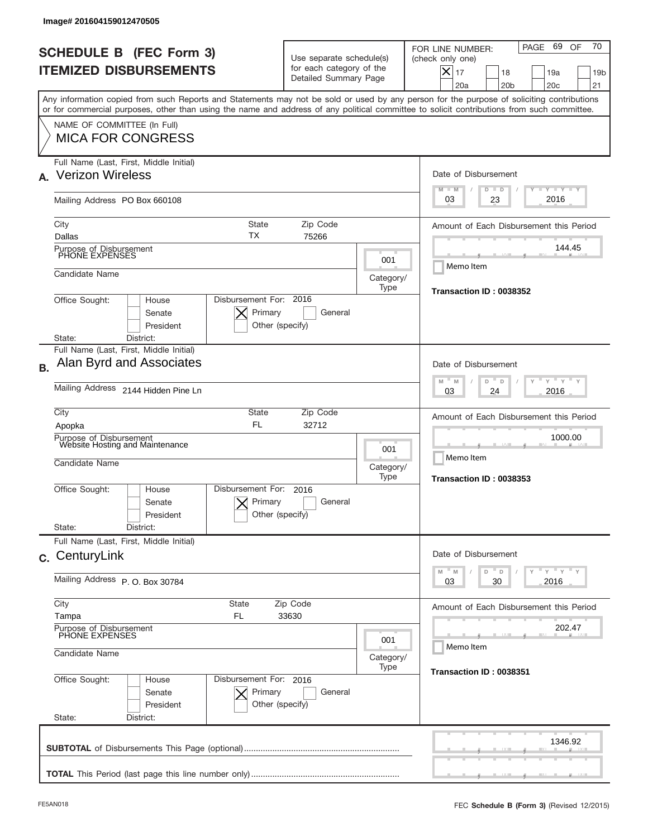| Image# 201604159012470505                                                                                                                                                                                                                                                               |                                                                               |                          |                                                                                                                                                                              |  |
|-----------------------------------------------------------------------------------------------------------------------------------------------------------------------------------------------------------------------------------------------------------------------------------------|-------------------------------------------------------------------------------|--------------------------|------------------------------------------------------------------------------------------------------------------------------------------------------------------------------|--|
| <b>SCHEDULE B (FEC Form 3)</b><br><b>ITEMIZED DISBURSEMENTS</b>                                                                                                                                                                                                                         | Use separate schedule(s)<br>for each category of the<br>Detailed Summary Page |                          | 70<br>PAGE 69 OF<br>FOR LINE NUMBER:<br>(check only one)<br>$ \boldsymbol{\times} $<br>17<br>18<br>19a<br>19 <sub>b</sub><br>20a<br>20 <sub>b</sub><br>20 <sub>c</sub><br>21 |  |
| Any information copied from such Reports and Statements may not be sold or used by any person for the purpose of soliciting contributions<br>or for commercial purposes, other than using the name and address of any political committee to solicit contributions from such committee. |                                                                               |                          |                                                                                                                                                                              |  |
| NAME OF COMMITTEE (In Full)<br><b>MICA FOR CONGRESS</b>                                                                                                                                                                                                                                 |                                                                               |                          |                                                                                                                                                                              |  |
| Full Name (Last, First, Middle Initial)<br><b>Verizon Wireless</b><br>$\mathbf{A}_{-}$                                                                                                                                                                                                  |                                                                               |                          | Date of Disbursement<br>$T - Y$ $T - Y$<br>$M - M$                                                                                                                           |  |
| Mailing Address PO Box 660108                                                                                                                                                                                                                                                           |                                                                               |                          | $D$ $D$<br>2016<br>03<br>23                                                                                                                                                  |  |
| City<br><b>State</b><br>ТX<br>Dallas                                                                                                                                                                                                                                                    | Zip Code<br>75266                                                             |                          | Amount of Each Disbursement this Period                                                                                                                                      |  |
| Purpose of Disbursement<br>PHONE EXPENSES                                                                                                                                                                                                                                               |                                                                               | 001                      | 144.45<br>Memo Item                                                                                                                                                          |  |
| Candidate Name                                                                                                                                                                                                                                                                          | Category/<br>Transaction ID: 0038352                                          |                          |                                                                                                                                                                              |  |
| Office Sought:<br>House<br>Senate<br>President                                                                                                                                                                                                                                          | Disbursement For: 2016<br>Primary<br>General<br>Other (specify)               |                          |                                                                                                                                                                              |  |
| District:<br>State:<br>Full Name (Last, First, Middle Initial)                                                                                                                                                                                                                          |                                                                               |                          |                                                                                                                                                                              |  |
| Alan Byrd and Associates                                                                                                                                                                                                                                                                |                                                                               |                          | Date of Disbursement<br>$-\gamma + \gamma - \gamma$<br>M<br>D<br>M<br>$\Box$                                                                                                 |  |
| Mailing Address 2144 Hidden Pine Ln                                                                                                                                                                                                                                                     | 2016<br>03<br>24                                                              |                          |                                                                                                                                                                              |  |
| City<br>Apopka                                                                                                                                                                                                                                                                          | State<br>Zip Code<br><b>FL</b><br>32712                                       |                          |                                                                                                                                                                              |  |
| Purpose of Disbursement<br>Website Hosting and Maintenance<br>Candidate Name                                                                                                                                                                                                            |                                                                               | 001<br>Category/<br>Type | 1000.00<br>Memo Item<br>Transaction ID: 0038353                                                                                                                              |  |
| Disbursement For:<br>Office Sought:<br>House<br>Senate<br>President                                                                                                                                                                                                                     | 2016<br>Primary<br>General<br>Other (specify)                                 |                          |                                                                                                                                                                              |  |
| State:<br>District:<br>Full Name (Last, First, Middle Initial)                                                                                                                                                                                                                          |                                                                               |                          |                                                                                                                                                                              |  |
| c. CenturyLink                                                                                                                                                                                                                                                                          |                                                                               |                          | Date of Disbursement<br>$\gamma$ $\pi$ $\gamma$ $\pi$ $\gamma$ $\pi$ $\gamma$<br>$M$ $M$<br>D<br>D                                                                           |  |
| Mailing Address P. O. Box 30784                                                                                                                                                                                                                                                         | 2016<br>03<br>30                                                              |                          |                                                                                                                                                                              |  |
| City<br><b>State</b><br>Zip Code<br>Tampa<br>FL.<br>33630                                                                                                                                                                                                                               |                                                                               |                          | Amount of Each Disbursement this Period                                                                                                                                      |  |
| Purpose of Disbursement<br>PHONE EXPENSES<br>Candidate Name                                                                                                                                                                                                                             | 202.47<br>Memo Item                                                           |                          |                                                                                                                                                                              |  |
| Category/<br>Type<br>Disbursement For: 2016                                                                                                                                                                                                                                             |                                                                               |                          | Transaction ID: 0038351                                                                                                                                                      |  |
| Office Sought:<br>House<br>Senate<br>President<br>State:<br>District:                                                                                                                                                                                                                   | Primary<br>General<br>Other (specify)                                         |                          |                                                                                                                                                                              |  |
|                                                                                                                                                                                                                                                                                         |                                                                               |                          | 1346.92                                                                                                                                                                      |  |